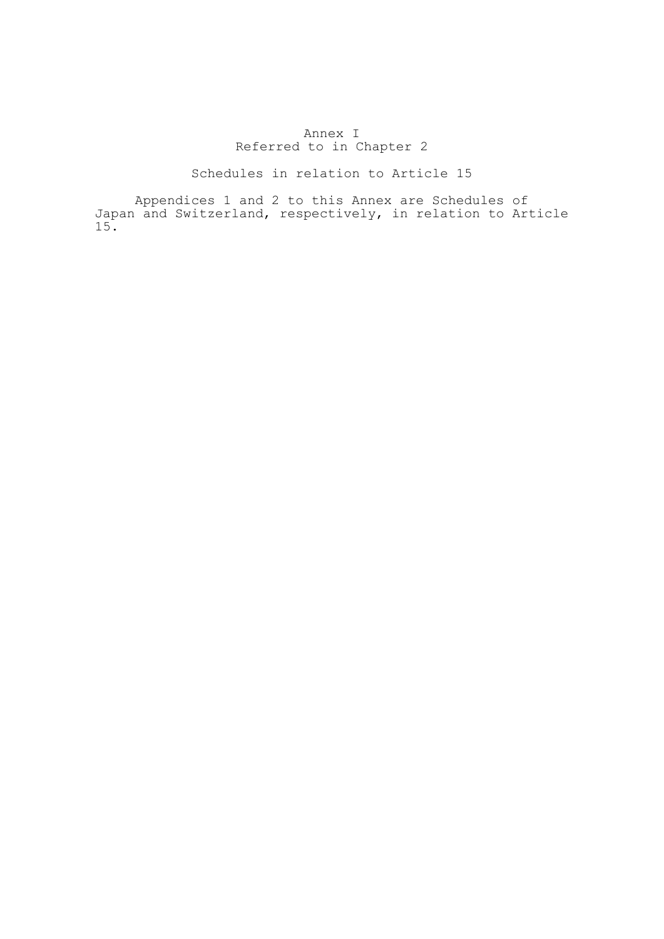## Annex I Referred to in Chapter 2

## Schedules in relation to Article 15

 Appendices 1 and 2 to this Annex are Schedules of Japan and Switzerland, respectively, in relation to Article 15.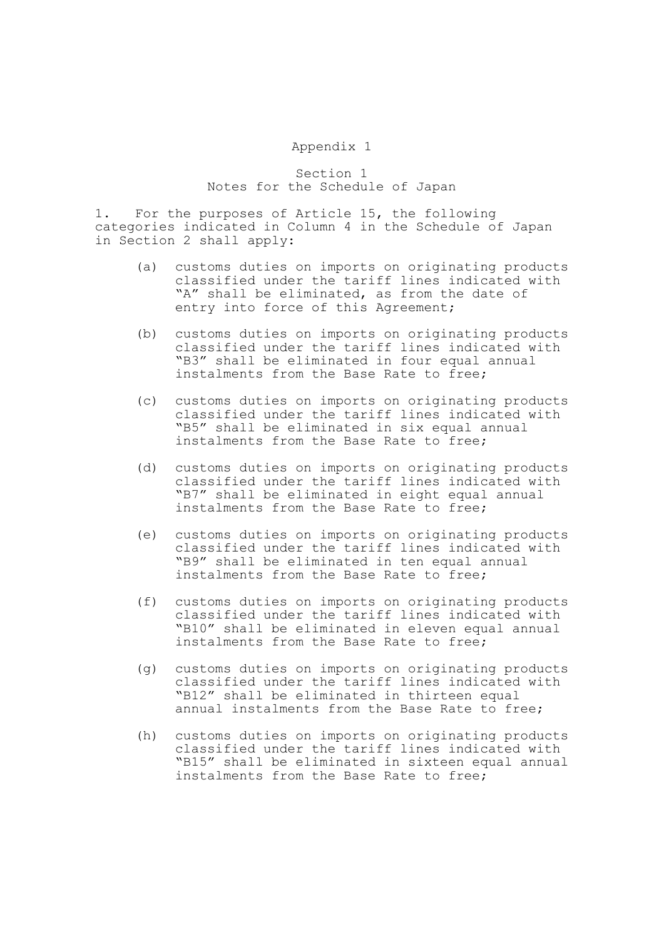## Appendix 1

Section 1 Notes for the Schedule of Japan

1. For the purposes of Article 15, the following categories indicated in Column 4 in the Schedule of Japan in Section 2 shall apply:

- (a) customs duties on imports on originating products classified under the tariff lines indicated with "A" shall be eliminated, as from the date of entry into force of this Agreement;
- (b) customs duties on imports on originating products classified under the tariff lines indicated with "B3" shall be eliminated in four equal annual instalments from the Base Rate to free;
- (c) customs duties on imports on originating products classified under the tariff lines indicated with "B5" shall be eliminated in six equal annual instalments from the Base Rate to free;
- (d) customs duties on imports on originating products classified under the tariff lines indicated with "B7" shall be eliminated in eight equal annual instalments from the Base Rate to free;
- (e) customs duties on imports on originating products classified under the tariff lines indicated with "B9" shall be eliminated in ten equal annual instalments from the Base Rate to free;
- (f) customs duties on imports on originating products classified under the tariff lines indicated with "B10" shall be eliminated in eleven equal annual instalments from the Base Rate to free;
- (g) customs duties on imports on originating products classified under the tariff lines indicated with "B12" shall be eliminated in thirteen equal annual instalments from the Base Rate to free;
- (h) customs duties on imports on originating products classified under the tariff lines indicated with "B15" shall be eliminated in sixteen equal annual instalments from the Base Rate to free;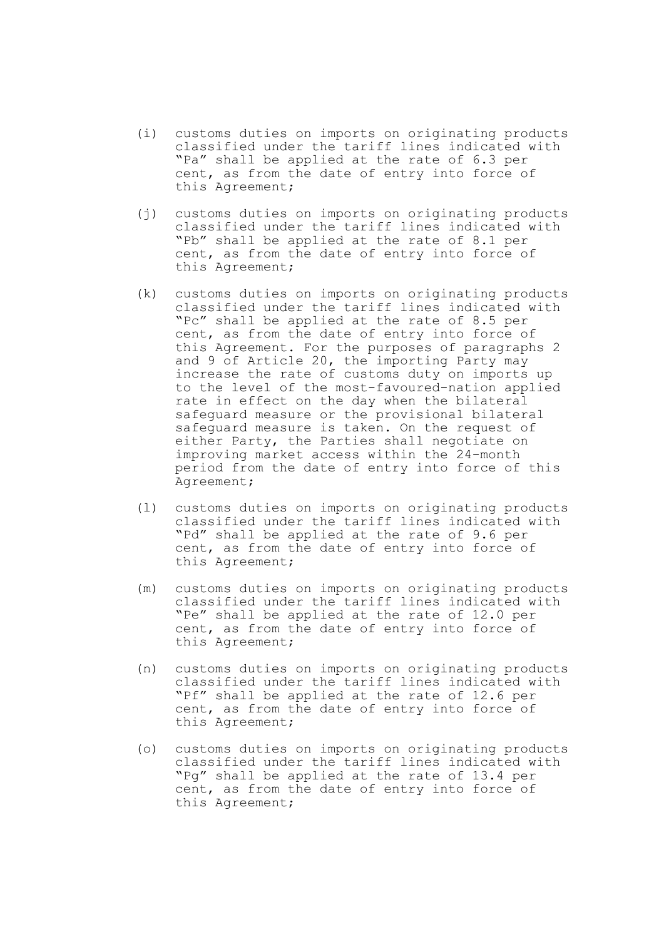- (i) customs duties on imports on originating products classified under the tariff lines indicated with "Pa" shall be applied at the rate of 6.3 per cent, as from the date of entry into force of this Agreement;
- (j) customs duties on imports on originating products classified under the tariff lines indicated with "Pb" shall be applied at the rate of 8.1 per cent, as from the date of entry into force of this Agreement;
- (k) customs duties on imports on originating products classified under the tariff lines indicated with "Pc" shall be applied at the rate of 8.5 per cent, as from the date of entry into force of this Agreement. For the purposes of paragraphs 2 and 9 of Article 20, the importing Party may increase the rate of customs duty on imports up to the level of the most-favoured-nation applied rate in effect on the day when the bilateral safeguard measure or the provisional bilateral safeguard measure is taken. On the request of either Party, the Parties shall negotiate on improving market access within the 24-month period from the date of entry into force of this Agreement;
- (l) customs duties on imports on originating products classified under the tariff lines indicated with "Pd" shall be applied at the rate of 9.6 per cent, as from the date of entry into force of this Agreement;
- (m) customs duties on imports on originating products classified under the tariff lines indicated with "Pe" shall be applied at the rate of 12.0 per cent, as from the date of entry into force of this Agreement;
- (n) customs duties on imports on originating products classified under the tariff lines indicated with "Pf" shall be applied at the rate of 12.6 per cent, as from the date of entry into force of this Agreement;
- (o) customs duties on imports on originating products classified under the tariff lines indicated with "Pg" shall be applied at the rate of 13.4 per cent, as from the date of entry into force of this Agreement;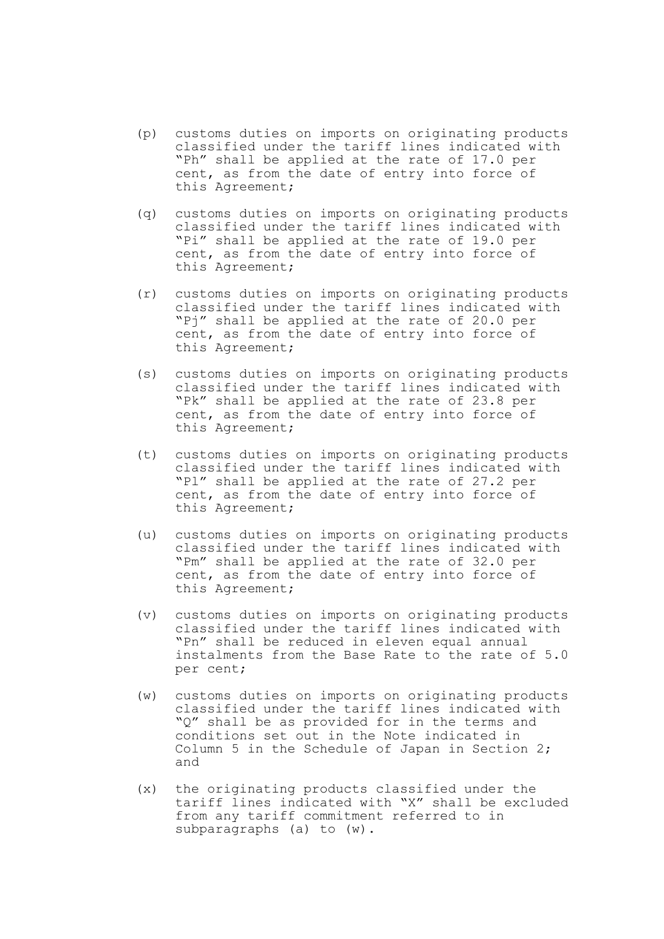- (p) customs duties on imports on originating products classified under the tariff lines indicated with "Ph" shall be applied at the rate of 17.0 per cent, as from the date of entry into force of this Agreement;
- (q) customs duties on imports on originating products classified under the tariff lines indicated with "Pi" shall be applied at the rate of 19.0 per cent, as from the date of entry into force of this Agreement;
- (r) customs duties on imports on originating products classified under the tariff lines indicated with "Pj" shall be applied at the rate of 20.0 per cent, as from the date of entry into force of this Agreement;
- (s) customs duties on imports on originating products classified under the tariff lines indicated with "Pk" shall be applied at the rate of 23.8 per cent, as from the date of entry into force of this Agreement;
- (t) customs duties on imports on originating products classified under the tariff lines indicated with "Pl" shall be applied at the rate of 27.2 per cent, as from the date of entry into force of this Agreement;
- (u) customs duties on imports on originating products classified under the tariff lines indicated with "Pm" shall be applied at the rate of 32.0 per cent, as from the date of entry into force of this Agreement;
- (v) customs duties on imports on originating products classified under the tariff lines indicated with "Pn" shall be reduced in eleven equal annual instalments from the Base Rate to the rate of 5.0 per cent;
- (w) customs duties on imports on originating products classified under the tariff lines indicated with "Q" shall be as provided for in the terms and conditions set out in the Note indicated in Column 5 in the Schedule of Japan in Section 2; and
- (x) the originating products classified under the tariff lines indicated with "X" shall be excluded from any tariff commitment referred to in subparagraphs (a) to (w).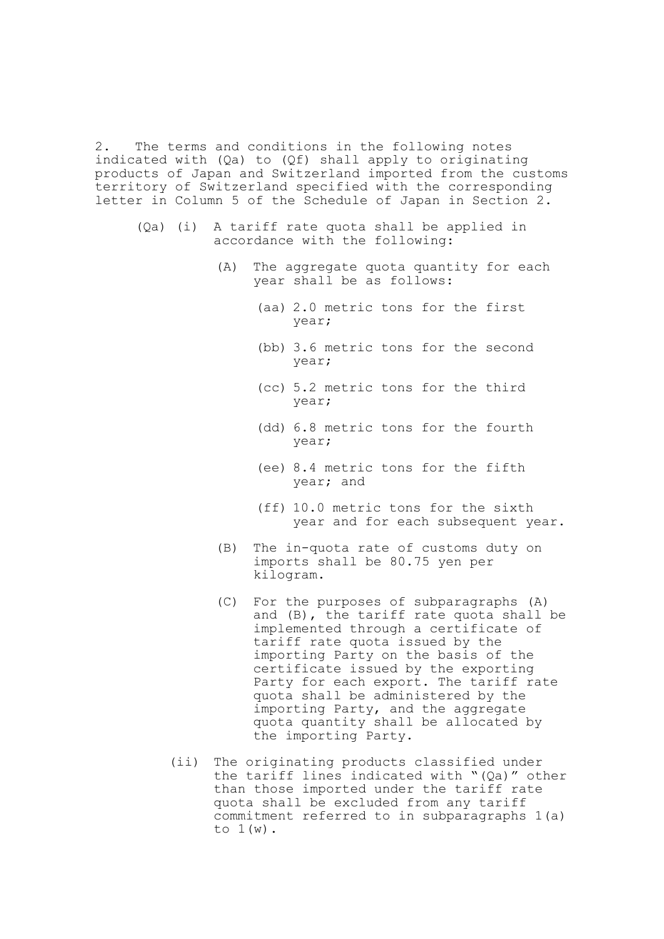2. The terms and conditions in the following notes indicated with (Qa) to (Qf) shall apply to originating products of Japan and Switzerland imported from the customs territory of Switzerland specified with the corresponding letter in Column 5 of the Schedule of Japan in Section 2.

- (Qa) (i) A tariff rate quota shall be applied in accordance with the following:
	- (A) The aggregate quota quantity for each year shall be as follows:
		- (aa) 2.0 metric tons for the first year;
		- (bb) 3.6 metric tons for the second year;
		- (cc) 5.2 metric tons for the third year;
		- (dd) 6.8 metric tons for the fourth year;
		- (ee) 8.4 metric tons for the fifth year; and
		- (ff) 10.0 metric tons for the sixth year and for each subsequent year.
	- (B) The in-quota rate of customs duty on imports shall be 80.75 yen per kilogram.
	- (C) For the purposes of subparagraphs (A) and (B), the tariff rate quota shall be implemented through a certificate of tariff rate quota issued by the importing Party on the basis of the certificate issued by the exporting Party for each export. The tariff rate quota shall be administered by the importing Party, and the aggregate quota quantity shall be allocated by the importing Party.
	- (ii) The originating products classified under the tariff lines indicated with "(Qa)" other than those imported under the tariff rate quota shall be excluded from any tariff commitment referred to in subparagraphs 1(a) to  $1(w)$ .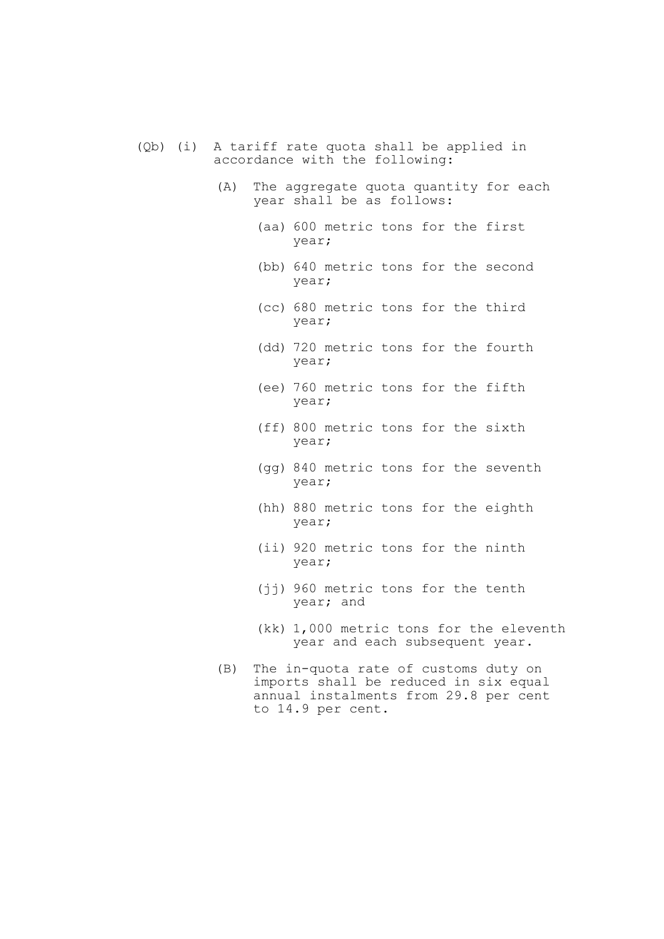- (Qb) (i) A tariff rate quota shall be applied in accordance with the following:
	- (A) The aggregate quota quantity for each year shall be as follows:
		- (aa) 600 metric tons for the first year;
		- (bb) 640 metric tons for the second year;
		- (cc) 680 metric tons for the third year;
		- (dd) 720 metric tons for the fourth year;
		- (ee) 760 metric tons for the fifth year;
		- (ff) 800 metric tons for the sixth year;
		- (gg) 840 metric tons for the seventh year;
		- (hh) 880 metric tons for the eighth year;
		- (ii) 920 metric tons for the ninth year;
		- (jj) 960 metric tons for the tenth year; and
		- (kk) 1,000 metric tons for the eleventh year and each subsequent year.
	- (B) The in-quota rate of customs duty on imports shall be reduced in six equal annual instalments from 29.8 per cent to 14.9 per cent.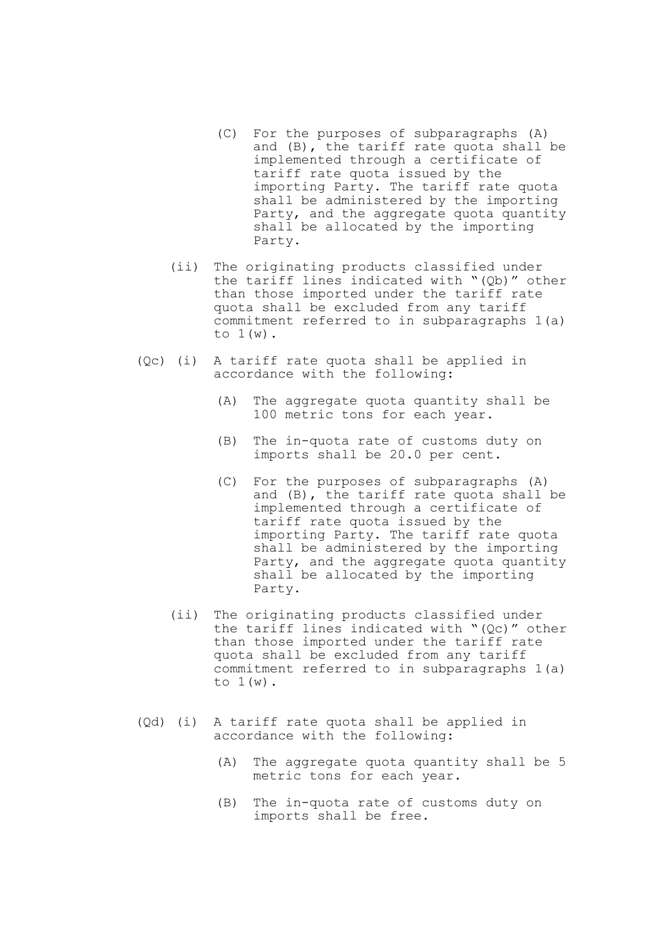- (C) For the purposes of subparagraphs (A) and (B), the tariff rate quota shall be implemented through a certificate of tariff rate quota issued by the importing Party. The tariff rate quota shall be administered by the importing Party, and the aggregate quota quantity shall be allocated by the importing Party.
- (ii) The originating products classified under the tariff lines indicated with "(Qb)" other than those imported under the tariff rate quota shall be excluded from any tariff commitment referred to in subparagraphs 1(a) to  $1(w)$ .
- (Qc) (i) A tariff rate quota shall be applied in accordance with the following:
	- (A) The aggregate quota quantity shall be 100 metric tons for each year.
	- (B) The in-quota rate of customs duty on imports shall be 20.0 per cent.
- (C) For the purposes of subparagraphs (A) and (B), the tariff rate quota shall be implemented through a certificate of tariff rate quota issued by the importing Party. The tariff rate quota shall be administered by the importing Party, and the aggregate quota quantity shall be allocated by the importing Party.
	- (ii) The originating products classified under the tariff lines indicated with "(Qc)" other than those imported under the tariff rate quota shall be excluded from any tariff commitment referred to in subparagraphs 1(a) to 1(w).
	- (Qd) (i) A tariff rate quota shall be applied in accordance with the following:
		- (A) The aggregate quota quantity shall be 5 metric tons for each year.
		- (B) The in-quota rate of customs duty on imports shall be free.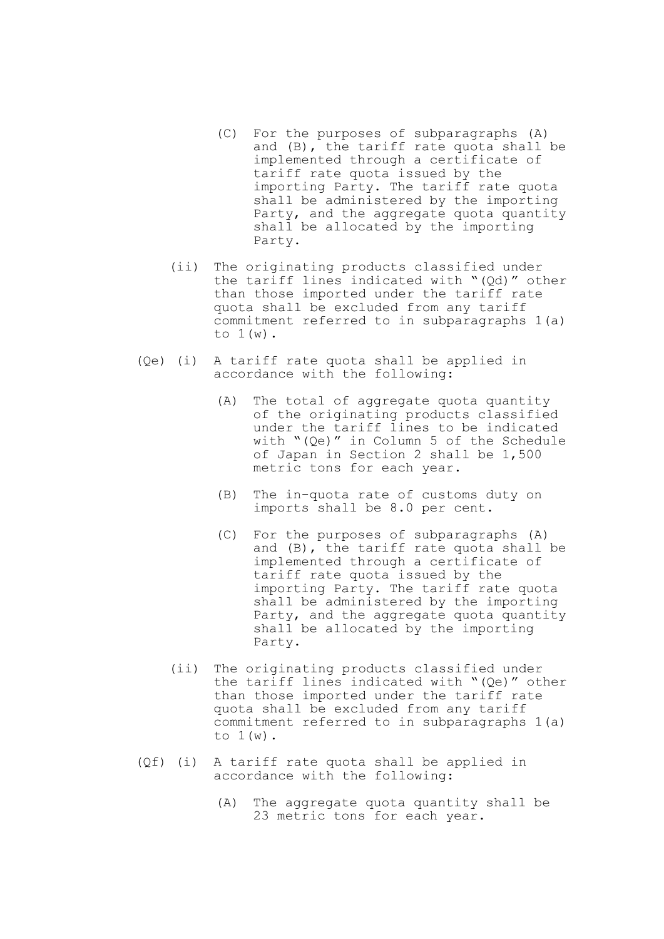- (C) For the purposes of subparagraphs (A) and (B), the tariff rate quota shall be implemented through a certificate of tariff rate quota issued by the importing Party. The tariff rate quota shall be administered by the importing Party, and the aggregate quota quantity shall be allocated by the importing Party.
- (ii) The originating products classified under the tariff lines indicated with "(Qd)" other than those imported under the tariff rate quota shall be excluded from any tariff commitment referred to in subparagraphs 1(a) to  $1(w)$ .
- (Qe) (i) A tariff rate quota shall be applied in accordance with the following:
	- (A) The total of aggregate quota quantity of the originating products classified under the tariff lines to be indicated with "(Qe)" in Column 5 of the Schedule of Japan in Section 2 shall be 1,500 metric tons for each year.
	- (B) The in-quota rate of customs duty on imports shall be 8.0 per cent.
	- (C) For the purposes of subparagraphs (A) and (B), the tariff rate quota shall be implemented through a certificate of tariff rate quota issued by the importing Party. The tariff rate quota shall be administered by the importing Party, and the aggregate quota quantity shall be allocated by the importing Party.
	- (ii) The originating products classified under the tariff lines indicated with "(Qe)" other than those imported under the tariff rate quota shall be excluded from any tariff commitment referred to in subparagraphs 1(a) to  $1(w)$ .
- (Qf) (i) A tariff rate quota shall be applied in accordance with the following:
	- (A) The aggregate quota quantity shall be 23 metric tons for each year.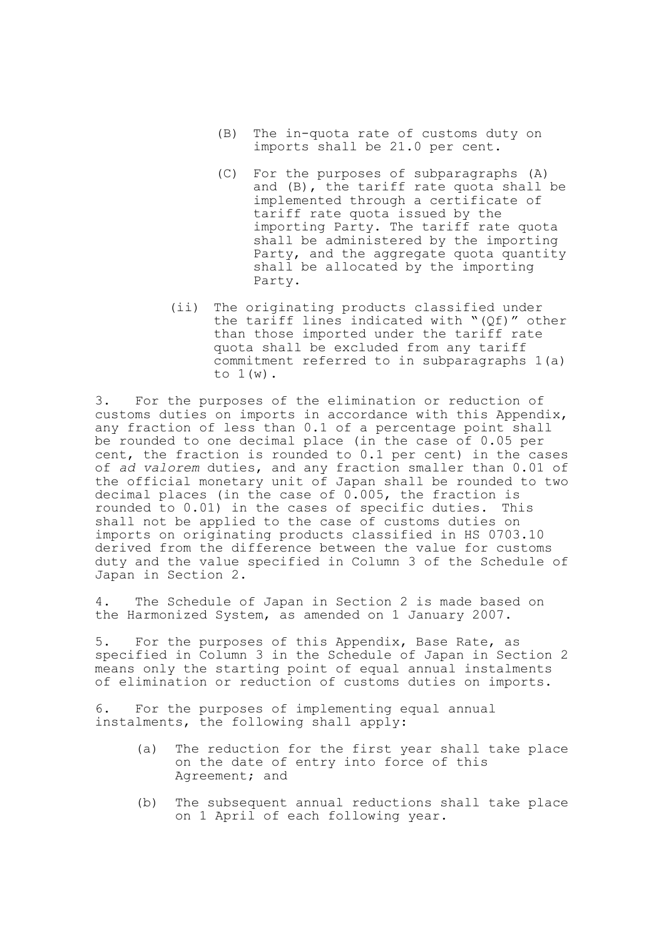- (B) The in-quota rate of customs duty on imports shall be 21.0 per cent.
- (C) For the purposes of subparagraphs (A) and (B), the tariff rate quota shall be implemented through a certificate of tariff rate quota issued by the importing Party. The tariff rate quota shall be administered by the importing Party, and the aggregate quota quantity shall be allocated by the importing Party.
- (ii) The originating products classified under the tariff lines indicated with "(Qf)" other than those imported under the tariff rate quota shall be excluded from any tariff commitment referred to in subparagraphs 1(a) to  $1(w)$ .

3. For the purposes of the elimination or reduction of customs duties on imports in accordance with this Appendix, any fraction of less than 0.1 of a percentage point shall be rounded to one decimal place (in the case of 0.05 per cent, the fraction is rounded to 0.1 per cent) in the cases of *ad valorem* duties, and any fraction smaller than 0.01 of the official monetary unit of Japan shall be rounded to two decimal places (in the case of 0.005, the fraction is rounded to 0.01) in the cases of specific duties. This shall not be applied to the case of customs duties on imports on originating products classified in HS 0703.10 derived from the difference between the value for customs duty and the value specified in Column 3 of the Schedule of Japan in Section 2.

4. The Schedule of Japan in Section 2 is made based on the Harmonized System, as amended on 1 January 2007.

5. For the purposes of this Appendix, Base Rate, as specified in Column 3 in the Schedule of Japan in Section 2 means only the starting point of equal annual instalments of elimination or reduction of customs duties on imports.

6. For the purposes of implementing equal annual instalments, the following shall apply:

- (a) The reduction for the first year shall take place on the date of entry into force of this Agreement; and
- (b) The subsequent annual reductions shall take place on 1 April of each following year.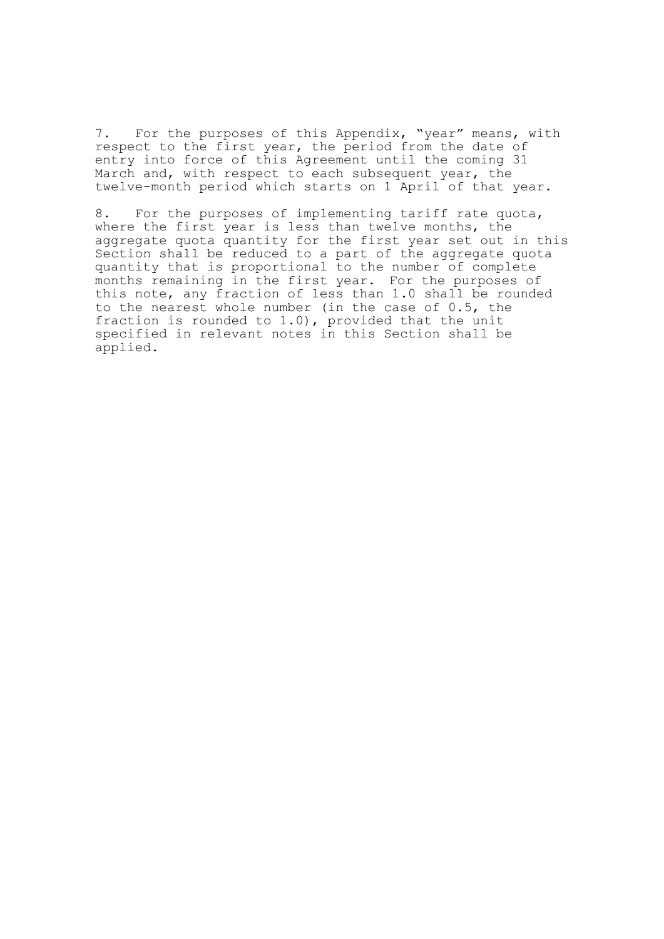7. For the purposes of this Appendix, "year" means, with respect to the first year, the period from the date of entry into force of this Agreement until the coming 31 March and, with respect to each subsequent year, the twelve-month period which starts on 1 April of that year.

8. For the purposes of implementing tariff rate quota, where the first year is less than twelve months, the aggregate quota quantity for the first year set out in this Section shall be reduced to a part of the aggregate quota quantity that is proportional to the number of complete months remaining in the first year. For the purposes of this note, any fraction of less than 1.0 shall be rounded to the nearest whole number (in the case of 0.5, the fraction is rounded to 1.0), provided that the unit specified in relevant notes in this Section shall be applied.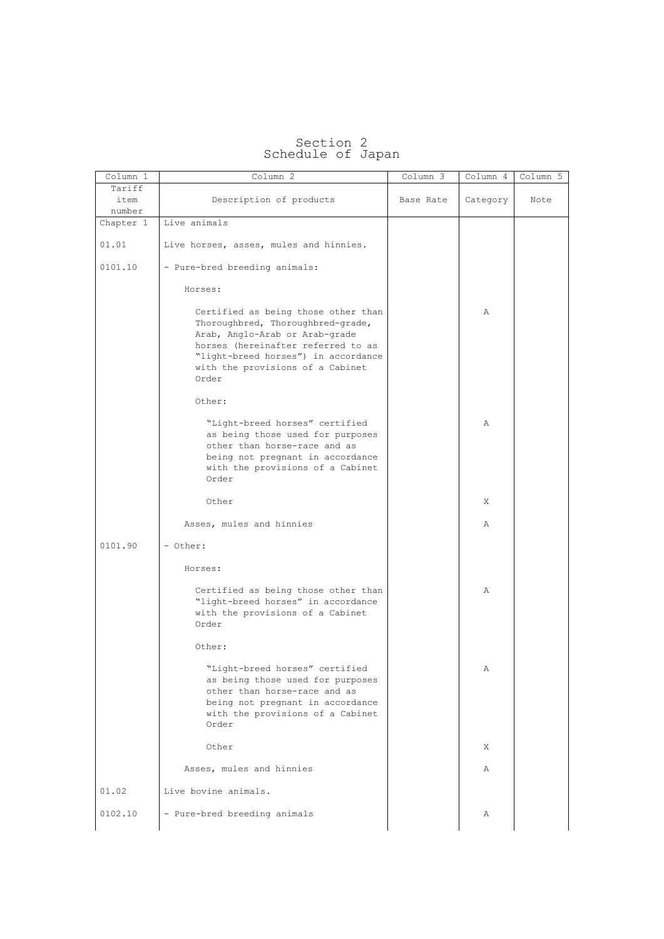| Column 1  | Column 2                                                                                                                                                                                                                             | Column 3  | Column 4 | Column 5 |
|-----------|--------------------------------------------------------------------------------------------------------------------------------------------------------------------------------------------------------------------------------------|-----------|----------|----------|
| Tariff    |                                                                                                                                                                                                                                      |           |          |          |
| item      | Description of products                                                                                                                                                                                                              | Base Rate | Category | Note     |
| number    |                                                                                                                                                                                                                                      |           |          |          |
| Chapter 1 | Live animals                                                                                                                                                                                                                         |           |          |          |
| 01.01     | Live horses, asses, mules and hinnies.                                                                                                                                                                                               |           |          |          |
| 0101.10   | - Pure-bred breeding animals:                                                                                                                                                                                                        |           |          |          |
|           | Horses:                                                                                                                                                                                                                              |           |          |          |
|           | Certified as being those other than<br>Thoroughbred, Thoroughbred-grade,<br>Arab, Anglo-Arab or Arab-grade<br>horses (hereinafter referred to as<br>"light-breed horses") in accordance<br>with the provisions of a Cabinet<br>Order |           | Α        |          |
|           | Other:                                                                                                                                                                                                                               |           |          |          |
|           | "Light-breed horses" certified<br>as being those used for purposes<br>other than horse-race and as<br>being not pregnant in accordance<br>with the provisions of a Cabinet<br>Order                                                  |           | Α        |          |
|           | Other                                                                                                                                                                                                                                |           | X        |          |
|           | Asses, mules and hinnies                                                                                                                                                                                                             |           | Α        |          |
| 0101.90   | - Other:                                                                                                                                                                                                                             |           |          |          |
|           | Horses:                                                                                                                                                                                                                              |           |          |          |
|           | Certified as being those other than<br>"light-breed horses" in accordance<br>with the provisions of a Cabinet<br>Order                                                                                                               |           | Α        |          |
|           | Other:                                                                                                                                                                                                                               |           |          |          |
|           | "Light-breed horses" certified<br>as being those used for purposes<br>other than horse-race and as<br>being not pregnant in accordance<br>with the provisions of a Cabinet<br>Order                                                  |           | Α        |          |
|           | Other                                                                                                                                                                                                                                |           | Χ        |          |
|           | Asses, mules and hinnies                                                                                                                                                                                                             |           | Α        |          |
| 01.02     | Live bovine animals.                                                                                                                                                                                                                 |           |          |          |
|           |                                                                                                                                                                                                                                      |           |          |          |

## Section 2 Schedule of Japan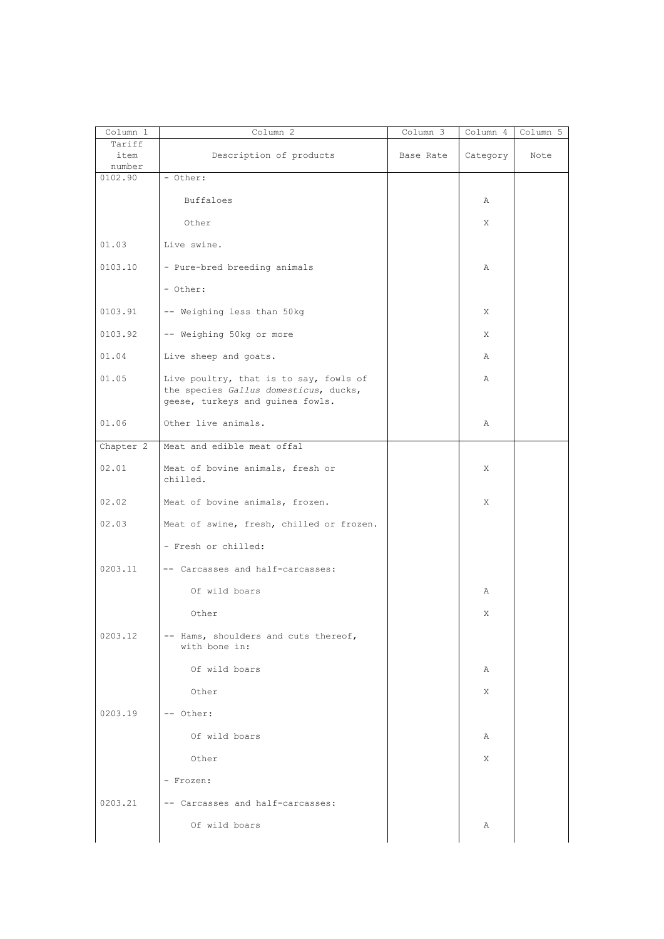| Column 1       | Column 2                                                                        | $Column \overline{3}$ | Column 4 | Column 5 |
|----------------|---------------------------------------------------------------------------------|-----------------------|----------|----------|
| Tariff         |                                                                                 |                       |          |          |
| item<br>number | Description of products                                                         | Base Rate             | Category | Note     |
| 0102.90        | - Other:                                                                        |                       |          |          |
|                |                                                                                 |                       |          |          |
|                | Buffaloes                                                                       |                       | Α        |          |
|                | Other                                                                           |                       | X        |          |
|                |                                                                                 |                       |          |          |
| 01.03          | Live swine.                                                                     |                       |          |          |
| 0103.10        | - Pure-bred breeding animals                                                    |                       | Α        |          |
|                | - Other:                                                                        |                       |          |          |
| 0103.91        | -- Weighing less than 50kg                                                      |                       | X        |          |
| 0103.92        | -- Weighing 50kg or more                                                        |                       | X        |          |
| 01.04          | Live sheep and goats.                                                           |                       | Α        |          |
| 01.05          | Live poultry, that is to say, fowls of<br>the species Gallus domesticus, ducks, |                       | Α        |          |
| 01.06          | geese, turkeys and guinea fowls.<br>Other live animals.                         |                       | Α        |          |
|                |                                                                                 |                       |          |          |
| Chapter 2      | Meat and edible meat offal                                                      |                       |          |          |
| 02.01          | Meat of bovine animals, fresh or<br>chilled.                                    |                       | X        |          |
| 02.02          | Meat of bovine animals, frozen.                                                 |                       | X        |          |
| 02.03          | Meat of swine, fresh, chilled or frozen.                                        |                       |          |          |
|                | - Fresh or chilled:                                                             |                       |          |          |
| 0203.11        | -- Carcasses and half-carcasses:                                                |                       |          |          |
|                | Of wild boars                                                                   |                       | Α        |          |
|                | Other                                                                           |                       | Χ        |          |
| 0203.12        | -- Hams, shoulders and cuts thereof,<br>with bone in:                           |                       |          |          |
|                | Of wild boars                                                                   |                       | Α        |          |
|                | Other                                                                           |                       | X        |          |
| 0203.19        | -- Other:                                                                       |                       |          |          |
|                | Of wild boars                                                                   |                       | A        |          |
|                | Other                                                                           |                       | X        |          |
|                | - Frozen:                                                                       |                       |          |          |
| 0203.21        | -- Carcasses and half-carcasses:                                                |                       |          |          |
|                | Of wild boars                                                                   |                       | Α        |          |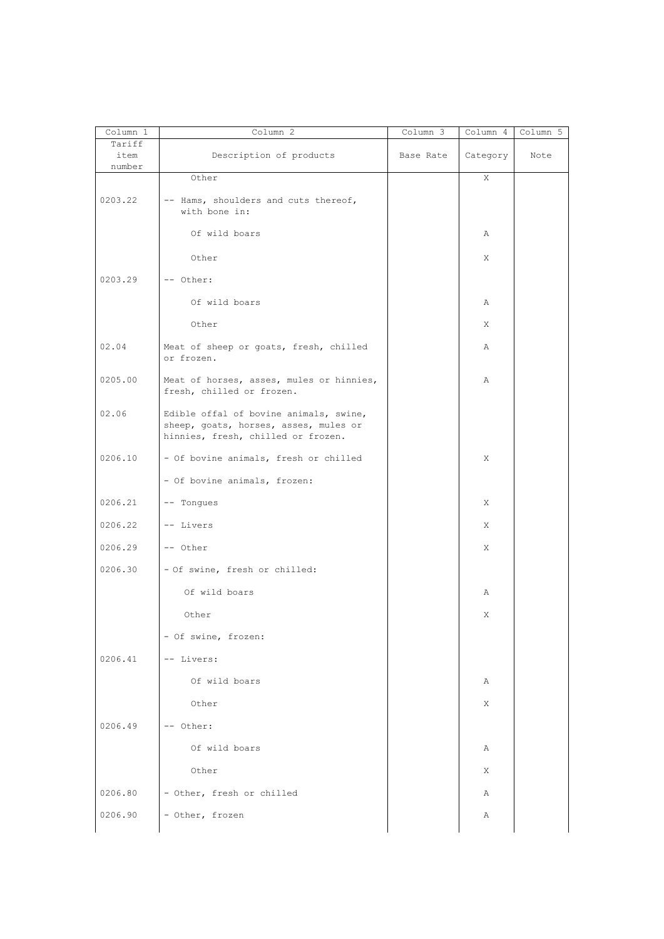| Column 1                 | Column 2                                                                                                              | Column 3  | Column 4 | Column 5 |
|--------------------------|-----------------------------------------------------------------------------------------------------------------------|-----------|----------|----------|
| Tariff<br>item<br>number | Description of products                                                                                               | Base Rate | Category | Note     |
|                          | Other                                                                                                                 |           | X        |          |
| 0203.22                  | -- Hams, shoulders and cuts thereof,<br>with bone in:                                                                 |           |          |          |
|                          | Of wild boars                                                                                                         |           | Α        |          |
|                          | Other                                                                                                                 |           | X        |          |
| 0203.29                  | -- Other:                                                                                                             |           |          |          |
|                          | Of wild boars                                                                                                         |           | Α        |          |
|                          | Other                                                                                                                 |           | X        |          |
| 02.04                    | Meat of sheep or goats, fresh, chilled<br>or frozen.                                                                  |           | Α        |          |
| 0205.00                  | Meat of horses, asses, mules or hinnies,<br>fresh, chilled or frozen.                                                 |           | Α        |          |
| 02.06                    | Edible offal of bovine animals, swine,<br>sheep, goats, horses, asses, mules or<br>hinnies, fresh, chilled or frozen. |           |          |          |
| 0206.10                  | - Of bovine animals, fresh or chilled                                                                                 |           | Χ        |          |
|                          | - Of bovine animals, frozen:                                                                                          |           |          |          |
| 0206.21                  | -- Tonques                                                                                                            |           | X        |          |
| 0206.22                  | -- Livers                                                                                                             |           | X        |          |
| 0206.29                  | -- Other                                                                                                              |           | X        |          |
| 0206.30                  | - Of swine, fresh or chilled:                                                                                         |           |          |          |
|                          | Of wild boars                                                                                                         |           | Α        |          |
|                          | Other                                                                                                                 |           | Χ        |          |
|                          | - Of swine, frozen:                                                                                                   |           |          |          |
| 0206.41                  | -- Livers:                                                                                                            |           |          |          |
|                          | Of wild boars                                                                                                         |           | Α        |          |
|                          | Other                                                                                                                 |           | X        |          |
| 0206.49                  | -- Other:                                                                                                             |           |          |          |
|                          | Of wild boars                                                                                                         |           | Α        |          |
|                          | Other                                                                                                                 |           | X        |          |
| 0206.80                  | - Other, fresh or chilled                                                                                             |           | Α        |          |
| 0206.90                  | - Other, frozen                                                                                                       |           | Α        |          |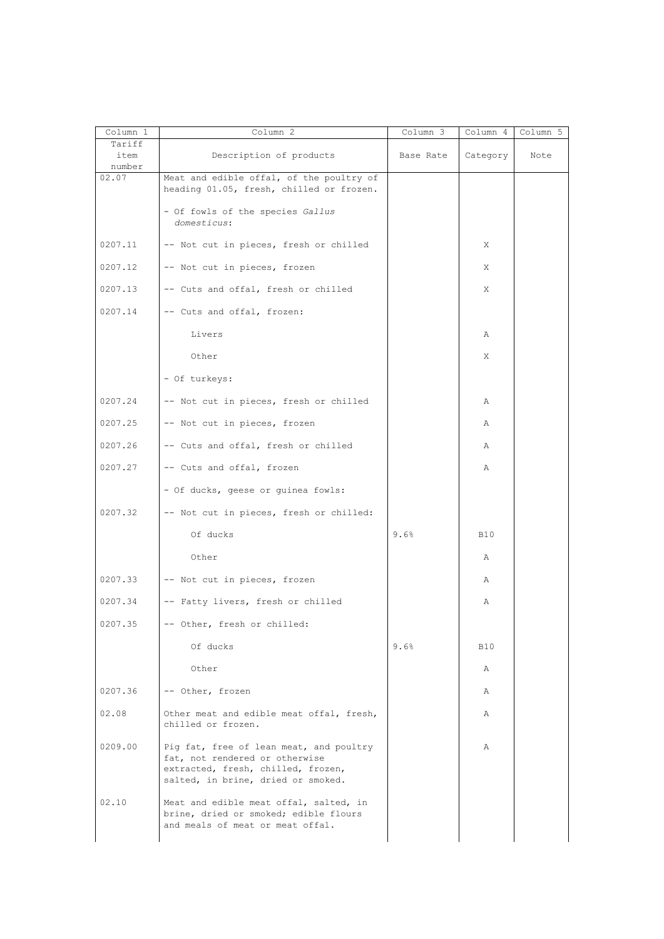| Column 1                 | Column 2                                                                                                                                              | Column 3  | Column 4   | Column 5 |
|--------------------------|-------------------------------------------------------------------------------------------------------------------------------------------------------|-----------|------------|----------|
| Tariff<br>item<br>number | Description of products                                                                                                                               | Base Rate | Category   | Note     |
| 02.07                    | Meat and edible offal, of the poultry of<br>heading 01.05, fresh, chilled or frozen.                                                                  |           |            |          |
|                          | - Of fowls of the species Gallus<br>domesticus:                                                                                                       |           |            |          |
| 0207.11                  | -- Not cut in pieces, fresh or chilled                                                                                                                |           | Χ          |          |
| 0207.12                  | -- Not cut in pieces, frozen                                                                                                                          |           | Χ          |          |
| 0207.13                  | -- Cuts and offal, fresh or chilled                                                                                                                   |           | Χ          |          |
| 0207.14                  | -- Cuts and offal, frozen:                                                                                                                            |           |            |          |
|                          | Livers                                                                                                                                                |           | Α          |          |
|                          | Other                                                                                                                                                 |           | Χ          |          |
|                          | - Of turkeys:                                                                                                                                         |           |            |          |
| 0207.24                  | -- Not cut in pieces, fresh or chilled                                                                                                                |           | Α          |          |
| 0207.25                  | -- Not cut in pieces, frozen                                                                                                                          |           | Α          |          |
| 0207.26                  | -- Cuts and offal, fresh or chilled                                                                                                                   |           | Α          |          |
| 0207.27                  | -- Cuts and offal, frozen                                                                                                                             |           | Α          |          |
|                          | - Of ducks, geese or guinea fowls:                                                                                                                    |           |            |          |
| 0207.32                  | -- Not cut in pieces, fresh or chilled:                                                                                                               |           |            |          |
|                          | Of ducks                                                                                                                                              | 9.6%      | <b>B10</b> |          |
|                          | Other                                                                                                                                                 |           | Α          |          |
| 0207.33                  | -- Not cut in pieces, frozen                                                                                                                          |           | Α          |          |
| 0207.34                  | -- Fatty livers, fresh or chilled                                                                                                                     |           | Α          |          |
| 0207.35                  | -- Other, fresh or chilled:                                                                                                                           |           |            |          |
|                          | Of ducks                                                                                                                                              | 9.6%      | B10        |          |
|                          | Other                                                                                                                                                 |           | Α          |          |
| 0207.36                  | -- Other, frozen                                                                                                                                      |           | Α          |          |
| 02.08                    | Other meat and edible meat offal, fresh,<br>chilled or frozen.                                                                                        |           | Α          |          |
| 0209.00                  | Pig fat, free of lean meat, and poultry<br>fat, not rendered or otherwise<br>extracted, fresh, chilled, frozen,<br>salted, in brine, dried or smoked. |           | Α          |          |
| 02.10                    | Meat and edible meat offal, salted, in<br>brine, dried or smoked; edible flours<br>and meals of meat or meat offal.                                   |           |            |          |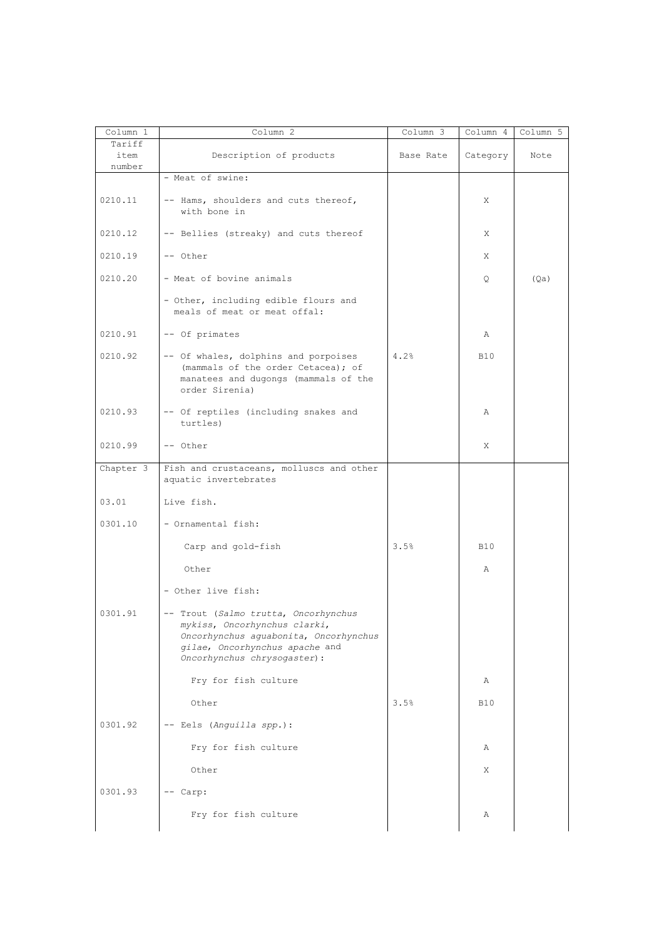| Column 1                 | Column 2                                                                                                                                                                        | Column 3  | Column 4   | Column 5 |
|--------------------------|---------------------------------------------------------------------------------------------------------------------------------------------------------------------------------|-----------|------------|----------|
| Tariff<br>item<br>number | Description of products                                                                                                                                                         | Base Rate | Category   | Note     |
|                          | - Meat of swine:                                                                                                                                                                |           |            |          |
| 0210.11                  | -- Hams, shoulders and cuts thereof,<br>with bone in                                                                                                                            |           | X          |          |
| 0210.12                  | -- Bellies (streaky) and cuts thereof                                                                                                                                           |           | X          |          |
| 0210.19                  | -- Other                                                                                                                                                                        |           | X          |          |
| 0210.20                  | - Meat of bovine animals                                                                                                                                                        |           | Q          | (Qa)     |
|                          | - Other, including edible flours and<br>meals of meat or meat offal:                                                                                                            |           |            |          |
| 0210.91                  | -- Of primates                                                                                                                                                                  |           | Α          |          |
| 0210.92                  | -- Of whales, dolphins and porpoises<br>(mammals of the order Cetacea); of<br>manatees and dugongs (mammals of the<br>order Sirenia)                                            | 4.2%      | <b>B10</b> |          |
| 0210.93                  | -- Of reptiles (including snakes and<br>turtles)                                                                                                                                |           | Α          |          |
| 0210.99                  | -- Other                                                                                                                                                                        |           | X          |          |
| Chapter 3                | Fish and crustaceans, molluscs and other<br>aquatic invertebrates                                                                                                               |           |            |          |
| 03.01                    | Live fish.                                                                                                                                                                      |           |            |          |
| 0301.10                  | - Ornamental fish:                                                                                                                                                              |           |            |          |
|                          | Carp and gold-fish                                                                                                                                                              | 3.5%      | <b>B10</b> |          |
|                          | Other                                                                                                                                                                           |           | Α          |          |
|                          | - Other live fish:                                                                                                                                                              |           |            |          |
| 0301.91                  | -- Trout (Salmo trutta, Oncorhynchus<br>mykiss, Oncorhynchus clarki,<br>Oncorhynchus aguabonita, Oncorhynchus<br>gilae, Oncorhynchus apache and<br>Oncorhynchus chrysogaster) : |           |            |          |
|                          | Fry for fish culture                                                                                                                                                            |           | Α          |          |
|                          | Other                                                                                                                                                                           | 3.5%      | <b>B10</b> |          |
| 0301.92                  | -- Eels (Anguilla spp.):                                                                                                                                                        |           |            |          |
|                          | Fry for fish culture                                                                                                                                                            |           | Α          |          |
|                          | Other                                                                                                                                                                           |           | Χ          |          |
| 0301.93                  | -- Carp:                                                                                                                                                                        |           |            |          |
|                          | Fry for fish culture                                                                                                                                                            |           | Α          |          |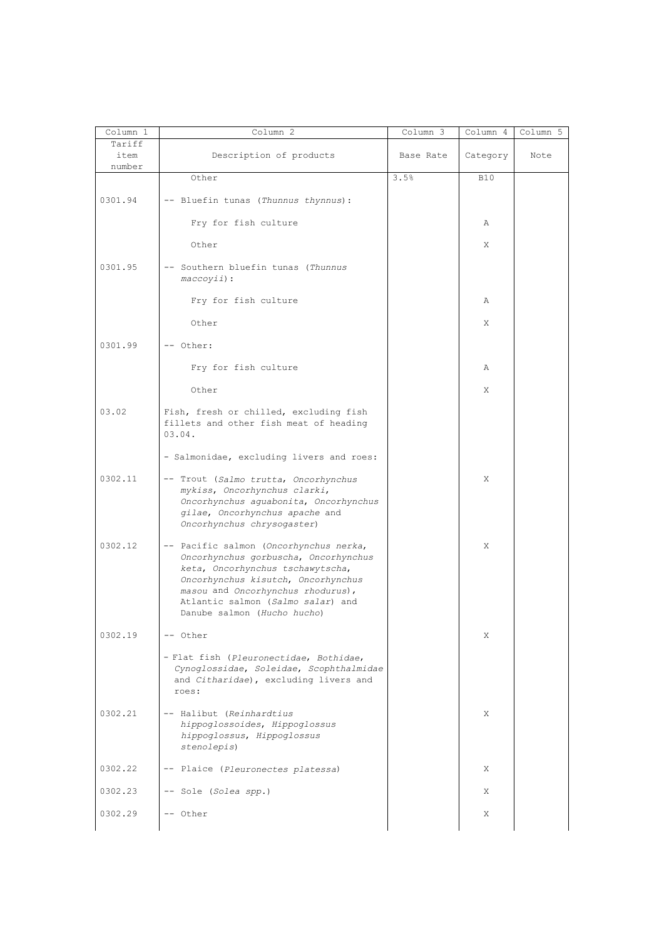| Column 1                 | Column 2                                                                                                                                                                                                                                                          | Column 3  | Column 4   | Column 5 |
|--------------------------|-------------------------------------------------------------------------------------------------------------------------------------------------------------------------------------------------------------------------------------------------------------------|-----------|------------|----------|
| Tariff<br>item<br>number | Description of products                                                                                                                                                                                                                                           | Base Rate | Category   | Note     |
|                          | Other                                                                                                                                                                                                                                                             | 3.5%      | <b>B10</b> |          |
| 0301.94                  | -- Bluefin tunas (Thunnus thynnus):                                                                                                                                                                                                                               |           |            |          |
|                          | Fry for fish culture                                                                                                                                                                                                                                              |           | Α          |          |
|                          | Other                                                                                                                                                                                                                                                             |           | X          |          |
| 0301.95                  | -- Southern bluefin tunas (Thunnus<br>$maccoyii$ :                                                                                                                                                                                                                |           |            |          |
|                          | Fry for fish culture                                                                                                                                                                                                                                              |           | Α          |          |
|                          | Other                                                                                                                                                                                                                                                             |           | X          |          |
| 0301.99                  | -- Other:                                                                                                                                                                                                                                                         |           |            |          |
|                          | Fry for fish culture                                                                                                                                                                                                                                              |           | Α          |          |
|                          | Other                                                                                                                                                                                                                                                             |           | X          |          |
| 03.02                    | Fish, fresh or chilled, excluding fish<br>fillets and other fish meat of heading<br>03.04.                                                                                                                                                                        |           |            |          |
|                          | - Salmonidae, excluding livers and roes:                                                                                                                                                                                                                          |           |            |          |
| 0302.11                  | -- Trout (Salmo trutta, Oncorhynchus<br>mykiss, Oncorhynchus clarki,<br>Oncorhynchus aguabonita, Oncorhynchus<br>gilae, Oncorhynchus apache and<br>Oncorhynchus chrysogaster)                                                                                     |           | Χ          |          |
| 0302.12                  | -- Pacific salmon (Oncorhynchus nerka,<br>Oncorhynchus gorbuscha, Oncorhynchus<br>keta, Oncorhynchus tschawytscha,<br>Oncorhynchus kisutch, Oncorhynchus<br>masou and Oncorhynchus rhodurus),<br>Atlantic salmon (Salmo salar) and<br>Danube salmon (Hucho hucho) |           | X          |          |
| 0302.19                  | -- Other                                                                                                                                                                                                                                                          |           | Χ          |          |
|                          | - Flat fish (Pleuronectidae, Bothidae,<br>Cynoglossidae, Soleidae, Scophthalmidae<br>and Citharidae), excluding livers and<br>roes:                                                                                                                               |           |            |          |
| 0302.21                  | -- Halibut (Reinhardtius<br>hippoglossoides, Hippoglossus<br>hippoglossus, Hippoglossus<br>stenolepis)                                                                                                                                                            |           | X          |          |
| 0302.22                  | -- Plaice (Pleuronectes platessa)                                                                                                                                                                                                                                 |           | X          |          |
| 0302.23                  | -- Sole (Solea spp.)                                                                                                                                                                                                                                              |           | X          |          |
| 0302.29                  | -- Other                                                                                                                                                                                                                                                          |           | Χ          |          |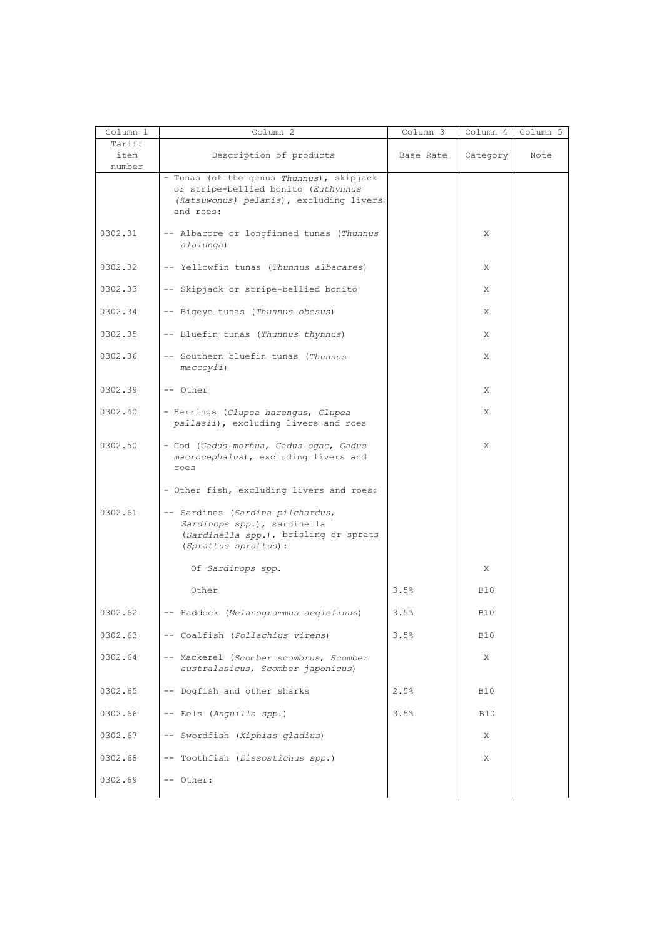| Column 1                 | Column 2                                                                                                                                | Column 3  | Column 4   | Column 5 |
|--------------------------|-----------------------------------------------------------------------------------------------------------------------------------------|-----------|------------|----------|
| Tariff<br>item<br>number | Description of products                                                                                                                 | Base Rate | Category   | Note     |
|                          | - Tunas (of the genus Thunnus), skipjack<br>or stripe-bellied bonito (Euthynnus<br>(Katsuwonus) pelamis), excluding livers<br>and roes: |           |            |          |
| 0302.31                  | -- Albacore or longfinned tunas (Thunnus<br>alalunga)                                                                                   |           | X          |          |
| 0302.32                  | -- Yellowfin tunas (Thunnus albacares)                                                                                                  |           | X          |          |
| 0302.33                  | -- Skipjack or stripe-bellied bonito                                                                                                    |           | Χ          |          |
| 0302.34                  | -- Bigeye tunas (Thunnus obesus)                                                                                                        |           | Χ          |          |
| 0302.35                  | -- Bluefin tunas (Thunnus thynnus)                                                                                                      |           | X          |          |
| 0302.36                  | -- Southern bluefin tunas (Thunnus<br>maccoyii)                                                                                         |           | Χ          |          |
| 0302.39                  | -- Other                                                                                                                                |           | Χ          |          |
| 0302.40                  | - Herrings (Clupea harengus, Clupea<br>pallasii), excluding livers and roes                                                             |           | X          |          |
| 0302.50                  | - Cod (Gadus morhua, Gadus ogac, Gadus<br>macrocephalus), excluding livers and<br>roes                                                  |           | X          |          |
|                          | - Other fish, excluding livers and roes:                                                                                                |           |            |          |
| 0302.61                  | -- Sardines (Sardina pilchardus,<br>Sardinops spp.), sardinella<br>(Sardinella spp.), brisling or sprats<br>(Sprattus sprattus):        |           |            |          |
|                          | Of Sardinops spp.                                                                                                                       |           | Χ          |          |
|                          | Other                                                                                                                                   | 3.5%      | <b>B10</b> |          |
| 0302.62                  | -- Haddock (Melanogrammus aeglefinus)                                                                                                   | 3.5%      | <b>B10</b> |          |
| 0302.63                  | -- Coalfish (Pollachius virens)                                                                                                         | 3.5%      | <b>B10</b> |          |
| 0302.64                  | -- Mackerel (Scomber scombrus, Scomber<br>australasicus, Scomber japonicus)                                                             |           | X          |          |
| 0302.65                  | -- Dogfish and other sharks                                                                                                             | 2.5%      | <b>B10</b> |          |
| 0302.66                  | -- Eels (Anguilla spp.)                                                                                                                 | 3.5%      | <b>B10</b> |          |
| 0302.67                  | -- Swordfish (Xiphias gladius)                                                                                                          |           | X          |          |
| 0302.68                  | -- Toothfish (Dissostichus spp.)                                                                                                        |           | Χ          |          |
| 0302.69                  | -- Other:                                                                                                                               |           |            |          |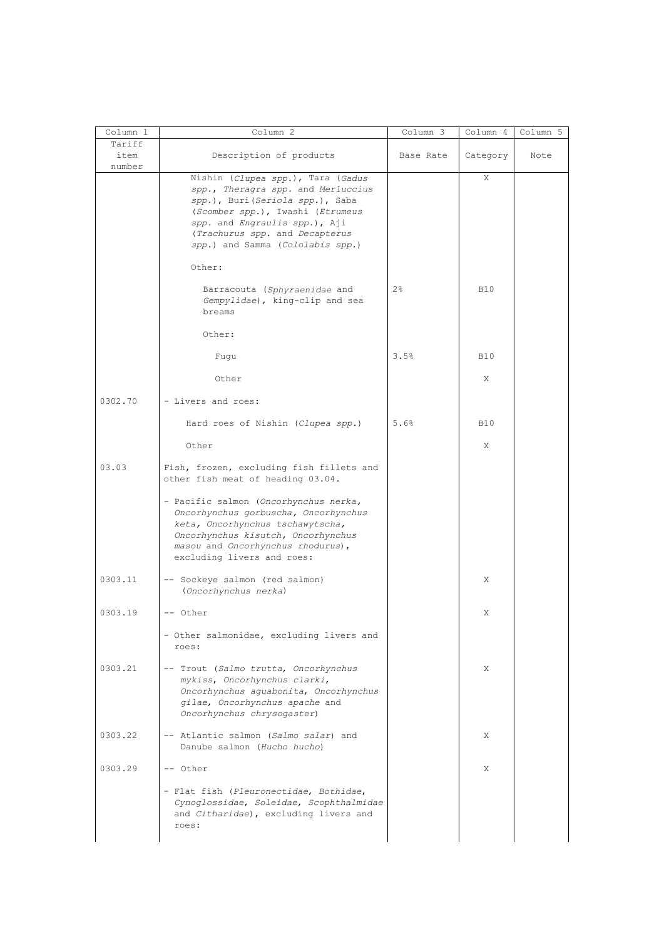| Column 1                 | Column <sub>2</sub>                                                                                                                                                                                                                                   | Column 3  | Column 4   | Column 5 |
|--------------------------|-------------------------------------------------------------------------------------------------------------------------------------------------------------------------------------------------------------------------------------------------------|-----------|------------|----------|
| Tariff<br>item<br>number | Description of products                                                                                                                                                                                                                               | Base Rate | Category   | Note     |
|                          | Nishin (Clupea spp.), Tara (Gadus<br>spp., Theragra spp. and Merluccius<br>spp.), Buri(Seriola spp.), Saba<br>(Scomber spp.), Iwashi (Etrumeus<br>spp. and Engraulis spp.), Aji<br>(Trachurus spp. and Decapterus<br>spp.) and Samma (Cololabis spp.) |           | X          |          |
|                          | Other:                                                                                                                                                                                                                                                |           |            |          |
|                          | Barracouta (Sphyraenidae and<br>Gempylidae), king-clip and sea<br>breams                                                                                                                                                                              | 2%        | <b>B10</b> |          |
|                          | Other:                                                                                                                                                                                                                                                |           |            |          |
|                          | Fugu                                                                                                                                                                                                                                                  | 3.5%      | <b>B10</b> |          |
|                          | Other                                                                                                                                                                                                                                                 |           | X          |          |
| 0302.70                  | - Livers and roes:                                                                                                                                                                                                                                    |           |            |          |
|                          | Hard roes of Nishin (Clupea spp.)                                                                                                                                                                                                                     | 5.6%      | <b>B10</b> |          |
|                          | Other                                                                                                                                                                                                                                                 |           | X          |          |
| 03.03                    | Fish, frozen, excluding fish fillets and<br>other fish meat of heading 03.04.                                                                                                                                                                         |           |            |          |
|                          | - Pacific salmon (Oncorhynchus nerka,<br>Oncorhynchus gorbuscha, Oncorhynchus<br>keta, Oncorhynchus tschawytscha,<br>Oncorhynchus kisutch, Oncorhynchus<br>masou and Oncorhynchus rhodurus),<br>excluding livers and roes:                            |           |            |          |
| 0303.11                  | -- Sockeye salmon (red salmon)<br>(Oncorhynchus nerka)                                                                                                                                                                                                |           | X          |          |
| 0303.19                  | -- Other                                                                                                                                                                                                                                              |           | X          |          |
|                          | - Other salmonidae, excluding livers and<br>roes:                                                                                                                                                                                                     |           |            |          |
| 0.303.21                 | -- Trout (Salmo trutta, Oncorhynchus<br>mykiss, Oncorhynchus clarki,<br>Oncorhynchus aguabonita, Oncorhynchus<br>gilae, Oncorhynchus apache and<br>Oncorhynchus chrysogaster)                                                                         |           | X          |          |
| 0303.22                  | -- Atlantic salmon (Salmo salar) and<br>Danube salmon (Hucho hucho)                                                                                                                                                                                   |           | X          |          |
| 0303.29                  | -- Other                                                                                                                                                                                                                                              |           | X          |          |
|                          | - Flat fish (Pleuronectidae, Bothidae,<br>Cynoglossidae, Soleidae, Scophthalmidae<br>and Citharidae), excluding livers and<br>roes:                                                                                                                   |           |            |          |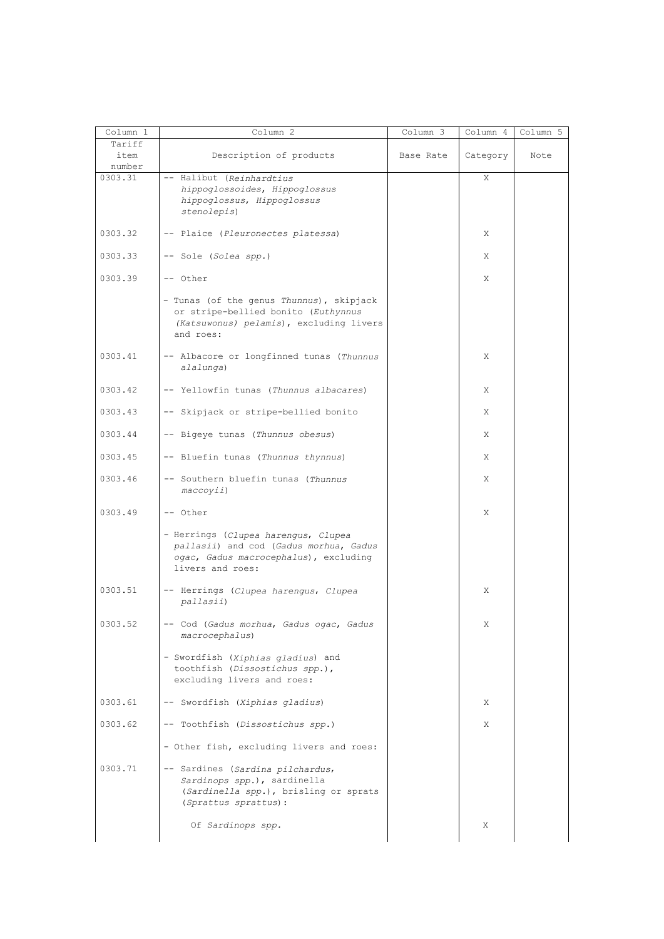| Column 1<br>Tariff | Column 2                                                                                                                                   | $Column \overline{3}$ | Column 4 | Column 5 |
|--------------------|--------------------------------------------------------------------------------------------------------------------------------------------|-----------------------|----------|----------|
| item<br>number     | Description of products                                                                                                                    | Base Rate             | Category | Note     |
| 0303.31            | -- Halibut (Reinhardtius<br>hippoglossoides, Hippoglossus<br>hippoglossus, Hippoglossus<br>stenolepis)                                     |                       | X        |          |
| 0303.32            | -- Plaice (Pleuronectes platessa)                                                                                                          |                       | X        |          |
| 0303.33            | -- Sole (Solea spp.)                                                                                                                       |                       | X        |          |
| 0303.39            | -- Other                                                                                                                                   |                       | X        |          |
|                    | - Tunas (of the genus Thunnus), skipjack<br>or stripe-bellied bonito (Euthynnus<br>(Katsuwonus) pelamis), excluding livers<br>and roes:    |                       |          |          |
| 0303.41            | -- Albacore or longfinned tunas (Thunnus<br>alalunga)                                                                                      |                       | X        |          |
| 0.303.42           | -- Yellowfin tunas (Thunnus albacares)                                                                                                     |                       | X        |          |
| 0303.43            | -- Skipjack or stripe-bellied bonito                                                                                                       |                       | X        |          |
| 0303.44            | -- Bigeye tunas (Thunnus obesus)                                                                                                           |                       | X        |          |
| 0303.45            | -- Bluefin tunas (Thunnus thynnus)                                                                                                         |                       | X        |          |
| 0303.46            | -- Southern bluefin tunas (Thunnus<br>maccoyii)                                                                                            |                       | X        |          |
| 0303.49            | -- Other                                                                                                                                   |                       | X        |          |
|                    | - Herrings (Clupea harengus, Clupea<br>pallasii) and cod (Gadus morhua, Gadus<br>ogac, Gadus macrocephalus), excluding<br>livers and roes: |                       |          |          |
| 0303.51            | -- Herrings (Clupea harengus, Clupea<br>pallasii)                                                                                          |                       | X        |          |
| 0303.52            | -- Cod (Gadus morhua, Gadus ogac, Gadus<br>macrocephalus)                                                                                  |                       | Χ        |          |
|                    | - Swordfish (Xiphias gladius) and<br>toothfish (Dissostichus spp.),<br>excluding livers and roes:                                          |                       |          |          |
| 0303.61            | -- Swordfish (Xiphias gladius)                                                                                                             |                       | X        |          |
| 0303.62            | -- Toothfish (Dissostichus spp.)                                                                                                           |                       | X        |          |
|                    | - Other fish, excluding livers and roes:                                                                                                   |                       |          |          |
| 0303.71            | -- Sardines (Sardina pilchardus,<br>Sardinops spp.), sardinella<br>(Sardinella spp.), brisling or sprats<br>(Sprattus sprattus):           |                       |          |          |
|                    | Of Sardinops spp.                                                                                                                          |                       | Χ        |          |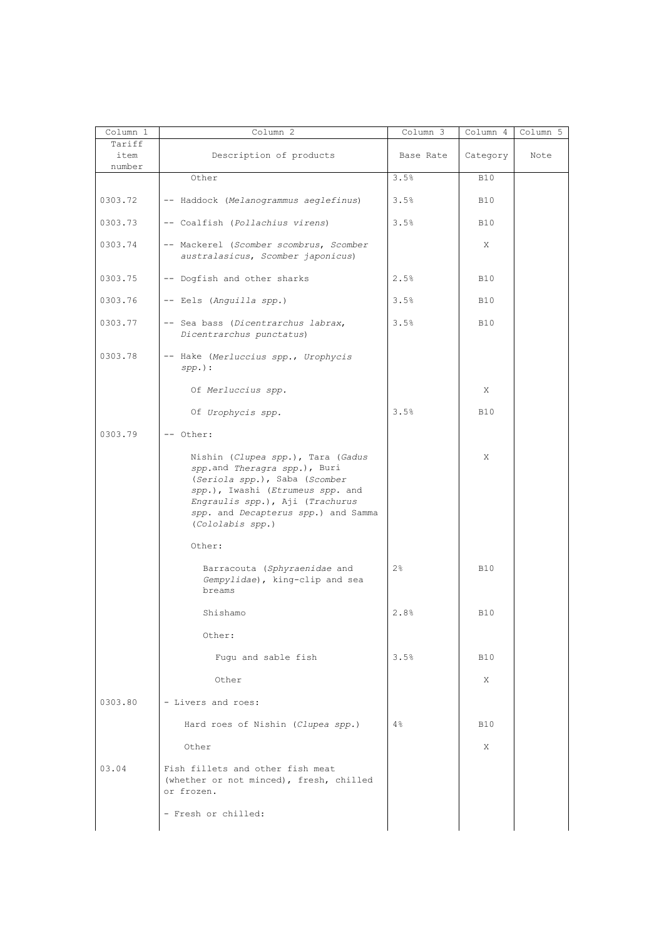| Column 1                 | Column 2                                                                                                                                                                                                                             | Column 3  | Column 4   | Column 5 |
|--------------------------|--------------------------------------------------------------------------------------------------------------------------------------------------------------------------------------------------------------------------------------|-----------|------------|----------|
| Tariff<br>item<br>number | Description of products                                                                                                                                                                                                              | Base Rate | Category   | Note     |
|                          | Other                                                                                                                                                                                                                                | 3.5%      | <b>B10</b> |          |
| 0303.72                  | -- Haddock (Melanogrammus aeglefinus)                                                                                                                                                                                                | 3.5%      | <b>B10</b> |          |
| 0303.73                  | -- Coalfish (Pollachius virens)                                                                                                                                                                                                      | 3.5%      | <b>B10</b> |          |
| 0303.74                  | -- Mackerel (Scomber scombrus, Scomber<br>australasicus, Scomber japonicus)                                                                                                                                                          |           | X          |          |
| 0303.75                  | -- Dogfish and other sharks                                                                                                                                                                                                          | 2.5%      | <b>B10</b> |          |
| 0303.76                  | -- Eels (Anguilla spp.)                                                                                                                                                                                                              | 3.5%      | <b>B10</b> |          |
| 0303.77                  | -- Sea bass (Dicentrarchus labrax,<br>Dicentrarchus punctatus)                                                                                                                                                                       | 3.5%      | <b>B10</b> |          |
| 0303.78                  | -- Hake (Merluccius spp., Urophycis<br>$spp.$ ) :                                                                                                                                                                                    |           |            |          |
|                          | Of Merluccius spp.                                                                                                                                                                                                                   |           | X          |          |
|                          | Of Urophycis spp.                                                                                                                                                                                                                    | 3.5%      | <b>B10</b> |          |
| 0303.79                  | -- Other:                                                                                                                                                                                                                            |           |            |          |
|                          | Nishin (Clupea spp.), Tara (Gadus<br>spp.and Theragra spp.), Buri<br>(Seriola spp.), Saba (Scomber<br>spp.), Iwashi (Etrumeus spp. and<br>Engraulis spp.), Aji (Trachurus<br>spp. and Decapterus spp.) and Samma<br>(Cololabis spp.) |           | X          |          |
|                          | Other:                                                                                                                                                                                                                               |           |            |          |
|                          | Barracouta (Sphyraenidae and<br>Gempylidae), king-clip and sea<br>breams                                                                                                                                                             | 2%        | <b>B10</b> |          |
|                          | Shishamo                                                                                                                                                                                                                             | 2.8%      | <b>B10</b> |          |
|                          | Other:                                                                                                                                                                                                                               |           |            |          |
|                          | Fugu and sable fish                                                                                                                                                                                                                  | 3.5%      | <b>B10</b> |          |
|                          | Other                                                                                                                                                                                                                                |           | X          |          |
| 0303.80                  | - Livers and roes:                                                                                                                                                                                                                   |           |            |          |
|                          | Hard roes of Nishin (Clupea spp.)                                                                                                                                                                                                    | 4%        | <b>B10</b> |          |
|                          | Other                                                                                                                                                                                                                                |           | X          |          |
| 03.04                    | Fish fillets and other fish meat<br>(whether or not minced), fresh, chilled<br>or frozen.                                                                                                                                            |           |            |          |
|                          | - Fresh or chilled:                                                                                                                                                                                                                  |           |            |          |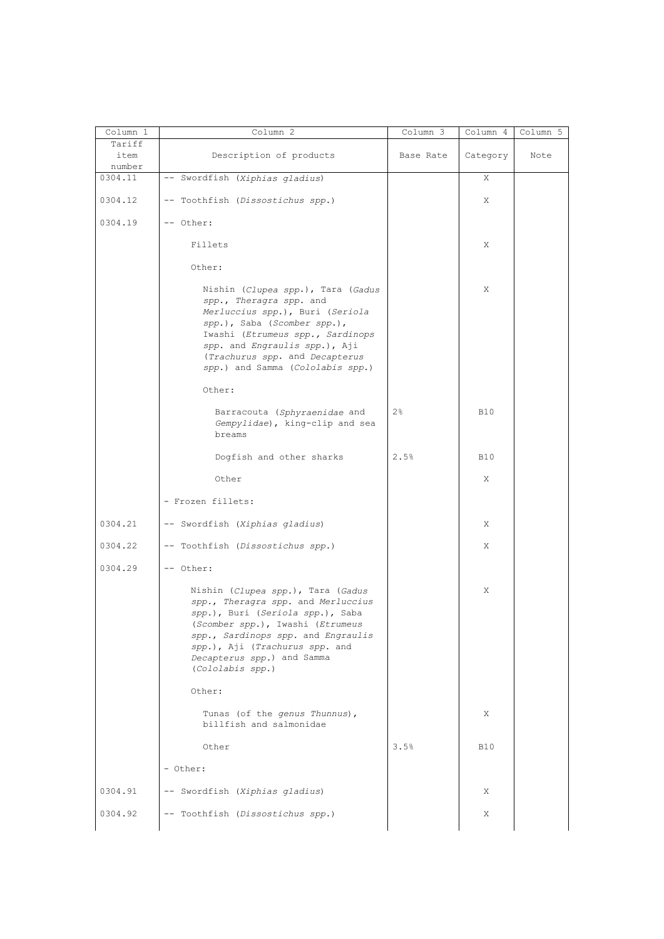| Column 1                 | Column 2                                                                                                                                                                                                                                                                  | Column 3  | Column 4   | Column 5 |
|--------------------------|---------------------------------------------------------------------------------------------------------------------------------------------------------------------------------------------------------------------------------------------------------------------------|-----------|------------|----------|
| Tariff<br>item<br>number | Description of products                                                                                                                                                                                                                                                   | Base Rate | Category   | Note     |
| 0304.11                  | -- Swordfish (Xiphias gladius)                                                                                                                                                                                                                                            |           | X          |          |
| 0304.12                  | -- Toothfish (Dissostichus spp.)                                                                                                                                                                                                                                          |           | Χ          |          |
| 0304.19                  | -- Other:                                                                                                                                                                                                                                                                 |           |            |          |
|                          | Fillets                                                                                                                                                                                                                                                                   |           | Χ          |          |
|                          | Other:                                                                                                                                                                                                                                                                    |           |            |          |
|                          | Nishin (Clupea spp.), Tara (Gadus<br>spp., Theragra spp. and<br>Merluccius spp.), Buri (Seriola<br>spp.), Saba (Scomber spp.),<br>Iwashi (Etrumeus spp., Sardinops<br>spp. and Engraulis spp.), Aji<br>(Trachurus spp. and Decapterus<br>spp.) and Samma (Cololabis spp.) |           | X          |          |
|                          | Other:                                                                                                                                                                                                                                                                    |           |            |          |
|                          | Barracouta (Sphyraenidae and<br>Gempylidae), king-clip and sea<br>breams                                                                                                                                                                                                  | 2%        | <b>B10</b> |          |
|                          | Dogfish and other sharks                                                                                                                                                                                                                                                  | 2.5%      | <b>B10</b> |          |
|                          | Other                                                                                                                                                                                                                                                                     |           | Χ          |          |
|                          | - Frozen fillets:                                                                                                                                                                                                                                                         |           |            |          |
| 0304.21                  | -- Swordfish (Xiphias gladius)                                                                                                                                                                                                                                            |           | Χ          |          |
| 0304.22                  | -- Toothfish (Dissostichus spp.)                                                                                                                                                                                                                                          |           | Χ          |          |
| 0304.29                  | -- Other:                                                                                                                                                                                                                                                                 |           |            |          |
|                          | Nishin (Clupea spp.), Tara (Gadus<br>spp., Theragra spp. and Merluccius<br>spp.), Buri (Seriola spp.), Saba<br>(Scomber spp.), Iwashi (Etrumeus<br>spp., Sardinops spp. and Engraulis<br>spp.), Aji (Trachurus spp. and<br>Decapterus spp.) and Samma<br>(Cololabis spp.) |           | Χ          |          |
|                          | Other:                                                                                                                                                                                                                                                                    |           |            |          |
|                          | Tunas (of the genus Thunnus),<br>billfish and salmonidae                                                                                                                                                                                                                  |           | Χ          |          |
|                          | Other                                                                                                                                                                                                                                                                     | 3.5%      | <b>B10</b> |          |
|                          | - Other:                                                                                                                                                                                                                                                                  |           |            |          |
| 0304.91                  | -- Swordfish (Xiphias gladius)                                                                                                                                                                                                                                            |           | Χ          |          |
| 0304.92                  | -- Toothfish (Dissostichus spp.)                                                                                                                                                                                                                                          |           | Χ          |          |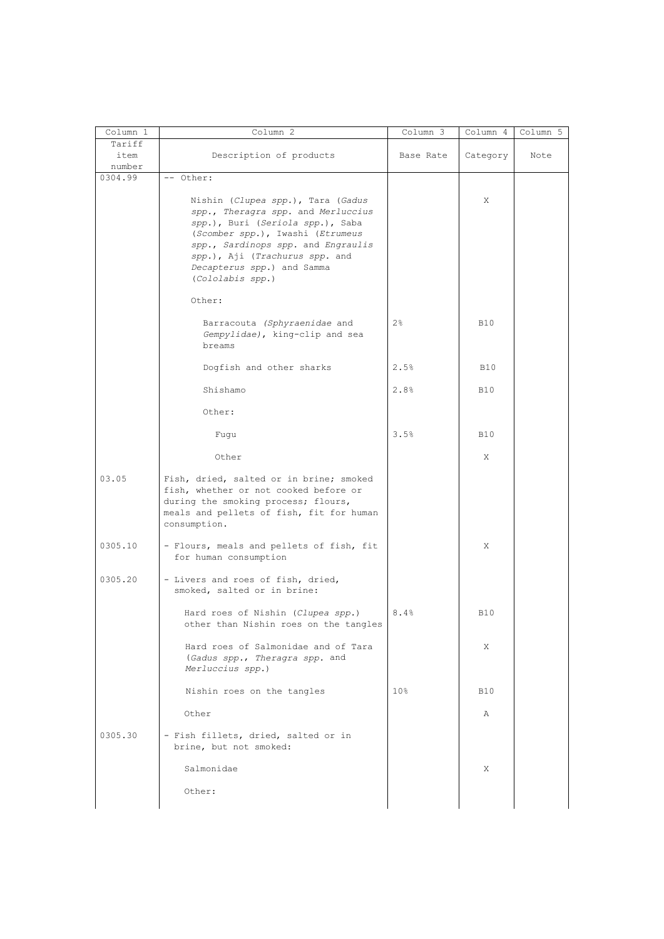| Column 1                 | Column 2                                                                                                                                                                                                                                                                  | Column 3        | Column 4   | Column 5 |
|--------------------------|---------------------------------------------------------------------------------------------------------------------------------------------------------------------------------------------------------------------------------------------------------------------------|-----------------|------------|----------|
| Tariff<br>item<br>number | Description of products                                                                                                                                                                                                                                                   | Base Rate       | Category   | Note     |
| 0304.99                  | -- Other:                                                                                                                                                                                                                                                                 |                 |            |          |
|                          | Nishin (Clupea spp.), Tara (Gadus<br>spp., Theragra spp. and Merluccius<br>spp.), Buri (Seriola spp.), Saba<br>(Scomber spp.), Iwashi (Etrumeus<br>spp., Sardinops spp. and Engraulis<br>spp.), Aji (Trachurus spp. and<br>Decapterus spp.) and Samma<br>(Cololabis spp.) |                 | X          |          |
|                          | Other:                                                                                                                                                                                                                                                                    |                 |            |          |
|                          | Barracouta (Sphyraenidae and<br>Gempylidae), king-clip and sea<br>breams                                                                                                                                                                                                  | $2\frac{6}{9}$  | <b>B10</b> |          |
|                          | Dogfish and other sharks                                                                                                                                                                                                                                                  | 2.5%            | <b>B10</b> |          |
|                          | Shishamo                                                                                                                                                                                                                                                                  | 2.8%            | <b>B10</b> |          |
|                          | Other:                                                                                                                                                                                                                                                                    |                 |            |          |
|                          | Fugu                                                                                                                                                                                                                                                                      | 3.5%            | <b>B10</b> |          |
|                          | Other                                                                                                                                                                                                                                                                     |                 | X          |          |
| 03.05                    | Fish, dried, salted or in brine; smoked<br>fish, whether or not cooked before or<br>during the smoking process; flours,<br>meals and pellets of fish, fit for human<br>consumption.                                                                                       |                 |            |          |
| 0305.10                  | - Flours, meals and pellets of fish, fit<br>for human consumption                                                                                                                                                                                                         |                 | X          |          |
| 0305.20                  | - Livers and roes of fish, dried,<br>smoked, salted or in brine:                                                                                                                                                                                                          |                 |            |          |
|                          | Hard roes of Nishin (Clupea spp.)<br>other than Nishin roes on the tangles                                                                                                                                                                                                | 8.4%            | <b>B10</b> |          |
|                          | Hard roes of Salmonidae and of Tara<br>(Gadus spp., Theragra spp. and<br>Merluccius spp.)                                                                                                                                                                                 |                 | X          |          |
|                          | Nishin roes on the tangles                                                                                                                                                                                                                                                | 10 <sub>8</sub> | <b>B10</b> |          |
|                          | Other                                                                                                                                                                                                                                                                     |                 | Α          |          |
| 0305.30                  | - Fish fillets, dried, salted or in<br>brine, but not smoked:                                                                                                                                                                                                             |                 |            |          |
|                          | Salmonidae                                                                                                                                                                                                                                                                |                 | X          |          |
|                          | Other:                                                                                                                                                                                                                                                                    |                 |            |          |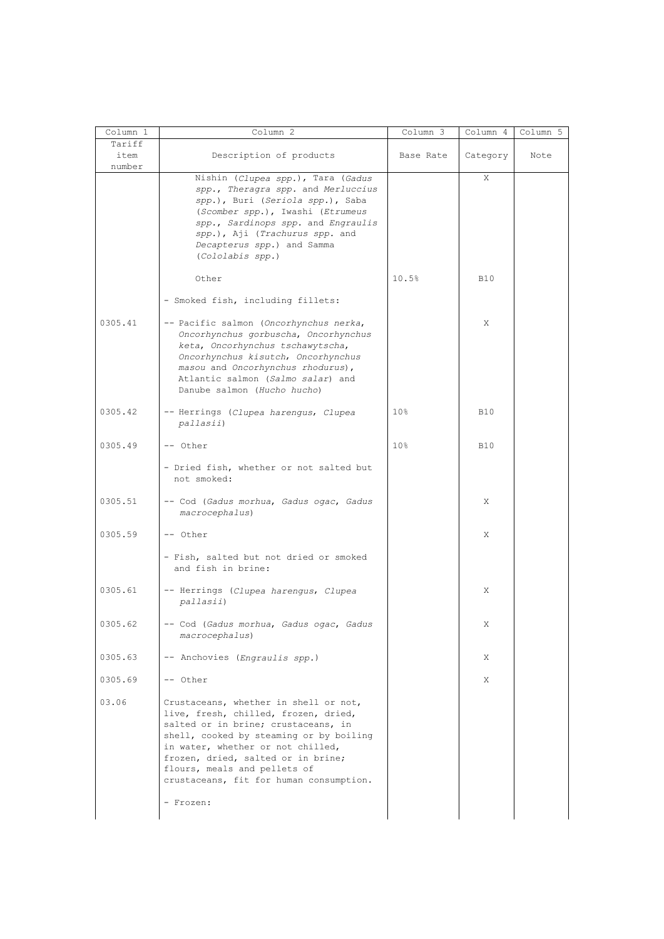| Column 1 | Column 2                                                                                                                                                                                                                                                                                                              | Column 3        | Column 4   | Column 5 |
|----------|-----------------------------------------------------------------------------------------------------------------------------------------------------------------------------------------------------------------------------------------------------------------------------------------------------------------------|-----------------|------------|----------|
| Tariff   |                                                                                                                                                                                                                                                                                                                       |                 |            |          |
| item     | Description of products                                                                                                                                                                                                                                                                                               | Base Rate       | Category   | Note     |
| number   |                                                                                                                                                                                                                                                                                                                       |                 | X          |          |
|          | Nishin (Clupea spp.), Tara (Gadus<br>spp., Theragra spp. and Merluccius<br>spp.), Buri (Seriola spp.), Saba<br>(Scomber spp.), Iwashi (Etrumeus<br>spp., Sardinops spp. and Engraulis<br>spp.), Aji (Trachurus spp. and<br>Decapterus spp.) and Samma<br>(Cololabis spp.)                                             |                 |            |          |
|          | Other                                                                                                                                                                                                                                                                                                                 | 10.5%           | <b>B10</b> |          |
|          | - Smoked fish, including fillets:                                                                                                                                                                                                                                                                                     |                 |            |          |
| 0305.41  | -- Pacific salmon (Oncorhynchus nerka,<br>Oncorhynchus gorbuscha, Oncorhynchus<br>keta, Oncorhynchus tschawytscha,<br>Oncorhynchus kisutch, Oncorhynchus<br>masou and Oncorhynchus rhodurus),<br>Atlantic salmon (Salmo salar) and<br>Danube salmon (Hucho hucho)                                                     |                 | Χ          |          |
| 0305.42  | -- Herrings (Clupea harengus, Clupea<br>pallasii)                                                                                                                                                                                                                                                                     | 10 <sup>8</sup> | <b>B10</b> |          |
| 0305.49  | -- Other                                                                                                                                                                                                                                                                                                              | 10 <sup>°</sup> | <b>B10</b> |          |
|          | - Dried fish, whether or not salted but<br>not smoked:                                                                                                                                                                                                                                                                |                 |            |          |
| 0305.51  | -- Cod (Gadus morhua, Gadus ogac, Gadus<br>macrocephalus)                                                                                                                                                                                                                                                             |                 | Χ          |          |
| 0305.59  | -- Other                                                                                                                                                                                                                                                                                                              |                 | Χ          |          |
|          | - Fish, salted but not dried or smoked<br>and fish in brine:                                                                                                                                                                                                                                                          |                 |            |          |
| 0305.61  | -- Herrings (Clupea harengus, Clupea<br>pallasii)                                                                                                                                                                                                                                                                     |                 | Χ          |          |
| 0305.62  | -- Cod (Gadus morhua, Gadus ogac, Gadus<br>macrocephalus)                                                                                                                                                                                                                                                             |                 | X          |          |
| 0305.63  | -- Anchovies (Engraulis spp.)                                                                                                                                                                                                                                                                                         |                 | Χ          |          |
| 0305.69  | -- Other                                                                                                                                                                                                                                                                                                              |                 | X          |          |
| 03.06    | Crustaceans, whether in shell or not,<br>live, fresh, chilled, frozen, dried,<br>salted or in brine; crustaceans, in<br>shell, cooked by steaming or by boiling<br>in water, whether or not chilled,<br>frozen, dried, salted or in brine;<br>flours, meals and pellets of<br>crustaceans, fit for human consumption. |                 |            |          |
|          | - Frozen:                                                                                                                                                                                                                                                                                                             |                 |            |          |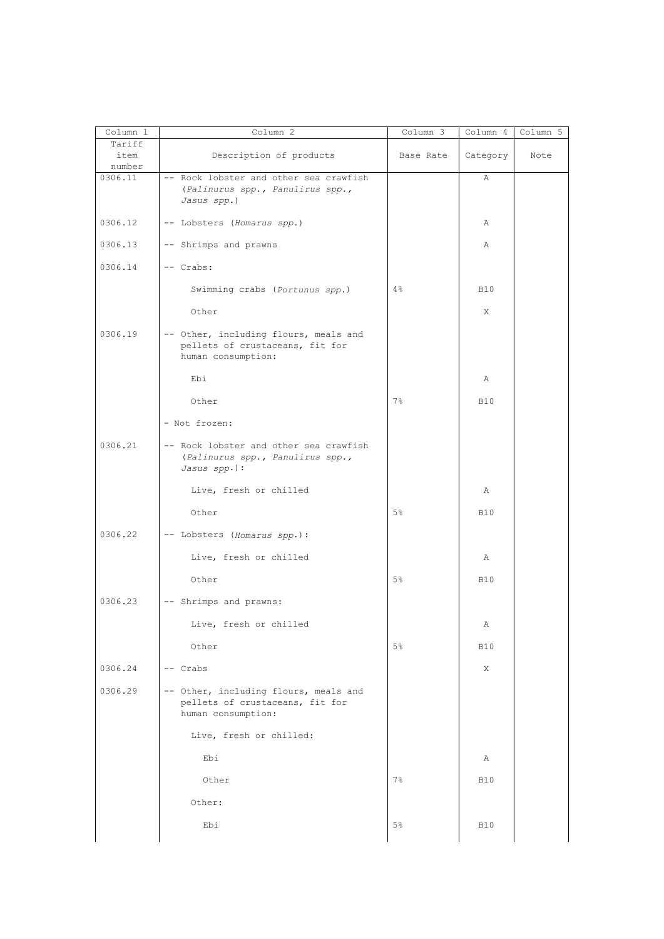| Column 1                 | Column 2                                                                                       | Column 3       | Column 4   | Column 5 |
|--------------------------|------------------------------------------------------------------------------------------------|----------------|------------|----------|
| Tariff<br>item<br>number | Description of products                                                                        | Base Rate      | Category   | Note     |
| 0306.11                  | -- Rock lobster and other sea crawfish<br>(Palinurus spp., Panulirus spp.,<br>Jasus spp.)      |                | Α          |          |
| 0306.12                  | -- Lobsters (Homarus spp.)                                                                     |                | Α          |          |
| 0306.13                  | -- Shrimps and prawns                                                                          |                | Α          |          |
| 0306.14                  | -- Crabs:                                                                                      |                |            |          |
|                          | Swimming crabs (Portunus spp.)                                                                 | 4%             | <b>B10</b> |          |
|                          | Other                                                                                          |                | X          |          |
| 0306.19                  | -- Other, including flours, meals and<br>pellets of crustaceans, fit for<br>human consumption: |                |            |          |
|                          | Ebi                                                                                            |                | Α          |          |
|                          | Other                                                                                          | $7\frac{6}{6}$ | <b>B10</b> |          |
|                          | - Not frozen:                                                                                  |                |            |          |
| 0306.21                  | -- Rock lobster and other sea crawfish<br>(Palinurus spp., Panulirus spp.,<br>Jasus spp.):     |                |            |          |
|                          | Live, fresh or chilled                                                                         |                | Α          |          |
|                          | Other                                                                                          | 5%             | <b>B10</b> |          |
| 0306.22                  | -- Lobsters (Homarus spp.):                                                                    |                |            |          |
|                          | Live, fresh or chilled                                                                         |                | Α          |          |
|                          | Other                                                                                          | $5\%$          | <b>B10</b> |          |
| 0306.23                  | -- Shrimps and prawns:                                                                         |                |            |          |
|                          | Live, fresh or chilled                                                                         |                | Α          |          |
|                          | Other                                                                                          | $5\%$          | <b>B10</b> |          |
| 0306.24                  | -- Crabs                                                                                       |                | X          |          |
| 0306.29                  | -- Other, including flours, meals and<br>pellets of crustaceans, fit for<br>human consumption: |                |            |          |
|                          | Live, fresh or chilled:                                                                        |                |            |          |
|                          | Ebi                                                                                            |                | Α          |          |
|                          | Other                                                                                          | $7\%$          | <b>B10</b> |          |
|                          | Other:                                                                                         |                |            |          |
|                          | Ebi                                                                                            | $5\frac{6}{6}$ | <b>B10</b> |          |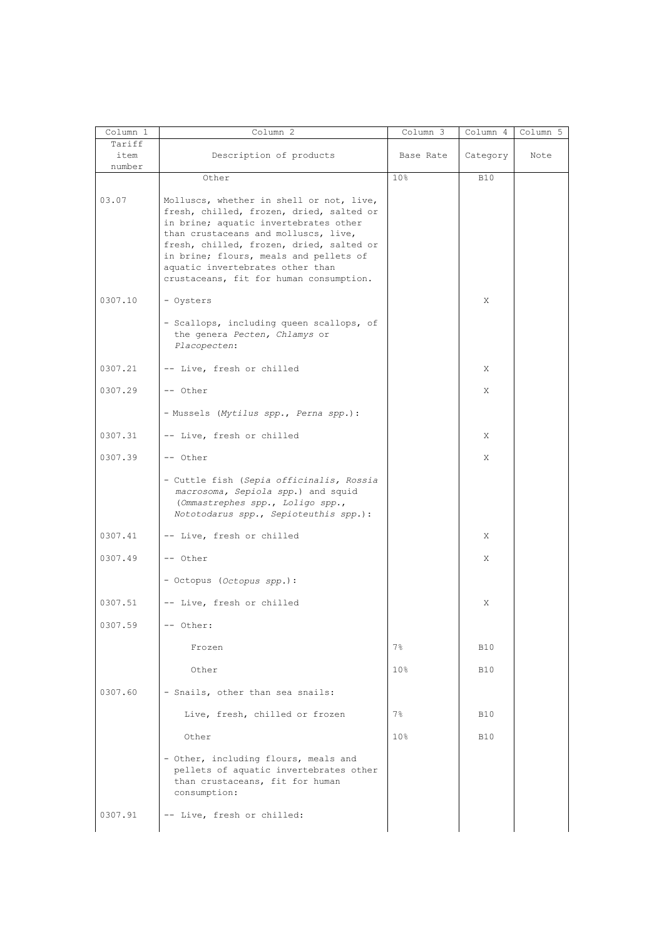| Column 1       | Column 2                                                                                                                                                              | Column 3        | Column 4   | Column 5 |
|----------------|-----------------------------------------------------------------------------------------------------------------------------------------------------------------------|-----------------|------------|----------|
| Tariff<br>item | Description of products                                                                                                                                               | Base Rate       | Category   | Note     |
| number         | Other                                                                                                                                                                 | 10 <sup>°</sup> | <b>B10</b> |          |
| 03.07          | Molluscs, whether in shell or not, live,<br>fresh, chilled, frozen, dried, salted or<br>in brine; aquatic invertebrates other<br>than crustaceans and molluscs, live, |                 |            |          |
|                | fresh, chilled, frozen, dried, salted or<br>in brine; flours, meals and pellets of<br>aquatic invertebrates other than<br>crustaceans, fit for human consumption.     |                 |            |          |
| 0307.10        | - Oysters                                                                                                                                                             |                 | Χ          |          |
|                | - Scallops, including queen scallops, of<br>the genera Pecten, Chlamys or<br>Placopecten:                                                                             |                 |            |          |
| 0307.21        | -- Live, fresh or chilled                                                                                                                                             |                 | Χ          |          |
| 0307.29        | -- Other                                                                                                                                                              |                 | Χ          |          |
|                | - Mussels (Mytilus spp., Perna spp.):                                                                                                                                 |                 |            |          |
| 0307.31        | -- Live, fresh or chilled                                                                                                                                             |                 | X          |          |
| 0307.39        | -- Other                                                                                                                                                              |                 | Χ          |          |
|                | - Cuttle fish (Sepia officinalis, Rossia<br>macrosoma, Sepiola spp.) and squid<br>(Ommastrephes spp., Loligo spp.,<br>Nototodarus spp., Sepioteuthis spp.):           |                 |            |          |
| 0307.41        | -- Live, fresh or chilled                                                                                                                                             |                 | X          |          |
| 0307.49        | -- Other                                                                                                                                                              |                 | X          |          |
|                | - Octopus (Octopus spp.):                                                                                                                                             |                 |            |          |
| 0307.51        | -- Live, fresh or chilled                                                                                                                                             |                 | Χ          |          |
| 0307.59        | -- Other:                                                                                                                                                             |                 |            |          |
|                | Frozen                                                                                                                                                                | $7\%$           | <b>B10</b> |          |
|                | Other                                                                                                                                                                 | 10 <sub>8</sub> | <b>B10</b> |          |
| 0307.60        | - Snails, other than sea snails:                                                                                                                                      |                 |            |          |
|                | Live, fresh, chilled or frozen                                                                                                                                        | $7\%$           | <b>B10</b> |          |
|                | Other                                                                                                                                                                 | 10 <sub>8</sub> | <b>B10</b> |          |
|                | - Other, including flours, meals and<br>pellets of aquatic invertebrates other<br>than crustaceans, fit for human<br>consumption:                                     |                 |            |          |
| 0307.91        | -- Live, fresh or chilled:                                                                                                                                            |                 |            |          |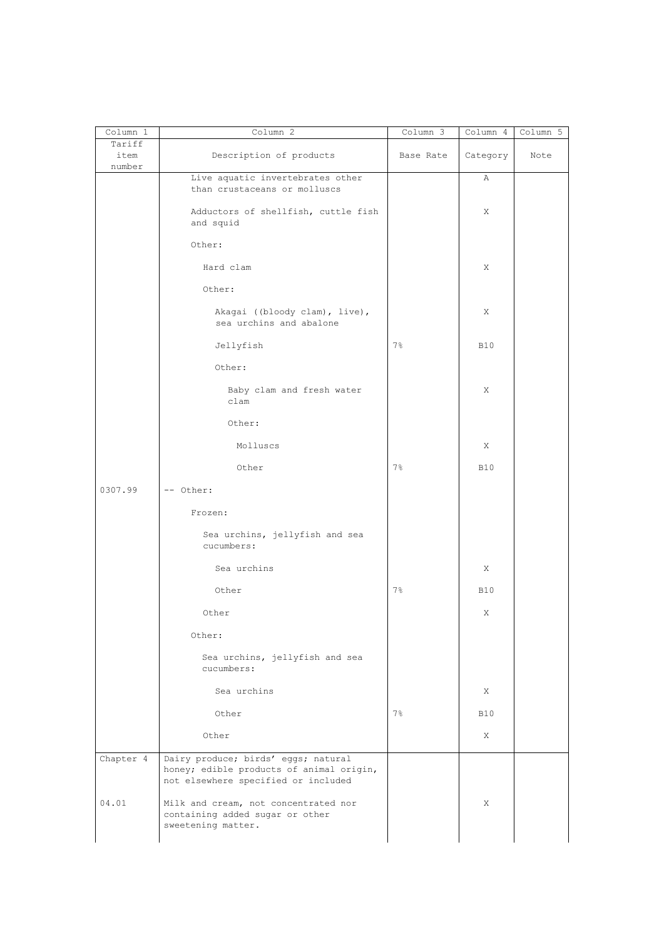| Column 1                 | Column 2                                                                                                               | Column 3       | Column 4   | Column 5 |
|--------------------------|------------------------------------------------------------------------------------------------------------------------|----------------|------------|----------|
| Tariff<br>item<br>number | Description of products                                                                                                | Base Rate      | Category   | Note     |
|                          | Live aquatic invertebrates other<br>than crustaceans or molluscs                                                       |                | Α          |          |
|                          | Adductors of shellfish, cuttle fish<br>and squid                                                                       |                | Χ          |          |
|                          | Other:                                                                                                                 |                |            |          |
|                          | Hard clam                                                                                                              |                | Χ          |          |
|                          | Other:                                                                                                                 |                |            |          |
|                          | Akagai ((bloody clam), live),<br>sea urchins and abalone                                                               |                | Χ          |          |
|                          | Jellyfish                                                                                                              | $7\%$          | <b>B10</b> |          |
|                          | Other:                                                                                                                 |                |            |          |
|                          | Baby clam and fresh water<br>clam                                                                                      |                | Χ          |          |
|                          | Other:                                                                                                                 |                |            |          |
|                          | Molluscs                                                                                                               |                | X          |          |
|                          | Other                                                                                                                  | 7%             | <b>B10</b> |          |
| 0307.99                  | -- Other:                                                                                                              |                |            |          |
|                          | Frozen:                                                                                                                |                |            |          |
|                          | Sea urchins, jellyfish and sea<br>cucumbers:                                                                           |                |            |          |
|                          | Sea urchins                                                                                                            |                | X          |          |
|                          | Other                                                                                                                  | $7\frac{6}{6}$ | <b>B10</b> |          |
|                          | Other                                                                                                                  |                | X          |          |
|                          | Other:                                                                                                                 |                |            |          |
|                          | Sea urchins, jellyfish and sea<br>cucumbers:                                                                           |                |            |          |
|                          | Sea urchins                                                                                                            |                | X          |          |
|                          | Other                                                                                                                  | $7\%$          | <b>B10</b> |          |
|                          | Other                                                                                                                  |                | X          |          |
| Chapter 4                | Dairy produce; birds' eggs; natural<br>honey; edible products of animal origin,<br>not elsewhere specified or included |                |            |          |
| 04.01                    | Milk and cream, not concentrated nor<br>containing added sugar or other<br>sweetening matter.                          |                | X          |          |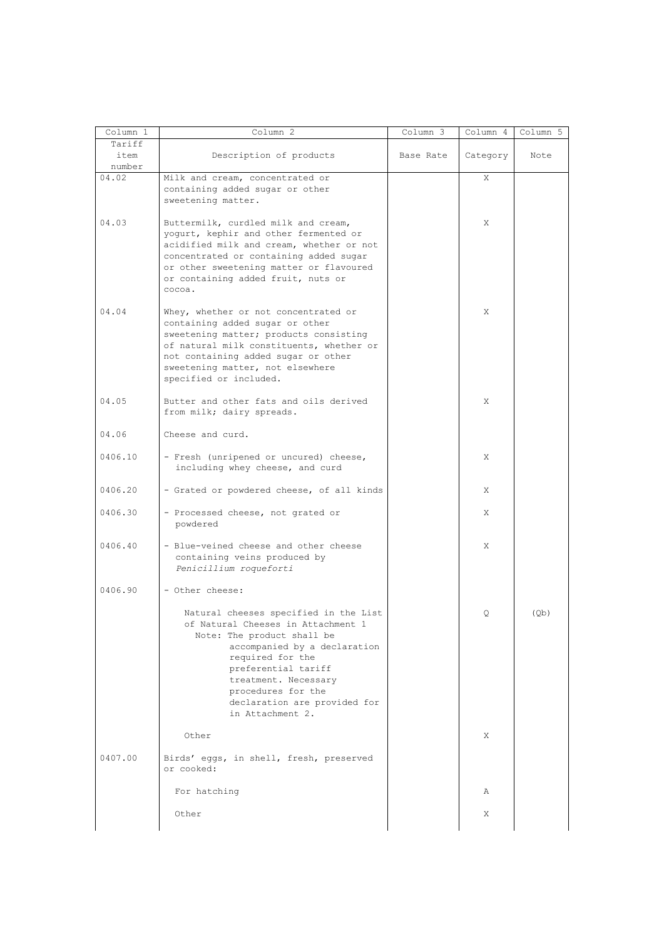| Column 1                 | Column 2                                                                                                                                                                                                                                                                               | Column 3  | Column 4 | Column 5 |
|--------------------------|----------------------------------------------------------------------------------------------------------------------------------------------------------------------------------------------------------------------------------------------------------------------------------------|-----------|----------|----------|
| Tariff<br>item<br>number | Description of products                                                                                                                                                                                                                                                                | Base Rate | Category | Note     |
| 04.02                    | Milk and cream, concentrated or<br>containing added sugar or other<br>sweetening matter.                                                                                                                                                                                               |           | X        |          |
| 04.03                    | Buttermilk, curdled milk and cream,<br>yogurt, kephir and other fermented or<br>acidified milk and cream, whether or not<br>concentrated or containing added sugar<br>or other sweetening matter or flavoured<br>or containing added fruit, nuts or<br>cocoa.                          |           | X        |          |
| 04.04                    | Whey, whether or not concentrated or<br>containing added sugar or other<br>sweetening matter; products consisting<br>of natural milk constituents, whether or<br>not containing added sugar or other<br>sweetening matter, not elsewhere<br>specified or included.                     |           | Χ        |          |
| 04.05                    | Butter and other fats and oils derived<br>from milk; dairy spreads.                                                                                                                                                                                                                    |           | X        |          |
| 04.06                    | Cheese and curd.                                                                                                                                                                                                                                                                       |           |          |          |
| 0406.10                  | - Fresh (unripened or uncured) cheese,<br>including whey cheese, and curd                                                                                                                                                                                                              |           | X        |          |
| 0406.20                  | - Grated or powdered cheese, of all kinds                                                                                                                                                                                                                                              |           | X        |          |
| 0406.30                  | - Processed cheese, not grated or<br>powdered                                                                                                                                                                                                                                          |           | X        |          |
| 0406.40                  | - Blue-veined cheese and other cheese<br>containing veins produced by<br>Penicillium roqueforti                                                                                                                                                                                        |           | X        |          |
| 0406.90                  | - Other cheese:                                                                                                                                                                                                                                                                        |           |          |          |
|                          | Natural cheeses specified in the List<br>of Natural Cheeses in Attachment 1<br>Note: The product shall be<br>accompanied by a declaration<br>required for the<br>preferential tariff<br>treatment. Necessary<br>procedures for the<br>declaration are provided for<br>in Attachment 2. |           | Q        | (Qb)     |
|                          | Other                                                                                                                                                                                                                                                                                  |           | X        |          |
| 0407.00                  | Birds' eqqs, in shell, fresh, preserved<br>or cooked:                                                                                                                                                                                                                                  |           |          |          |
|                          | For hatching                                                                                                                                                                                                                                                                           |           | Α        |          |
|                          | Other                                                                                                                                                                                                                                                                                  |           | Χ        |          |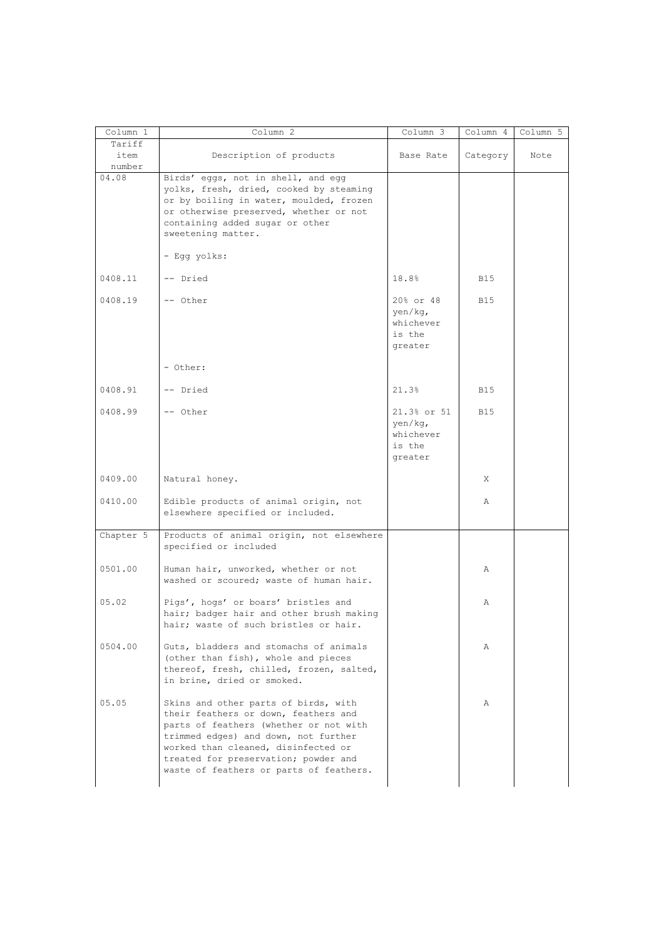| Column 1                 | Column 2                                                                                                                                                                                                                                                                                 | Column 3                                                 | Column 4   | Column 5 |
|--------------------------|------------------------------------------------------------------------------------------------------------------------------------------------------------------------------------------------------------------------------------------------------------------------------------------|----------------------------------------------------------|------------|----------|
| Tariff<br>item<br>number | Description of products                                                                                                                                                                                                                                                                  | Base Rate                                                | Category   | Note     |
| 04.08                    | Birds' eggs, not in shell, and egg<br>yolks, fresh, dried, cooked by steaming<br>or by boiling in water, moulded, frozen<br>or otherwise preserved, whether or not<br>containing added sugar or other<br>sweetening matter.                                                              |                                                          |            |          |
|                          | - Egg yolks:                                                                                                                                                                                                                                                                             |                                                          |            |          |
| 0408.11                  | -- Dried                                                                                                                                                                                                                                                                                 | 18.8%                                                    | B15        |          |
| 0408.19                  | -- Other                                                                                                                                                                                                                                                                                 | 20% or 48<br>yen/kg,<br>whichever<br>is the<br>greater   | <b>B15</b> |          |
|                          | - Other:                                                                                                                                                                                                                                                                                 |                                                          |            |          |
| 0408.91                  | -- Dried                                                                                                                                                                                                                                                                                 | 21.3%                                                    | <b>B15</b> |          |
| 0408.99                  | -- Other                                                                                                                                                                                                                                                                                 | 21.3% or 51<br>yen/kg,<br>whichever<br>is the<br>greater | <b>B15</b> |          |
| 0409.00                  | Natural honey.                                                                                                                                                                                                                                                                           |                                                          | X          |          |
| 0410.00                  | Edible products of animal origin, not<br>elsewhere specified or included.                                                                                                                                                                                                                |                                                          | Α          |          |
| Chapter 5                | Products of animal origin, not elsewhere<br>specified or included                                                                                                                                                                                                                        |                                                          |            |          |
| 0501.00                  | Human hair, unworked, whether or not<br>washed or scoured; waste of human hair.                                                                                                                                                                                                          |                                                          | Α          |          |
| 05.02                    | Pigs', hogs' or boars' bristles and<br>hair; badger hair and other brush making<br>hair; waste of such bristles or hair.                                                                                                                                                                 |                                                          | Α          |          |
| 0504.00                  | Guts, bladders and stomachs of animals<br>(other than fish), whole and pieces<br>thereof, fresh, chilled, frozen, salted,<br>in brine, dried or smoked.                                                                                                                                  |                                                          | Α          |          |
| 05.05                    | Skins and other parts of birds, with<br>their feathers or down, feathers and<br>parts of feathers (whether or not with<br>trimmed edges) and down, not further<br>worked than cleaned, disinfected or<br>treated for preservation; powder and<br>waste of feathers or parts of feathers. |                                                          | Α          |          |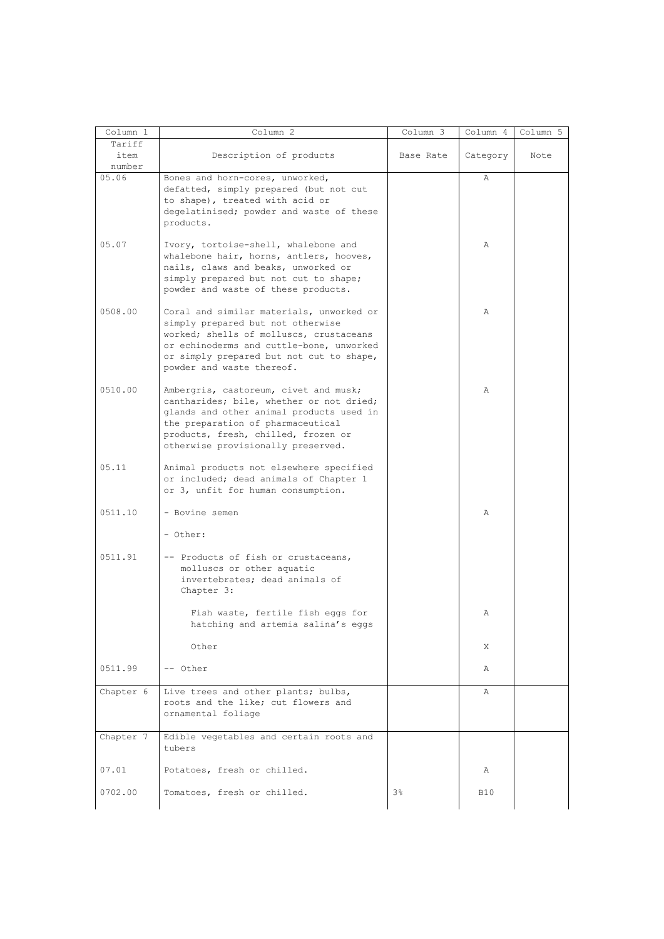| Column 1                 | Column 2                                                                                                                                                                                                                                        | Column 3  | Column 4   | Column 5 |
|--------------------------|-------------------------------------------------------------------------------------------------------------------------------------------------------------------------------------------------------------------------------------------------|-----------|------------|----------|
| Tariff<br>item<br>number | Description of products                                                                                                                                                                                                                         | Base Rate | Category   | Note     |
| 05.06                    | Bones and horn-cores, unworked,<br>defatted, simply prepared (but not cut<br>to shape), treated with acid or<br>degelatinised; powder and waste of these<br>products.                                                                           |           | Α          |          |
| 05.07                    | Ivory, tortoise-shell, whalebone and<br>whalebone hair, horns, antlers, hooves,<br>nails, claws and beaks, unworked or<br>simply prepared but not cut to shape;<br>powder and waste of these products.                                          |           | Α          |          |
| 0508.00                  | Coral and similar materials, unworked or<br>simply prepared but not otherwise<br>worked; shells of molluscs, crustaceans<br>or echinoderms and cuttle-bone, unworked<br>or simply prepared but not cut to shape,<br>powder and waste thereof.   |           | Α          |          |
| 0510.00                  | Ambergris, castoreum, civet and musk;<br>cantharides; bile, whether or not dried;<br>glands and other animal products used in<br>the preparation of pharmaceutical<br>products, fresh, chilled, frozen or<br>otherwise provisionally preserved. |           | Α          |          |
| 05.11                    | Animal products not elsewhere specified<br>or included; dead animals of Chapter 1<br>or 3, unfit for human consumption.                                                                                                                         |           |            |          |
| 0511.10                  | - Bovine semen<br>- Other:                                                                                                                                                                                                                      |           | Α          |          |
| 0511.91                  | -- Products of fish or crustaceans,<br>molluscs or other aquatic<br>invertebrates; dead animals of<br>Chapter 3:                                                                                                                                |           |            |          |
|                          | Fish waste, fertile fish eggs for<br>hatching and artemia salina's eggs                                                                                                                                                                         |           | Α          |          |
|                          | Other                                                                                                                                                                                                                                           |           | Χ          |          |
| 0511.99                  | -- Other                                                                                                                                                                                                                                        |           | Α          |          |
| Chapter 6                | Live trees and other plants; bulbs,<br>roots and the like; cut flowers and<br>ornamental foliage                                                                                                                                                |           | Α          |          |
| Chapter 7                | Edible vegetables and certain roots and<br>tubers                                                                                                                                                                                               |           |            |          |
| 07.01                    | Potatoes, fresh or chilled.                                                                                                                                                                                                                     |           | Α          |          |
| 0702.00                  | Tomatoes, fresh or chilled.                                                                                                                                                                                                                     | 3%        | <b>B10</b> |          |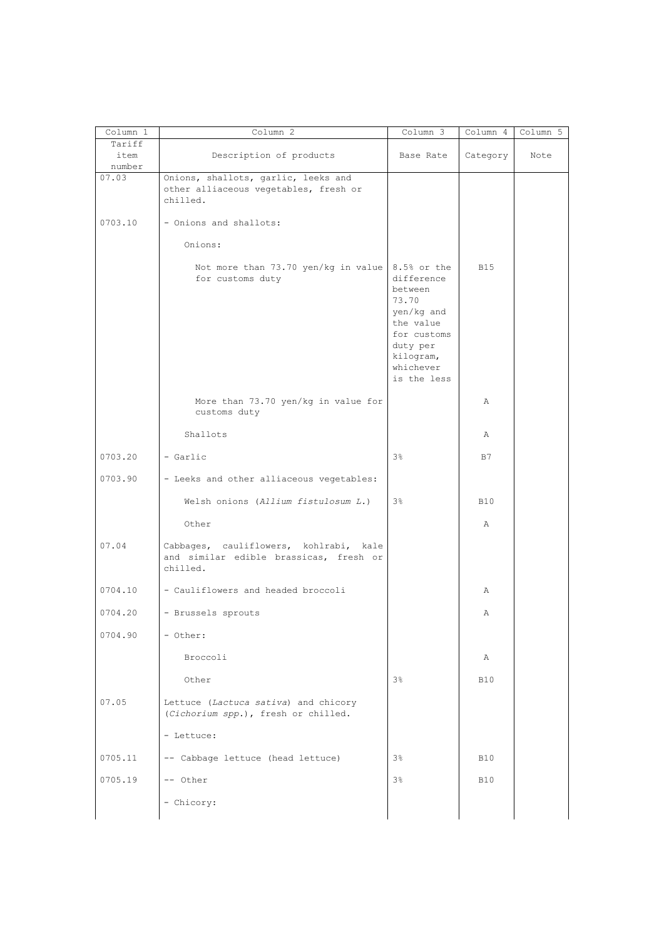| Column 1 | Column 2                                        | Column 3       | Column 4   | Column 5 |
|----------|-------------------------------------------------|----------------|------------|----------|
| Tariff   |                                                 |                |            |          |
| item     | Description of products                         | Base Rate      | Category   | Note     |
| number   |                                                 |                |            |          |
| 07.03    | Onions, shallots, garlic, leeks and             |                |            |          |
|          | other alliaceous vegetables, fresh or           |                |            |          |
|          | chilled.                                        |                |            |          |
|          |                                                 |                |            |          |
|          |                                                 |                |            |          |
| 0703.10  | - Onions and shallots:                          |                |            |          |
|          |                                                 |                |            |          |
|          | Onions:                                         |                |            |          |
|          |                                                 |                |            |          |
|          | Not more than 73.70 yen/kg in value 8.5% or the |                | <b>B15</b> |          |
|          | for customs duty                                | difference     |            |          |
|          |                                                 | between        |            |          |
|          |                                                 | 73.70          |            |          |
|          |                                                 | yen/kg and     |            |          |
|          |                                                 |                |            |          |
|          |                                                 | the value      |            |          |
|          |                                                 | for customs    |            |          |
|          |                                                 | duty per       |            |          |
|          |                                                 | kilogram,      |            |          |
|          |                                                 | whichever      |            |          |
|          |                                                 | is the less    |            |          |
|          |                                                 |                |            |          |
|          | More than 73.70 yen/kg in value for             |                | Α          |          |
|          | customs duty                                    |                |            |          |
|          |                                                 |                |            |          |
|          |                                                 |                |            |          |
|          | Shallots                                        |                | Α          |          |
|          |                                                 |                |            |          |
| 0703.20  | - Garlic                                        | 3%             | B7         |          |
|          |                                                 |                |            |          |
| 0703.90  | - Leeks and other alliaceous vegetables:        |                |            |          |
|          |                                                 |                |            |          |
|          | Welsh onions (Allium fistulosum L.)             | 3%             | <b>B10</b> |          |
|          |                                                 |                |            |          |
|          | Other                                           |                | Α          |          |
|          |                                                 |                |            |          |
| 07.04    | Cabbages, cauliflowers, kohlrabi, kale          |                |            |          |
|          | and similar edible brassicas, fresh or          |                |            |          |
|          | chilled.                                        |                |            |          |
|          |                                                 |                |            |          |
| 0704.10  | - Cauliflowers and headed broccoli              |                |            |          |
|          |                                                 |                | Α          |          |
|          |                                                 |                |            |          |
| 0704.20  | - Brussels sprouts                              |                | Α          |          |
|          |                                                 |                |            |          |
| 0704.90  | - Other:                                        |                |            |          |
|          |                                                 |                |            |          |
|          | Broccoli                                        |                | Α          |          |
|          |                                                 |                |            |          |
|          | Other                                           | 3 <sup>°</sup> | <b>B10</b> |          |
|          |                                                 |                |            |          |
| 07.05    |                                                 |                |            |          |
|          | Lettuce (Lactuca sativa) and chicory            |                |            |          |
|          | (Cichorium spp.), fresh or chilled.             |                |            |          |
|          |                                                 |                |            |          |
|          | - Lettuce:                                      |                |            |          |
|          |                                                 |                |            |          |
|          |                                                 |                |            |          |
| 0705.11  | -- Cabbage lettuce (head lettuce)               | $3\%$          | <b>B10</b> |          |
|          |                                                 |                |            |          |
|          |                                                 | 3 <sup>°</sup> |            |          |
| 0705.19  | -- Other                                        |                | <b>B10</b> |          |
|          |                                                 |                |            |          |
|          | - Chicory:                                      |                |            |          |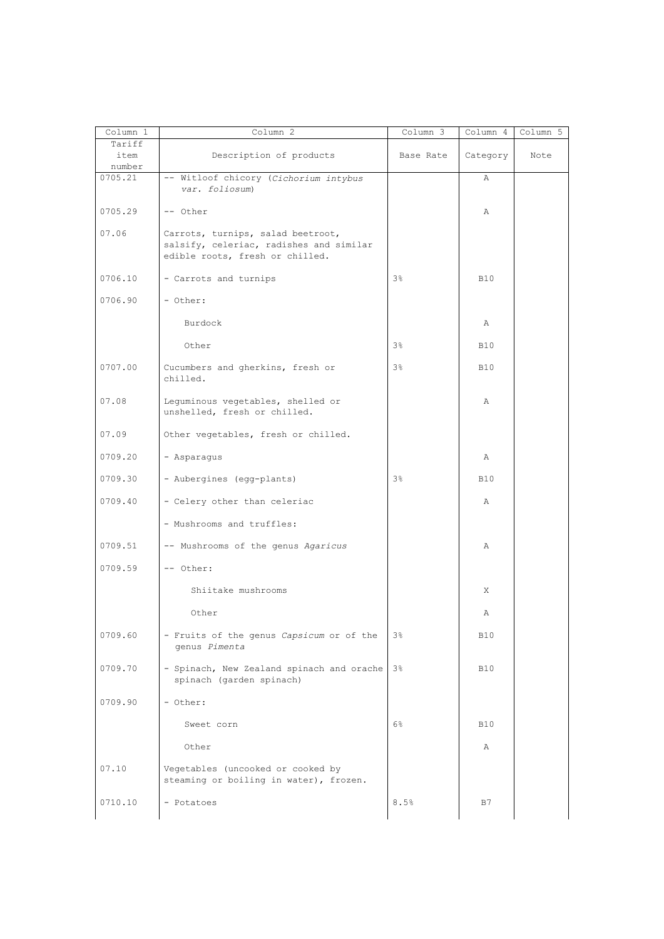| Column 1                 | Column 2                                                                                                        | Column 3       | Column 4   | Column 5 |
|--------------------------|-----------------------------------------------------------------------------------------------------------------|----------------|------------|----------|
| Tariff<br>item<br>number | Description of products                                                                                         | Base Rate      | Category   | Note     |
| 0705.21                  | -- Witloof chicory (Cichorium intybus<br>var. foliosum)                                                         |                | Α          |          |
| 0705.29                  | -- Other                                                                                                        |                | Α          |          |
| 07.06                    | Carrots, turnips, salad beetroot,<br>salsify, celeriac, radishes and similar<br>edible roots, fresh or chilled. |                |            |          |
| 0706.10                  | - Carrots and turnips                                                                                           | 3%             | <b>B10</b> |          |
| 0706.90                  | - Other:                                                                                                        |                |            |          |
|                          | Burdock                                                                                                         |                | Α          |          |
|                          | Other                                                                                                           | 3%             | <b>B10</b> |          |
| 0707.00                  | Cucumbers and gherkins, fresh or<br>chilled.                                                                    | 3%             | <b>B10</b> |          |
| 07.08                    | Lequminous vegetables, shelled or<br>unshelled, fresh or chilled.                                               |                | Α          |          |
| 07.09                    | Other vegetables, fresh or chilled.                                                                             |                |            |          |
| 0709.20                  | - Asparagus                                                                                                     |                | Α          |          |
| 0709.30                  | - Aubergines (egg-plants)                                                                                       | 3%             | <b>B10</b> |          |
| 0709.40                  | - Celery other than celeriac                                                                                    |                | Α          |          |
|                          | - Mushrooms and truffles:                                                                                       |                |            |          |
| 0709.51                  | -- Mushrooms of the genus Agaricus                                                                              |                | Α          |          |
| 0709.59                  | -- Other:                                                                                                       |                |            |          |
|                          | Shiitake mushrooms                                                                                              |                | X          |          |
|                          | Other                                                                                                           |                | Α          |          |
| 0709.60                  | - Fruits of the genus Capsicum or of the<br>genus Pimenta                                                       | $3\frac{6}{9}$ | <b>B10</b> |          |
| 0709.70                  | - Spinach, New Zealand spinach and orache 3%<br>spinach (garden spinach)                                        |                | <b>B10</b> |          |
| 0709.90                  | - Other:                                                                                                        |                |            |          |
|                          | Sweet corn                                                                                                      | $6\%$          | <b>B10</b> |          |
|                          | Other                                                                                                           |                | Α          |          |
| 07.10                    | Vegetables (uncooked or cooked by<br>steaming or boiling in water), frozen.                                     |                |            |          |
| 0710.10                  | - Potatoes                                                                                                      | 8.5%           | B7         |          |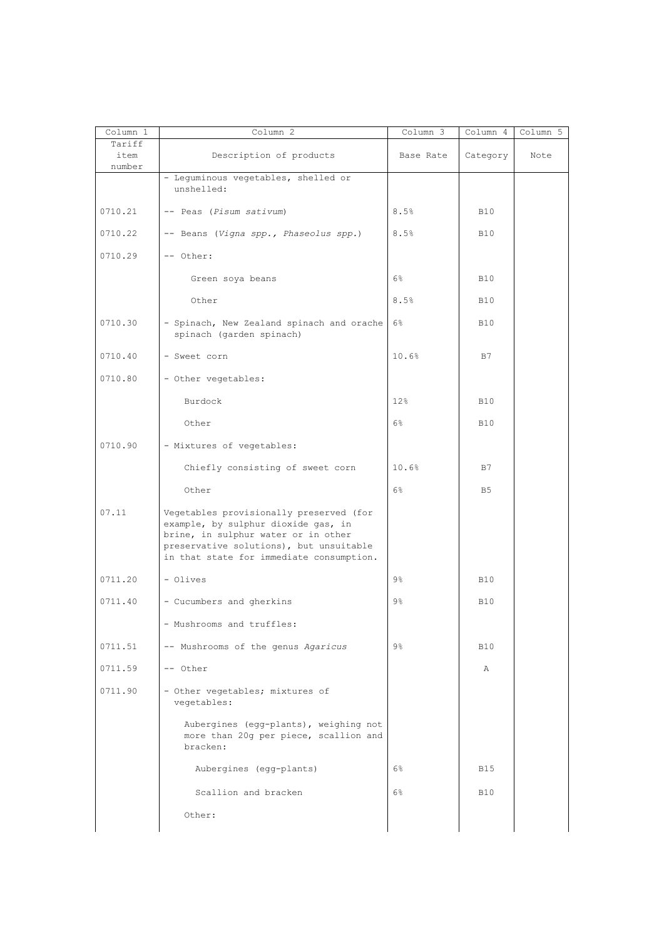| Column 1                 | Column 2                                                                                                                                                                                                     | Column 3       | Column 4       | Column 5 |
|--------------------------|--------------------------------------------------------------------------------------------------------------------------------------------------------------------------------------------------------------|----------------|----------------|----------|
| Tariff<br>item<br>number | Description of products                                                                                                                                                                                      | Base Rate      | Category       | Note     |
|                          | - Leguminous vegetables, shelled or<br>unshelled:                                                                                                                                                            |                |                |          |
| 0710.21                  | -- Peas (Pisum sativum)                                                                                                                                                                                      | 8.5%           | <b>B10</b>     |          |
| 0710.22                  | -- Beans (Vigna spp., Phaseolus spp.)                                                                                                                                                                        | 8.5%           | <b>B10</b>     |          |
| 0710.29                  | -- Other:                                                                                                                                                                                                    |                |                |          |
|                          | Green soya beans                                                                                                                                                                                             | 6%             | <b>B10</b>     |          |
|                          | Other                                                                                                                                                                                                        | 8.5%           | <b>B10</b>     |          |
| 0710.30                  | - Spinach, New Zealand spinach and orache<br>spinach (garden spinach)                                                                                                                                        | $6\%$          | <b>B10</b>     |          |
| 0710.40                  | - Sweet corn                                                                                                                                                                                                 | 10.6%          | B7             |          |
| 0710.80                  | - Other vegetables:                                                                                                                                                                                          |                |                |          |
|                          | Burdock                                                                                                                                                                                                      | 12%            | <b>B10</b>     |          |
|                          | Other                                                                                                                                                                                                        | $6\%$          | <b>B10</b>     |          |
| 0710.90                  | - Mixtures of vegetables:                                                                                                                                                                                    |                |                |          |
|                          | Chiefly consisting of sweet corn                                                                                                                                                                             | 10.6%          | B7             |          |
|                          | Other                                                                                                                                                                                                        | 6%             | B <sub>5</sub> |          |
| 07.11                    | Vegetables provisionally preserved (for<br>example, by sulphur dioxide gas, in<br>brine, in sulphur water or in other<br>preservative solutions), but unsuitable<br>in that state for immediate consumption. |                |                |          |
| 0711.20                  | - Olives                                                                                                                                                                                                     | $9\frac{6}{6}$ | <b>B10</b>     |          |
| 0711.40                  | - Cucumbers and gherkins                                                                                                                                                                                     | $9\%$          | <b>B10</b>     |          |
|                          | - Mushrooms and truffles:                                                                                                                                                                                    |                |                |          |
| 0711.51                  | -- Mushrooms of the genus Agaricus                                                                                                                                                                           | 9%             | <b>B10</b>     |          |
| 0711.59                  | -- Other                                                                                                                                                                                                     |                | Α              |          |
| 0711.90                  | - Other vegetables; mixtures of<br>vegetables:                                                                                                                                                               |                |                |          |
|                          | Aubergines (egg-plants), weighing not<br>more than 20g per piece, scallion and<br>bracken:                                                                                                                   |                |                |          |
|                          | Aubergines (egg-plants)                                                                                                                                                                                      | 6%             | <b>B15</b>     |          |
|                          | Scallion and bracken                                                                                                                                                                                         | $6\%$          | <b>B10</b>     |          |
|                          | Other:                                                                                                                                                                                                       |                |                |          |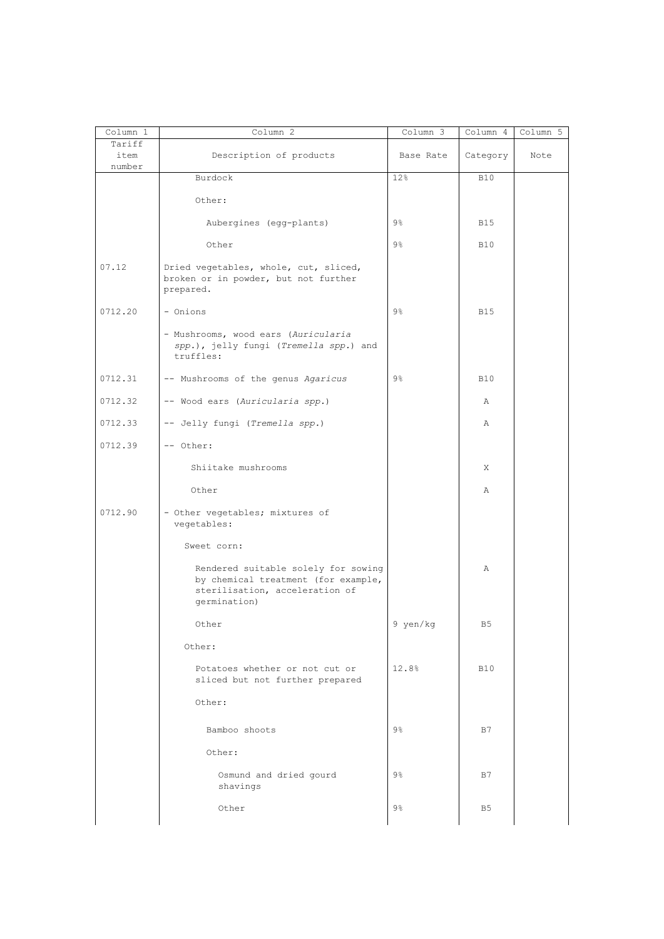| Column 1                 | Column 2                                                                                                                     | Column 3       | Column 4       | Column 5 |
|--------------------------|------------------------------------------------------------------------------------------------------------------------------|----------------|----------------|----------|
| Tariff<br>item<br>number | Description of products                                                                                                      | Base Rate      | Category       | Note     |
|                          | Burdock                                                                                                                      | 12%            | <b>B10</b>     |          |
|                          | Other:                                                                                                                       |                |                |          |
|                          | Aubergines (egg-plants)                                                                                                      | $9\%$          | <b>B15</b>     |          |
|                          | Other                                                                                                                        | $9\%$          | <b>B10</b>     |          |
| 07.12                    | Dried vegetables, whole, cut, sliced,<br>broken or in powder, but not further<br>prepared.                                   |                |                |          |
| 0712.20                  | - Onions                                                                                                                     | $9\%$          | <b>B15</b>     |          |
|                          | - Mushrooms, wood ears (Auricularia<br>spp.), jelly fungi (Tremella spp.) and<br>truffles:                                   |                |                |          |
| 0712.31                  | -- Mushrooms of the genus Agaricus                                                                                           | $9\%$          | <b>B10</b>     |          |
| 0712.32                  | -- Wood ears (Auricularia spp.)                                                                                              |                | Α              |          |
| 0712.33                  | -- Jelly fungi (Tremella spp.)                                                                                               |                | Α              |          |
| 0712.39                  | -- Other:                                                                                                                    |                |                |          |
|                          | Shiitake mushrooms                                                                                                           |                | X              |          |
|                          | Other                                                                                                                        |                | Α              |          |
| 0712.90                  | - Other vegetables; mixtures of<br>vegetables:                                                                               |                |                |          |
|                          | Sweet corn:                                                                                                                  |                |                |          |
|                          | Rendered suitable solely for sowing<br>by chemical treatment (for example,<br>sterilisation, acceleration of<br>qermination) |                | Α              |          |
|                          | Other                                                                                                                        | 9 yen/kg       | B <sub>5</sub> |          |
|                          | Other:                                                                                                                       |                |                |          |
|                          | Potatoes whether or not cut or<br>sliced but not further prepared                                                            | 12.8%          | <b>B10</b>     |          |
|                          | Other:                                                                                                                       |                |                |          |
|                          | Bamboo shoots                                                                                                                | $9\frac{6}{9}$ | B7             |          |
|                          | Other:                                                                                                                       |                |                |          |
|                          | Osmund and dried gourd<br>shavings                                                                                           | $9\%$          | B7             |          |
|                          | Other                                                                                                                        | $9\frac{6}{6}$ | B <sub>5</sub> |          |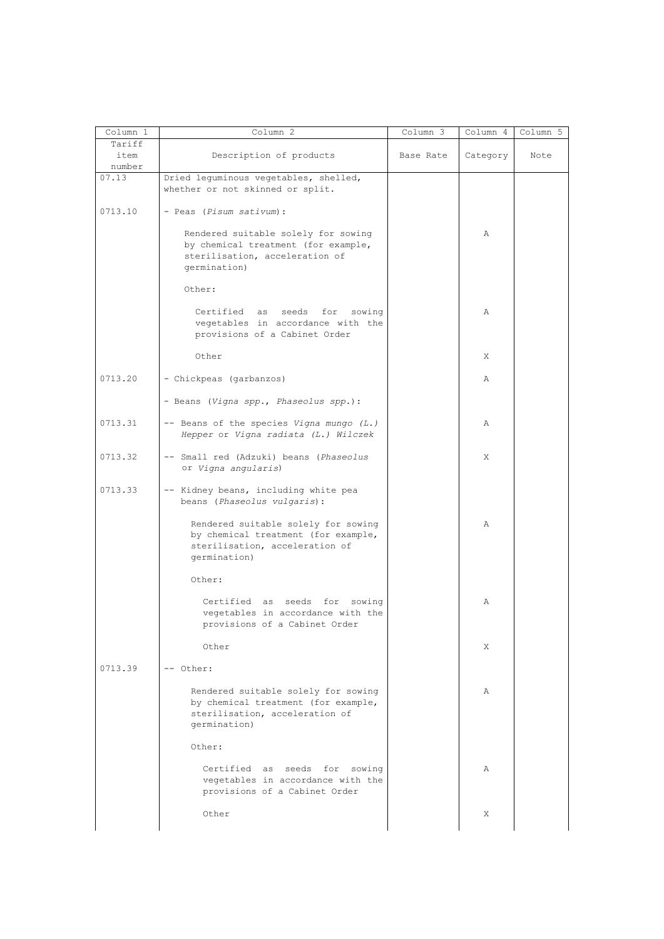| Column 1                 | Column 2                                                                                                                     | Column 3  | Column 4 | Column 5 |
|--------------------------|------------------------------------------------------------------------------------------------------------------------------|-----------|----------|----------|
| Tariff<br>item<br>number | Description of products                                                                                                      | Base Rate | Category | Note     |
| 07.13                    | Dried leguminous vegetables, shelled,<br>whether or not skinned or split.                                                    |           |          |          |
| 0713.10                  | - Peas (Pisum sativum):                                                                                                      |           |          |          |
|                          | Rendered suitable solely for sowing<br>by chemical treatment (for example,<br>sterilisation, acceleration of<br>germination) |           | Α        |          |
|                          | Other:                                                                                                                       |           |          |          |
|                          | Certified as seeds for sowing<br>vegetables in accordance with the<br>provisions of a Cabinet Order                          |           | Α        |          |
|                          | Other                                                                                                                        |           | X        |          |
| 0713.20                  | - Chickpeas (garbanzos)                                                                                                      |           | Α        |          |
|                          | - Beans (Vigna spp., Phaseolus spp.):                                                                                        |           |          |          |
| 0713.31                  | -- Beans of the species Vigna mungo (L.)<br>Hepper or Vigna radiata (L.) Wilczek                                             |           | Α        |          |
| 0713.32                  | -- Small red (Adzuki) beans (Phaseolus<br>or Vigna angularis)                                                                |           | Χ        |          |
| 0713.33                  | -- Kidney beans, including white pea<br>beans (Phaseolus vulgaris):                                                          |           |          |          |
|                          | Rendered suitable solely for sowing<br>by chemical treatment (for example,<br>sterilisation, acceleration of<br>germination) |           | Α        |          |
|                          | Other:                                                                                                                       |           |          |          |
|                          | Certified as seeds for sowing<br>vegetables in accordance with the<br>provisions of a Cabinet Order                          |           | Α        |          |
|                          | Other                                                                                                                        |           | X        |          |
| 0713.39                  | -- Other:                                                                                                                    |           |          |          |
|                          | Rendered suitable solely for sowing<br>by chemical treatment (for example,<br>sterilisation, acceleration of<br>germination) |           | Α        |          |
|                          | Other:                                                                                                                       |           |          |          |
|                          | Certified as seeds for sowing<br>vegetables in accordance with the<br>provisions of a Cabinet Order                          |           | Α        |          |
|                          | Other                                                                                                                        |           | X        |          |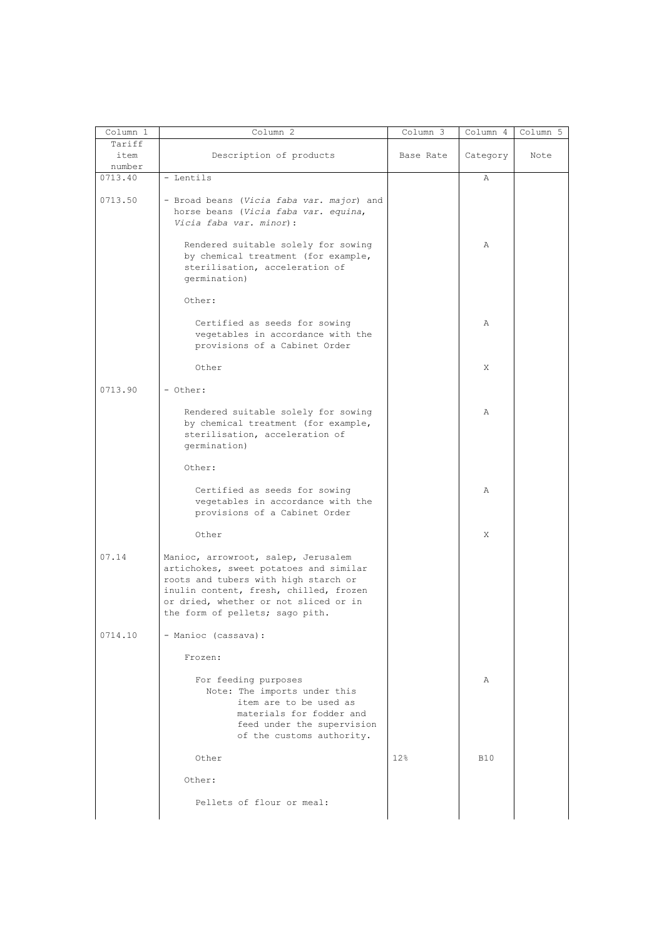| Column 1 | Column 2                                                                                                                                                                                                                                    | Column 3  | Column 4   | Column 5 |
|----------|---------------------------------------------------------------------------------------------------------------------------------------------------------------------------------------------------------------------------------------------|-----------|------------|----------|
| Tariff   |                                                                                                                                                                                                                                             |           |            |          |
| item     | Description of products                                                                                                                                                                                                                     | Base Rate | Category   | Note     |
| number   |                                                                                                                                                                                                                                             |           |            |          |
| 0713.40  | - Lentils                                                                                                                                                                                                                                   |           | Α          |          |
|          |                                                                                                                                                                                                                                             |           |            |          |
| 0713.50  | - Broad beans (Vicia faba var. major) and<br>horse beans (Vicia faba var. equina,<br>Vicia faba var. minor):                                                                                                                                |           |            |          |
|          | Rendered suitable solely for sowing<br>by chemical treatment (for example,<br>sterilisation, acceleration of<br>germination)                                                                                                                |           | Α          |          |
|          | Other:                                                                                                                                                                                                                                      |           |            |          |
|          | Certified as seeds for sowing<br>vegetables in accordance with the<br>provisions of a Cabinet Order                                                                                                                                         |           | Α          |          |
|          | Other                                                                                                                                                                                                                                       |           | X          |          |
| 0713.90  | - Other:                                                                                                                                                                                                                                    |           |            |          |
|          | Rendered suitable solely for sowing<br>by chemical treatment (for example,<br>sterilisation, acceleration of<br>germination)                                                                                                                |           | Α          |          |
|          | Other:                                                                                                                                                                                                                                      |           |            |          |
|          | Certified as seeds for sowing<br>vegetables in accordance with the<br>provisions of a Cabinet Order                                                                                                                                         |           | Α          |          |
|          | Other                                                                                                                                                                                                                                       |           | X          |          |
| 07.14    | Manioc, arrowroot, salep, Jerusalem<br>artichokes, sweet potatoes and similar<br>roots and tubers with high starch or<br>inulin content, fresh, chilled, frozen<br>or dried, whether or not sliced or in<br>the form of pellets; sago pith. |           |            |          |
| 0714.10  | - Manioc (cassava):                                                                                                                                                                                                                         |           |            |          |
|          | Frozen:                                                                                                                                                                                                                                     |           |            |          |
|          | For feeding purposes<br>Note: The imports under this<br>item are to be used as<br>materials for fodder and<br>feed under the supervision<br>of the customs authority.                                                                       |           | Α          |          |
|          | Other                                                                                                                                                                                                                                       | 12%       | <b>B10</b> |          |
|          | Other:                                                                                                                                                                                                                                      |           |            |          |
|          | Pellets of flour or meal:                                                                                                                                                                                                                   |           |            |          |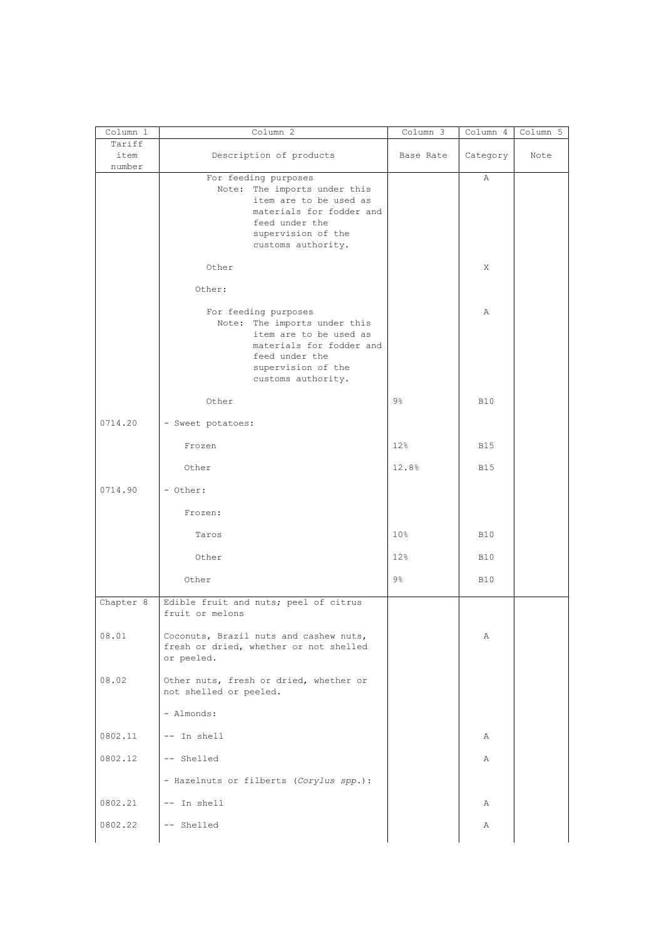| Column 1                 | Column 2                                                                                                                                                                 | Column 3        | Column 4   | Column 5 |
|--------------------------|--------------------------------------------------------------------------------------------------------------------------------------------------------------------------|-----------------|------------|----------|
| Tariff<br>item<br>number | Description of products                                                                                                                                                  | Base Rate       | Category   | Note     |
|                          | For feeding purposes<br>Note: The imports under this<br>item are to be used as<br>materials for fodder and<br>feed under the<br>supervision of the<br>customs authority. |                 | Α          |          |
|                          | Other                                                                                                                                                                    |                 | X          |          |
|                          | Other:                                                                                                                                                                   |                 |            |          |
|                          | For feeding purposes<br>Note: The imports under this<br>item are to be used as<br>materials for fodder and<br>feed under the<br>supervision of the<br>customs authority. |                 | Α          |          |
|                          | Other                                                                                                                                                                    | $9\frac{6}{6}$  | <b>B10</b> |          |
| 0714.20                  | - Sweet potatoes:                                                                                                                                                        |                 |            |          |
|                          | Frozen                                                                                                                                                                   | 12%             | <b>B15</b> |          |
|                          | Other                                                                                                                                                                    | 12.8%           | <b>B15</b> |          |
| 0714.90                  | - Other:                                                                                                                                                                 |                 |            |          |
|                          | Frozen:                                                                                                                                                                  |                 |            |          |
|                          | Taros                                                                                                                                                                    | 10 <sup>°</sup> | <b>B10</b> |          |
|                          | Other                                                                                                                                                                    | 12 <sub>8</sub> | <b>B10</b> |          |
|                          | Other                                                                                                                                                                    | $9\frac{6}{6}$  | <b>B10</b> |          |
| Chapter 8                | Edible fruit and nuts; peel of citrus<br>fruit or melons                                                                                                                 |                 |            |          |
| 08.01                    | Coconuts, Brazil nuts and cashew nuts,<br>fresh or dried, whether or not shelled<br>or peeled.                                                                           |                 | Α          |          |
| 08.02                    | Other nuts, fresh or dried, whether or<br>not shelled or peeled.                                                                                                         |                 |            |          |
|                          | - Almonds:                                                                                                                                                               |                 |            |          |
| 0802.11                  | -- In shell                                                                                                                                                              |                 | Α          |          |
| 0802.12                  | -- Shelled                                                                                                                                                               |                 | Α          |          |
|                          | - Hazelnuts or filberts (Corylus spp.):                                                                                                                                  |                 |            |          |
| 0802.21                  | -- In shell                                                                                                                                                              |                 | Α          |          |
| 0802.22                  | -- Shelled                                                                                                                                                               |                 | Α          |          |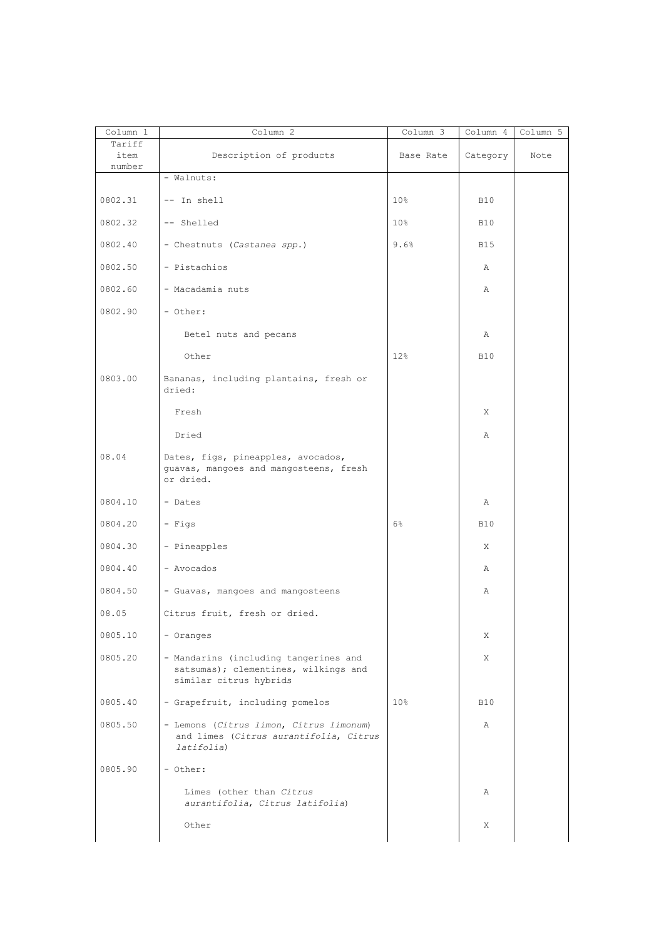| Column 1       | Column 2                                                                                                | Column 3        | Column 4   | Column 5 |
|----------------|---------------------------------------------------------------------------------------------------------|-----------------|------------|----------|
| Tariff<br>item | Description of products                                                                                 | Base Rate       | Category   | Note     |
| number         | - Walnuts:                                                                                              |                 |            |          |
| 0802.31        | -- In shell                                                                                             | 10 <sub>8</sub> | <b>B10</b> |          |
| 0802.32        | -- Shelled                                                                                              | 10 <sup>8</sup> | <b>B10</b> |          |
| 0802.40        | - Chestnuts (Castanea spp.)                                                                             | 9.6%            | <b>B15</b> |          |
| 0802.50        | - Pistachios                                                                                            |                 | Α          |          |
| 0802.60        | - Macadamia nuts                                                                                        |                 | Α          |          |
| 0802.90        | - Other:                                                                                                |                 |            |          |
|                | Betel nuts and pecans                                                                                   |                 | Α          |          |
|                | Other                                                                                                   | 12 <sub>8</sub> | <b>B10</b> |          |
| 0803.00        | Bananas, including plantains, fresh or<br>dried:                                                        |                 |            |          |
|                | Fresh                                                                                                   |                 | X          |          |
|                | Dried                                                                                                   |                 | Α          |          |
| 08.04          | Dates, figs, pineapples, avocados,<br>guavas, mangoes and mangosteens, fresh<br>or dried.               |                 |            |          |
| 0804.10        | - Dates                                                                                                 |                 | Α          |          |
| 0804.20        | - Figs                                                                                                  | 6%              | <b>B10</b> |          |
| 0804.30        | - Pineapples                                                                                            |                 | X          |          |
| 0804.40        | - Avocados                                                                                              |                 | Α          |          |
| 0804.50        | - Guavas, mangoes and mangosteens                                                                       |                 | Α          |          |
| 08.05          | Citrus fruit, fresh or dried.                                                                           |                 |            |          |
| 0805.10        | - Oranges                                                                                               |                 | X          |          |
| 0805.20        | - Mandarins (including tangerines and<br>satsumas); clementines, wilkings and<br>similar citrus hybrids |                 | X          |          |
| 0805.40        | - Grapefruit, including pomelos                                                                         | 10 <sup>°</sup> | <b>B10</b> |          |
| 0805.50        | - Lemons (Citrus limon, Citrus limonum)<br>and limes (Citrus aurantifolia, Citrus<br>latifolia)         |                 | Α          |          |
| 0805.90        | - Other:                                                                                                |                 |            |          |
|                | Limes (other than Citrus<br>aurantifolia, Citrus latifolia)                                             |                 | Α          |          |
|                | Other                                                                                                   |                 | X          |          |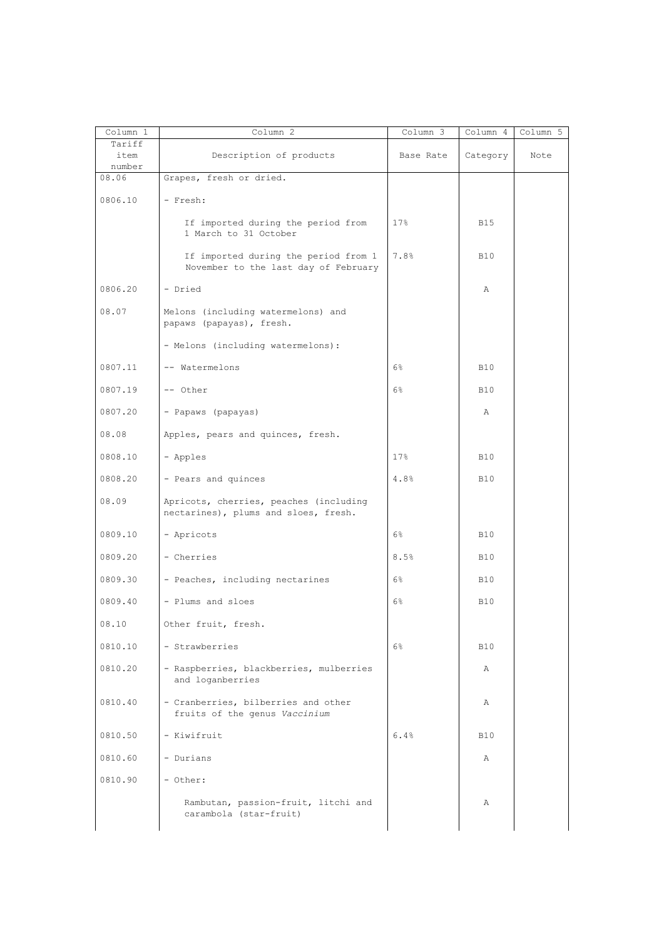| Column 1 | Column 2                                                                       | Column 3  | Column 4   | Column 5 |
|----------|--------------------------------------------------------------------------------|-----------|------------|----------|
| Tariff   |                                                                                |           |            |          |
| item     | Description of products                                                        | Base Rate | Category   | Note     |
| number   |                                                                                |           |            |          |
| 08.06    | Grapes, fresh or dried.                                                        |           |            |          |
| 0806.10  | - Fresh:                                                                       |           |            |          |
|          | If imported during the period from<br>1 March to 31 October                    | 17%       | <b>B15</b> |          |
|          | If imported during the period from 1<br>November to the last day of February   | 7.8%      | <b>B10</b> |          |
| 0806.20  | - Dried                                                                        |           | Α          |          |
| 08.07    | Melons (including watermelons) and<br>papaws (papayas), fresh.                 |           |            |          |
|          | - Melons (including watermelons):                                              |           |            |          |
| 0807.11  | -- Watermelons                                                                 | 6%        | <b>B10</b> |          |
| 0807.19  | -- Other                                                                       | 6%        | <b>B10</b> |          |
| 0807.20  | - Papaws (papayas)                                                             |           | Α          |          |
| 08.08    | Apples, pears and quinces, fresh.                                              |           |            |          |
| 0808.10  | - Apples                                                                       | 17%       | <b>B10</b> |          |
| 0808.20  | - Pears and quinces                                                            | 4.8%      | <b>B10</b> |          |
| 08.09    | Apricots, cherries, peaches (including<br>nectarines), plums and sloes, fresh. |           |            |          |
| 0809.10  | - Apricots                                                                     | $6\%$     | <b>B10</b> |          |
| 0809.20  | - Cherries                                                                     | 8.5%      | <b>B10</b> |          |
| 0809.30  | - Peaches, including nectarines                                                | $6\%$     | <b>B10</b> |          |
| 0809.40  | - Plums and sloes                                                              | 6%        | <b>B10</b> |          |
| 08.10    | Other fruit, fresh.                                                            |           |            |          |
| 0810.10  | - Strawberries                                                                 | $6\%$     | <b>B10</b> |          |
| 0810.20  | - Raspberries, blackberries, mulberries<br>and loganberries                    |           | Α          |          |
| 0810.40  | - Cranberries, bilberries and other<br>fruits of the genus Vaccinium           |           | Α          |          |
| 0810.50  | - Kiwifruit                                                                    | 6.4%      | <b>B10</b> |          |
| 0810.60  | - Durians                                                                      |           | Α          |          |
| 0810.90  | - Other:                                                                       |           |            |          |
|          | Rambutan, passion-fruit, litchi and<br>carambola (star-fruit)                  |           | Α          |          |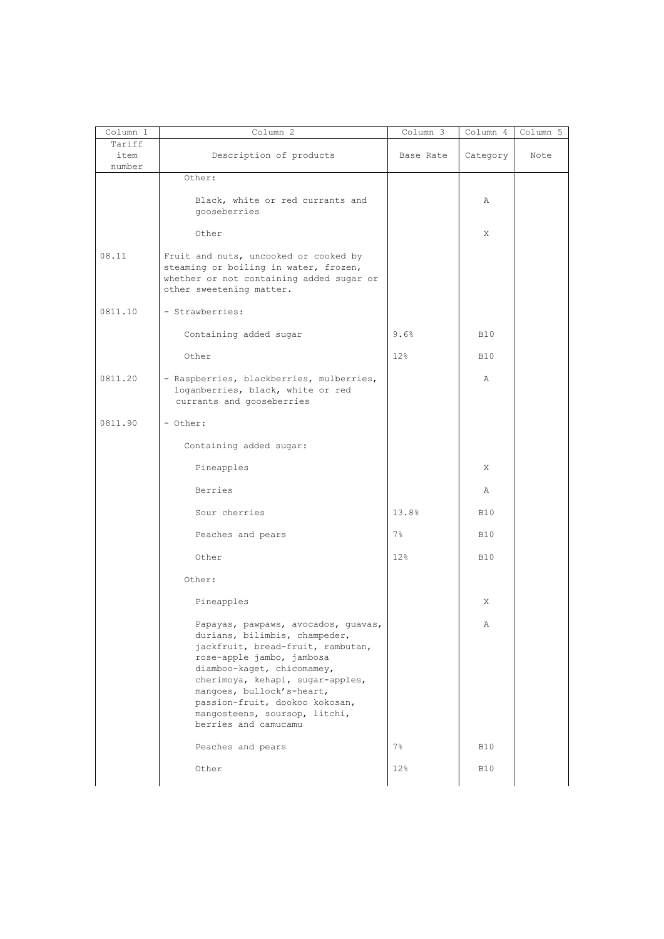| Column 1                 | Column 2                                                                                                                                                                                                                                                                                                                         | $Column \overline{3}$ | Column 4   | Column 5 |
|--------------------------|----------------------------------------------------------------------------------------------------------------------------------------------------------------------------------------------------------------------------------------------------------------------------------------------------------------------------------|-----------------------|------------|----------|
| Tariff<br>item<br>number | Description of products                                                                                                                                                                                                                                                                                                          | Base Rate             | Category   | Note     |
|                          | Other:                                                                                                                                                                                                                                                                                                                           |                       |            |          |
|                          | Black, white or red currants and<br>gooseberries                                                                                                                                                                                                                                                                                 |                       | Α          |          |
|                          | Other                                                                                                                                                                                                                                                                                                                            |                       | X          |          |
| 08.11                    | Fruit and nuts, uncooked or cooked by<br>steaming or boiling in water, frozen,<br>whether or not containing added sugar or<br>other sweetening matter.                                                                                                                                                                           |                       |            |          |
| 0811.10                  | - Strawberries:                                                                                                                                                                                                                                                                                                                  |                       |            |          |
|                          | Containing added sugar                                                                                                                                                                                                                                                                                                           | 9.6%                  | <b>B10</b> |          |
|                          | Other                                                                                                                                                                                                                                                                                                                            | 12%                   | <b>B10</b> |          |
| 0811.20                  | - Raspberries, blackberries, mulberries,<br>loganberries, black, white or red<br>currants and gooseberries                                                                                                                                                                                                                       |                       | Α          |          |
| 0811.90                  | - Other:                                                                                                                                                                                                                                                                                                                         |                       |            |          |
|                          | Containing added sugar:                                                                                                                                                                                                                                                                                                          |                       |            |          |
|                          | Pineapples                                                                                                                                                                                                                                                                                                                       |                       | X          |          |
|                          | Berries                                                                                                                                                                                                                                                                                                                          |                       | Α          |          |
|                          | Sour cherries                                                                                                                                                                                                                                                                                                                    | 13.8%                 | <b>B10</b> |          |
|                          | Peaches and pears                                                                                                                                                                                                                                                                                                                | $7\%$                 | <b>B10</b> |          |
|                          | Other                                                                                                                                                                                                                                                                                                                            | 12%                   | <b>B10</b> |          |
|                          | Other:                                                                                                                                                                                                                                                                                                                           |                       |            |          |
|                          | Pineapples                                                                                                                                                                                                                                                                                                                       |                       | X          |          |
|                          | Papayas, pawpaws, avocados, guavas,<br>durians, bilimbis, champeder,<br>jackfruit, bread-fruit, rambutan,<br>rose-apple jambo, jambosa<br>diamboo-kaget, chicomamey,<br>cherimoya, kehapi, sugar-apples,<br>mangoes, bullock's-heart,<br>passion-fruit, dookoo kokosan,<br>mangosteens, soursop, litchi,<br>berries and camucamu |                       | Α          |          |
|                          | Peaches and pears                                                                                                                                                                                                                                                                                                                | $7\%$                 | <b>B10</b> |          |
|                          | Other                                                                                                                                                                                                                                                                                                                            | 12%                   | <b>B10</b> |          |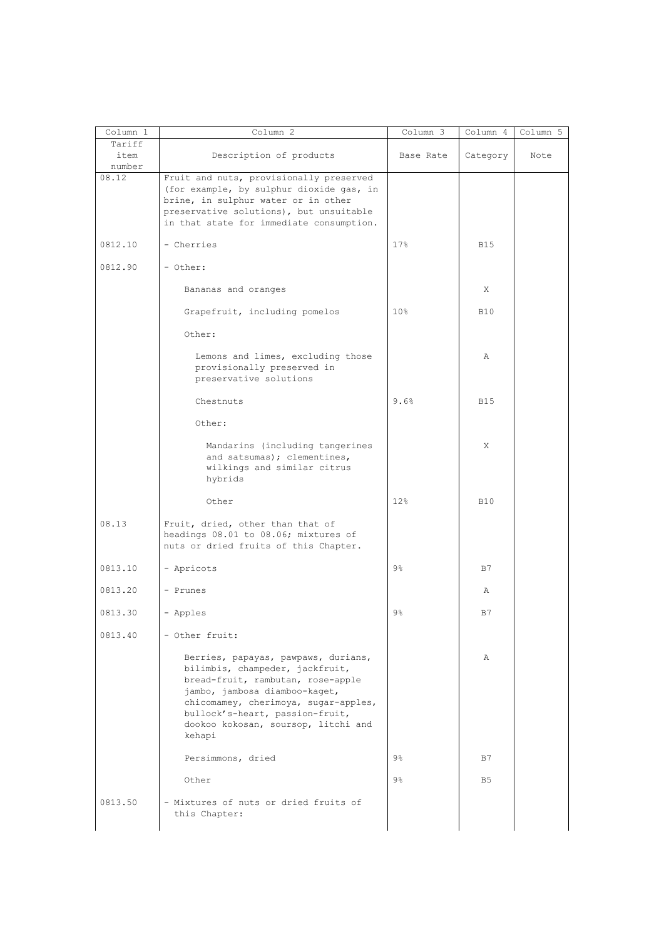| Column 1 | Column <sub>2</sub>                                                                                                                                                                                                                                                      | Column 3        | Column 4   | Column 5 |
|----------|--------------------------------------------------------------------------------------------------------------------------------------------------------------------------------------------------------------------------------------------------------------------------|-----------------|------------|----------|
| Tariff   |                                                                                                                                                                                                                                                                          |                 |            |          |
| item     | Description of products                                                                                                                                                                                                                                                  | Base Rate       | Category   | Note     |
| number   |                                                                                                                                                                                                                                                                          |                 |            |          |
| 08.12    | Fruit and nuts, provisionally preserved<br>(for example, by sulphur dioxide gas, in<br>brine, in sulphur water or in other<br>preservative solutions), but unsuitable<br>in that state for immediate consumption.                                                        |                 |            |          |
| 0812.10  | - Cherries                                                                                                                                                                                                                                                               | 17%             | <b>B15</b> |          |
| 0812.90  | - Other:                                                                                                                                                                                                                                                                 |                 |            |          |
|          | Bananas and oranges                                                                                                                                                                                                                                                      |                 | X          |          |
|          | Grapefruit, including pomelos                                                                                                                                                                                                                                            | 10 <sub>8</sub> | <b>B10</b> |          |
|          | Other:                                                                                                                                                                                                                                                                   |                 |            |          |
|          | Lemons and limes, excluding those<br>provisionally preserved in<br>preservative solutions                                                                                                                                                                                |                 | Α          |          |
|          | Chestnuts                                                                                                                                                                                                                                                                | 9.6%            | <b>B15</b> |          |
|          | Other:                                                                                                                                                                                                                                                                   |                 |            |          |
|          | Mandarins (including tangerines<br>and satsumas); clementines,<br>wilkings and similar citrus<br>hybrids                                                                                                                                                                 |                 | X          |          |
|          | Other                                                                                                                                                                                                                                                                    | 12%             | <b>B10</b> |          |
| 08.13    | Fruit, dried, other than that of<br>headings 08.01 to 08.06; mixtures of<br>nuts or dried fruits of this Chapter.                                                                                                                                                        |                 |            |          |
| 0813.10  | - Apricots                                                                                                                                                                                                                                                               | $9\frac{6}{9}$  | B7         |          |
| 0813.20  | - Prunes                                                                                                                                                                                                                                                                 |                 | Α          |          |
| 0813.30  | - Apples                                                                                                                                                                                                                                                                 | 9%              | B7         |          |
| 0813.40  | - Other fruit:                                                                                                                                                                                                                                                           |                 |            |          |
|          | Berries, papayas, pawpaws, durians,<br>bilimbis, champeder, jackfruit,<br>bread-fruit, rambutan, rose-apple<br>jambo, jambosa diamboo-kaget,<br>chicomamey, cherimoya, sugar-apples,<br>bullock's-heart, passion-fruit,<br>dookoo kokosan, soursop, litchi and<br>kehapi |                 | Α          |          |
|          | Persimmons, dried                                                                                                                                                                                                                                                        | $9\frac{6}{6}$  | B7         |          |
|          | Other                                                                                                                                                                                                                                                                    | 9%              | B5         |          |
| 0813.50  | - Mixtures of nuts or dried fruits of<br>this Chapter:                                                                                                                                                                                                                   |                 |            |          |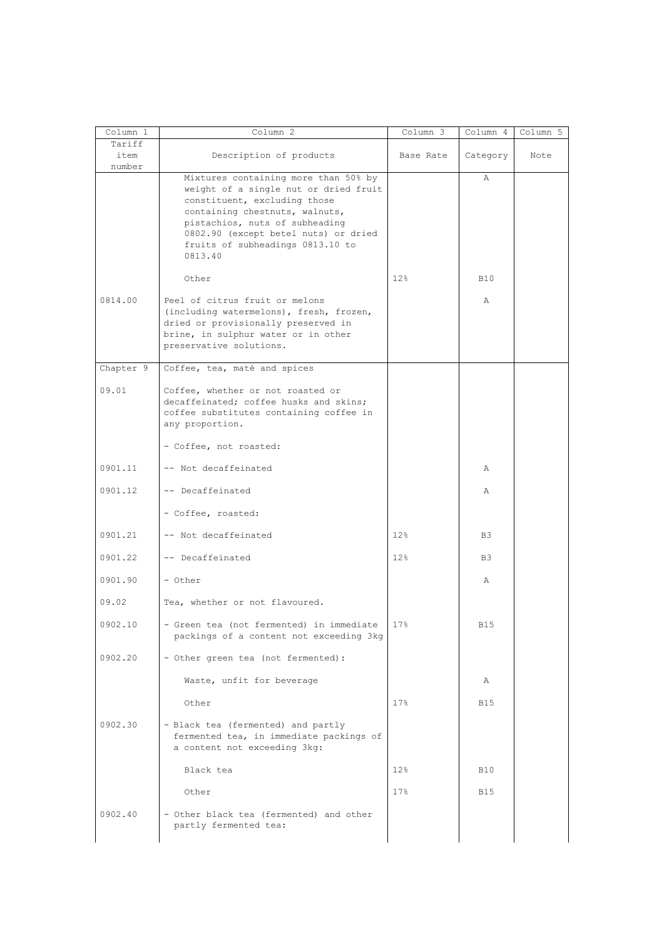| Column 1                 | Column 2                                                                                                                                                                                                                                                                 | $Column \overline{3}$ | Column 4       | Column 5 |
|--------------------------|--------------------------------------------------------------------------------------------------------------------------------------------------------------------------------------------------------------------------------------------------------------------------|-----------------------|----------------|----------|
| Tariff<br>item<br>number | Description of products                                                                                                                                                                                                                                                  | Base Rate             | Category       | Note     |
|                          | Mixtures containing more than 50% by<br>weight of a single nut or dried fruit<br>constituent, excluding those<br>containing chestnuts, walnuts,<br>pistachios, nuts of subheading<br>0802.90 (except betel nuts) or dried<br>fruits of subheadings 0813.10 to<br>0813.40 |                       | $\mathbb{A}$   |          |
|                          | Other                                                                                                                                                                                                                                                                    | 12%                   | <b>B10</b>     |          |
| 0814.00                  | Peel of citrus fruit or melons<br>(including watermelons), fresh, frozen,<br>dried or provisionally preserved in<br>brine, in sulphur water or in other<br>preservative solutions.                                                                                       |                       | $\mathbb{A}$   |          |
| Chapter 9                | Coffee, tea, maté and spices                                                                                                                                                                                                                                             |                       |                |          |
| 09.01                    | Coffee, whether or not roasted or<br>decaffeinated; coffee husks and skins;<br>coffee substitutes containing coffee in<br>any proportion.                                                                                                                                |                       |                |          |
|                          | - Coffee, not roasted:                                                                                                                                                                                                                                                   |                       |                |          |
| 0901.11                  | -- Not decaffeinated                                                                                                                                                                                                                                                     |                       | Α              |          |
| 0901.12                  | -- Decaffeinated                                                                                                                                                                                                                                                         |                       | Α              |          |
|                          | - Coffee, roasted:                                                                                                                                                                                                                                                       |                       |                |          |
| 0901.21                  | -- Not decaffeinated                                                                                                                                                                                                                                                     | 12%                   | B <sub>3</sub> |          |
| 0901.22                  | -- Decaffeinated                                                                                                                                                                                                                                                         | 12%                   | B <sub>3</sub> |          |
| 0901.90                  | - Other                                                                                                                                                                                                                                                                  |                       | Α              |          |
| 09.02                    | Tea, whether or not flavoured.                                                                                                                                                                                                                                           |                       |                |          |
| 0902.10                  | - Green tea (not fermented) in immediate<br>packings of a content not exceeding 3kg                                                                                                                                                                                      | 17%                   | <b>B15</b>     |          |
| 0902.20                  | - Other green tea (not fermented):                                                                                                                                                                                                                                       |                       |                |          |
|                          | Waste, unfit for beverage                                                                                                                                                                                                                                                |                       | Α              |          |
|                          | Other                                                                                                                                                                                                                                                                    | 17%                   | <b>B15</b>     |          |
| 0902.30                  | - Black tea (fermented) and partly<br>fermented tea, in immediate packings of<br>a content not exceeding 3kg:                                                                                                                                                            |                       |                |          |
|                          | Black tea                                                                                                                                                                                                                                                                | 12 <sub>8</sub>       | <b>B10</b>     |          |
|                          | Other                                                                                                                                                                                                                                                                    | 17 <sub>8</sub>       | <b>B15</b>     |          |
| 0902.40                  | - Other black tea (fermented) and other<br>partly fermented tea:                                                                                                                                                                                                         |                       |                |          |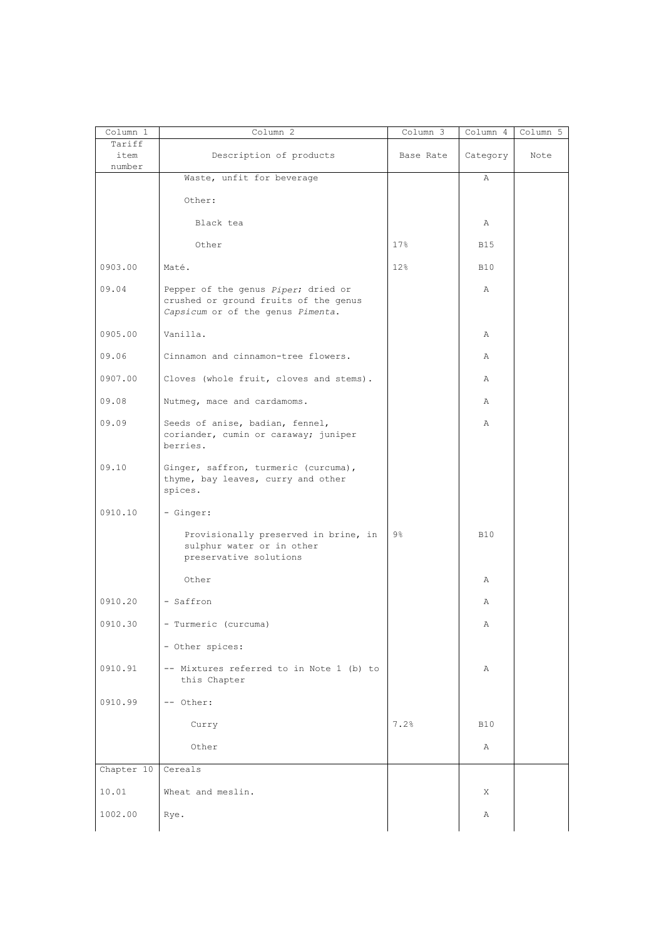| Column 1                 | Column 2                                                                                                          | Column 3  | Column 4   | Column 5 |
|--------------------------|-------------------------------------------------------------------------------------------------------------------|-----------|------------|----------|
| Tariff<br>item<br>number | Description of products                                                                                           | Base Rate | Category   | Note     |
|                          | Waste, unfit for beverage                                                                                         |           | Α          |          |
|                          | Other:                                                                                                            |           |            |          |
|                          | Black tea                                                                                                         |           | Α          |          |
|                          | Other                                                                                                             | 17%       | <b>B15</b> |          |
| 0903.00                  | Maté.                                                                                                             | 12%       | <b>B10</b> |          |
| 09.04                    | Pepper of the genus Piper; dried or<br>crushed or ground fruits of the genus<br>Capsicum or of the genus Pimenta. |           | Α          |          |
| 0905.00                  | Vanilla.                                                                                                          |           | Α          |          |
| 09.06                    | Cinnamon and cinnamon-tree flowers.                                                                               |           | Α          |          |
| 0907.00                  | Cloves (whole fruit, cloves and stems).                                                                           |           | A          |          |
| 09.08                    | Nutmeg, mace and cardamoms.                                                                                       |           | Α          |          |
| 09.09                    | Seeds of anise, badian, fennel,<br>coriander, cumin or caraway; juniper<br>berries.                               |           | Α          |          |
| 09.10                    | Ginger, saffron, turmeric (curcuma),<br>thyme, bay leaves, curry and other<br>spices.                             |           |            |          |
| 0910.10                  | - Ginger:                                                                                                         |           |            |          |
|                          | Provisionally preserved in brine, in<br>sulphur water or in other<br>preservative solutions                       | $9\%$     | <b>B10</b> |          |
|                          | Other                                                                                                             |           | Α          |          |
| 0910.20                  | - Saffron                                                                                                         |           | Α          |          |
| 0910.30                  | - Turmeric (curcuma)                                                                                              |           | Α          |          |
|                          | - Other spices:                                                                                                   |           |            |          |
| 0910.91                  | -- Mixtures referred to in Note 1 (b) to<br>this Chapter                                                          |           | Α          |          |
| 0910.99                  | -- Other:                                                                                                         |           |            |          |
|                          | Curry                                                                                                             | 7.2%      | <b>B10</b> |          |
|                          | Other                                                                                                             |           | Α          |          |
| Chapter 10               | Cereals                                                                                                           |           |            |          |
| 10.01                    | Wheat and meslin.                                                                                                 |           | X          |          |
| 1002.00                  | Rye.                                                                                                              |           | Α          |          |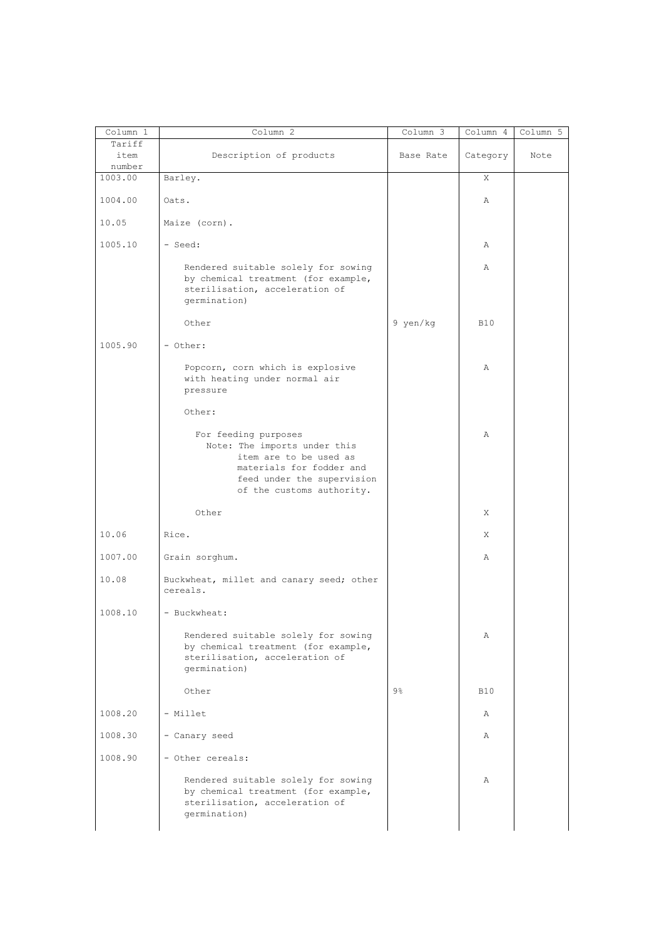| Column 1                 | Column 2                                                                                                                                                              | Column 3       | Column 4   | Column 5 |
|--------------------------|-----------------------------------------------------------------------------------------------------------------------------------------------------------------------|----------------|------------|----------|
| Tariff<br>item<br>number | Description of products                                                                                                                                               | Base Rate      | Category   | Note     |
| 1003.00                  | Barley.                                                                                                                                                               |                | X          |          |
| 1004.00                  | Oats.                                                                                                                                                                 |                | Α          |          |
| 10.05                    | Maize (corn).                                                                                                                                                         |                |            |          |
| 1005.10                  | - Seed:                                                                                                                                                               |                | Α          |          |
|                          | Rendered suitable solely for sowing<br>by chemical treatment (for example,<br>sterilisation, acceleration of<br>germination)                                          |                | Α          |          |
|                          | Other                                                                                                                                                                 | 9 yen/kg       | <b>B10</b> |          |
| 1005.90                  | - Other:                                                                                                                                                              |                |            |          |
|                          | Popcorn, corn which is explosive<br>with heating under normal air<br>pressure                                                                                         |                | Α          |          |
|                          | Other:                                                                                                                                                                |                |            |          |
|                          | For feeding purposes<br>Note: The imports under this<br>item are to be used as<br>materials for fodder and<br>feed under the supervision<br>of the customs authority. |                | Α          |          |
|                          | Other                                                                                                                                                                 |                | X          |          |
| 10.06                    | Rice.                                                                                                                                                                 |                | X          |          |
| 1007.00                  | Grain sorghum.                                                                                                                                                        |                | Α          |          |
| 10.08                    | Buckwheat, millet and canary seed; other<br>cereals.                                                                                                                  |                |            |          |
| 1008.10                  | - Buckwheat:                                                                                                                                                          |                |            |          |
|                          | Rendered suitable solely for sowing<br>by chemical treatment (for example,<br>sterilisation, acceleration of<br>qermination)                                          |                | Α          |          |
|                          | Other                                                                                                                                                                 | $9\frac{6}{6}$ | <b>B10</b> |          |
| 1008.20                  | - Millet                                                                                                                                                              |                | Α          |          |
| 1008.30                  | - Canary seed                                                                                                                                                         |                | Α          |          |
| 1008.90                  | - Other cereals:                                                                                                                                                      |                |            |          |
|                          | Rendered suitable solely for sowing<br>by chemical treatment (for example,<br>sterilisation, acceleration of<br>germination)                                          |                | Α          |          |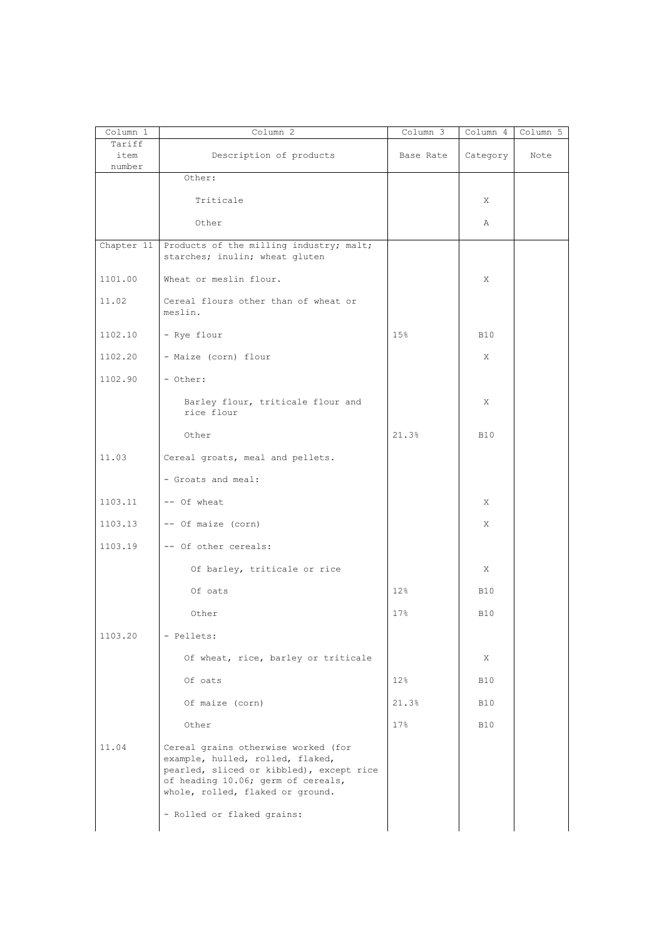| Column 1<br>Tariff | Column 2                                                                                                                                                                                      | Column 3        | Column 4   | Column 5 |
|--------------------|-----------------------------------------------------------------------------------------------------------------------------------------------------------------------------------------------|-----------------|------------|----------|
| item<br>number     | Description of products                                                                                                                                                                       | Base Rate       | Category   | Note     |
|                    | Other:                                                                                                                                                                                        |                 |            |          |
|                    | Triticale                                                                                                                                                                                     |                 | X          |          |
|                    | Other                                                                                                                                                                                         |                 | Α          |          |
| Chapter 11         | Products of the milling industry; malt;<br>starches; inulin; wheat gluten                                                                                                                     |                 |            |          |
| 1101.00            | Wheat or meslin flour.                                                                                                                                                                        |                 | X          |          |
| 11.02              | Cereal flours other than of wheat or<br>meslin.                                                                                                                                               |                 |            |          |
| 1102.10            | - Rye flour                                                                                                                                                                                   | 15%             | <b>B10</b> |          |
| 1102.20            | - Maize (corn) flour                                                                                                                                                                          |                 | X          |          |
| 1102.90            | - Other:                                                                                                                                                                                      |                 |            |          |
|                    | Barley flour, triticale flour and<br>rice flour                                                                                                                                               |                 | X          |          |
|                    | Other                                                                                                                                                                                         | 21.3%           | <b>B10</b> |          |
| 11.03              | Cereal groats, meal and pellets.                                                                                                                                                              |                 |            |          |
|                    | - Groats and meal:                                                                                                                                                                            |                 |            |          |
| 1103.11            | -- Of wheat                                                                                                                                                                                   |                 | X          |          |
| 1103.13            | -- Of maize (corn)                                                                                                                                                                            |                 | X          |          |
| 1103.19            | -- Of other cereals:                                                                                                                                                                          |                 |            |          |
|                    | Of barley, triticale or rice                                                                                                                                                                  |                 | X          |          |
|                    | Of oats                                                                                                                                                                                       | 12%             | <b>B10</b> |          |
|                    | Other                                                                                                                                                                                         | 17 <sub>8</sub> | <b>B10</b> |          |
| 1103.20            | - Pellets:                                                                                                                                                                                    |                 |            |          |
|                    | Of wheat, rice, barley or triticale                                                                                                                                                           |                 | X          |          |
|                    | Of oats                                                                                                                                                                                       | 12%             | <b>B10</b> |          |
|                    | Of maize (corn)                                                                                                                                                                               | 21.3%           | <b>B10</b> |          |
|                    | Other                                                                                                                                                                                         | 17%             | <b>B10</b> |          |
| 11.04              | Cereal grains otherwise worked (for<br>example, hulled, rolled, flaked,<br>pearled, sliced or kibbled), except rice<br>of heading 10.06; germ of cereals,<br>whole, rolled, flaked or ground. |                 |            |          |
|                    | - Rolled or flaked grains:                                                                                                                                                                    |                 |            |          |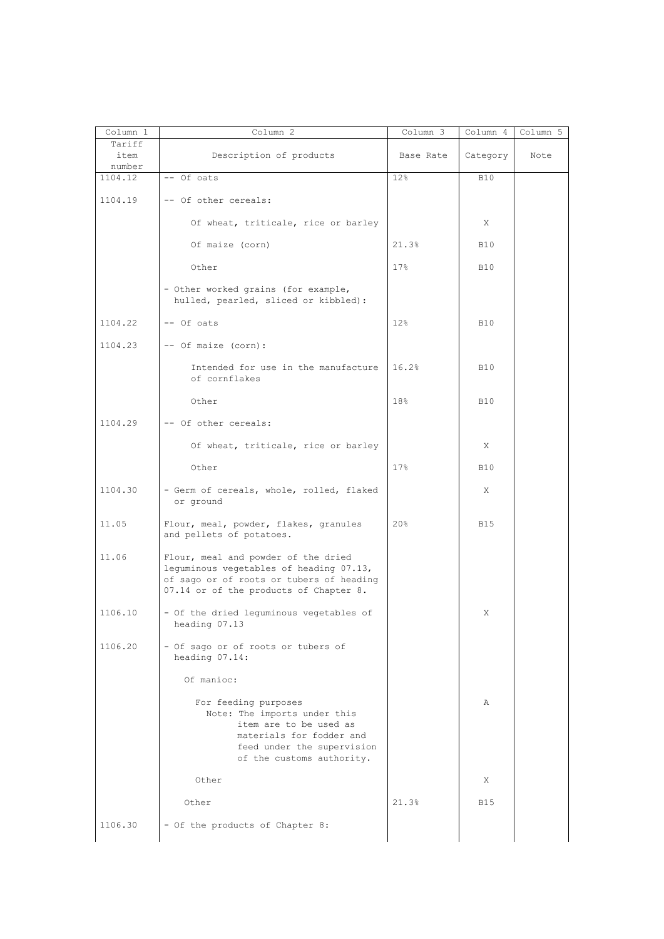| Column 1<br>Tariff | Column 2                                                                                                                                                              | Column 3        | Column 4   | Column 5 |
|--------------------|-----------------------------------------------------------------------------------------------------------------------------------------------------------------------|-----------------|------------|----------|
| item<br>number     | Description of products                                                                                                                                               | Base Rate       | Category   | Note     |
| 1104.12            | -- Of oats                                                                                                                                                            | 12%             | <b>B10</b> |          |
| 1104.19            | -- Of other cereals:                                                                                                                                                  |                 |            |          |
|                    | Of wheat, triticale, rice or barley                                                                                                                                   |                 | X          |          |
|                    | Of maize (corn)                                                                                                                                                       | 21.3%           | <b>B10</b> |          |
|                    | Other                                                                                                                                                                 | 17 <sub>8</sub> | <b>B10</b> |          |
|                    | - Other worked grains (for example,<br>hulled, pearled, sliced or kibbled):                                                                                           |                 |            |          |
| 1104.22            | -- Of oats                                                                                                                                                            | 12 <sub>8</sub> | <b>B10</b> |          |
| 1104.23            | -- Of maize (corn):                                                                                                                                                   |                 |            |          |
|                    | Intended for use in the manufacture<br>of cornflakes                                                                                                                  | 16.2%           | <b>B10</b> |          |
|                    | Other                                                                                                                                                                 | 18%             | <b>B10</b> |          |
| 1104.29            | -- Of other cereals:                                                                                                                                                  |                 |            |          |
|                    | Of wheat, triticale, rice or barley                                                                                                                                   |                 | Χ          |          |
|                    | Other                                                                                                                                                                 | 17 <sub>8</sub> | <b>B10</b> |          |
| 1104.30            | - Germ of cereals, whole, rolled, flaked<br>or ground                                                                                                                 |                 | X          |          |
| 11.05              | Flour, meal, powder, flakes, granules<br>and pellets of potatoes.                                                                                                     | 20%             | <b>B15</b> |          |
| 11.06              | Flour, meal and powder of the dried<br>leguminous vegetables of heading 07.13,<br>of sago or of roots or tubers of heading<br>07.14 or of the products of Chapter 8.  |                 |            |          |
| 1106.10            | - Of the dried lequminous vegetables of<br>heading 07.13                                                                                                              |                 | Χ          |          |
| 1106.20            | - Of sago or of roots or tubers of<br>heading 07.14:                                                                                                                  |                 |            |          |
|                    | Of manioc:                                                                                                                                                            |                 |            |          |
|                    | For feeding purposes<br>Note: The imports under this<br>item are to be used as<br>materials for fodder and<br>feed under the supervision<br>of the customs authority. |                 | Α          |          |
|                    | Other                                                                                                                                                                 |                 | X          |          |
|                    | Other                                                                                                                                                                 | 21.3%           | <b>B15</b> |          |
| 1106.30            | - Of the products of Chapter 8:                                                                                                                                       |                 |            |          |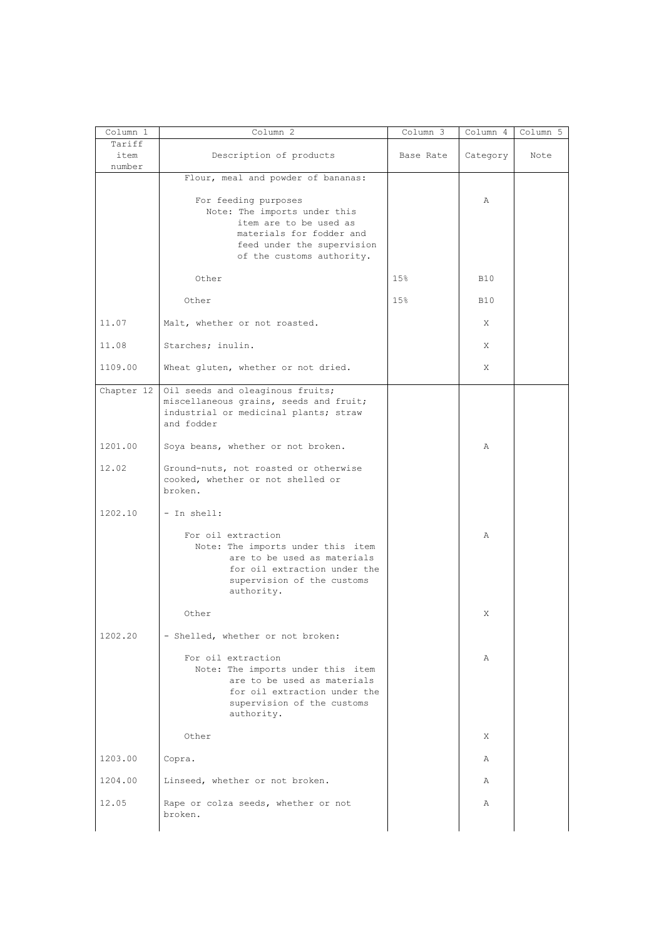| Column 1                 | Column 2                                                                                                                                                              | Column 3  | Column 4   | Column 5 |
|--------------------------|-----------------------------------------------------------------------------------------------------------------------------------------------------------------------|-----------|------------|----------|
| Tariff<br>item<br>number | Description of products                                                                                                                                               | Base Rate | Category   | Note     |
|                          | Flour, meal and powder of bananas:                                                                                                                                    |           |            |          |
|                          | For feeding purposes<br>Note: The imports under this<br>item are to be used as<br>materials for fodder and<br>feed under the supervision<br>of the customs authority. |           | Α          |          |
|                          | Other                                                                                                                                                                 | 15%       | <b>B10</b> |          |
|                          | Other                                                                                                                                                                 | 15%       | <b>B10</b> |          |
| 11.07                    | Malt, whether or not roasted.                                                                                                                                         |           | X          |          |
| 11.08                    | Starches; inulin.                                                                                                                                                     |           | X          |          |
| 1109.00                  | Wheat gluten, whether or not dried.                                                                                                                                   |           | X          |          |
| Chapter 12               | Oil seeds and oleaginous fruits;<br>miscellaneous grains, seeds and fruit;<br>industrial or medicinal plants; straw<br>and fodder                                     |           |            |          |
| 1201.00                  | Soya beans, whether or not broken.                                                                                                                                    |           | Α          |          |
| 12.02                    | Ground-nuts, not roasted or otherwise<br>cooked, whether or not shelled or<br>broken.                                                                                 |           |            |          |
| 1202.10                  | - In shell:                                                                                                                                                           |           |            |          |
|                          | For oil extraction<br>Note: The imports under this item<br>are to be used as materials<br>for oil extraction under the<br>supervision of the customs<br>authority.    |           | Α          |          |
|                          | Other                                                                                                                                                                 |           | X          |          |
| 1202.20                  | - Shelled, whether or not broken:                                                                                                                                     |           |            |          |
|                          | For oil extraction<br>Note: The imports under this item<br>are to be used as materials<br>for oil extraction under the<br>supervision of the customs<br>authority.    |           | Α          |          |
|                          | Other                                                                                                                                                                 |           | X          |          |
| 1203.00                  | Copra.                                                                                                                                                                |           | Α          |          |
| 1204.00                  | Linseed, whether or not broken.                                                                                                                                       |           | Α          |          |
| 12.05                    | Rape or colza seeds, whether or not<br>broken.                                                                                                                        |           | Α          |          |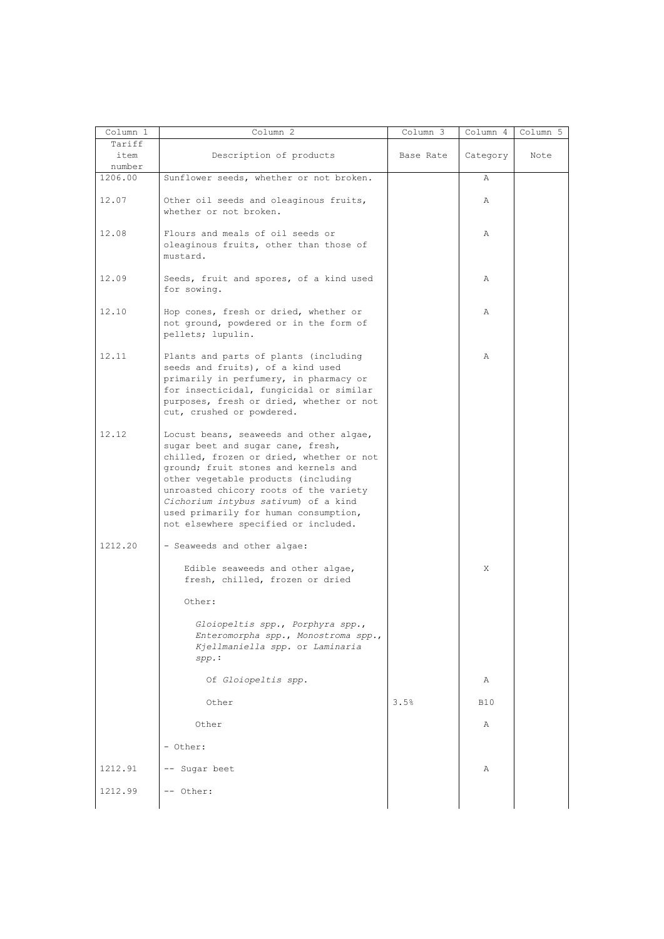| Column 1                 | Column 2                                                                                                                                                                                                                                                                                                                                                                   | Column 3  | Column 4     | Column 5 |
|--------------------------|----------------------------------------------------------------------------------------------------------------------------------------------------------------------------------------------------------------------------------------------------------------------------------------------------------------------------------------------------------------------------|-----------|--------------|----------|
| Tariff<br>item<br>number | Description of products                                                                                                                                                                                                                                                                                                                                                    | Base Rate | Category     | Note     |
| 1206.00                  | Sunflower seeds, whether or not broken.                                                                                                                                                                                                                                                                                                                                    |           | Α            |          |
| 12.07                    | Other oil seeds and oleaginous fruits,<br>whether or not broken.                                                                                                                                                                                                                                                                                                           |           | Α            |          |
| 12.08                    | Flours and meals of oil seeds or<br>oleaginous fruits, other than those of<br>mustard.                                                                                                                                                                                                                                                                                     |           | Α            |          |
| 12.09                    | Seeds, fruit and spores, of a kind used<br>for sowing.                                                                                                                                                                                                                                                                                                                     |           | Α            |          |
| 12.10                    | Hop cones, fresh or dried, whether or<br>not ground, powdered or in the form of<br>pellets; lupulin.                                                                                                                                                                                                                                                                       |           | Α            |          |
| 12.11                    | Plants and parts of plants (including<br>seeds and fruits), of a kind used<br>primarily in perfumery, in pharmacy or<br>for insecticidal, fungicidal or similar<br>purposes, fresh or dried, whether or not<br>cut, crushed or powdered.                                                                                                                                   |           | $\mathbb{A}$ |          |
| 12.12                    | Locust beans, seaweeds and other algae,<br>sugar beet and sugar cane, fresh,<br>chilled, frozen or dried, whether or not<br>ground; fruit stones and kernels and<br>other vegetable products (including<br>unroasted chicory roots of the variety<br>Cichorium intybus sativum) of a kind<br>used primarily for human consumption,<br>not elsewhere specified or included. |           |              |          |
| 1212.20                  | - Seaweeds and other algae:                                                                                                                                                                                                                                                                                                                                                |           |              |          |
|                          | Edible seaweeds and other algae,<br>fresh, chilled, frozen or dried                                                                                                                                                                                                                                                                                                        |           | X            |          |
|                          | Other:                                                                                                                                                                                                                                                                                                                                                                     |           |              |          |
|                          | Gloiopeltis spp., Porphyra spp.,<br>Enteromorpha spp., Monostroma spp.,<br>Kjellmaniella spp. or Laminaria<br>$spp$ .:                                                                                                                                                                                                                                                     |           |              |          |
|                          | Of Gloiopeltis spp.                                                                                                                                                                                                                                                                                                                                                        |           | Α            |          |
|                          | Other                                                                                                                                                                                                                                                                                                                                                                      | 3.5%      | <b>B10</b>   |          |
|                          | Other                                                                                                                                                                                                                                                                                                                                                                      |           | Α            |          |
|                          |                                                                                                                                                                                                                                                                                                                                                                            |           |              |          |
|                          | - Other:                                                                                                                                                                                                                                                                                                                                                                   |           |              |          |
| 1212.91                  | -- Sugar beet                                                                                                                                                                                                                                                                                                                                                              |           | Α            |          |
|                          | -- Other:                                                                                                                                                                                                                                                                                                                                                                  |           |              |          |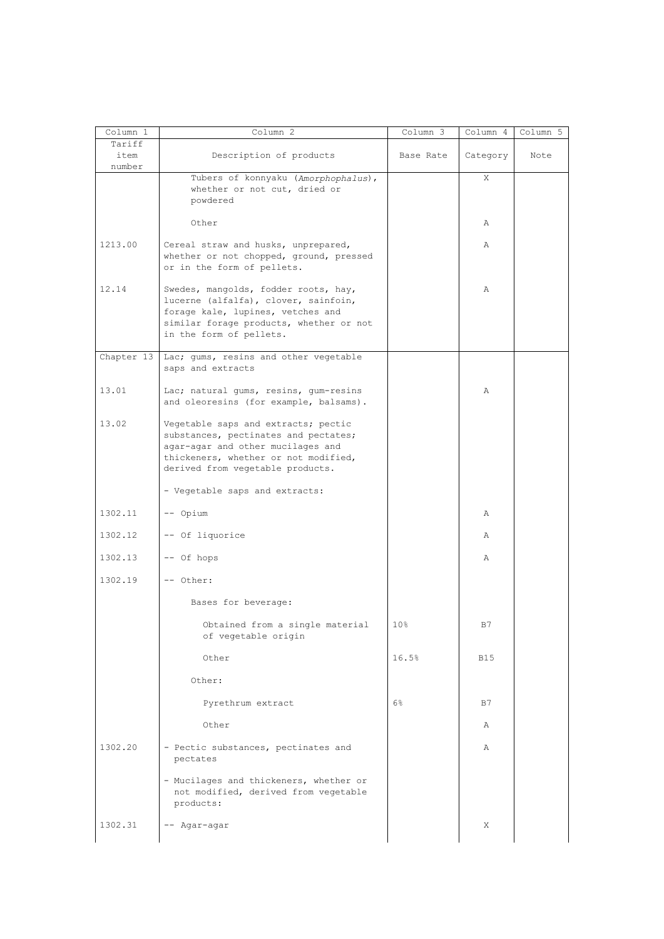| Column 1                 | Column 2                                                                                                                                                                                     | Column 3  | Column 4   | Column 5 |
|--------------------------|----------------------------------------------------------------------------------------------------------------------------------------------------------------------------------------------|-----------|------------|----------|
| Tariff<br>item<br>number | Description of products                                                                                                                                                                      | Base Rate | Category   | Note     |
|                          | Tubers of konnyaku (Amorphophalus),<br>whether or not cut, dried or<br>powdered                                                                                                              |           | X          |          |
|                          | Other                                                                                                                                                                                        |           | Α          |          |
| 1213.00                  | Cereal straw and husks, unprepared,<br>whether or not chopped, ground, pressed<br>or in the form of pellets.                                                                                 |           | Α          |          |
| 12.14                    | Swedes, mangolds, fodder roots, hay,<br>lucerne (alfalfa), clover, sainfoin,<br>forage kale, lupines, vetches and<br>similar forage products, whether or not<br>in the form of pellets.      |           | Α          |          |
| Chapter 13               | Lac; gums, resins and other vegetable<br>saps and extracts                                                                                                                                   |           |            |          |
| 13.01                    | Lac; natural gums, resins, gum-resins<br>and oleoresins (for example, balsams).                                                                                                              |           | A          |          |
| 13.02                    | Vegetable saps and extracts; pectic<br>substances, pectinates and pectates;<br>agar-agar and other mucilages and<br>thickeners, whether or not modified,<br>derived from vegetable products. |           |            |          |
|                          | - Vegetable saps and extracts:                                                                                                                                                               |           |            |          |
| 1302.11                  | -- Opium                                                                                                                                                                                     |           | Α          |          |
| 1302.12                  | -- Of liquorice                                                                                                                                                                              |           | Α          |          |
| 1302.13                  | -- Of hops                                                                                                                                                                                   |           | Α          |          |
| 1302.19                  | -- Other:                                                                                                                                                                                    |           |            |          |
|                          | Bases for beverage:                                                                                                                                                                          |           |            |          |
|                          | Obtained from a single material<br>of vegetable origin                                                                                                                                       | 10%       | в7         |          |
|                          | Other                                                                                                                                                                                        | 16.5%     | <b>B15</b> |          |
|                          | Other:                                                                                                                                                                                       |           |            |          |
|                          | Pyrethrum extract                                                                                                                                                                            | 6%        | B7         |          |
|                          | Other                                                                                                                                                                                        |           | Α          |          |
| 1302.20                  | - Pectic substances, pectinates and<br>pectates                                                                                                                                              |           | Α          |          |
|                          | - Mucilages and thickeners, whether or<br>not modified, derived from vegetable<br>products:                                                                                                  |           |            |          |
| 1302.31                  | -- Agar-agar                                                                                                                                                                                 |           | Χ          |          |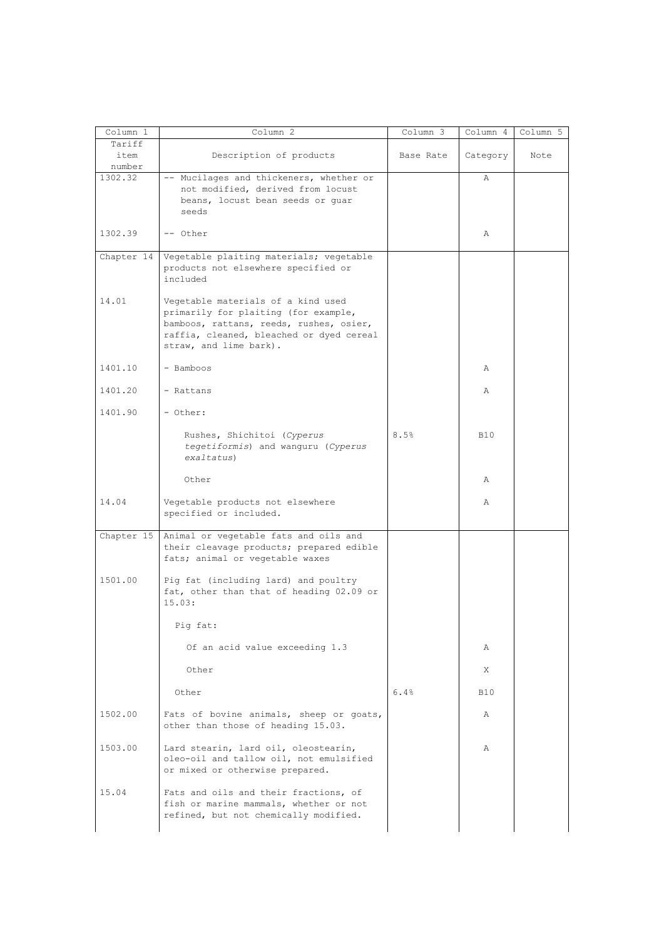| Column 1                 | Column 2                                                                                                                                                                                    | Column 3  | Column 4   | Column 5 |
|--------------------------|---------------------------------------------------------------------------------------------------------------------------------------------------------------------------------------------|-----------|------------|----------|
| Tariff<br>item<br>number | Description of products                                                                                                                                                                     | Base Rate | Category   | Note     |
| 1302.32                  | -- Mucilages and thickeners, whether or<br>not modified, derived from locust<br>beans, locust bean seeds or quar<br>seeds                                                                   |           | Α          |          |
| 1302.39                  | -- Other                                                                                                                                                                                    |           | Α          |          |
| Chapter 14               | Vegetable plaiting materials; vegetable<br>products not elsewhere specified or<br>included                                                                                                  |           |            |          |
| 14.01                    | Vegetable materials of a kind used<br>primarily for plaiting (for example,<br>bamboos, rattans, reeds, rushes, osier,<br>raffia, cleaned, bleached or dyed cereal<br>straw, and lime bark). |           |            |          |
| 1401.10                  | - Bamboos                                                                                                                                                                                   |           | Α          |          |
| 1401.20                  | - Rattans                                                                                                                                                                                   |           | Α          |          |
| 1401.90                  | - Other:                                                                                                                                                                                    |           |            |          |
|                          | Rushes, Shichitoi (Cyperus<br>tegetiformis) and wanguru (Cyperus<br>exaltatus)                                                                                                              | 8.5%      | <b>B10</b> |          |
|                          | Other                                                                                                                                                                                       |           | Α          |          |
| 14.04                    | Vegetable products not elsewhere<br>specified or included.                                                                                                                                  |           | Α          |          |
| Chapter 15               | Animal or vegetable fats and oils and<br>their cleavage products; prepared edible<br>fats; animal or vegetable waxes                                                                        |           |            |          |
| 1501.00                  | Pig fat (including lard) and poultry<br>fat, other than that of heading 02.09 or<br>15.03:                                                                                                  |           |            |          |
|                          | Pig fat:                                                                                                                                                                                    |           |            |          |
|                          | Of an acid value exceeding 1.3                                                                                                                                                              |           | Α          |          |
|                          | Other                                                                                                                                                                                       |           | X          |          |
|                          | Other                                                                                                                                                                                       | 6.4%      | <b>B10</b> |          |
| 1502.00                  | Fats of bovine animals, sheep or goats,<br>other than those of heading 15.03.                                                                                                               |           | Α          |          |
| 1503.00                  | Lard stearin, lard oil, oleostearin,<br>oleo-oil and tallow oil, not emulsified<br>or mixed or otherwise prepared.                                                                          |           | Α          |          |
| 15.04                    | Fats and oils and their fractions, of<br>fish or marine mammals, whether or not<br>refined, but not chemically modified.                                                                    |           |            |          |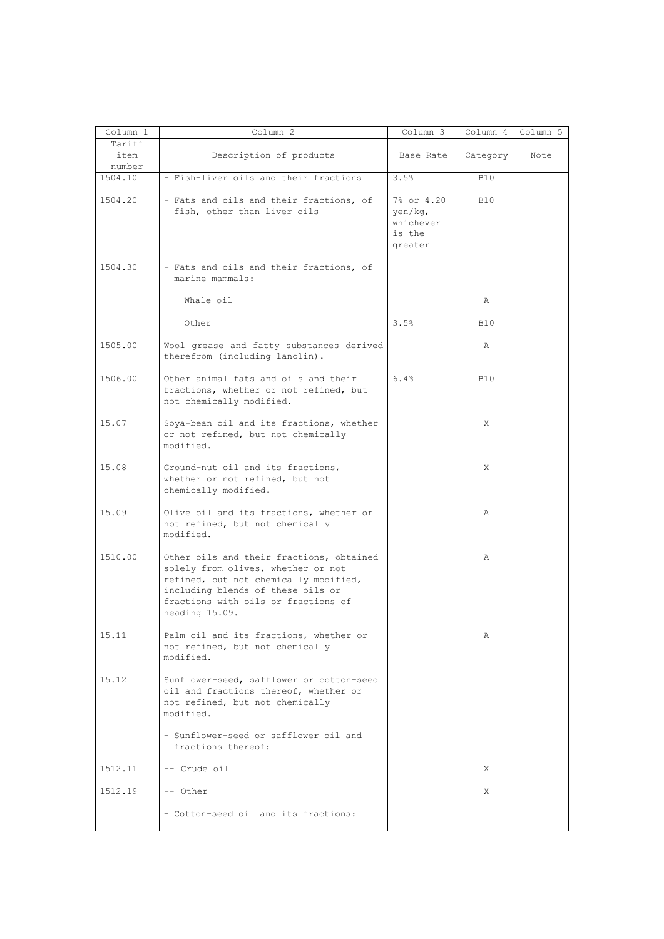| Column 1                 | Column 2                                                                                                                                                                                                              | Column 3                                                | Column 4   | Column 5 |
|--------------------------|-----------------------------------------------------------------------------------------------------------------------------------------------------------------------------------------------------------------------|---------------------------------------------------------|------------|----------|
| Tariff<br>item<br>number | Description of products                                                                                                                                                                                               | Base Rate                                               | Category   | Note     |
| 1504.10                  | - Fish-liver oils and their fractions                                                                                                                                                                                 | 3.5%                                                    | <b>B10</b> |          |
| 1504.20                  | - Fats and oils and their fractions, of<br>fish, other than liver oils                                                                                                                                                | 7% or 4.20<br>yen/kq,<br>whichever<br>is the<br>greater | <b>B10</b> |          |
| 1504.30                  | - Fats and oils and their fractions, of<br>marine mammals:                                                                                                                                                            |                                                         |            |          |
|                          | Whale oil                                                                                                                                                                                                             |                                                         | Α          |          |
|                          | Other                                                                                                                                                                                                                 | 3.5%                                                    | <b>B10</b> |          |
| 1505.00                  | Wool grease and fatty substances derived<br>therefrom (including lanolin).                                                                                                                                            |                                                         | Α          |          |
| 1506.00                  | Other animal fats and oils and their<br>fractions, whether or not refined, but<br>not chemically modified.                                                                                                            | 6.4%                                                    | <b>B10</b> |          |
| 15.07                    | Soya-bean oil and its fractions, whether<br>or not refined, but not chemically<br>modified.                                                                                                                           |                                                         | X          |          |
| 15.08                    | Ground-nut oil and its fractions,<br>whether or not refined, but not<br>chemically modified.                                                                                                                          |                                                         | X          |          |
| 15.09                    | Olive oil and its fractions, whether or<br>not refined, but not chemically<br>modified.                                                                                                                               |                                                         | Α          |          |
| 1510.00                  | Other oils and their fractions, obtained<br>solely from olives, whether or not<br>refined, but not chemically modified,<br>including blends of these oils or<br>fractions with oils or fractions of<br>heading 15.09. |                                                         | A          |          |
| 15.11                    | Palm oil and its fractions, whether or<br>not refined, but not chemically<br>modified.                                                                                                                                |                                                         | Α          |          |
| 15.12                    | Sunflower-seed, safflower or cotton-seed<br>oil and fractions thereof, whether or<br>not refined, but not chemically<br>modified.                                                                                     |                                                         |            |          |
|                          | - Sunflower-seed or safflower oil and<br>fractions thereof:                                                                                                                                                           |                                                         |            |          |
| 1512.11                  | -- Crude oil                                                                                                                                                                                                          |                                                         | X          |          |
| 1512.19                  | -- Other                                                                                                                                                                                                              |                                                         | X          |          |
|                          | - Cotton-seed oil and its fractions:                                                                                                                                                                                  |                                                         |            |          |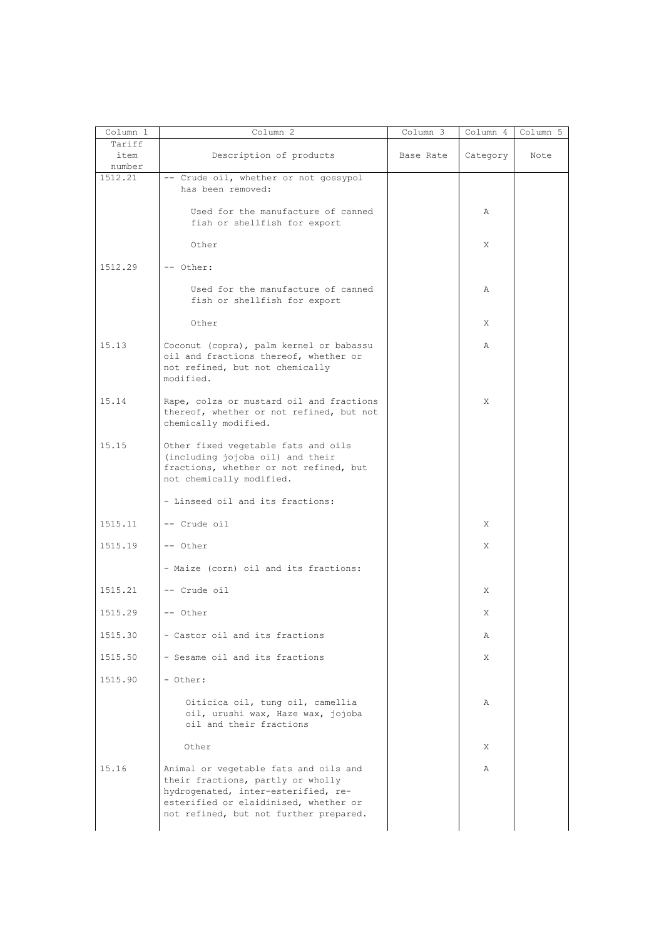| Column 1                 | Column 2                                                                                                                                                                                             | Column 3  | Column 4 | Column 5 |
|--------------------------|------------------------------------------------------------------------------------------------------------------------------------------------------------------------------------------------------|-----------|----------|----------|
| Tariff<br>item<br>number | Description of products                                                                                                                                                                              | Base Rate | Category | Note     |
| 1512.21                  | -- Crude oil, whether or not gossypol<br>has been removed:                                                                                                                                           |           |          |          |
|                          | Used for the manufacture of canned<br>fish or shellfish for export                                                                                                                                   |           | Α        |          |
|                          | Other                                                                                                                                                                                                |           | X        |          |
| 1512.29                  | -- Other:                                                                                                                                                                                            |           |          |          |
|                          | Used for the manufacture of canned<br>fish or shellfish for export                                                                                                                                   |           | Α        |          |
|                          | Other                                                                                                                                                                                                |           | X        |          |
| 15.13                    | Coconut (copra), palm kernel or babassu<br>oil and fractions thereof, whether or<br>not refined, but not chemically<br>modified.                                                                     |           | Α        |          |
| 15.14                    | Rape, colza or mustard oil and fractions<br>thereof, whether or not refined, but not<br>chemically modified.                                                                                         |           | X        |          |
| 15.15                    | Other fixed vegetable fats and oils<br>(including jojoba oil) and their<br>fractions, whether or not refined, but<br>not chemically modified.                                                        |           |          |          |
|                          | - Linseed oil and its fractions:                                                                                                                                                                     |           |          |          |
| 1515.11                  | -- Crude oil                                                                                                                                                                                         |           | X        |          |
| 1515.19                  | -- Other                                                                                                                                                                                             |           | X        |          |
|                          | - Maize (corn) oil and its fractions:                                                                                                                                                                |           |          |          |
| 1515.21                  | -- Crude oil                                                                                                                                                                                         |           | X        |          |
| 1515.29                  | -- Other                                                                                                                                                                                             |           | X        |          |
| 1515.30                  | - Castor oil and its fractions                                                                                                                                                                       |           | Α        |          |
| 1515.50                  | - Sesame oil and its fractions                                                                                                                                                                       |           | X        |          |
| 1515.90                  | - Other:                                                                                                                                                                                             |           |          |          |
|                          | Oiticica oil, tung oil, camellia<br>oil, urushi wax, Haze wax, jojoba<br>oil and their fractions                                                                                                     |           | Α        |          |
|                          | Other                                                                                                                                                                                                |           | X        |          |
| 15.16                    | Animal or vegetable fats and oils and<br>their fractions, partly or wholly<br>hydrogenated, inter-esterified, re-<br>esterified or elaidinised, whether or<br>not refined, but not further prepared. |           | Α        |          |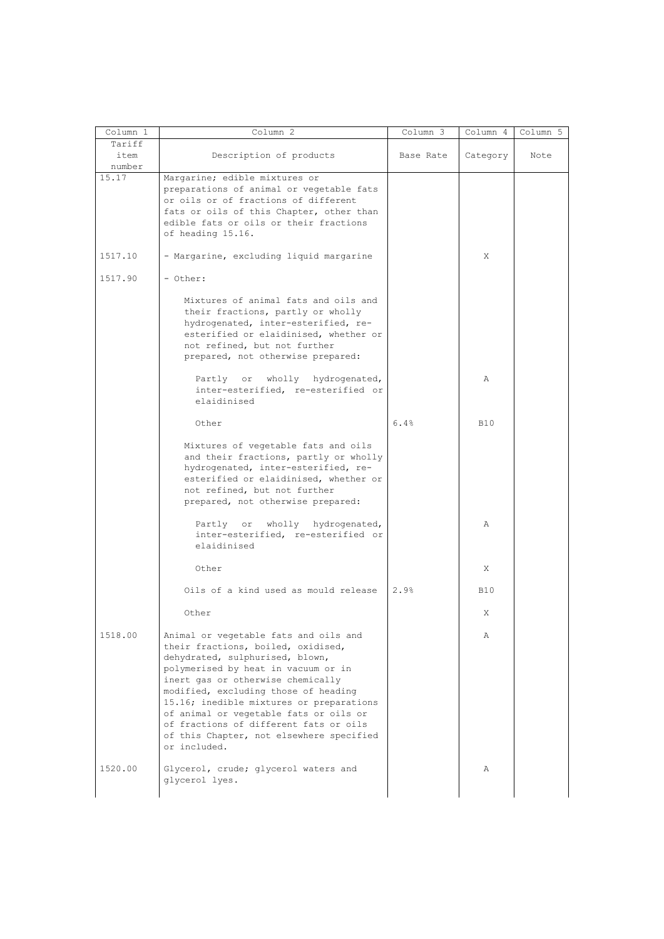| Column 1 | Column 2                                 | Column 3  | Column 4   | Column 5 |
|----------|------------------------------------------|-----------|------------|----------|
| Tariff   |                                          |           |            |          |
| item     | Description of products                  | Base Rate | Category   | Note     |
| number   |                                          |           |            |          |
| 15.17    | Margarine; edible mixtures or            |           |            |          |
|          | preparations of animal or vegetable fats |           |            |          |
|          | or oils or of fractions of different     |           |            |          |
|          |                                          |           |            |          |
|          | fats or oils of this Chapter, other than |           |            |          |
|          | edible fats or oils or their fractions   |           |            |          |
|          | of heading 15.16.                        |           |            |          |
|          |                                          |           |            |          |
| 1517.10  | - Margarine, excluding liquid margarine  |           | X          |          |
|          |                                          |           |            |          |
| 1517.90  | - Other:                                 |           |            |          |
|          |                                          |           |            |          |
|          | Mixtures of animal fats and oils and     |           |            |          |
|          | their fractions, partly or wholly        |           |            |          |
|          | hydrogenated, inter-esterified, re-      |           |            |          |
|          | esterified or elaidinised, whether or    |           |            |          |
|          | not refined, but not further             |           |            |          |
|          | prepared, not otherwise prepared:        |           |            |          |
|          |                                          |           |            |          |
|          | Partly or wholly hydrogenated,           |           | Α          |          |
|          | inter-esterified, re-esterified or       |           |            |          |
|          | elaidinised                              |           |            |          |
|          |                                          |           |            |          |
|          | Other                                    | 6.4%      | <b>B10</b> |          |
|          |                                          |           |            |          |
|          |                                          |           |            |          |
|          | Mixtures of vegetable fats and oils      |           |            |          |
|          | and their fractions, partly or wholly    |           |            |          |
|          | hydrogenated, inter-esterified, re-      |           |            |          |
|          | esterified or elaidinised, whether or    |           |            |          |
|          | not refined, but not further             |           |            |          |
|          | prepared, not otherwise prepared:        |           |            |          |
|          |                                          |           |            |          |
|          | Partly or wholly hydrogenated,           |           | Α          |          |
|          | inter-esterified, re-esterified or       |           |            |          |
|          | elaidinised                              |           |            |          |
|          |                                          |           |            |          |
|          | Other                                    |           | Χ          |          |
|          |                                          |           |            |          |
|          | Oils of a kind used as mould release     | 2.9%      | <b>B10</b> |          |
|          |                                          |           |            |          |
|          | Other                                    |           | Χ          |          |
|          |                                          |           |            |          |
| 1518.00  | Animal or vegetable fats and oils and    |           | Α          |          |
|          | their fractions, boiled, oxidised,       |           |            |          |
|          |                                          |           |            |          |
|          | dehydrated, sulphurised, blown,          |           |            |          |
|          | polymerised by heat in vacuum or in      |           |            |          |
|          | inert gas or otherwise chemically        |           |            |          |
|          | modified, excluding those of heading     |           |            |          |
|          | 15.16; inedible mixtures or preparations |           |            |          |
|          | of animal or vegetable fats or oils or   |           |            |          |
|          | of fractions of different fats or oils   |           |            |          |
|          |                                          |           |            |          |
|          | of this Chapter, not elsewhere specified |           |            |          |
|          | or included.                             |           |            |          |
|          |                                          |           |            |          |
|          |                                          |           |            |          |
| 1520.00  | Glycerol, crude; glycerol waters and     |           | Α          |          |
|          | glycerol lyes.                           |           |            |          |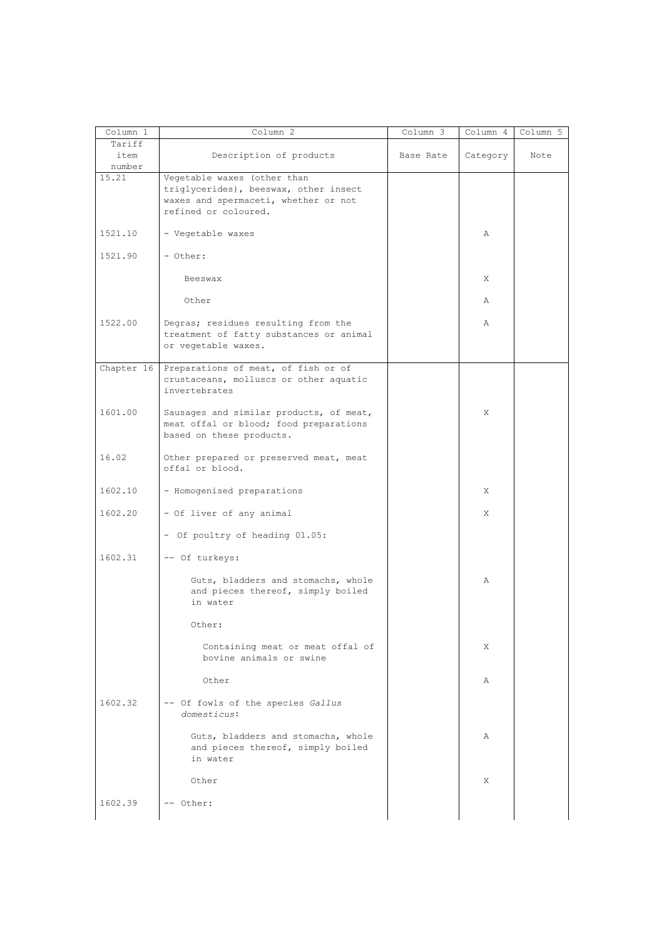| Column 1                 | Column 2                                                                                                                             | $Column \overline{3}$ | Column 4 | Column 5 |
|--------------------------|--------------------------------------------------------------------------------------------------------------------------------------|-----------------------|----------|----------|
| Tariff<br>item<br>number | Description of products                                                                                                              | Base Rate             | Category | Note     |
| 15.21                    | Vegetable waxes (other than<br>triglycerides), beeswax, other insect<br>waxes and spermaceti, whether or not<br>refined or coloured. |                       |          |          |
| 1521.10                  | - Vegetable waxes                                                                                                                    |                       | Α        |          |
| 1521.90                  | - Other:                                                                                                                             |                       |          |          |
|                          | Beeswax                                                                                                                              |                       | Χ        |          |
|                          | Other                                                                                                                                |                       | Α        |          |
| 1522.00                  | Degras; residues resulting from the<br>treatment of fatty substances or animal<br>or vegetable waxes.                                |                       | Α        |          |
| Chapter 16               | Preparations of meat, of fish or of<br>crustaceans, molluscs or other aquatic<br>invertebrates                                       |                       |          |          |
| 1601.00                  | Sausages and similar products, of meat,<br>meat offal or blood; food preparations<br>based on these products.                        |                       | X        |          |
| 16.02                    | Other prepared or preserved meat, meat<br>offal or blood.                                                                            |                       |          |          |
| 1602.10                  | - Homogenised preparations                                                                                                           |                       | Χ        |          |
| 1602.20                  | - Of liver of any animal                                                                                                             |                       | X        |          |
|                          | - Of poultry of heading 01.05:                                                                                                       |                       |          |          |
| 1602.31                  | -- Of turkeys:                                                                                                                       |                       |          |          |
|                          | Guts, bladders and stomachs, whole<br>and pieces thereof, simply boiled<br>in water                                                  |                       | Α        |          |
|                          | Other:                                                                                                                               |                       |          |          |
|                          | Containing meat or meat offal of<br>bovine animals or swine                                                                          |                       | Χ        |          |
|                          | Other                                                                                                                                |                       | Α        |          |
| 1602.32                  | -- Of fowls of the species Gallus<br>domesticus:                                                                                     |                       |          |          |
|                          | Guts, bladders and stomachs, whole<br>and pieces thereof, simply boiled<br>in water                                                  |                       | Α        |          |
|                          | Other                                                                                                                                |                       | Χ        |          |
| 1602.39                  | -- Other:                                                                                                                            |                       |          |          |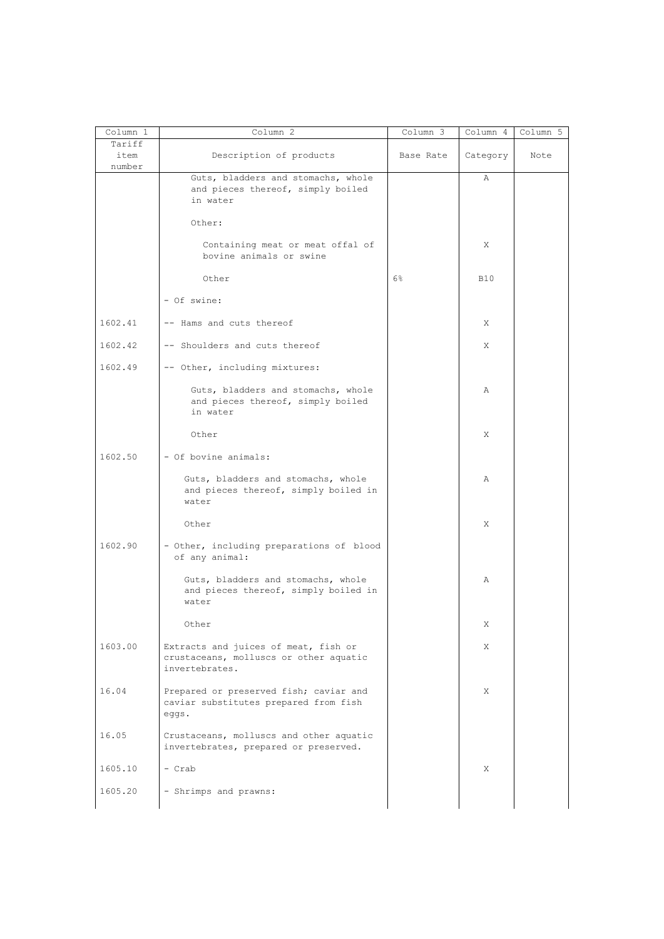| Column 1                 | Column 2                                                                                         | Column 3  | Column 4   | Column 5 |
|--------------------------|--------------------------------------------------------------------------------------------------|-----------|------------|----------|
| Tariff<br>item<br>number | Description of products                                                                          | Base Rate | Category   | Note     |
|                          | Guts, bladders and stomachs, whole<br>and pieces thereof, simply boiled<br>in water              |           | Α          |          |
|                          | Other:                                                                                           |           |            |          |
|                          | Containing meat or meat offal of<br>bovine animals or swine                                      |           | X          |          |
|                          | Other                                                                                            | $6\%$     | <b>B10</b> |          |
|                          | - Of swine:                                                                                      |           |            |          |
| 1602.41                  | -- Hams and cuts thereof                                                                         |           | X          |          |
| 1602.42                  | -- Shoulders and cuts thereof                                                                    |           | X          |          |
| 1602.49                  | -- Other, including mixtures:                                                                    |           |            |          |
|                          | Guts, bladders and stomachs, whole<br>and pieces thereof, simply boiled<br>in water              |           | Α          |          |
|                          | Other                                                                                            |           | Χ          |          |
| 1602.50                  | - Of bovine animals:                                                                             |           |            |          |
|                          | Guts, bladders and stomachs, whole<br>and pieces thereof, simply boiled in<br>water              |           | Α          |          |
|                          | Other                                                                                            |           | X          |          |
| 1602.90                  | - Other, including preparations of blood<br>of any animal:                                       |           |            |          |
|                          | Guts, bladders and stomachs, whole<br>and pieces thereof, simply boiled in<br>water              |           | Α          |          |
|                          | Other                                                                                            |           | X,         |          |
| 1603.00                  | Extracts and juices of meat, fish or<br>crustaceans, molluscs or other aquatic<br>invertebrates. |           | X          |          |
| 16.04                    | Prepared or preserved fish; caviar and<br>caviar substitutes prepared from fish<br>eggs.         |           | X          |          |
| 16.05                    | Crustaceans, molluscs and other aquatic<br>invertebrates, prepared or preserved.                 |           |            |          |
| 1605.10                  | - Crab                                                                                           |           | X          |          |
| 1605.20                  | - Shrimps and prawns:                                                                            |           |            |          |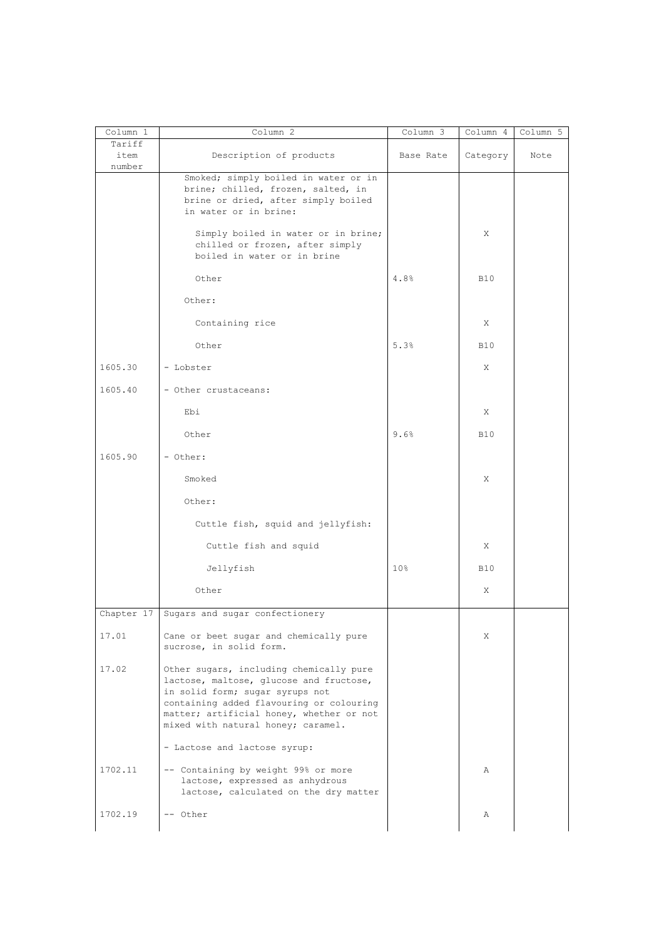| Column 1                 | Column 2                                                                                                                                                                                                                                            | Column 3        | Column 4   | Column 5 |
|--------------------------|-----------------------------------------------------------------------------------------------------------------------------------------------------------------------------------------------------------------------------------------------------|-----------------|------------|----------|
| Tariff<br>item<br>number | Description of products                                                                                                                                                                                                                             | Base Rate       | Category   | Note     |
|                          | Smoked; simply boiled in water or in<br>brine; chilled, frozen, salted, in<br>brine or dried, after simply boiled<br>in water or in brine:                                                                                                          |                 |            |          |
|                          | Simply boiled in water or in brine;<br>chilled or frozen, after simply<br>boiled in water or in brine                                                                                                                                               |                 | Χ          |          |
|                          | Other                                                                                                                                                                                                                                               | 4.8%            | <b>B10</b> |          |
|                          | Other:                                                                                                                                                                                                                                              |                 |            |          |
|                          | Containing rice                                                                                                                                                                                                                                     |                 | X          |          |
|                          | Other                                                                                                                                                                                                                                               | 5.3%            | <b>B10</b> |          |
| 1605.30                  | - Lobster                                                                                                                                                                                                                                           |                 | Χ          |          |
| 1605.40                  | - Other crustaceans:                                                                                                                                                                                                                                |                 |            |          |
|                          | Ebi                                                                                                                                                                                                                                                 |                 | Χ          |          |
|                          | Other                                                                                                                                                                                                                                               | 9.6%            | <b>B10</b> |          |
| 1605.90                  | - Other:                                                                                                                                                                                                                                            |                 |            |          |
|                          | Smoked                                                                                                                                                                                                                                              |                 | Χ          |          |
|                          | Other:                                                                                                                                                                                                                                              |                 |            |          |
|                          | Cuttle fish, squid and jellyfish:                                                                                                                                                                                                                   |                 |            |          |
|                          | Cuttle fish and squid                                                                                                                                                                                                                               |                 | Χ          |          |
|                          | Jellyfish                                                                                                                                                                                                                                           | 10 <sup>°</sup> | B10        |          |
|                          | Other                                                                                                                                                                                                                                               |                 | Χ          |          |
| Chapter 17               | Sugars and sugar confectionery                                                                                                                                                                                                                      |                 |            |          |
| 17.01                    | Cane or beet sugar and chemically pure<br>sucrose, in solid form.                                                                                                                                                                                   |                 | X          |          |
| 17.02                    | Other sugars, including chemically pure<br>lactose, maltose, glucose and fructose,<br>in solid form; sugar syrups not<br>containing added flavouring or colouring<br>matter; artificial honey, whether or not<br>mixed with natural honey; caramel. |                 |            |          |
|                          | - Lactose and lactose syrup:                                                                                                                                                                                                                        |                 |            |          |
| 1702.11                  | -- Containing by weight 99% or more<br>lactose, expressed as anhydrous<br>lactose, calculated on the dry matter                                                                                                                                     |                 | Α          |          |
| 1702.19                  | -- Other                                                                                                                                                                                                                                            |                 | Α          |          |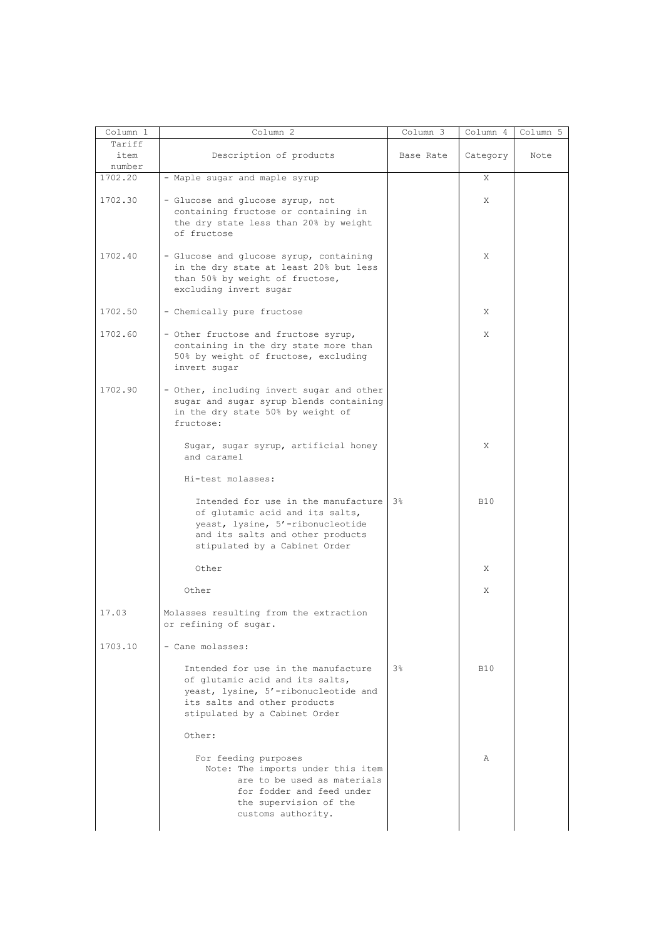| Column 1 | Column 2                                                                  | Column 3       | Column 4   | Column 5 |
|----------|---------------------------------------------------------------------------|----------------|------------|----------|
| Tariff   |                                                                           |                |            |          |
| item     | Description of products                                                   | Base Rate      | Category   | Note     |
| number   |                                                                           |                |            |          |
| 1702.20  | - Maple sugar and maple syrup                                             |                | Χ          |          |
|          |                                                                           |                |            |          |
| 1702.30  | - Glucose and glucose syrup, not                                          |                | X          |          |
|          | containing fructose or containing in                                      |                |            |          |
|          | the dry state less than 20% by weight                                     |                |            |          |
|          | of fructose                                                               |                |            |          |
|          |                                                                           |                |            |          |
| 1702.40  | - Glucose and glucose syrup, containing                                   |                | Χ          |          |
|          | in the dry state at least 20% but less<br>than 50% by weight of fructose, |                |            |          |
|          | excluding invert sugar                                                    |                |            |          |
|          |                                                                           |                |            |          |
| 1702.50  | - Chemically pure fructose                                                |                | X          |          |
|          |                                                                           |                |            |          |
| 1702.60  | - Other fructose and fructose syrup,                                      |                | X          |          |
|          | containing in the dry state more than                                     |                |            |          |
|          | 50% by weight of fructose, excluding                                      |                |            |          |
|          | invert sugar                                                              |                |            |          |
|          |                                                                           |                |            |          |
| 1702.90  | - Other, including invert sugar and other                                 |                |            |          |
|          | sugar and sugar syrup blends containing                                   |                |            |          |
|          | in the dry state 50% by weight of                                         |                |            |          |
|          | fructose:                                                                 |                |            |          |
|          | Sugar, sugar syrup, artificial honey                                      |                | X          |          |
|          | and caramel                                                               |                |            |          |
|          |                                                                           |                |            |          |
|          | Hi-test molasses:                                                         |                |            |          |
|          |                                                                           |                |            |          |
|          | Intended for use in the manufacture 3%                                    |                | <b>B10</b> |          |
|          | of glutamic acid and its salts,                                           |                |            |          |
|          | yeast, lysine, 5'-ribonucleotide                                          |                |            |          |
|          | and its salts and other products                                          |                |            |          |
|          | stipulated by a Cabinet Order                                             |                |            |          |
|          | Other                                                                     |                | X          |          |
|          |                                                                           |                |            |          |
|          | Other                                                                     |                | Χ          |          |
|          |                                                                           |                |            |          |
| 17.03    | Molasses resulting from the extraction                                    |                |            |          |
|          | or refining of sugar.                                                     |                |            |          |
|          |                                                                           |                |            |          |
| 1703.10  | - Cane molasses:                                                          |                |            |          |
|          |                                                                           |                |            |          |
|          | Intended for use in the manufacture                                       | 3 <sup>8</sup> | <b>B10</b> |          |
|          | of glutamic acid and its salts,                                           |                |            |          |
|          | yeast, lysine, 5'-ribonucleotide and<br>its salts and other products      |                |            |          |
|          | stipulated by a Cabinet Order                                             |                |            |          |
|          |                                                                           |                |            |          |
|          | Other:                                                                    |                |            |          |
|          |                                                                           |                |            |          |
|          | For feeding purposes                                                      |                | Α          |          |
|          | Note: The imports under this item                                         |                |            |          |
|          | are to be used as materials                                               |                |            |          |
|          | for fodder and feed under                                                 |                |            |          |
|          | the supervision of the                                                    |                |            |          |
|          | customs authority.                                                        |                |            |          |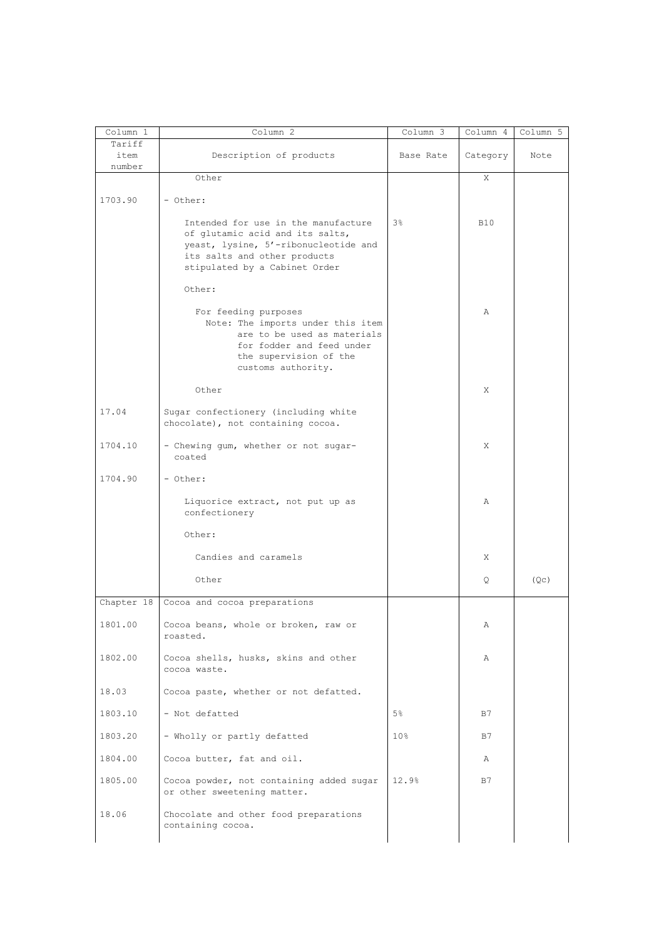| Column 1                 | Column 2                                                                                                                                                                        | Column 3        | Column 4   | Column 5          |
|--------------------------|---------------------------------------------------------------------------------------------------------------------------------------------------------------------------------|-----------------|------------|-------------------|
| Tariff<br>item<br>number | Description of products                                                                                                                                                         | Base Rate       | Category   | Note              |
|                          | Other                                                                                                                                                                           |                 | X          |                   |
| 1703.90                  | - Other:                                                                                                                                                                        |                 |            |                   |
|                          | Intended for use in the manufacture<br>of glutamic acid and its salts,<br>yeast, lysine, 5'-ribonucleotide and<br>its salts and other products<br>stipulated by a Cabinet Order | $3\,$           | <b>B10</b> |                   |
|                          | Other:                                                                                                                                                                          |                 |            |                   |
|                          | For feeding purposes<br>Note: The imports under this item<br>are to be used as materials<br>for fodder and feed under<br>the supervision of the<br>customs authority.           |                 | A          |                   |
|                          | Other                                                                                                                                                                           |                 | X          |                   |
| 17.04                    | Sugar confectionery (including white<br>chocolate), not containing cocoa.                                                                                                       |                 |            |                   |
| 1704.10                  | - Chewing gum, whether or not sugar-<br>coated                                                                                                                                  |                 | X          |                   |
| 1704.90                  | - Other:                                                                                                                                                                        |                 |            |                   |
|                          | Liquorice extract, not put up as<br>confectionery                                                                                                                               |                 | Α          |                   |
|                          | Other:                                                                                                                                                                          |                 |            |                   |
|                          | Candies and caramels                                                                                                                                                            |                 | Χ          |                   |
|                          | Other                                                                                                                                                                           |                 | Q          | (Q <sub>C</sub> ) |
| Chapter 18               | Cocoa and cocoa preparations                                                                                                                                                    |                 |            |                   |
| 1801.00                  | Cocoa beans, whole or broken, raw or<br>roasted.                                                                                                                                |                 | Α          |                   |
| 1802.00                  | Cocoa shells, husks, skins and other<br>cocoa waste.                                                                                                                            |                 | Α          |                   |
| 18.03                    | Cocoa paste, whether or not defatted.                                                                                                                                           |                 |            |                   |
| 1803.10                  | - Not defatted                                                                                                                                                                  | 5%              | B7         |                   |
| 1803.20                  | - Wholly or partly defatted                                                                                                                                                     | 10 <sub>8</sub> | B7         |                   |
| 1804.00                  | Cocoa butter, fat and oil.                                                                                                                                                      |                 | Α          |                   |
| 1805.00                  | Cocoa powder, not containing added sugar<br>or other sweetening matter.                                                                                                         | 12.9%           | B7         |                   |
| 18.06                    | Chocolate and other food preparations<br>containing cocoa.                                                                                                                      |                 |            |                   |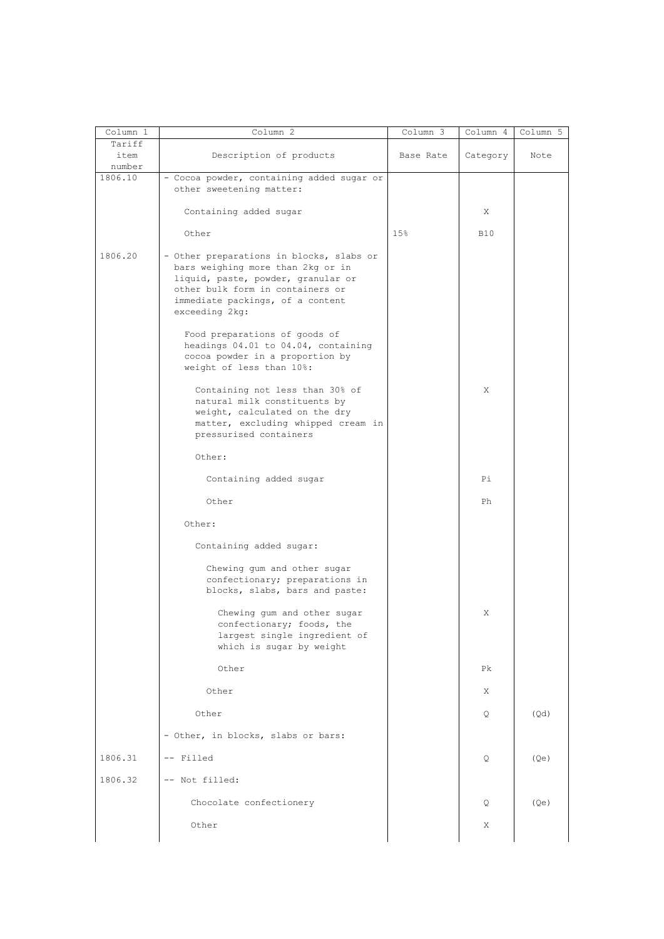| Column 1                 | Column 2                                                                                                                                                                                                      | Column 3  | Column 4   | Column 5 |
|--------------------------|---------------------------------------------------------------------------------------------------------------------------------------------------------------------------------------------------------------|-----------|------------|----------|
| Tariff<br>item<br>number | Description of products                                                                                                                                                                                       | Base Rate | Category   | Note     |
| 1806.10                  | - Cocoa powder, containing added sugar or<br>other sweetening matter:                                                                                                                                         |           |            |          |
|                          | Containing added sugar                                                                                                                                                                                        |           | Χ          |          |
|                          | Other                                                                                                                                                                                                         | 15%       | <b>B10</b> |          |
| 1806.20                  | - Other preparations in blocks, slabs or<br>bars weighing more than 2kg or in<br>liquid, paste, powder, granular or<br>other bulk form in containers or<br>immediate packings, of a content<br>exceeding 2kg: |           |            |          |
|                          | Food preparations of goods of<br>headings 04.01 to 04.04, containing<br>cocoa powder in a proportion by<br>weight of less than 10%:                                                                           |           |            |          |
|                          | Containing not less than 30% of<br>natural milk constituents by<br>weight, calculated on the dry<br>matter, excluding whipped cream in<br>pressurised containers                                              |           | Χ          |          |
|                          | Other:                                                                                                                                                                                                        |           |            |          |
|                          | Containing added sugar                                                                                                                                                                                        |           | Pi         |          |
|                          | Other                                                                                                                                                                                                         |           | Ph         |          |
|                          | Other:                                                                                                                                                                                                        |           |            |          |
|                          | Containing added sugar:                                                                                                                                                                                       |           |            |          |
|                          | Chewing gum and other sugar<br>confectionary; preparations in<br>blocks, slabs, bars and paste:                                                                                                               |           |            |          |
|                          | Chewing gum and other sugar<br>confectionary; foods, the<br>largest single ingredient of<br>which is sugar by weight                                                                                          |           | Χ          |          |
|                          | Other                                                                                                                                                                                                         |           | Pk         |          |
|                          | Other                                                                                                                                                                                                         |           | X          |          |
|                          | Other                                                                                                                                                                                                         |           | Q          | (Qd)     |
|                          | - Other, in blocks, slabs or bars:                                                                                                                                                                            |           |            |          |
| 1806.31                  | -- Filled                                                                                                                                                                                                     |           | Q          | (Qe)     |
| 1806.32                  | -- Not filled:                                                                                                                                                                                                |           |            |          |
|                          | Chocolate confectionery                                                                                                                                                                                       |           | Q          | (Qe)     |
|                          | Other                                                                                                                                                                                                         |           | X          |          |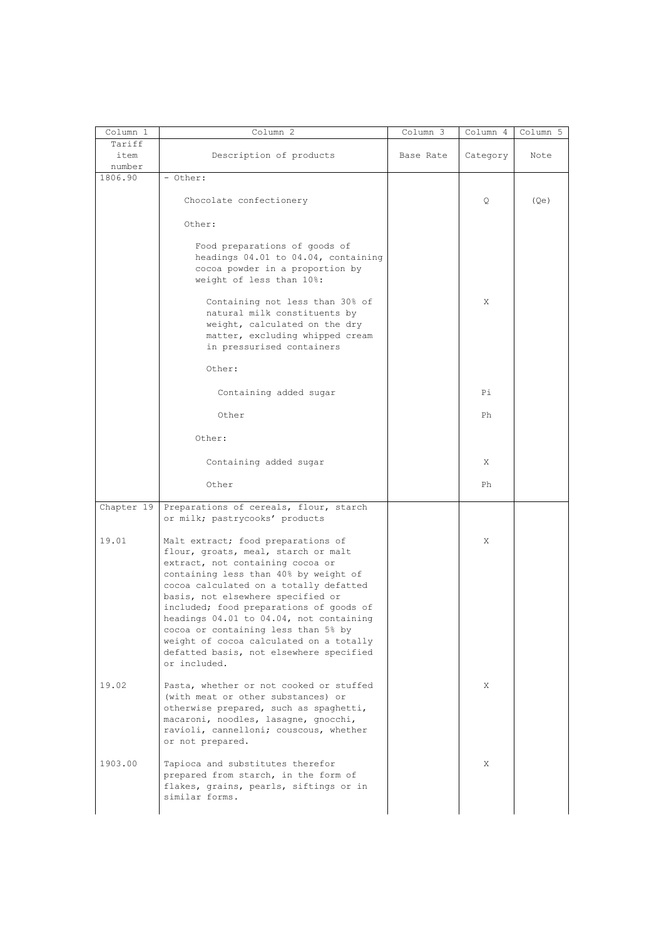| Column 1          | Column 2                                                                                                                                                                                                                                                                                                                                                                                                                                                                 | Column 3  | Column 4 | Column 5 |
|-------------------|--------------------------------------------------------------------------------------------------------------------------------------------------------------------------------------------------------------------------------------------------------------------------------------------------------------------------------------------------------------------------------------------------------------------------------------------------------------------------|-----------|----------|----------|
| Tariff<br>item    | Description of products                                                                                                                                                                                                                                                                                                                                                                                                                                                  | Base Rate | Category | Note     |
| number<br>1806.90 | - Other:                                                                                                                                                                                                                                                                                                                                                                                                                                                                 |           |          |          |
|                   | Chocolate confectionery                                                                                                                                                                                                                                                                                                                                                                                                                                                  |           | Q        | (Qe)     |
|                   | Other:                                                                                                                                                                                                                                                                                                                                                                                                                                                                   |           |          |          |
|                   | Food preparations of goods of<br>headings 04.01 to 04.04, containing<br>cocoa powder in a proportion by<br>weight of less than 10%:                                                                                                                                                                                                                                                                                                                                      |           |          |          |
|                   | Containing not less than 30% of<br>natural milk constituents by<br>weight, calculated on the dry<br>matter, excluding whipped cream<br>in pressurised containers                                                                                                                                                                                                                                                                                                         |           | X        |          |
|                   | Other:                                                                                                                                                                                                                                                                                                                                                                                                                                                                   |           |          |          |
|                   | Containing added sugar                                                                                                                                                                                                                                                                                                                                                                                                                                                   |           | Рi       |          |
|                   | Other                                                                                                                                                                                                                                                                                                                                                                                                                                                                    |           | Ph       |          |
|                   | Other:                                                                                                                                                                                                                                                                                                                                                                                                                                                                   |           |          |          |
|                   | Containing added sugar                                                                                                                                                                                                                                                                                                                                                                                                                                                   |           | Χ        |          |
|                   | Other                                                                                                                                                                                                                                                                                                                                                                                                                                                                    |           | Ph       |          |
| Chapter 19        | Preparations of cereals, flour, starch<br>or milk; pastrycooks' products                                                                                                                                                                                                                                                                                                                                                                                                 |           |          |          |
| 19.01             | Malt extract; food preparations of<br>flour, groats, meal, starch or malt<br>extract, not containing cocoa or<br>containing less than 40% by weight of<br>cocoa calculated on a totally defatted<br>basis, not elsewhere specified or<br>included; food preparations of goods of<br>headings 04.01 to 04.04, not containing<br>cocoa or containing less than 5% by<br>weight of cocoa calculated on a totally<br>defatted basis, not elsewhere specified<br>or included. |           | Χ        |          |
| 19.02             | Pasta, whether or not cooked or stuffed<br>(with meat or other substances) or<br>otherwise prepared, such as spaghetti,<br>macaroni, noodles, lasagne, gnocchi,<br>ravioli, cannelloni; couscous, whether<br>or not prepared.                                                                                                                                                                                                                                            |           | X        |          |
| 1903.00           | Tapioca and substitutes therefor<br>prepared from starch, in the form of<br>flakes, grains, pearls, siftings or in<br>similar forms.                                                                                                                                                                                                                                                                                                                                     |           | X        |          |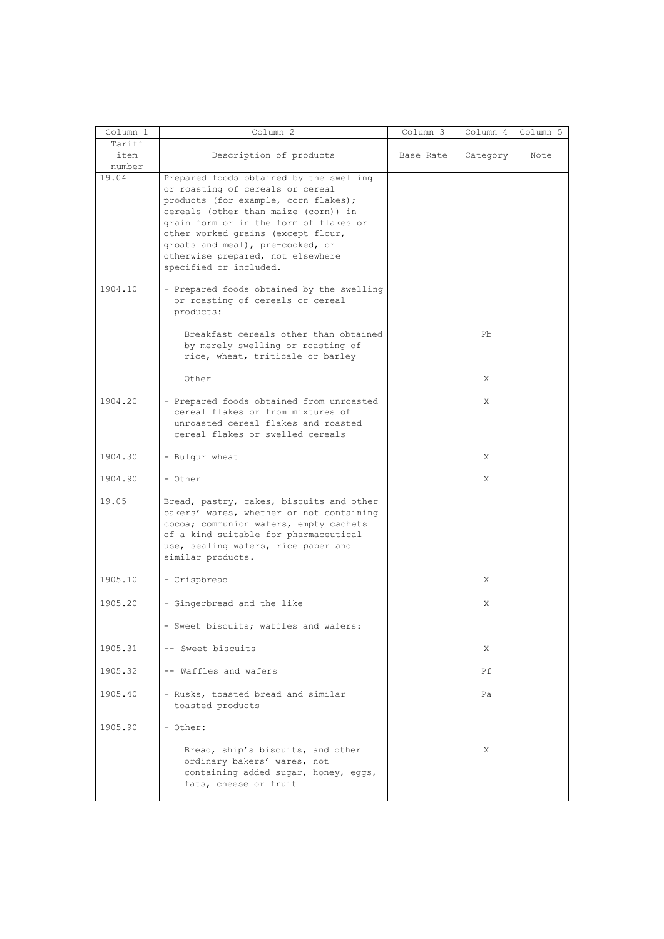| Column 1                 | Column <sub>2</sub>                                                                                                                                                                                                                                                                                                                            | Column 3  | Column 4 | Column 5 |
|--------------------------|------------------------------------------------------------------------------------------------------------------------------------------------------------------------------------------------------------------------------------------------------------------------------------------------------------------------------------------------|-----------|----------|----------|
| Tariff<br>item<br>number | Description of products                                                                                                                                                                                                                                                                                                                        | Base Rate | Category | Note     |
| 19.04                    | Prepared foods obtained by the swelling<br>or roasting of cereals or cereal<br>products (for example, corn flakes);<br>cereals (other than maize (corn)) in<br>grain form or in the form of flakes or<br>other worked grains (except flour,<br>groats and meal), pre-cooked, or<br>otherwise prepared, not elsewhere<br>specified or included. |           |          |          |
| 1904.10                  | - Prepared foods obtained by the swelling<br>or roasting of cereals or cereal<br>products:                                                                                                                                                                                                                                                     |           |          |          |
|                          | Breakfast cereals other than obtained<br>by merely swelling or roasting of<br>rice, wheat, triticale or barley                                                                                                                                                                                                                                 |           | Pb       |          |
|                          | Other                                                                                                                                                                                                                                                                                                                                          |           | X        |          |
| 1904.20                  | - Prepared foods obtained from unroasted<br>cereal flakes or from mixtures of<br>unroasted cereal flakes and roasted<br>cereal flakes or swelled cereals                                                                                                                                                                                       |           | Χ        |          |
| 1904.30                  | - Bulgur wheat                                                                                                                                                                                                                                                                                                                                 |           | X        |          |
| 1904.90                  | - Other                                                                                                                                                                                                                                                                                                                                        |           | X        |          |
| 19.05                    | Bread, pastry, cakes, biscuits and other<br>bakers' wares, whether or not containing<br>cocoa; communion wafers, empty cachets<br>of a kind suitable for pharmaceutical<br>use, sealing wafers, rice paper and<br>similar products.                                                                                                            |           |          |          |
| 1905.10                  | - Crispbread                                                                                                                                                                                                                                                                                                                                   |           | X        |          |
| 1905.20                  | - Gingerbread and the like                                                                                                                                                                                                                                                                                                                     |           | Χ        |          |
|                          | - Sweet biscuits; waffles and wafers:                                                                                                                                                                                                                                                                                                          |           |          |          |
| 1905.31                  | -- Sweet biscuits                                                                                                                                                                                                                                                                                                                              |           | Χ        |          |
| 1905.32                  | -- Waffles and wafers                                                                                                                                                                                                                                                                                                                          |           | Ρf       |          |
| 1905.40                  | - Rusks, toasted bread and similar<br>toasted products                                                                                                                                                                                                                                                                                         |           | Pa       |          |
| 1905.90                  | - Other:                                                                                                                                                                                                                                                                                                                                       |           |          |          |
|                          | Bread, ship's biscuits, and other<br>ordinary bakers' wares, not<br>containing added sugar, honey, eggs,<br>fats, cheese or fruit                                                                                                                                                                                                              |           | X        |          |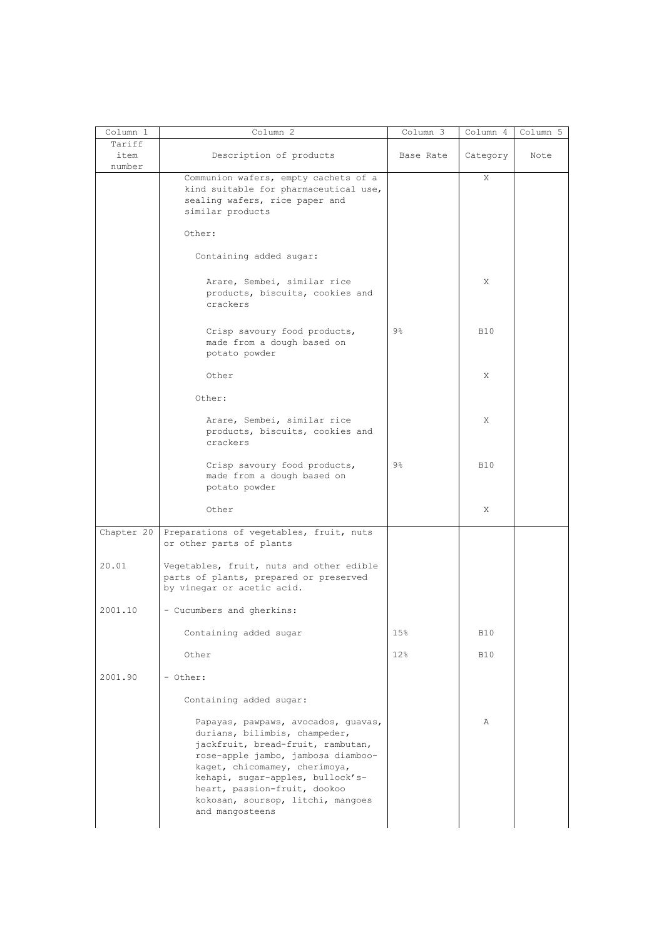| Column 1                 | Column 2                                                                                                                                                                                                                                                                                                     | Column 3  | Column 4   | Column 5 |
|--------------------------|--------------------------------------------------------------------------------------------------------------------------------------------------------------------------------------------------------------------------------------------------------------------------------------------------------------|-----------|------------|----------|
| Tariff<br>item<br>number | Description of products                                                                                                                                                                                                                                                                                      | Base Rate | Category   | Note     |
|                          | Communion wafers, empty cachets of a<br>kind suitable for pharmaceutical use,<br>sealing wafers, rice paper and<br>similar products                                                                                                                                                                          |           | Χ          |          |
|                          | Other:                                                                                                                                                                                                                                                                                                       |           |            |          |
|                          | Containing added sugar:                                                                                                                                                                                                                                                                                      |           |            |          |
|                          | Arare, Sembei, similar rice<br>products, biscuits, cookies and<br>crackers                                                                                                                                                                                                                                   |           | X          |          |
|                          | Crisp savoury food products,<br>made from a dough based on<br>potato powder                                                                                                                                                                                                                                  | 9%        | <b>B10</b> |          |
|                          | Other                                                                                                                                                                                                                                                                                                        |           | Χ          |          |
|                          | Other:<br>Arare, Sembei, similar rice<br>products, biscuits, cookies and<br>crackers                                                                                                                                                                                                                         |           | Χ          |          |
|                          | Crisp savoury food products,<br>made from a dough based on<br>potato powder                                                                                                                                                                                                                                  | 9%        | <b>B10</b> |          |
|                          | Other                                                                                                                                                                                                                                                                                                        |           | Χ          |          |
| Chapter 20               | Preparations of vegetables, fruit, nuts<br>or other parts of plants                                                                                                                                                                                                                                          |           |            |          |
| 20.01                    | Vegetables, fruit, nuts and other edible<br>parts of plants, prepared or preserved<br>by vinegar or acetic acid.                                                                                                                                                                                             |           |            |          |
| 2001.10                  | - Cucumbers and gherkins:                                                                                                                                                                                                                                                                                    |           |            |          |
|                          | Containing added sugar                                                                                                                                                                                                                                                                                       | 15%       | <b>B10</b> |          |
|                          | Other                                                                                                                                                                                                                                                                                                        | 12%       | <b>B10</b> |          |
| 2001.90                  | - Other:                                                                                                                                                                                                                                                                                                     |           |            |          |
|                          | Containing added sugar:                                                                                                                                                                                                                                                                                      |           |            |          |
|                          | Papayas, pawpaws, avocados, quavas,<br>durians, bilimbis, champeder,<br>jackfruit, bread-fruit, rambutan,<br>rose-apple jambo, jambosa diamboo-<br>kaget, chicomamey, cherimoya,<br>kehapi, sugar-apples, bullock's-<br>heart, passion-fruit, dookoo<br>kokosan, soursop, litchi, mangoes<br>and mangosteens |           | Α          |          |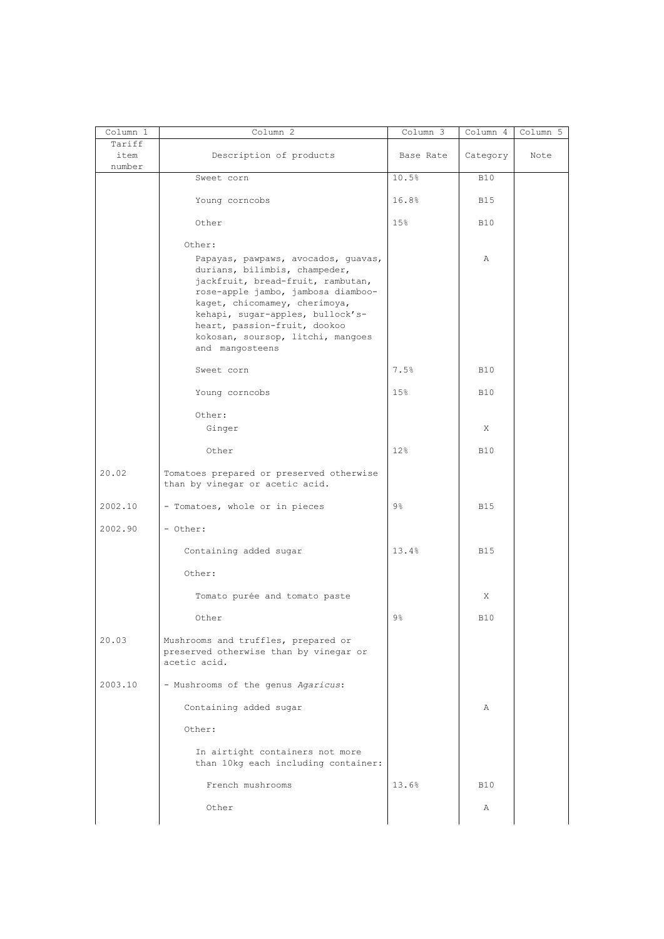| Column 1<br>Tariff | Column 2                                                                                                                                                                                                                       | Column 3        | Column 4     | Column 5 |
|--------------------|--------------------------------------------------------------------------------------------------------------------------------------------------------------------------------------------------------------------------------|-----------------|--------------|----------|
| item<br>number     | Description of products                                                                                                                                                                                                        | Base Rate       | Category     | Note     |
|                    | Sweet corn                                                                                                                                                                                                                     | 10.5%           | <b>B10</b>   |          |
|                    | Young corncobs                                                                                                                                                                                                                 | 16.8%           | B15          |          |
|                    | Other                                                                                                                                                                                                                          | 15%             | <b>B10</b>   |          |
|                    | Other:<br>Papayas, pawpaws, avocados, guavas,<br>durians, bilimbis, champeder,<br>jackfruit, bread-fruit, rambutan,<br>rose-apple jambo, jambosa diamboo-<br>kaget, chicomamey, cherimoya,<br>kehapi, sugar-apples, bullock's- |                 | Α            |          |
|                    | heart, passion-fruit, dookoo<br>kokosan, soursop, litchi, mangoes<br>and mangosteens                                                                                                                                           |                 |              |          |
|                    | Sweet corn                                                                                                                                                                                                                     | 7.5%            | <b>B10</b>   |          |
|                    | Young corncobs                                                                                                                                                                                                                 | 15%             | <b>B10</b>   |          |
|                    | Other:<br>Ginger                                                                                                                                                                                                               |                 | X            |          |
|                    | Other                                                                                                                                                                                                                          | 12 <sub>8</sub> | <b>B10</b>   |          |
| 20.02              | Tomatoes prepared or preserved otherwise<br>than by vinegar or acetic acid.                                                                                                                                                    |                 |              |          |
| 2002.10            | - Tomatoes, whole or in pieces                                                                                                                                                                                                 | $9\frac{6}{6}$  | <b>B15</b>   |          |
| 2002.90            | - Other:                                                                                                                                                                                                                       |                 |              |          |
|                    | Containing added sugar                                                                                                                                                                                                         | 13.4%           | <b>B15</b>   |          |
|                    | Other:                                                                                                                                                                                                                         |                 |              |          |
|                    | Tomato purée and tomato paste                                                                                                                                                                                                  |                 | Χ            |          |
|                    | Other                                                                                                                                                                                                                          | 9 <sub>8</sub>  | <b>B10</b>   |          |
| 20.03              | Mushrooms and truffles, prepared or<br>preserved otherwise than by vinegar or<br>acetic acid.                                                                                                                                  |                 |              |          |
| 2003.10            | - Mushrooms of the genus Agaricus:                                                                                                                                                                                             |                 |              |          |
|                    | Containing added sugar                                                                                                                                                                                                         |                 | $\mathbb{A}$ |          |
|                    | Other:                                                                                                                                                                                                                         |                 |              |          |
|                    | In airtight containers not more<br>than 10kg each including container:                                                                                                                                                         |                 |              |          |
|                    | French mushrooms                                                                                                                                                                                                               | 13.6%           | <b>B10</b>   |          |
|                    | Other                                                                                                                                                                                                                          |                 | Α            |          |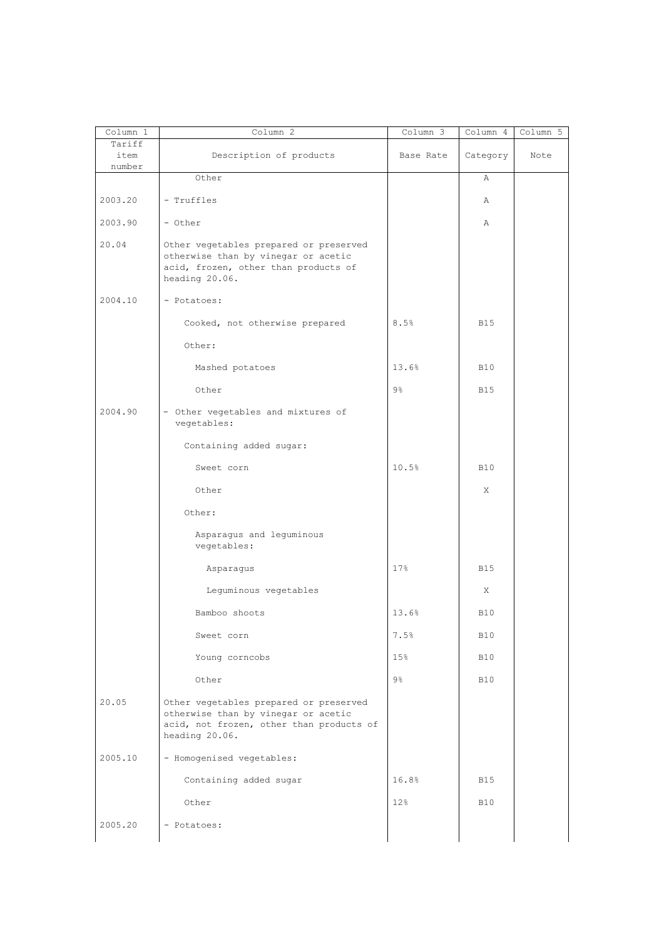| $\overline{\text{Column}}$ 1<br>Tariff | Column 2                                                                                                                                    | Column 3       | Column 4   | Column 5 |
|----------------------------------------|---------------------------------------------------------------------------------------------------------------------------------------------|----------------|------------|----------|
| item<br>number                         | Description of products                                                                                                                     | Base Rate      | Category   | Note     |
|                                        | Other                                                                                                                                       |                | Α          |          |
| 2003.20                                | - Truffles                                                                                                                                  |                | Α          |          |
| 2003.90                                | - Other                                                                                                                                     |                | Α          |          |
| 20.04                                  | Other vegetables prepared or preserved<br>otherwise than by vinegar or acetic<br>acid, frozen, other than products of<br>heading 20.06.     |                |            |          |
| 2004.10                                | - Potatoes:                                                                                                                                 |                |            |          |
|                                        | Cooked, not otherwise prepared                                                                                                              | 8.5%           | <b>B15</b> |          |
|                                        | Other:                                                                                                                                      |                |            |          |
|                                        | Mashed potatoes                                                                                                                             | 13.6%          | <b>B10</b> |          |
|                                        | Other                                                                                                                                       | $9\frac{6}{6}$ | <b>B15</b> |          |
| 2004.90                                | - Other vegetables and mixtures of<br>vegetables:                                                                                           |                |            |          |
|                                        | Containing added sugar:                                                                                                                     |                |            |          |
|                                        | Sweet corn                                                                                                                                  | 10.5%          | <b>B10</b> |          |
|                                        | Other                                                                                                                                       |                | X          |          |
|                                        | Other:                                                                                                                                      |                |            |          |
|                                        | Asparagus and leguminous<br>vegetables:                                                                                                     |                |            |          |
|                                        | Asparagus                                                                                                                                   | 17%            | <b>B15</b> |          |
|                                        | Leguminous vegetables                                                                                                                       |                | X          |          |
|                                        | Bamboo shoots                                                                                                                               | 13.6%          | <b>B10</b> |          |
|                                        | Sweet corn                                                                                                                                  | 7.5%           | <b>B10</b> |          |
|                                        | Young corncobs                                                                                                                              | 15%            | <b>B10</b> |          |
|                                        | Other                                                                                                                                       | $9\%$          | <b>B10</b> |          |
| 20.05                                  | Other vegetables prepared or preserved<br>otherwise than by vinegar or acetic<br>acid, not frozen, other than products of<br>heading 20.06. |                |            |          |
| 2005.10                                | - Homogenised vegetables:                                                                                                                   |                |            |          |
|                                        | Containing added sugar                                                                                                                      | 16.8%          | <b>B15</b> |          |
|                                        | Other                                                                                                                                       | 12%            | <b>B10</b> |          |
| 2005.20                                | - Potatoes:                                                                                                                                 |                |            |          |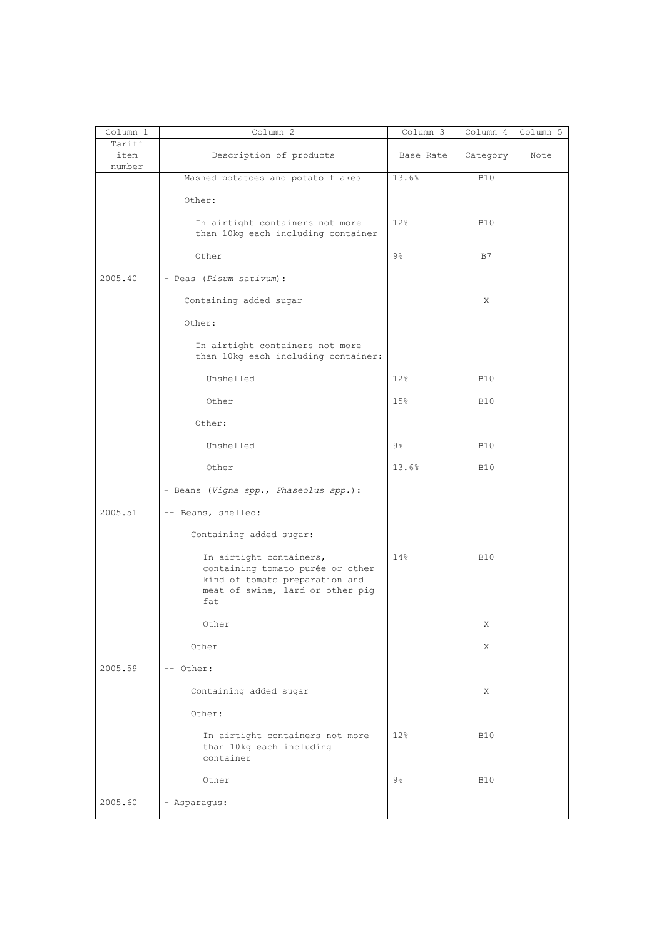| Column 1                 | Column 2                                                                                                                                 | $Column \overline{3}$ | Column 4   | Column 5 |
|--------------------------|------------------------------------------------------------------------------------------------------------------------------------------|-----------------------|------------|----------|
| Tariff<br>item<br>number | Description of products                                                                                                                  | Base Rate             | Category   | Note     |
|                          | Mashed potatoes and potato flakes                                                                                                        | 13.6%                 | <b>B10</b> |          |
|                          | Other:                                                                                                                                   |                       |            |          |
|                          | In airtight containers not more<br>than 10kg each including container                                                                    | 12%                   | <b>B10</b> |          |
|                          | Other                                                                                                                                    | $9\frac{6}{6}$        | B7         |          |
| 2005.40                  | - Peas (Pisum sativum):                                                                                                                  |                       |            |          |
|                          | Containing added sugar                                                                                                                   |                       | X          |          |
|                          | Other:                                                                                                                                   |                       |            |          |
|                          | In airtight containers not more<br>than 10kg each including container:                                                                   |                       |            |          |
|                          | Unshelled                                                                                                                                | 12%                   | <b>B10</b> |          |
|                          | Other                                                                                                                                    | 15%                   | <b>B10</b> |          |
|                          | Other:                                                                                                                                   |                       |            |          |
|                          | Unshelled                                                                                                                                | $9\%$                 | <b>B10</b> |          |
|                          | Other                                                                                                                                    | 13.6%                 | <b>B10</b> |          |
|                          | - Beans (Vigna spp., Phaseolus spp.):                                                                                                    |                       |            |          |
| 2005.51                  | -- Beans, shelled:                                                                                                                       |                       |            |          |
|                          | Containing added sugar:                                                                                                                  |                       |            |          |
|                          | In airtight containers,<br>containing tomato purée or other<br>kind of tomato preparation and<br>meat of swine, lard or other pig<br>fat | 14%                   | <b>B10</b> |          |
|                          | Other                                                                                                                                    |                       | Χ          |          |
|                          | Other                                                                                                                                    |                       | X          |          |
| 2005.59                  | -- Other:                                                                                                                                |                       |            |          |
|                          | Containing added sugar                                                                                                                   |                       | Χ          |          |
|                          | Other:                                                                                                                                   |                       |            |          |
|                          | In airtight containers not more<br>than 10kg each including<br>container                                                                 | 12%                   | <b>B10</b> |          |
|                          | Other                                                                                                                                    | $9\frac{6}{6}$        | <b>B10</b> |          |
| 2005.60                  | - Asparagus:                                                                                                                             |                       |            |          |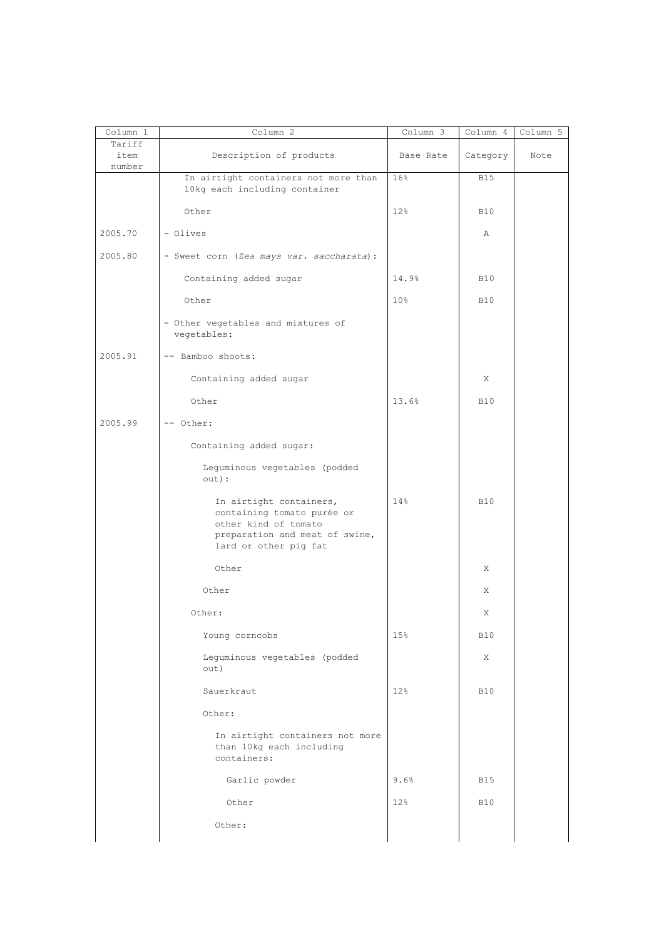| Column 1                 | Column <sub>2</sub>                                                                                                                      | Column 3  | Column 4   | Column 5 |
|--------------------------|------------------------------------------------------------------------------------------------------------------------------------------|-----------|------------|----------|
| Tariff<br>item<br>number | Description of products                                                                                                                  | Base Rate | Category   | Note     |
|                          | In airtight containers not more than<br>10kg each including container                                                                    | 16%       | <b>B15</b> |          |
|                          | Other                                                                                                                                    | 12%       | <b>B10</b> |          |
| 2005.70                  | - Olives                                                                                                                                 |           | Α          |          |
| 2005.80                  | - Sweet corn (Zea mays var. saccharata):                                                                                                 |           |            |          |
|                          | Containing added sugar                                                                                                                   | 14.9%     | <b>B10</b> |          |
|                          | Other                                                                                                                                    | 10%       | <b>B10</b> |          |
|                          | - Other vegetables and mixtures of<br>vegetables:                                                                                        |           |            |          |
| 2005.91                  | -- Bamboo shoots:                                                                                                                        |           |            |          |
|                          | Containing added sugar                                                                                                                   |           | X          |          |
|                          | Other                                                                                                                                    | 13.6%     | <b>B10</b> |          |
| 2005.99                  | -- Other:                                                                                                                                |           |            |          |
|                          | Containing added sugar:                                                                                                                  |           |            |          |
|                          | Leguminous vegetables (podded<br>out):                                                                                                   |           |            |          |
|                          | In airtight containers,<br>containing tomato purée or<br>other kind of tomato<br>preparation and meat of swine,<br>lard or other pig fat | 14%       | <b>B10</b> |          |
|                          | Other                                                                                                                                    |           | Χ          |          |
|                          | Other                                                                                                                                    |           | Χ          |          |
|                          | Other:                                                                                                                                   |           | Χ          |          |
|                          | Young corncobs                                                                                                                           | 15%       | <b>B10</b> |          |
|                          | Leguminous vegetables (podded<br>out)                                                                                                    |           | X          |          |
|                          | Sauerkraut                                                                                                                               | 12%       | <b>B10</b> |          |
|                          | Other:                                                                                                                                   |           |            |          |
|                          | In airtight containers not more<br>than 10kg each including<br>containers:                                                               |           |            |          |
|                          | Garlic powder                                                                                                                            | 9.6%      | <b>B15</b> |          |
|                          | Other                                                                                                                                    | 12%       | <b>B10</b> |          |
|                          | Other:                                                                                                                                   |           |            |          |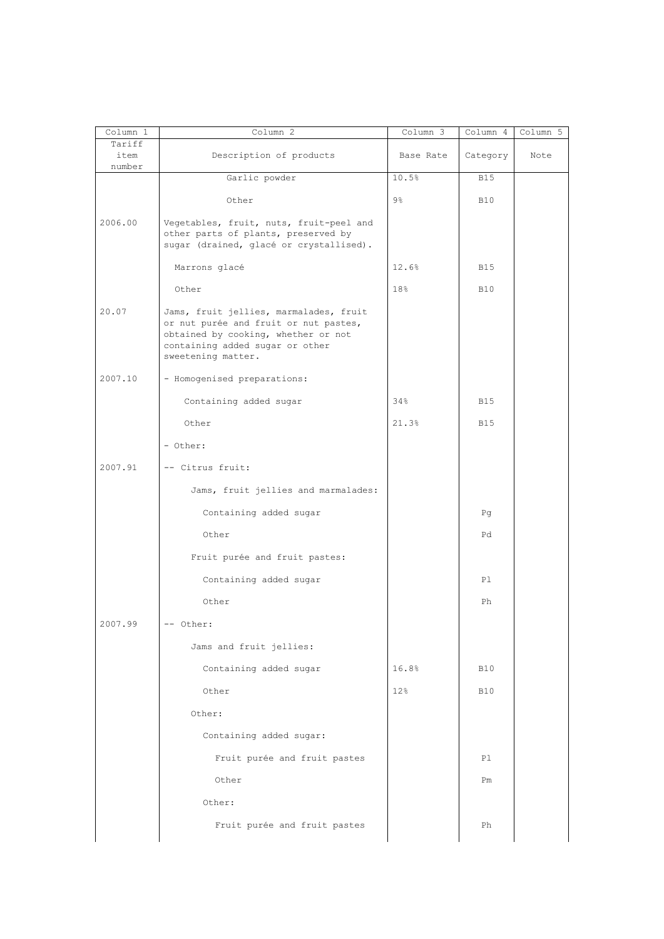| Column 1<br>Tariff | Column 2                                                                                                                                                                        | $Column \overline{3}$ | Column 4   | Column 5 |
|--------------------|---------------------------------------------------------------------------------------------------------------------------------------------------------------------------------|-----------------------|------------|----------|
| item<br>number     | Description of products                                                                                                                                                         | Base Rate             | Category   | Note     |
|                    | Garlic powder                                                                                                                                                                   | 10.5%                 | <b>B15</b> |          |
|                    | Other                                                                                                                                                                           | $9\frac{6}{6}$        | <b>B10</b> |          |
| 2006.00            | Vegetables, fruit, nuts, fruit-peel and<br>other parts of plants, preserved by<br>sugar (drained, glacé or crystallised).                                                       |                       |            |          |
|                    | Marrons glacé                                                                                                                                                                   | 12.6%                 | <b>B15</b> |          |
|                    | Other                                                                                                                                                                           | 18%                   | <b>B10</b> |          |
| 20.07              | Jams, fruit jellies, marmalades, fruit<br>or nut purée and fruit or nut pastes,<br>obtained by cooking, whether or not<br>containing added sugar or other<br>sweetening matter. |                       |            |          |
| 2007.10            | - Homogenised preparations:                                                                                                                                                     |                       |            |          |
|                    | Containing added sugar                                                                                                                                                          | 34%                   | <b>B15</b> |          |
|                    | Other                                                                                                                                                                           | 21.3%                 | <b>B15</b> |          |
|                    | - Other:                                                                                                                                                                        |                       |            |          |
| 2007.91            | -- Citrus fruit:                                                                                                                                                                |                       |            |          |
|                    | Jams, fruit jellies and marmalades:                                                                                                                                             |                       |            |          |
|                    | Containing added sugar                                                                                                                                                          |                       | Pq         |          |
|                    | Other                                                                                                                                                                           |                       | Pd         |          |
|                    | Fruit purée and fruit pastes:                                                                                                                                                   |                       |            |          |
|                    | Containing added sugar                                                                                                                                                          |                       | P1         |          |
|                    | Other                                                                                                                                                                           |                       | Ph         |          |
| 2007.99            | -- Other:                                                                                                                                                                       |                       |            |          |
|                    | Jams and fruit jellies:                                                                                                                                                         |                       |            |          |
|                    | Containing added sugar                                                                                                                                                          | 16.8%                 | <b>B10</b> |          |
|                    | Other                                                                                                                                                                           | 12%                   | <b>B10</b> |          |
|                    | Other:                                                                                                                                                                          |                       |            |          |
|                    | Containing added sugar:                                                                                                                                                         |                       |            |          |
|                    | Fruit purée and fruit pastes                                                                                                                                                    |                       | Pl         |          |
|                    | Other                                                                                                                                                                           |                       | Pm         |          |
|                    | Other:                                                                                                                                                                          |                       |            |          |
|                    | Fruit purée and fruit pastes                                                                                                                                                    |                       | Ph         |          |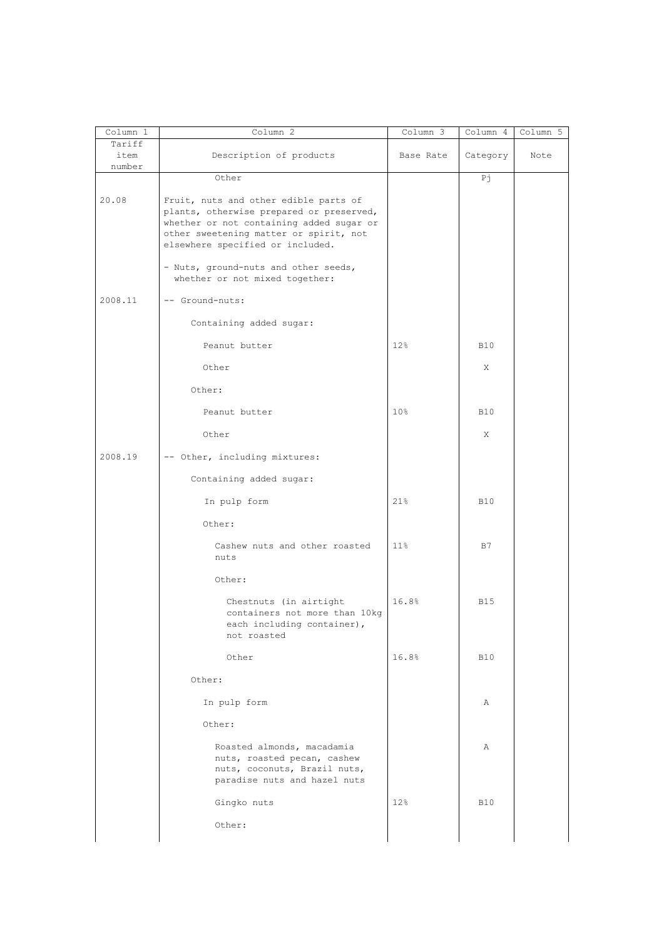| Column 1                 | Column 2                                                                                                                                                                                                    | Column 3  | Column 4   | Column 5 |
|--------------------------|-------------------------------------------------------------------------------------------------------------------------------------------------------------------------------------------------------------|-----------|------------|----------|
| Tariff<br>item<br>number | Description of products                                                                                                                                                                                     | Base Rate | Category   | Note     |
|                          | Other                                                                                                                                                                                                       |           | Рj         |          |
| 20.08                    | Fruit, nuts and other edible parts of<br>plants, otherwise prepared or preserved,<br>whether or not containing added sugar or<br>other sweetening matter or spirit, not<br>elsewhere specified or included. |           |            |          |
|                          | - Nuts, ground-nuts and other seeds,<br>whether or not mixed together:                                                                                                                                      |           |            |          |
| 2008.11                  | -- Ground-nuts:                                                                                                                                                                                             |           |            |          |
|                          | Containing added sugar:                                                                                                                                                                                     |           |            |          |
|                          | Peanut butter                                                                                                                                                                                               | 12%       | <b>B10</b> |          |
|                          | Other                                                                                                                                                                                                       |           | X          |          |
|                          | Other:                                                                                                                                                                                                      |           |            |          |
|                          | Peanut butter                                                                                                                                                                                               | 10%       | <b>B10</b> |          |
|                          | Other                                                                                                                                                                                                       |           | X          |          |
| 2008.19                  | -- Other, including mixtures:                                                                                                                                                                               |           |            |          |
|                          | Containing added sugar:                                                                                                                                                                                     |           |            |          |
|                          | In pulp form                                                                                                                                                                                                | 21%       | <b>B10</b> |          |
|                          | Other:                                                                                                                                                                                                      |           |            |          |
|                          | Cashew nuts and other roasted<br>nuts                                                                                                                                                                       | 11%       | B7         |          |
|                          | Other:                                                                                                                                                                                                      |           |            |          |
|                          | Chestnuts (in airtight<br>containers not more than 10kg<br>each including container),<br>not roasted                                                                                                        | 16.8%     | <b>B15</b> |          |
|                          | Other                                                                                                                                                                                                       | 16.8%     | <b>B10</b> |          |
|                          | Other:                                                                                                                                                                                                      |           |            |          |
|                          | In pulp form                                                                                                                                                                                                |           | Α          |          |
|                          | Other:                                                                                                                                                                                                      |           |            |          |
|                          | Roasted almonds, macadamia<br>nuts, roasted pecan, cashew<br>nuts, coconuts, Brazil nuts,<br>paradise nuts and hazel nuts                                                                                   |           | Α          |          |
|                          | Gingko nuts                                                                                                                                                                                                 | 12%       | <b>B10</b> |          |
|                          | Other:                                                                                                                                                                                                      |           |            |          |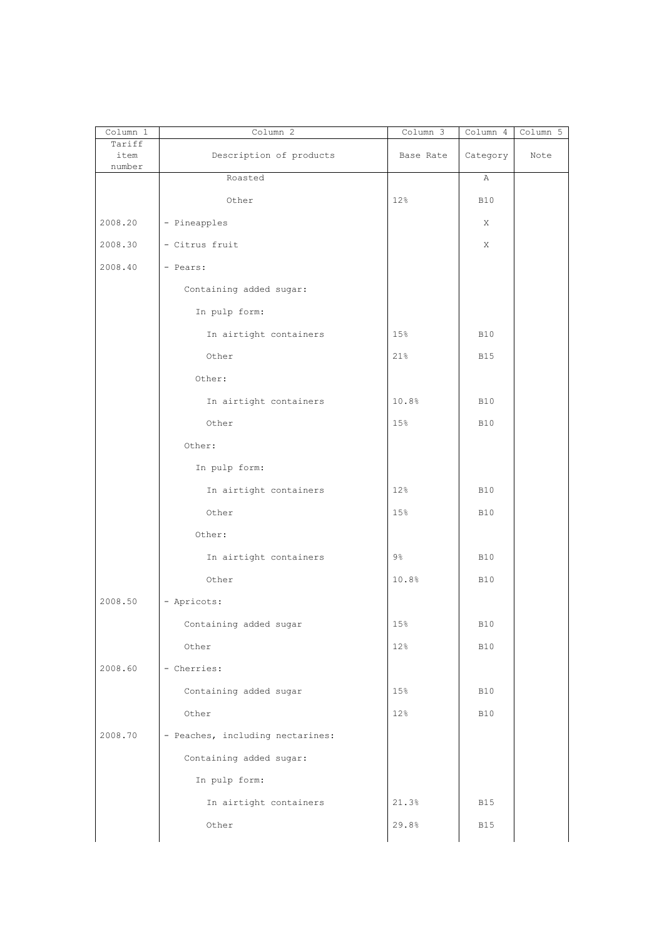| Column 1<br>Tariff | Column 2                         | Column 3       | Column 4     | Column 5 |
|--------------------|----------------------------------|----------------|--------------|----------|
| item<br>number     | Description of products          | Base Rate      | Category     | Note     |
|                    | Roasted                          |                | Α            |          |
|                    | Other                            | 12%            | <b>B10</b>   |          |
| 2008.20            | - Pineapples                     |                | X            |          |
| 2008.30            | - Citrus fruit                   |                | Χ            |          |
| 2008.40            | - Pears:                         |                |              |          |
|                    | Containing added sugar:          |                |              |          |
|                    | In pulp form:                    |                |              |          |
|                    | In airtight containers           | 15%            | <b>B10</b>   |          |
|                    | Other                            | 21%            | <b>B15</b>   |          |
|                    | Other:                           |                |              |          |
|                    | In airtight containers           | 10.8%          | <b>B10</b>   |          |
|                    | Other                            | 15%            | <b>B10</b>   |          |
|                    | Other:                           |                |              |          |
|                    | In pulp form:                    |                |              |          |
|                    | In airtight containers           | 12%            | <b>B10</b>   |          |
|                    | Other                            | 15%            | <b>B10</b>   |          |
|                    | Other:                           |                |              |          |
|                    | In airtight containers           | $9\frac{6}{6}$ | <b>B10</b>   |          |
|                    | Other                            | 10.8%          | <b>B10</b>   |          |
| 2008.50            | - Apricots:                      |                |              |          |
|                    | Containing added sugar           | $15\,$         | $\text{B10}$ |          |
|                    | Other                            | 12%            | <b>B10</b>   |          |
| 2008.60            | - Cherries:                      |                |              |          |
|                    | Containing added sugar           | 15%            | <b>B10</b>   |          |
|                    | Other                            | 12%            | <b>B10</b>   |          |
| 2008.70            | - Peaches, including nectarines: |                |              |          |
|                    | Containing added sugar:          |                |              |          |
|                    | In pulp form:                    |                |              |          |
|                    | In airtight containers           | 21.3%          | <b>B15</b>   |          |
|                    | Other                            | 29.8%          | <b>B15</b>   |          |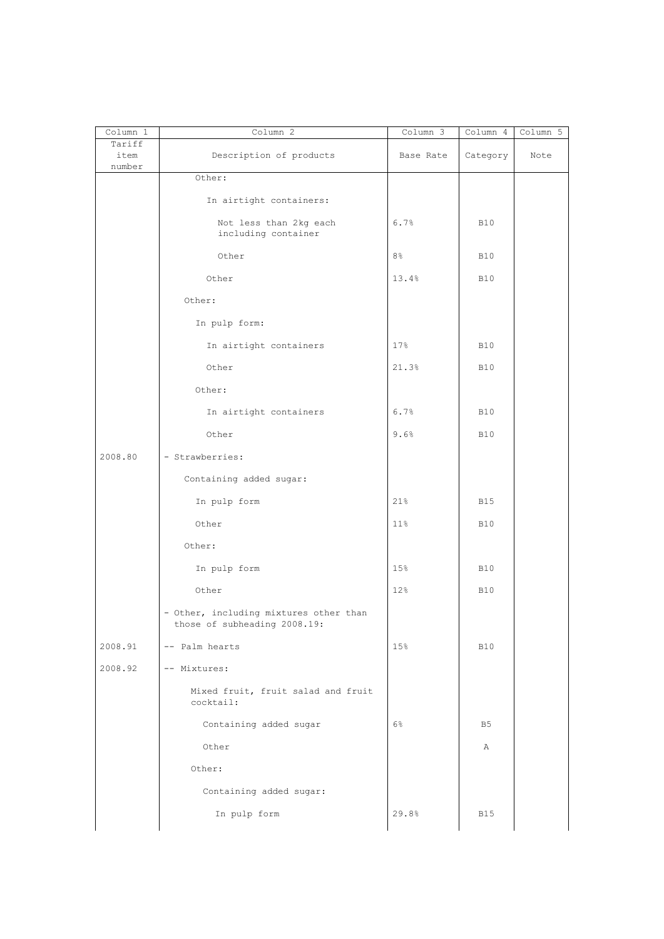| Column 1                 | Column 2                                                               | Column 3  | Column 4       | Column 5 |
|--------------------------|------------------------------------------------------------------------|-----------|----------------|----------|
| Tariff<br>item<br>number | Description of products                                                | Base Rate | Category       | Note     |
|                          | Other:                                                                 |           |                |          |
|                          | In airtight containers:                                                |           |                |          |
|                          | Not less than 2kg each<br>including container                          | 6.7%      | <b>B10</b>     |          |
|                          | Other                                                                  | 8%        | <b>B10</b>     |          |
|                          | Other                                                                  | 13.4%     | <b>B10</b>     |          |
|                          | Other:                                                                 |           |                |          |
|                          | In pulp form:                                                          |           |                |          |
|                          | In airtight containers                                                 | 17%       | <b>B10</b>     |          |
|                          | Other                                                                  | 21.3%     | <b>B10</b>     |          |
|                          | Other:                                                                 |           |                |          |
|                          | In airtight containers                                                 | 6.7%      | <b>B10</b>     |          |
|                          | Other                                                                  | 9.6%      | <b>B10</b>     |          |
| 2008.80                  | - Strawberries:                                                        |           |                |          |
|                          | Containing added sugar:                                                |           |                |          |
|                          | In pulp form                                                           | 21%       | <b>B15</b>     |          |
|                          | Other                                                                  | 11%       | <b>B10</b>     |          |
|                          | Other:                                                                 |           |                |          |
|                          | In pulp form                                                           | 15%       | <b>B10</b>     |          |
|                          | Other                                                                  | 12%       | <b>B10</b>     |          |
|                          | - Other, including mixtures other than<br>those of subheading 2008.19: |           |                |          |
| 2008.91                  | -- Palm hearts                                                         | 15%       | <b>B10</b>     |          |
| 2008.92                  | -- Mixtures:                                                           |           |                |          |
|                          | Mixed fruit, fruit salad and fruit<br>cocktail:                        |           |                |          |
|                          | Containing added sugar                                                 | 6%        | B <sub>5</sub> |          |
|                          | Other                                                                  |           | Α              |          |
|                          | Other:                                                                 |           |                |          |
|                          | Containing added sugar:                                                |           |                |          |
|                          | In pulp form                                                           | 29.8%     | <b>B15</b>     |          |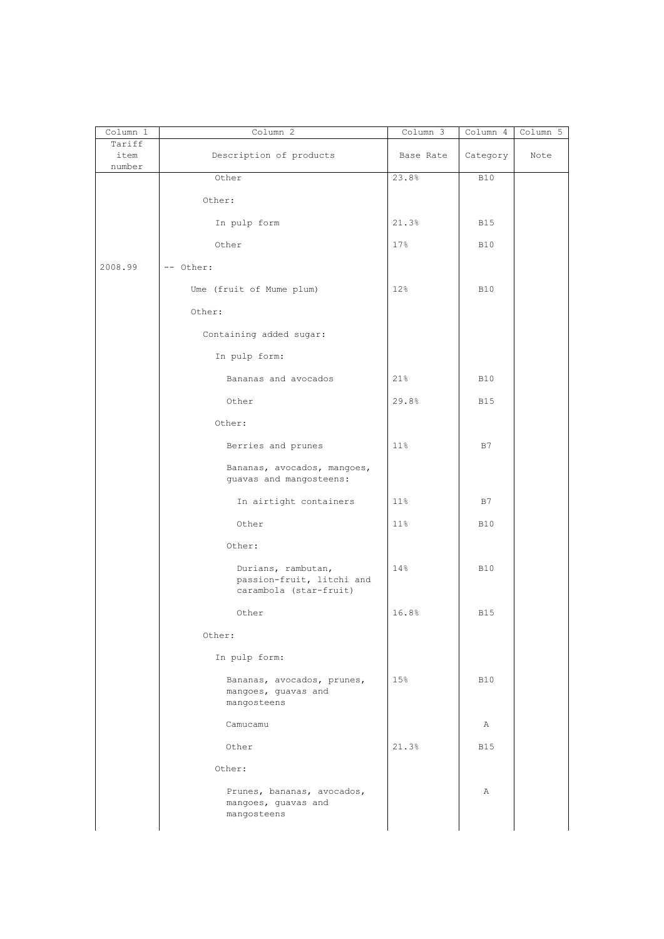| Column 1                 | Column 2                                                                  | Column 3  | Column 4   | Column 5 |
|--------------------------|---------------------------------------------------------------------------|-----------|------------|----------|
| Tariff<br>item<br>number | Description of products                                                   | Base Rate | Category   | Note     |
|                          | Other                                                                     | 23.8%     | <b>B10</b> |          |
|                          | Other:                                                                    |           |            |          |
|                          | In pulp form                                                              | 21.3%     | <b>B15</b> |          |
|                          | Other                                                                     | 17%       | <b>B10</b> |          |
| 2008.99                  | -- Other:                                                                 |           |            |          |
|                          | Ume (fruit of Mume plum)                                                  | 12%       | <b>B10</b> |          |
|                          | Other:                                                                    |           |            |          |
|                          | Containing added sugar:                                                   |           |            |          |
|                          | In pulp form:                                                             |           |            |          |
|                          | Bananas and avocados                                                      | 21%       | <b>B10</b> |          |
|                          | Other                                                                     | 29.8%     | <b>B15</b> |          |
|                          | Other:                                                                    |           |            |          |
|                          | Berries and prunes                                                        | 11%       | B7         |          |
|                          | Bananas, avocados, mangoes,<br>guavas and mangosteens:                    |           |            |          |
|                          | In airtight containers                                                    | $11\%$    | B7         |          |
|                          | Other                                                                     | 11%       | <b>B10</b> |          |
|                          | Other:                                                                    |           |            |          |
|                          | Durians, rambutan,<br>passion-fruit, litchi and<br>carambola (star-fruit) | 14%       | <b>B10</b> |          |
|                          | Other                                                                     | 16.8%     | <b>B15</b> |          |
|                          | Other:                                                                    |           |            |          |
|                          | In pulp form:                                                             |           |            |          |
|                          | Bananas, avocados, prunes,<br>mangoes, guavas and<br>mangosteens          | 15%       | <b>B10</b> |          |
|                          | Camucamu                                                                  |           | Α          |          |
|                          | Other                                                                     | 21.3%     | <b>B15</b> |          |
|                          | Other:                                                                    |           |            |          |
|                          | Prunes, bananas, avocados,<br>mangoes, guavas and<br>mangosteens          |           | Α          |          |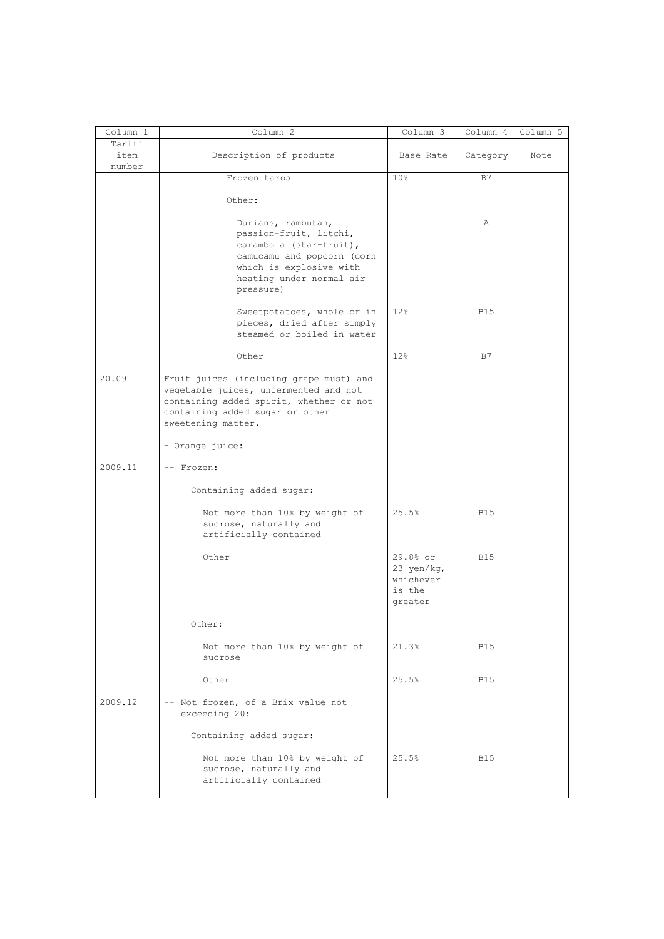| Column 1 | Column 2                                | Column 3   | Column 4   | Column 5 |
|----------|-----------------------------------------|------------|------------|----------|
| Tariff   |                                         |            |            |          |
| item     | Description of products                 | Base Rate  | Category   | Note     |
| number   |                                         |            |            |          |
|          | Frozen taros                            | 10%        | B7         |          |
|          | Other:                                  |            |            |          |
|          |                                         |            |            |          |
|          | Durians, rambutan,                      |            | Α          |          |
|          | passion-fruit, litchi,                  |            |            |          |
|          | carambola (star-fruit),                 |            |            |          |
|          | camucamu and popcorn (corn              |            |            |          |
|          | which is explosive with                 |            |            |          |
|          | heating under normal air                |            |            |          |
|          | pressure)                               |            |            |          |
|          |                                         |            |            |          |
|          | Sweetpotatoes, whole or in              | 12%        | <b>B15</b> |          |
|          | pieces, dried after simply              |            |            |          |
|          | steamed or boiled in water              |            |            |          |
|          |                                         |            |            |          |
|          | Other                                   | 12%        | B7         |          |
| 20.09    | Fruit juices (including grape must) and |            |            |          |
|          | vegetable juices, unfermented and not   |            |            |          |
|          | containing added spirit, whether or not |            |            |          |
|          | containing added sugar or other         |            |            |          |
|          | sweetening matter.                      |            |            |          |
|          |                                         |            |            |          |
|          | - Orange juice:                         |            |            |          |
|          |                                         |            |            |          |
| 2009.11  | -- Frozen:                              |            |            |          |
|          | Containing added sugar:                 |            |            |          |
|          |                                         |            |            |          |
|          | Not more than 10% by weight of          | 25.5%      | <b>B15</b> |          |
|          | sucrose, naturally and                  |            |            |          |
|          | artificially contained                  |            |            |          |
|          |                                         |            |            |          |
|          | Other                                   | 29.8% or   | <b>B15</b> |          |
|          |                                         | 23 yen/kg, |            |          |
|          |                                         | whichever  |            |          |
|          |                                         | is the     |            |          |
|          |                                         | greater    |            |          |
|          | Other:                                  |            |            |          |
|          |                                         |            |            |          |
|          | Not more than 10% by weight of          | 21.3%      | <b>B15</b> |          |
|          | sucrose                                 |            |            |          |
|          |                                         |            |            |          |
|          | Other                                   | 25.5%      | <b>B15</b> |          |
|          |                                         |            |            |          |
| 2009.12  | -- Not frozen, of a Brix value not      |            |            |          |
|          | exceeding 20:                           |            |            |          |
|          | Containing added sugar:                 |            |            |          |
|          |                                         |            |            |          |
|          | Not more than 10% by weight of          | 25.5%      | <b>B15</b> |          |
|          | sucrose, naturally and                  |            |            |          |
|          |                                         |            |            |          |
|          | artificially contained                  |            |            |          |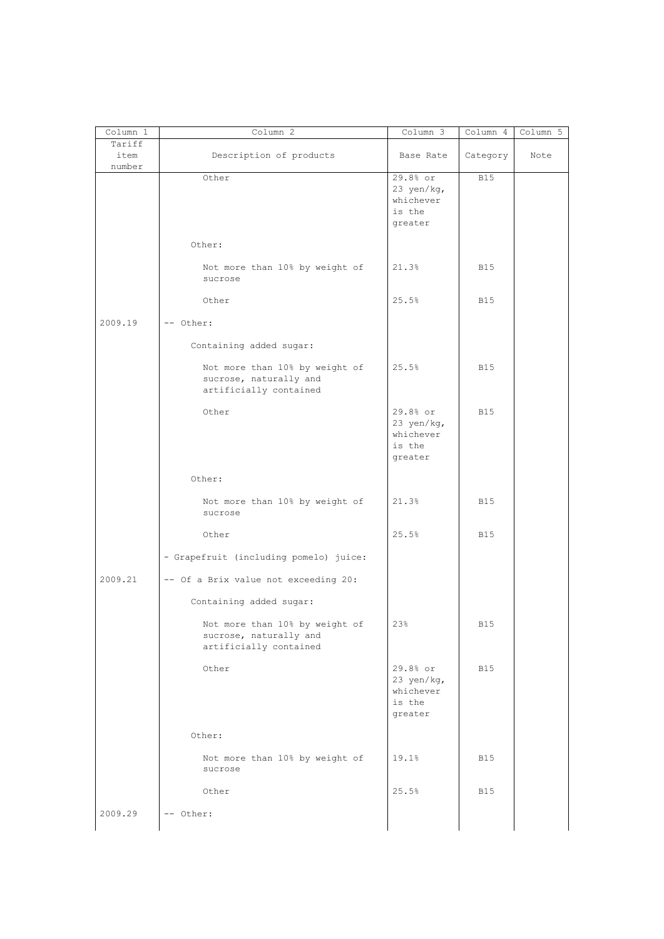| Column 1                 | Column <sup>2</sup>                                                                | $Column \overline{3}$                                    | Column 4   | Column 5 |
|--------------------------|------------------------------------------------------------------------------------|----------------------------------------------------------|------------|----------|
| Tariff<br>item<br>number | Description of products                                                            | Base Rate                                                | Category   | Note     |
|                          | Other                                                                              | 29.8% or<br>23 yen/kg,<br>whichever<br>is the<br>greater | <b>B15</b> |          |
|                          | Other:                                                                             |                                                          |            |          |
|                          | Not more than 10% by weight of<br>sucrose                                          | 21.3%                                                    | <b>B15</b> |          |
|                          | Other                                                                              | 25.5%                                                    | <b>B15</b> |          |
| 2009.19                  | -- Other:                                                                          |                                                          |            |          |
|                          | Containing added sugar:                                                            |                                                          |            |          |
|                          | Not more than 10% by weight of<br>sucrose, naturally and<br>artificially contained | 25.5%                                                    | <b>B15</b> |          |
|                          | Other                                                                              | 29.8% or<br>23 yen/kg,<br>whichever<br>is the<br>greater | <b>B15</b> |          |
|                          | Other:                                                                             |                                                          |            |          |
|                          | Not more than 10% by weight of<br>sucrose                                          | 21.3%                                                    | <b>B15</b> |          |
|                          | Other                                                                              | 25.5%                                                    | <b>B15</b> |          |
|                          | - Grapefruit (including pomelo) juice:                                             |                                                          |            |          |
| 2009.21                  | -- Of a Brix value not exceeding 20:                                               |                                                          |            |          |
|                          | Containing added sugar:                                                            |                                                          |            |          |
|                          | Not more than 10% by weight of<br>sucrose, naturally and<br>artificially contained | 23%                                                      | $\rm B15$  |          |
|                          | Other                                                                              | 29.8% or<br>23 yen/kg,<br>whichever<br>is the<br>greater | <b>B15</b> |          |
|                          | Other:                                                                             |                                                          |            |          |
|                          | Not more than 10% by weight of<br>sucrose                                          | 19.1%                                                    | B15        |          |
|                          | Other                                                                              | 25.5%                                                    | B15        |          |
| 2009.29                  | -- Other:                                                                          |                                                          |            |          |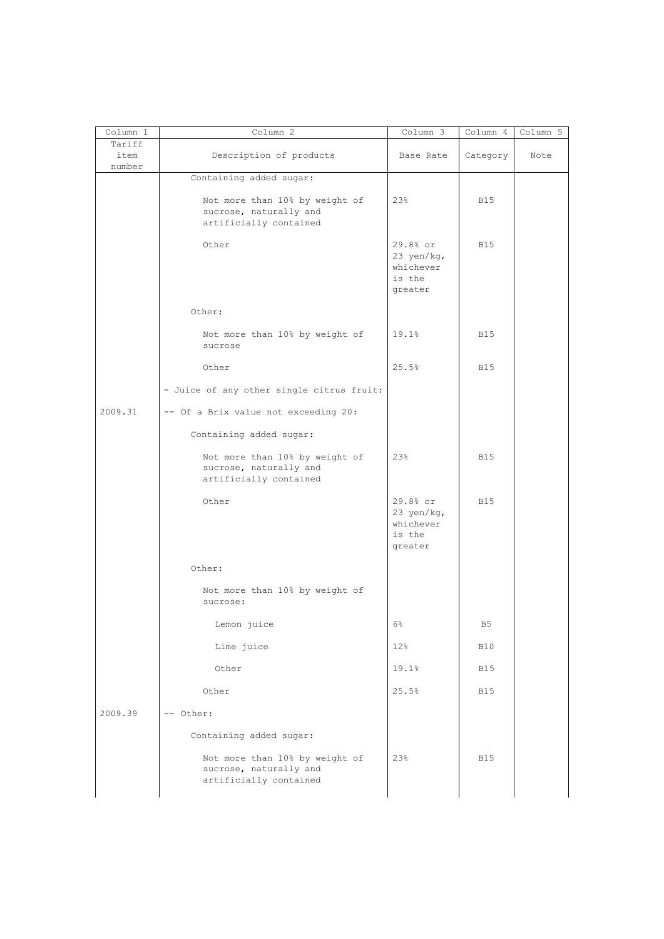| Column 1                 | Column 2                                                                           | Column 3                                                 | Column 4   | Column 5 |
|--------------------------|------------------------------------------------------------------------------------|----------------------------------------------------------|------------|----------|
| Tariff<br>item<br>number | Description of products                                                            | Base Rate                                                | Category   | Note     |
|                          | Containing added sugar:                                                            |                                                          |            |          |
|                          | Not more than 10% by weight of<br>sucrose, naturally and<br>artificially contained | 23%                                                      | <b>B15</b> |          |
|                          | Other                                                                              | 29.8% or<br>23 yen/kg,<br>whichever<br>is the<br>greater | <b>B15</b> |          |
|                          | Other:                                                                             |                                                          |            |          |
|                          | Not more than 10% by weight of<br>sucrose                                          | 19.1%                                                    | <b>B15</b> |          |
|                          | Other                                                                              | 25.5%                                                    | <b>B15</b> |          |
|                          | - Juice of any other single citrus fruit:                                          |                                                          |            |          |
| 2009.31                  | -- Of a Brix value not exceeding 20:                                               |                                                          |            |          |
|                          | Containing added sugar:                                                            |                                                          |            |          |
|                          | Not more than 10% by weight of<br>sucrose, naturally and<br>artificially contained | 23%                                                      | <b>B15</b> |          |
|                          | Other                                                                              | 29.8% or<br>23 yen/kg,<br>whichever<br>is the<br>greater | <b>B15</b> |          |
|                          | Other:                                                                             |                                                          |            |          |
|                          | Not more than 10% by weight of<br>sucrose:                                         |                                                          |            |          |
|                          | Lemon juice                                                                        | 6%                                                       | B5         |          |
|                          | Lime juice                                                                         | 12%                                                      | <b>B10</b> |          |
|                          | Other                                                                              | 19.1%                                                    | B15        |          |
|                          | Other                                                                              | 25.5%                                                    | <b>B15</b> |          |
| 2009.39                  | -- Other:                                                                          |                                                          |            |          |
|                          | Containing added sugar:                                                            |                                                          |            |          |
|                          | Not more than 10% by weight of<br>sucrose, naturally and<br>artificially contained | 23%                                                      | <b>B15</b> |          |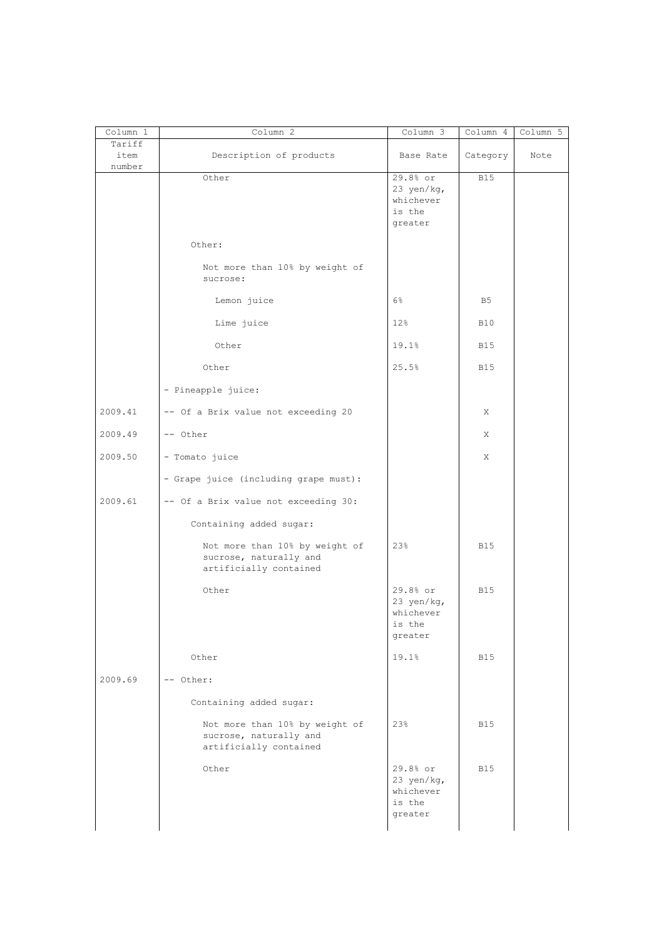| Column 1                 | Column 2                                                                           | Column 3                                                 | Column 4   | Column 5 |
|--------------------------|------------------------------------------------------------------------------------|----------------------------------------------------------|------------|----------|
| Tariff<br>item<br>number | Description of products                                                            | Base Rate                                                | Category   | Note     |
|                          | Other                                                                              | 29.8% or<br>23 yen/kg,<br>whichever<br>is the<br>greater | <b>B15</b> |          |
|                          | Other:                                                                             |                                                          |            |          |
|                          | Not more than 10% by weight of<br>sucrose:                                         |                                                          |            |          |
|                          | Lemon juice                                                                        | $6\%$                                                    | B5         |          |
|                          | Lime juice                                                                         | 12%                                                      | <b>B10</b> |          |
|                          | Other                                                                              | 19.1%                                                    | <b>B15</b> |          |
|                          | Other                                                                              | 25.5%                                                    | <b>B15</b> |          |
|                          | - Pineapple juice:                                                                 |                                                          |            |          |
| 2009.41                  | -- Of a Brix value not exceeding 20                                                |                                                          | Χ          |          |
| 2009.49                  | -- Other                                                                           |                                                          | Χ          |          |
| 2009.50                  | - Tomato juice                                                                     |                                                          | X          |          |
|                          | - Grape juice (including grape must):                                              |                                                          |            |          |
| 2009.61                  | -- Of a Brix value not exceeding 30:                                               |                                                          |            |          |
|                          | Containing added sugar:                                                            |                                                          |            |          |
|                          | Not more than 10% by weight of<br>sucrose, naturally and<br>artificially contained | 23%                                                      | <b>B15</b> |          |
|                          | Other                                                                              | 29.8% or<br>23 yen/kg,<br>whichever<br>is the<br>greater | <b>B15</b> |          |
|                          | Other                                                                              | 19.1%                                                    | <b>B15</b> |          |
| 2009.69                  | -- Other:                                                                          |                                                          |            |          |
|                          | Containing added sugar:                                                            |                                                          |            |          |
|                          | Not more than 10% by weight of<br>sucrose, naturally and<br>artificially contained | 23%                                                      | <b>B15</b> |          |
|                          | Other                                                                              | 29.8% or<br>23 yen/kg,<br>whichever<br>is the<br>greater | <b>B15</b> |          |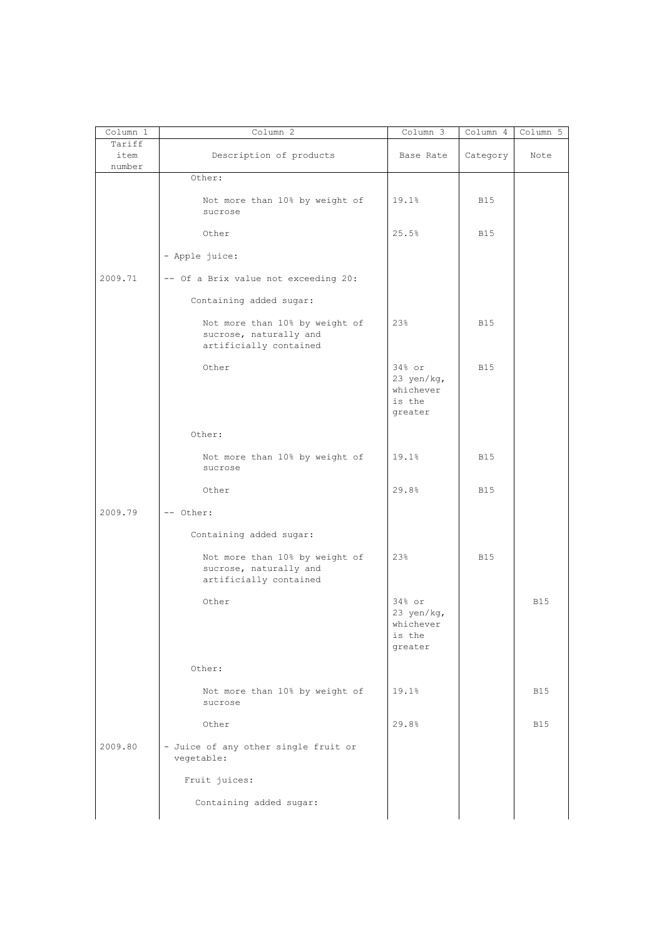| Column 1       | Column 2                                                                           | Column 3                                                 | Column 4   | Column 5   |
|----------------|------------------------------------------------------------------------------------|----------------------------------------------------------|------------|------------|
| Tariff<br>item | Description of products                                                            | Base Rate                                                | Category   | Note       |
| number         |                                                                                    |                                                          |            |            |
|                | Other:<br>Not more than 10% by weight of<br>sucrose                                | 19.1%                                                    | <b>B15</b> |            |
|                | Other                                                                              | 25.5%                                                    | <b>B15</b> |            |
|                | - Apple juice:                                                                     |                                                          |            |            |
| 2009.71        | -- Of a Brix value not exceeding 20:                                               |                                                          |            |            |
|                | Containing added sugar:                                                            |                                                          |            |            |
|                | Not more than 10% by weight of<br>sucrose, naturally and<br>artificially contained | 23%                                                      | <b>B15</b> |            |
|                | Other                                                                              | $34%$ or<br>23 yen/kg,<br>whichever<br>is the<br>greater | <b>B15</b> |            |
|                | Other:                                                                             |                                                          |            |            |
|                | Not more than 10% by weight of<br>sucrose                                          | 19.1%                                                    | <b>B15</b> |            |
|                | Other                                                                              | 29.8%                                                    | <b>B15</b> |            |
| 2009.79        | -- Other:                                                                          |                                                          |            |            |
|                | Containing added sugar:                                                            |                                                          |            |            |
|                | Not more than 10% by weight of<br>sucrose, naturally and<br>artificially contained | 23%                                                      | <b>B15</b> |            |
|                | Other                                                                              | 34% or<br>23 yen/kg,<br>whichever<br>is the<br>greater   |            | <b>B15</b> |
|                | Other:                                                                             |                                                          |            |            |
|                | Not more than 10% by weight of<br>sucrose                                          | 19.1%                                                    |            | <b>B15</b> |
|                | Other                                                                              | 29.8%                                                    |            | <b>B15</b> |
| 2009.80        | - Juice of any other single fruit or<br>vegetable:                                 |                                                          |            |            |
|                | Fruit juices:                                                                      |                                                          |            |            |
|                | Containing added sugar:                                                            |                                                          |            |            |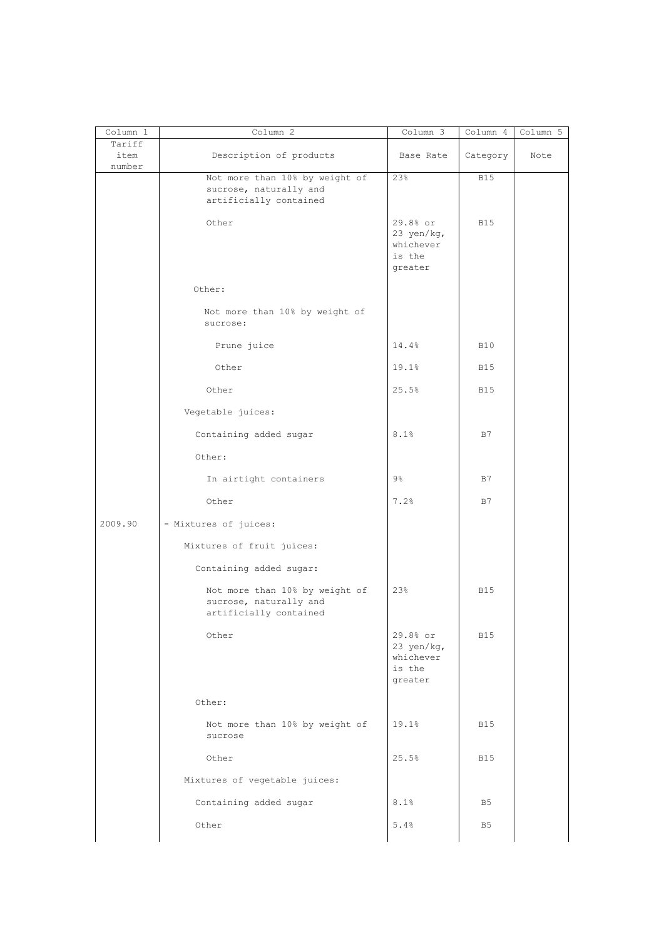| Column 1                 | Column 2                                                                           | Column 3                                                 | Column 4       | Column 5 |
|--------------------------|------------------------------------------------------------------------------------|----------------------------------------------------------|----------------|----------|
| Tariff<br>item<br>number | Description of products                                                            | Base Rate                                                | Category       | Note     |
|                          | Not more than 10% by weight of<br>sucrose, naturally and<br>artificially contained | 23%                                                      | <b>B15</b>     |          |
|                          | Other                                                                              | 29.8% or<br>23 yen/kg,<br>whichever<br>is the<br>greater | <b>B15</b>     |          |
|                          | Other:                                                                             |                                                          |                |          |
|                          | Not more than 10% by weight of<br>sucrose:                                         |                                                          |                |          |
|                          | Prune juice                                                                        | 14.4%                                                    | <b>B10</b>     |          |
|                          | Other                                                                              | 19.1%                                                    | <b>B15</b>     |          |
|                          | Other                                                                              | 25.5%                                                    | <b>B15</b>     |          |
|                          | Vegetable juices:                                                                  |                                                          |                |          |
|                          | Containing added sugar                                                             | 8.1%                                                     | B7             |          |
|                          | Other:                                                                             |                                                          |                |          |
|                          | In airtight containers                                                             | 9%                                                       | B7             |          |
|                          | Other                                                                              | 7.2%                                                     | B7             |          |
| 2009.90                  | - Mixtures of juices:                                                              |                                                          |                |          |
|                          | Mixtures of fruit juices:                                                          |                                                          |                |          |
|                          | Containing added sugar:                                                            |                                                          |                |          |
|                          | Not more than 10% by weight of<br>sucrose, naturally and<br>artificially contained | 23%                                                      | <b>B15</b>     |          |
|                          | Other                                                                              | 29.8% or<br>23 yen/kg,<br>whichever<br>is the<br>greater | <b>B15</b>     |          |
|                          | Other:                                                                             |                                                          |                |          |
|                          | Not more than 10% by weight of<br>sucrose                                          | 19.1%                                                    | <b>B15</b>     |          |
|                          | Other                                                                              | 25.5%                                                    | <b>B15</b>     |          |
|                          | Mixtures of vegetable juices:                                                      |                                                          |                |          |
|                          | Containing added sugar                                                             | 8.1%                                                     | B <sub>5</sub> |          |
|                          | Other                                                                              | 5.4%                                                     | B <sub>5</sub> |          |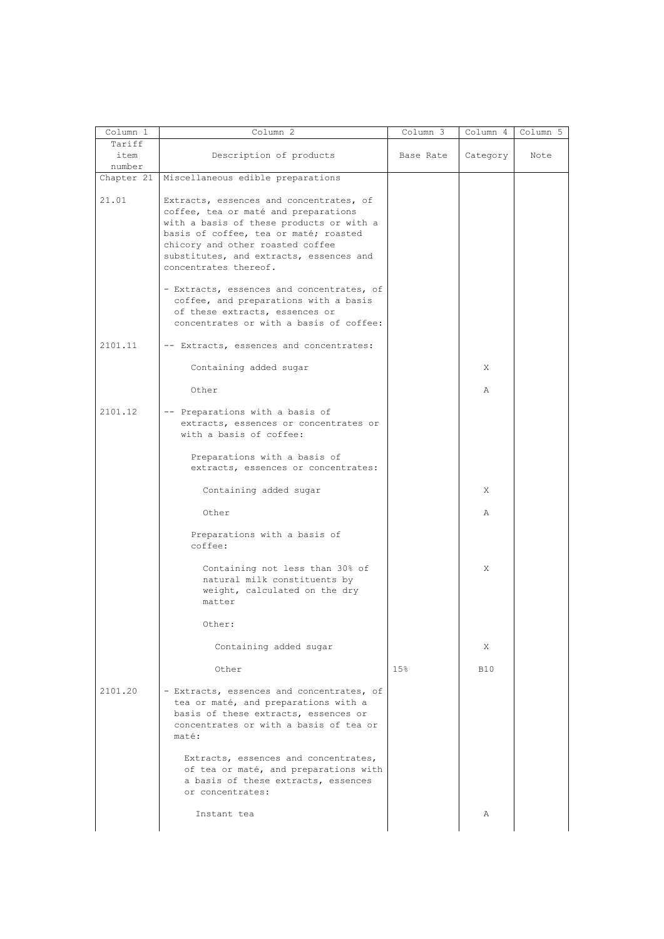|                |                                                                                                                                                                                                                                                                              | Column 3        | Column 4   | Column 5 |
|----------------|------------------------------------------------------------------------------------------------------------------------------------------------------------------------------------------------------------------------------------------------------------------------------|-----------------|------------|----------|
| Tariff<br>item | Description of products                                                                                                                                                                                                                                                      | Base Rate       | Category   | Note     |
| number         |                                                                                                                                                                                                                                                                              |                 |            |          |
| Chapter 21     | Miscellaneous edible preparations                                                                                                                                                                                                                                            |                 |            |          |
| 21.01          | Extracts, essences and concentrates, of<br>coffee, tea or maté and preparations<br>with a basis of these products or with a<br>basis of coffee, tea or maté; roasted<br>chicory and other roasted coffee<br>substitutes, and extracts, essences and<br>concentrates thereof. |                 |            |          |
|                | - Extracts, essences and concentrates, of<br>coffee, and preparations with a basis<br>of these extracts, essences or<br>concentrates or with a basis of coffee:                                                                                                              |                 |            |          |
| 2101.11        | -- Extracts, essences and concentrates:                                                                                                                                                                                                                                      |                 |            |          |
|                | Containing added sugar                                                                                                                                                                                                                                                       |                 | X          |          |
|                | Other                                                                                                                                                                                                                                                                        |                 | A          |          |
| 2101.12        | -- Preparations with a basis of<br>extracts, essences or concentrates or<br>with a basis of coffee:                                                                                                                                                                          |                 |            |          |
|                | Preparations with a basis of<br>extracts, essences or concentrates:                                                                                                                                                                                                          |                 |            |          |
|                | Containing added sugar                                                                                                                                                                                                                                                       |                 | X          |          |
|                | Other                                                                                                                                                                                                                                                                        |                 | Α          |          |
|                | Preparations with a basis of<br>coffee:                                                                                                                                                                                                                                      |                 |            |          |
|                | Containing not less than 30% of<br>natural milk constituents by<br>weight, calculated on the dry<br>matter                                                                                                                                                                   |                 | X          |          |
|                | Other:                                                                                                                                                                                                                                                                       |                 |            |          |
|                | Containing added sugar                                                                                                                                                                                                                                                       |                 | X          |          |
|                | Other                                                                                                                                                                                                                                                                        | 15 <sub>8</sub> | <b>B10</b> |          |
| 2101.20        | - Extracts, essences and concentrates, of<br>tea or maté, and preparations with a<br>basis of these extracts, essences or<br>concentrates or with a basis of tea or<br>maté:                                                                                                 |                 |            |          |
|                | Extracts, essences and concentrates,<br>of tea or maté, and preparations with<br>a basis of these extracts, essences<br>or concentrates:                                                                                                                                     |                 |            |          |
|                | Instant tea                                                                                                                                                                                                                                                                  |                 | Α          |          |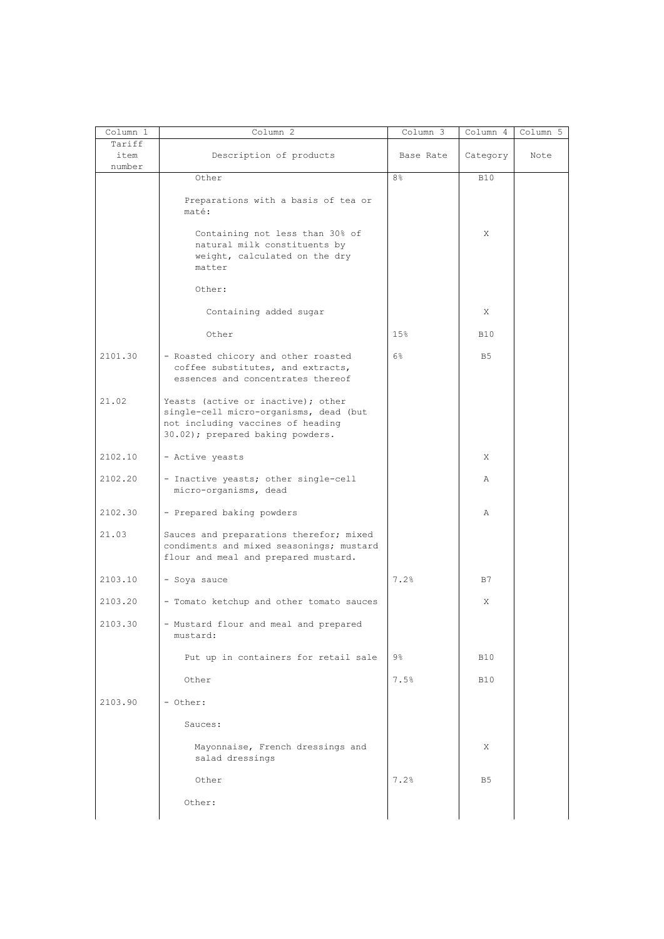| Column 1                 | Column 2                                                                                                                                              | Column 3  | Column 4       | Column 5 |
|--------------------------|-------------------------------------------------------------------------------------------------------------------------------------------------------|-----------|----------------|----------|
| Tariff<br>item<br>number | Description of products                                                                                                                               | Base Rate | Category       | Note     |
|                          | Other                                                                                                                                                 | 8%        | <b>B10</b>     |          |
|                          | Preparations with a basis of tea or<br>maté:                                                                                                          |           |                |          |
|                          | Containing not less than 30% of<br>natural milk constituents by<br>weight, calculated on the dry<br>matter                                            |           | Χ              |          |
|                          | Other:                                                                                                                                                |           |                |          |
|                          | Containing added sugar                                                                                                                                |           | X              |          |
|                          | Other                                                                                                                                                 | 15%       | <b>B10</b>     |          |
| 2101.30                  | - Roasted chicory and other roasted<br>coffee substitutes, and extracts,<br>essences and concentrates thereof                                         | 6%        | B <sub>5</sub> |          |
| 21.02                    | Yeasts (active or inactive); other<br>single-cell micro-organisms, dead (but<br>not including vaccines of heading<br>30.02); prepared baking powders. |           |                |          |
| 2102.10                  | - Active yeasts                                                                                                                                       |           | Χ              |          |
| 2102.20                  | - Inactive yeasts; other single-cell<br>micro-organisms, dead                                                                                         |           | Α              |          |
| 2102.30                  | - Prepared baking powders                                                                                                                             |           | Α              |          |
| 21.03                    | Sauces and preparations therefor; mixed<br>condiments and mixed seasonings; mustard<br>flour and meal and prepared mustard.                           |           |                |          |
| 2103.10                  | - Soya sauce                                                                                                                                          | 7.2%      | B7             |          |
| 2103.20                  | - Tomato ketchup and other tomato sauces                                                                                                              |           | Χ              |          |
| 2103.30                  | - Mustard flour and meal and prepared<br>mustard:                                                                                                     |           |                |          |
|                          | Put up in containers for retail sale                                                                                                                  | 9%        | <b>B10</b>     |          |
|                          | Other                                                                                                                                                 | 7.5%      | <b>B10</b>     |          |
| 2103.90                  | - Other:                                                                                                                                              |           |                |          |
|                          | Sauces:                                                                                                                                               |           |                |          |
|                          | Mayonnaise, French dressings and<br>salad dressings                                                                                                   |           | X              |          |
|                          | Other                                                                                                                                                 | 7.2%      | B <sub>5</sub> |          |
|                          | Other:                                                                                                                                                |           |                |          |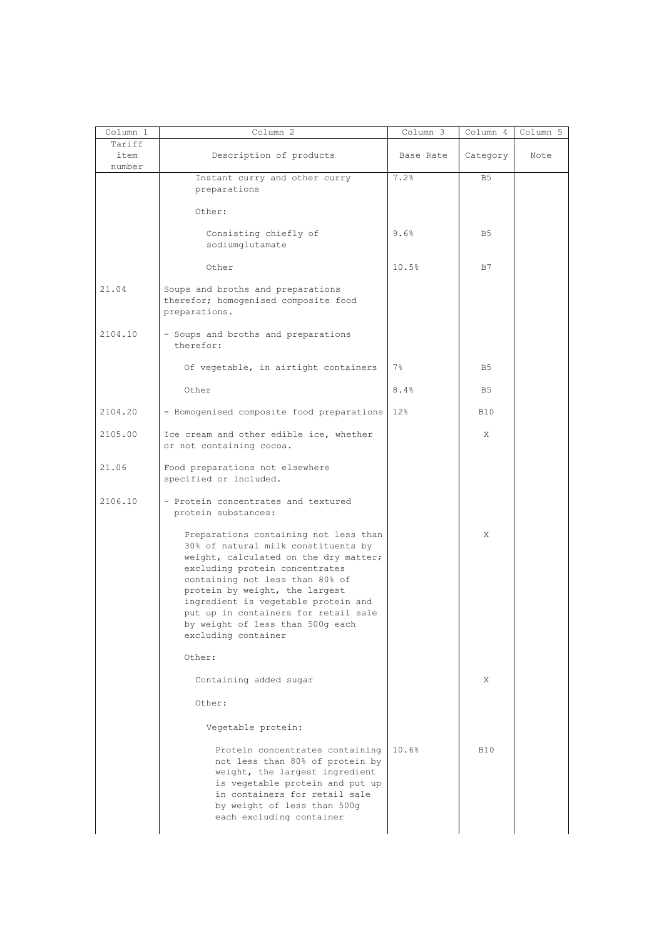| Column 1                 | Column 2                                                                                                                                                                                                                                                                                                                                                               | Column 3  | Column 4       | Column 5 |
|--------------------------|------------------------------------------------------------------------------------------------------------------------------------------------------------------------------------------------------------------------------------------------------------------------------------------------------------------------------------------------------------------------|-----------|----------------|----------|
| Tariff<br>item<br>number | Description of products                                                                                                                                                                                                                                                                                                                                                | Base Rate | Category       | Note     |
|                          | Instant curry and other curry<br>preparations                                                                                                                                                                                                                                                                                                                          | 7.2%      | B <sub>5</sub> |          |
|                          | Other:                                                                                                                                                                                                                                                                                                                                                                 |           |                |          |
|                          | Consisting chiefly of<br>sodiumqlutamate                                                                                                                                                                                                                                                                                                                               | 9.6%      | B5             |          |
|                          | Other                                                                                                                                                                                                                                                                                                                                                                  | 10.5%     | B7             |          |
| 21.04                    | Soups and broths and preparations<br>therefor; homogenised composite food<br>preparations.                                                                                                                                                                                                                                                                             |           |                |          |
| 2104.10                  | - Soups and broths and preparations<br>therefor:                                                                                                                                                                                                                                                                                                                       |           |                |          |
|                          | Of vegetable, in airtight containers                                                                                                                                                                                                                                                                                                                                   | $7\%$     | B5             |          |
|                          | Other                                                                                                                                                                                                                                                                                                                                                                  | 8.4%      | B <sub>5</sub> |          |
| 2104.20                  | - Homogenised composite food preparations                                                                                                                                                                                                                                                                                                                              | 12%       | <b>B10</b>     |          |
| 2105.00                  | Ice cream and other edible ice, whether<br>or not containing cocoa.                                                                                                                                                                                                                                                                                                    |           | Χ              |          |
| 21.06                    | Food preparations not elsewhere<br>specified or included.                                                                                                                                                                                                                                                                                                              |           |                |          |
| 2106.10                  | - Protein concentrates and textured<br>protein substances:                                                                                                                                                                                                                                                                                                             |           |                |          |
|                          | Preparations containing not less than<br>30% of natural milk constituents by<br>weight, calculated on the dry matter;<br>excluding protein concentrates<br>containing not less than 80% of<br>protein by weight, the largest<br>ingredient is vegetable protein and<br>put up in containers for retail sale<br>by weight of less than 500g each<br>excluding container |           | Χ              |          |
|                          | Other:                                                                                                                                                                                                                                                                                                                                                                 |           |                |          |
|                          | Containing added sugar                                                                                                                                                                                                                                                                                                                                                 |           | X              |          |
|                          | Other:                                                                                                                                                                                                                                                                                                                                                                 |           |                |          |
|                          | Vegetable protein:                                                                                                                                                                                                                                                                                                                                                     |           |                |          |
|                          | Protein concentrates containing<br>not less than 80% of protein by<br>weight, the largest ingredient<br>is vegetable protein and put up<br>in containers for retail sale<br>by weight of less than 500g<br>each excluding container                                                                                                                                    | 10.6%     | <b>B10</b>     |          |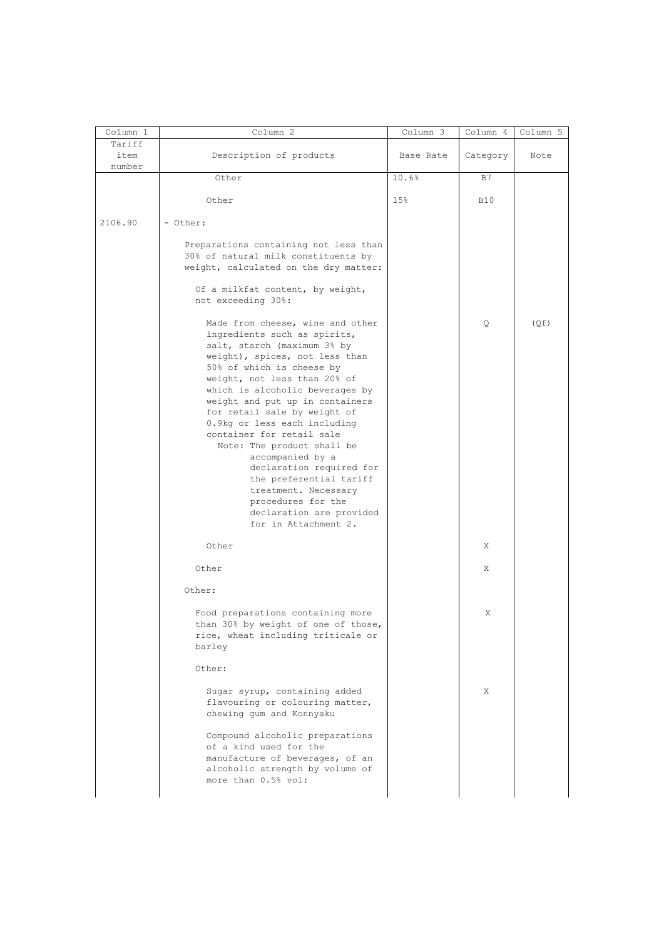| Column 1       | Column <sub>2</sub>                                                                                                                                                                                                                                                                                                                                                                                                                                                                                                                                                          | Column 3  | Column 4   | Column 5 |
|----------------|------------------------------------------------------------------------------------------------------------------------------------------------------------------------------------------------------------------------------------------------------------------------------------------------------------------------------------------------------------------------------------------------------------------------------------------------------------------------------------------------------------------------------------------------------------------------------|-----------|------------|----------|
| Tariff<br>item | Description of products                                                                                                                                                                                                                                                                                                                                                                                                                                                                                                                                                      | Base Rate | Category   | Note     |
| number         | Other                                                                                                                                                                                                                                                                                                                                                                                                                                                                                                                                                                        | 10.6%     | B7         |          |
|                |                                                                                                                                                                                                                                                                                                                                                                                                                                                                                                                                                                              |           |            |          |
|                | Other                                                                                                                                                                                                                                                                                                                                                                                                                                                                                                                                                                        | 15%       | <b>B10</b> |          |
| 2106.90        | - Other:                                                                                                                                                                                                                                                                                                                                                                                                                                                                                                                                                                     |           |            |          |
|                | Preparations containing not less than<br>30% of natural milk constituents by<br>weight, calculated on the dry matter:                                                                                                                                                                                                                                                                                                                                                                                                                                                        |           |            |          |
|                | Of a milkfat content, by weight,<br>not exceeding 30%:                                                                                                                                                                                                                                                                                                                                                                                                                                                                                                                       |           |            |          |
|                | Made from cheese, wine and other<br>ingredients such as spirits,<br>salt, starch (maximum 3% by<br>weight), spices, not less than<br>50% of which is cheese by<br>weight, not less than 20% of<br>which is alcoholic beverages by<br>weight and put up in containers<br>for retail sale by weight of<br>0.9kg or less each including<br>container for retail sale<br>Note: The product shall be<br>accompanied by a<br>declaration required for<br>the preferential tariff<br>treatment. Necessary<br>procedures for the<br>declaration are provided<br>for in Attachment 2. |           | Q          | (Qf)     |
|                | Other                                                                                                                                                                                                                                                                                                                                                                                                                                                                                                                                                                        |           | Χ          |          |
|                |                                                                                                                                                                                                                                                                                                                                                                                                                                                                                                                                                                              |           |            |          |
|                | Other<br>Other:                                                                                                                                                                                                                                                                                                                                                                                                                                                                                                                                                              |           | Χ          |          |
|                | Food preparations containing more<br>than 30% by weight of one of those,<br>rice, wheat including triticale or<br>barley                                                                                                                                                                                                                                                                                                                                                                                                                                                     |           | Χ          |          |
|                | Other:                                                                                                                                                                                                                                                                                                                                                                                                                                                                                                                                                                       |           |            |          |
|                | Sugar syrup, containing added<br>flavouring or colouring matter,<br>chewing gum and Konnyaku                                                                                                                                                                                                                                                                                                                                                                                                                                                                                 |           | X          |          |
|                | Compound alcoholic preparations<br>of a kind used for the<br>manufacture of beverages, of an<br>alcoholic strength by volume of<br>more than 0.5% vol:                                                                                                                                                                                                                                                                                                                                                                                                                       |           |            |          |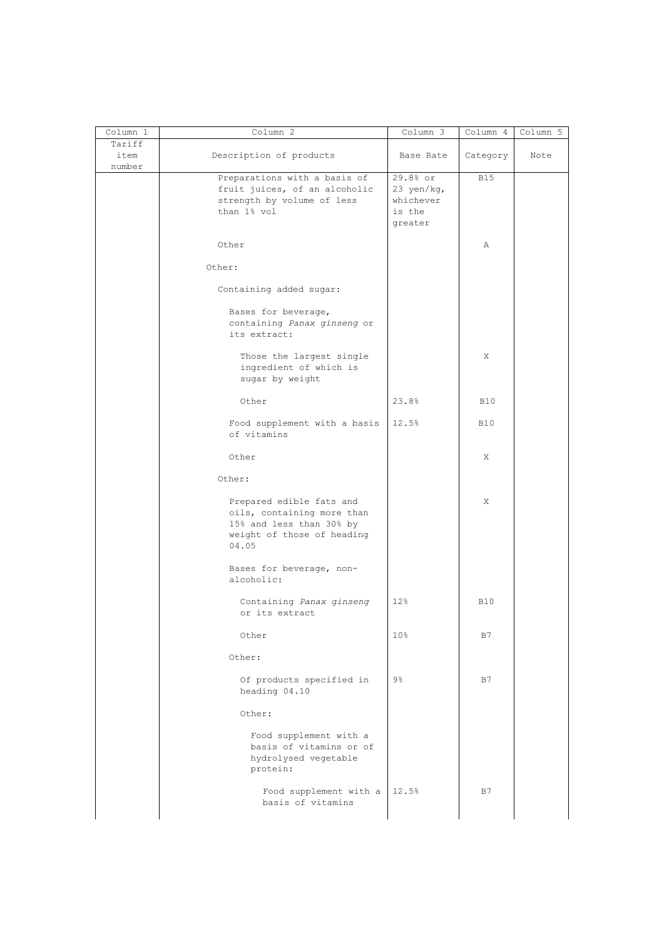| Column 1 | Column 2                      | Column 3       | Column 4   | Column 5 |
|----------|-------------------------------|----------------|------------|----------|
| Tariff   |                               |                |            |          |
| item     | Description of products       | Base Rate      | Category   | Note     |
| number   |                               |                |            |          |
|          | Preparations with a basis of  | 29.8% or       | <b>B15</b> |          |
|          | fruit juices, of an alcoholic | 23 yen/kg,     |            |          |
|          | strength by volume of less    | whichever      |            |          |
|          | than 1% vol                   | is the         |            |          |
|          |                               | greater        |            |          |
|          |                               |                |            |          |
|          | Other                         |                | Α          |          |
|          |                               |                |            |          |
|          | Other:                        |                |            |          |
|          |                               |                |            |          |
|          | Containing added sugar:       |                |            |          |
|          |                               |                |            |          |
|          | Bases for beverage,           |                |            |          |
|          | containing Panax ginseng or   |                |            |          |
|          | its extract:                  |                |            |          |
|          |                               |                |            |          |
|          | Those the largest single      |                | X          |          |
|          | ingredient of which is        |                |            |          |
|          | sugar by weight               |                |            |          |
|          |                               |                |            |          |
|          | Other                         | 23.8%          | <b>B10</b> |          |
|          |                               |                |            |          |
|          | Food supplement with a basis  | 12.5%          | <b>B10</b> |          |
|          | of vitamins                   |                |            |          |
|          |                               |                |            |          |
|          |                               |                |            |          |
|          | Other                         |                | X          |          |
|          |                               |                |            |          |
|          | Other:                        |                |            |          |
|          |                               |                |            |          |
|          | Prepared edible fats and      |                | X          |          |
|          | oils, containing more than    |                |            |          |
|          | 15% and less than 30% by      |                |            |          |
|          | weight of those of heading    |                |            |          |
|          | 04.05                         |                |            |          |
|          |                               |                |            |          |
|          | Bases for beverage, non-      |                |            |          |
|          | alcoholic:                    |                |            |          |
|          |                               |                |            |          |
|          | Containing Panax ginseng      | 12%            | <b>B10</b> |          |
|          | or its extract                |                |            |          |
|          |                               |                |            |          |
|          |                               |                |            |          |
|          | Other                         | 10%            | B7         |          |
|          |                               |                |            |          |
|          | Other:                        |                |            |          |
|          |                               |                |            |          |
|          | Of products specified in      | $9\frac{6}{6}$ | B7         |          |
|          | heading 04.10                 |                |            |          |
|          |                               |                |            |          |
|          | Other:                        |                |            |          |
|          |                               |                |            |          |
|          | Food supplement with a        |                |            |          |
|          | basis of vitamins or of       |                |            |          |
|          | hydrolysed vegetable          |                |            |          |
|          | protein:                      |                |            |          |
|          |                               |                |            |          |
|          |                               |                |            |          |
|          | Food supplement with a        | 12.5%          | B7         |          |
|          | basis of vitamins             |                |            |          |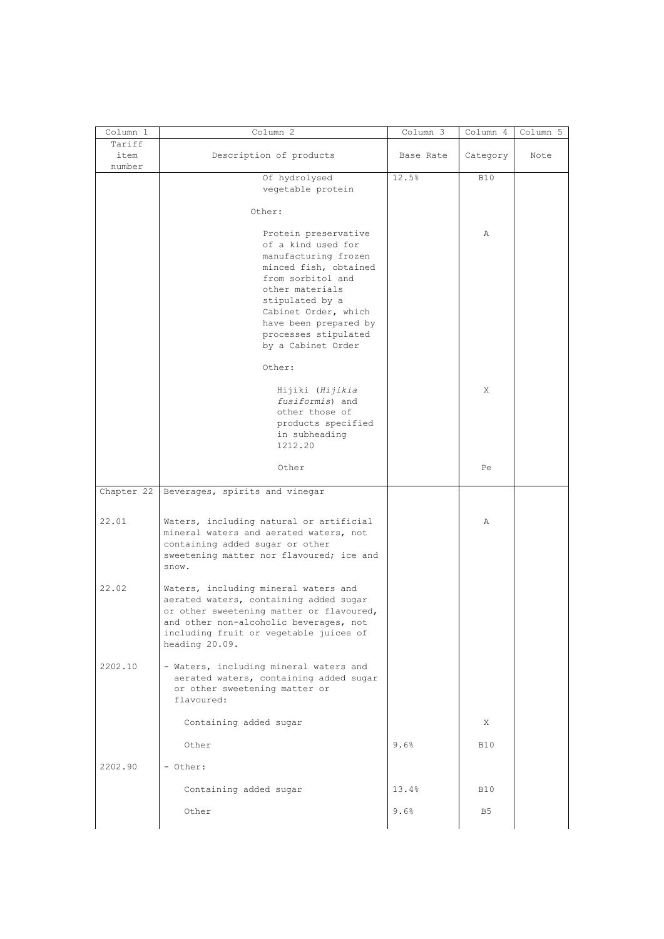|            | Column 2                                 | Column 3  | Column 4       | Column 5 |
|------------|------------------------------------------|-----------|----------------|----------|
| Tariff     |                                          |           |                |          |
| item       | Description of products                  | Base Rate | Category       | Note     |
| number     |                                          |           |                |          |
|            | Of hydrolysed                            | 12.5%     | <b>B10</b>     |          |
|            | vegetable protein                        |           |                |          |
|            |                                          |           |                |          |
|            |                                          |           |                |          |
|            | Other:                                   |           |                |          |
|            |                                          |           |                |          |
|            | Protein preservative                     |           | Α              |          |
|            | of a kind used for                       |           |                |          |
|            | manufacturing frozen                     |           |                |          |
|            | minced fish, obtained                    |           |                |          |
|            | from sorbitol and                        |           |                |          |
|            | other materials                          |           |                |          |
|            | stipulated by a                          |           |                |          |
|            | Cabinet Order, which                     |           |                |          |
|            |                                          |           |                |          |
|            | have been prepared by                    |           |                |          |
|            | processes stipulated                     |           |                |          |
|            | by a Cabinet Order                       |           |                |          |
|            |                                          |           |                |          |
|            | Other:                                   |           |                |          |
|            |                                          |           |                |          |
|            | Hijiki (Hijikia                          |           | Χ              |          |
|            | fusiformis) and                          |           |                |          |
|            | other those of                           |           |                |          |
|            | products specified                       |           |                |          |
|            | in subheading                            |           |                |          |
|            | 1212.20                                  |           |                |          |
|            |                                          |           |                |          |
|            |                                          |           |                |          |
|            | Other                                    |           | Pe             |          |
|            |                                          |           |                |          |
| Chapter 22 | Beverages, spirits and vinegar           |           |                |          |
|            |                                          |           |                |          |
|            |                                          |           |                |          |
|            |                                          |           |                |          |
| 22.01      | Waters, including natural or artificial  |           | Α              |          |
|            | mineral waters and aerated waters, not   |           |                |          |
|            | containing added sugar or other          |           |                |          |
|            | sweetening matter nor flavoured; ice and |           |                |          |
|            | snow.                                    |           |                |          |
|            |                                          |           |                |          |
| 22.02      | Waters, including mineral waters and     |           |                |          |
|            | aerated waters, containing added sugar   |           |                |          |
|            | or other sweetening matter or flavoured, |           |                |          |
|            | and other non-alcoholic beverages, not   |           |                |          |
|            |                                          |           |                |          |
|            | including fruit or vegetable juices of   |           |                |          |
|            | heading 20.09.                           |           |                |          |
|            |                                          |           |                |          |
| 2202.10    | - Waters, including mineral waters and   |           |                |          |
|            | aerated waters, containing added sugar   |           |                |          |
|            | or other sweetening matter or            |           |                |          |
|            | flavoured:                               |           |                |          |
|            |                                          |           |                |          |
|            | Containing added sugar                   |           | X              |          |
|            |                                          |           |                |          |
|            | Other                                    | 9.6%      | <b>B10</b>     |          |
|            |                                          |           |                |          |
| 2202.90    | - Other:                                 |           |                |          |
|            |                                          |           |                |          |
|            | Containing added sugar                   | 13.4%     | <b>B10</b>     |          |
|            |                                          |           |                |          |
|            | Other                                    | 9.6%      | B <sub>5</sub> |          |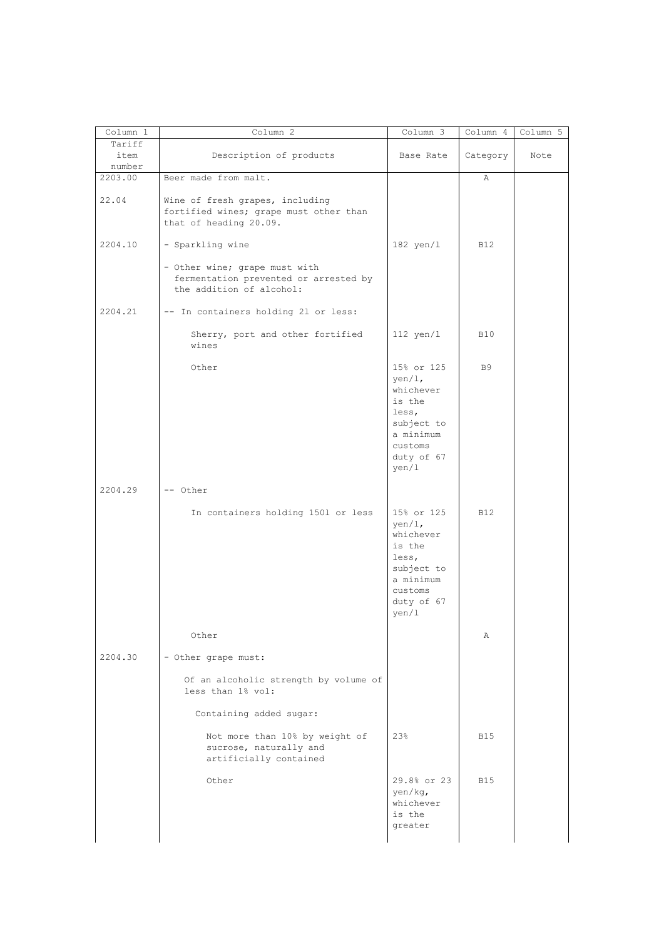| Column 1 | Column 2                               | Column 3         | Column 4     | Column 5 |
|----------|----------------------------------------|------------------|--------------|----------|
| Tariff   |                                        |                  |              |          |
| item     | Description of products                | Base Rate        | Category     | Note     |
| number   |                                        |                  |              |          |
| 2203.00  | Beer made from malt.                   |                  | $\mathbb{A}$ |          |
|          |                                        |                  |              |          |
| 22.04    | Wine of fresh grapes, including        |                  |              |          |
|          | fortified wines; grape must other than |                  |              |          |
|          | that of heading 20.09.                 |                  |              |          |
|          |                                        |                  |              |          |
| 2204.10  | - Sparkling wine                       | $182$ yen/l      | <b>B12</b>   |          |
|          |                                        |                  |              |          |
|          | - Other wine; grape must with          |                  |              |          |
|          | fermentation prevented or arrested by  |                  |              |          |
|          | the addition of alcohol:               |                  |              |          |
|          |                                        |                  |              |          |
| 2204.21  | -- In containers holding 21 or less:   |                  |              |          |
|          |                                        |                  |              |          |
|          | Sherry, port and other fortified       | $112$ yen/l      | <b>B10</b>   |          |
|          | wines                                  |                  |              |          |
|          |                                        |                  |              |          |
|          | Other                                  | 15% or 125       | <b>B9</b>    |          |
|          |                                        | $\text{yen}/1$ , |              |          |
|          |                                        | whichever        |              |          |
|          |                                        | is the           |              |          |
|          |                                        | less,            |              |          |
|          |                                        | subject to       |              |          |
|          |                                        | a minimum        |              |          |
|          |                                        | customs          |              |          |
|          |                                        | duty of 67       |              |          |
|          |                                        | yen/1            |              |          |
|          |                                        |                  |              |          |
| 2204.29  | -- Other                               |                  |              |          |
|          |                                        |                  |              |          |
|          | In containers holding 1501 or less     | 15% or 125       | <b>B12</b>   |          |
|          |                                        | $\text{yen}/1$ , |              |          |
|          |                                        | whichever        |              |          |
|          |                                        | is the           |              |          |
|          |                                        |                  |              |          |
|          |                                        | less,            |              |          |
|          |                                        | subject to       |              |          |
|          |                                        | a minimum        |              |          |
|          |                                        | customs          |              |          |
|          |                                        | duty of 67       |              |          |
|          |                                        | $\frac{1}{2}$    |              |          |
|          | Other                                  |                  | Α            |          |
|          |                                        |                  |              |          |
| 2204.30  | - Other grape must:                    |                  |              |          |
|          |                                        |                  |              |          |
|          | Of an alcoholic strength by volume of  |                  |              |          |
|          | less than 1% vol:                      |                  |              |          |
|          |                                        |                  |              |          |
|          | Containing added sugar:                |                  |              |          |
|          |                                        |                  |              |          |
|          | Not more than 10% by weight of         | 23%              | <b>B15</b>   |          |
|          | sucrose, naturally and                 |                  |              |          |
|          |                                        |                  |              |          |
|          | artificially contained                 |                  |              |          |
|          | Other                                  | 29.8% or 23      | <b>B15</b>   |          |
|          |                                        |                  |              |          |
|          |                                        | yen/kg,          |              |          |
|          |                                        | whichever        |              |          |
|          |                                        | is the           |              |          |
|          |                                        |                  |              |          |
|          |                                        | greater          |              |          |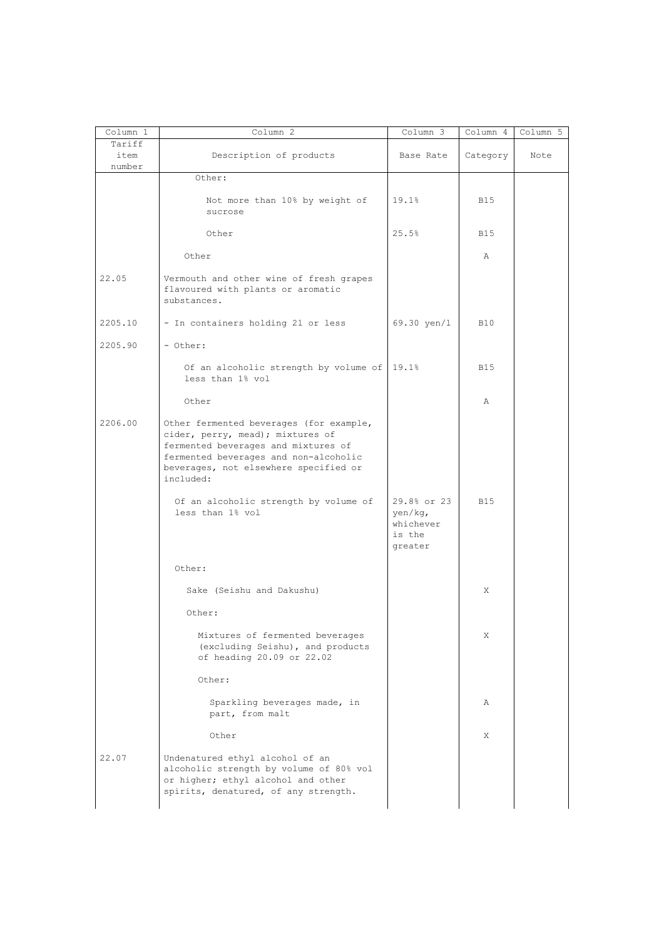| Column 1                 | Column 2                                                                                                                                                                                                          | Column 3                                                 | Column 4     | Column 5 |
|--------------------------|-------------------------------------------------------------------------------------------------------------------------------------------------------------------------------------------------------------------|----------------------------------------------------------|--------------|----------|
| Tariff<br>item<br>number | Description of products                                                                                                                                                                                           | Base Rate                                                | Category     | Note     |
|                          | Other:                                                                                                                                                                                                            |                                                          |              |          |
|                          | Not more than 10% by weight of<br>sucrose                                                                                                                                                                         | 19.1%                                                    | <b>B15</b>   |          |
|                          | Other                                                                                                                                                                                                             | 25.5%                                                    | <b>B15</b>   |          |
|                          | Other                                                                                                                                                                                                             |                                                          | $\mathbb{A}$ |          |
| 22.05                    | Vermouth and other wine of fresh grapes<br>flavoured with plants or aromatic<br>substances.                                                                                                                       |                                                          |              |          |
| 2205.10                  | - In containers holding 21 or less                                                                                                                                                                                | 69.30 yen/1                                              | <b>B10</b>   |          |
| 2205.90                  | - Other:                                                                                                                                                                                                          |                                                          |              |          |
|                          | Of an alcoholic strength by volume of   19.1%<br>less than 1% vol                                                                                                                                                 |                                                          | <b>B15</b>   |          |
|                          | Other                                                                                                                                                                                                             |                                                          | Α            |          |
| 2206.00                  | Other fermented beverages (for example,<br>cider, perry, mead); mixtures of<br>fermented beverages and mixtures of<br>fermented beverages and non-alcoholic<br>beverages, not elsewhere specified or<br>included: |                                                          |              |          |
|                          | Of an alcoholic strength by volume of<br>less than 1% vol                                                                                                                                                         | 29.8% or 23<br>yen/kq,<br>whichever<br>is the<br>greater | <b>B15</b>   |          |
|                          | Other:                                                                                                                                                                                                            |                                                          |              |          |
|                          | Sake (Seishu and Dakushu)                                                                                                                                                                                         |                                                          | X            |          |
|                          | Other:                                                                                                                                                                                                            |                                                          |              |          |
|                          | Mixtures of fermented beverages<br>(excluding Seishu), and products<br>of heading 20.09 or 22.02                                                                                                                  |                                                          | X            |          |
|                          | Other:                                                                                                                                                                                                            |                                                          |              |          |
|                          | Sparkling beverages made, in<br>part, from malt                                                                                                                                                                   |                                                          | Α            |          |
|                          | Other                                                                                                                                                                                                             |                                                          | X            |          |
| 22.07                    | Undenatured ethyl alcohol of an<br>alcoholic strength by volume of 80% vol<br>or higher; ethyl alcohol and other<br>spirits, denatured, of any strength.                                                          |                                                          |              |          |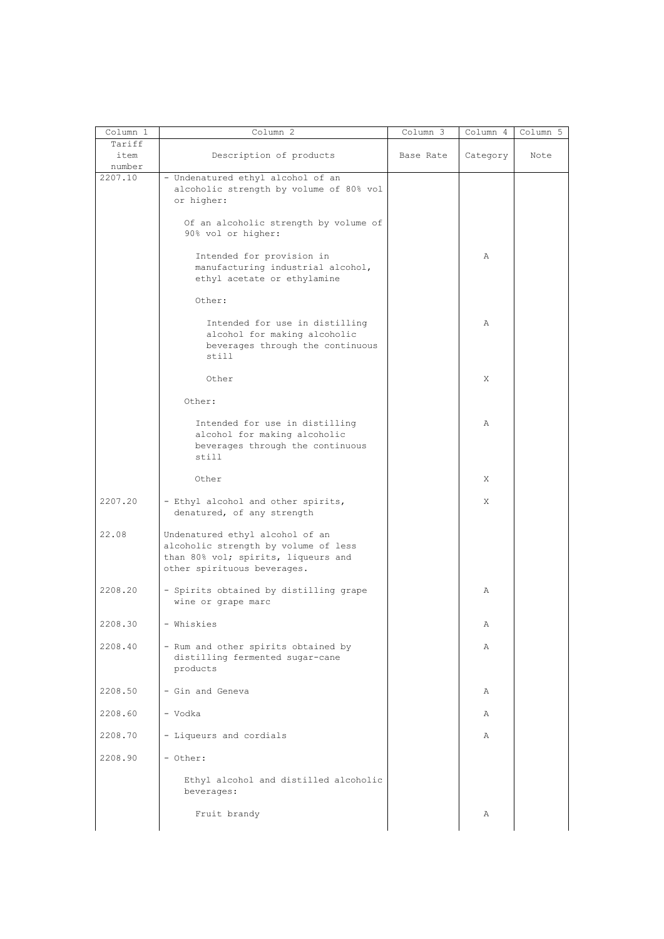| Column 1                 | Column 2                                                                                                                                      | Column 3  | Column 4 | Column 5 |
|--------------------------|-----------------------------------------------------------------------------------------------------------------------------------------------|-----------|----------|----------|
| Tariff<br>item<br>number | Description of products                                                                                                                       | Base Rate | Category | Note     |
| 2207.10                  | - Undenatured ethyl alcohol of an<br>alcoholic strength by volume of 80% vol<br>or higher:                                                    |           |          |          |
|                          | Of an alcoholic strength by volume of<br>90% vol or higher:                                                                                   |           |          |          |
|                          | Intended for provision in<br>manufacturing industrial alcohol,<br>ethyl acetate or ethylamine                                                 |           | Α        |          |
|                          | Other:                                                                                                                                        |           |          |          |
|                          | Intended for use in distilling<br>alcohol for making alcoholic<br>beverages through the continuous<br>still                                   |           | Α        |          |
|                          | Other                                                                                                                                         |           | Χ        |          |
|                          | Other:                                                                                                                                        |           |          |          |
|                          | Intended for use in distilling<br>alcohol for making alcoholic<br>beverages through the continuous<br>still                                   |           | Α        |          |
|                          | Other                                                                                                                                         |           | X        |          |
| 2207.20                  | - Ethyl alcohol and other spirits,<br>denatured, of any strength                                                                              |           | X        |          |
| 22.08                    | Undenatured ethyl alcohol of an<br>alcoholic strength by volume of less<br>than 80% vol; spirits, liqueurs and<br>other spirituous beverages. |           |          |          |
| 2208.20                  | - Spirits obtained by distilling grape<br>wine or grape marc                                                                                  |           | Α        |          |
| 2208.30                  | - Whiskies                                                                                                                                    |           | Α        |          |
| 2208.40                  | - Rum and other spirits obtained by<br>distilling fermented sugar-cane<br>products                                                            |           | Α        |          |
| 2208.50                  | - Gin and Geneva                                                                                                                              |           | Α        |          |
| 2208.60                  | - Vodka                                                                                                                                       |           | Α        |          |
| 2208.70                  | - Liqueurs and cordials                                                                                                                       |           | Α        |          |
| 2208.90                  | - Other:                                                                                                                                      |           |          |          |
|                          | Ethyl alcohol and distilled alcoholic<br>beverages:                                                                                           |           |          |          |
|                          | Fruit brandy                                                                                                                                  |           | Α        |          |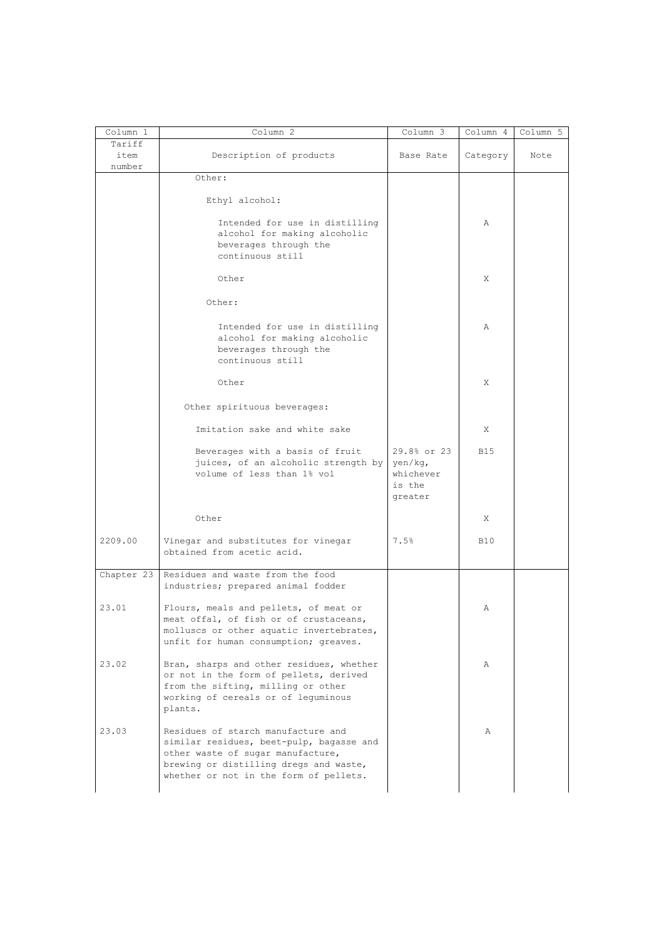| Column 1                 | Column 2                                                                                                                                                                                                | Column 3                                                 | Column 4   | Column 5 |
|--------------------------|---------------------------------------------------------------------------------------------------------------------------------------------------------------------------------------------------------|----------------------------------------------------------|------------|----------|
| Tariff<br>item<br>number | Description of products                                                                                                                                                                                 | Base Rate                                                | Category   | Note     |
|                          | Other:                                                                                                                                                                                                  |                                                          |            |          |
|                          | Ethyl alcohol:                                                                                                                                                                                          |                                                          |            |          |
|                          | Intended for use in distilling<br>alcohol for making alcoholic<br>beverages through the<br>continuous still                                                                                             |                                                          | Α          |          |
|                          | Other                                                                                                                                                                                                   |                                                          | X          |          |
|                          | Other:                                                                                                                                                                                                  |                                                          |            |          |
|                          | Intended for use in distilling<br>alcohol for making alcoholic<br>beverages through the<br>continuous still                                                                                             |                                                          | Α          |          |
|                          | Other                                                                                                                                                                                                   |                                                          | Χ          |          |
|                          | Other spirituous beverages:                                                                                                                                                                             |                                                          |            |          |
|                          | Imitation sake and white sake                                                                                                                                                                           |                                                          | X          |          |
|                          | Beverages with a basis of fruit<br>juices, of an alcoholic strength by<br>volume of less than 1% vol                                                                                                    | 29.8% or 23<br>yen/kg,<br>whichever<br>is the<br>greater | <b>B15</b> |          |
|                          | Other                                                                                                                                                                                                   |                                                          | Χ          |          |
| 2209.00                  | Vinegar and substitutes for vinegar<br>obtained from acetic acid.                                                                                                                                       | 7.5%                                                     | <b>B10</b> |          |
| Chapter 23               | Residues and waste from the food<br>industries; prepared animal fodder                                                                                                                                  |                                                          |            |          |
| 23.01                    | Flours, meals and pellets, of meat or<br>meat offal, of fish or of crustaceans,<br>molluscs or other aquatic invertebrates,<br>unfit for human consumption; greaves.                                    |                                                          | Α          |          |
| 23.02                    | Bran, sharps and other residues, whether<br>or not in the form of pellets, derived<br>from the sifting, milling or other<br>working of cereals or of leguminous<br>plants.                              |                                                          | Α          |          |
| 23.03                    | Residues of starch manufacture and<br>similar residues, beet-pulp, bagasse and<br>other waste of sugar manufacture,<br>brewing or distilling dregs and waste,<br>whether or not in the form of pellets. |                                                          | Α          |          |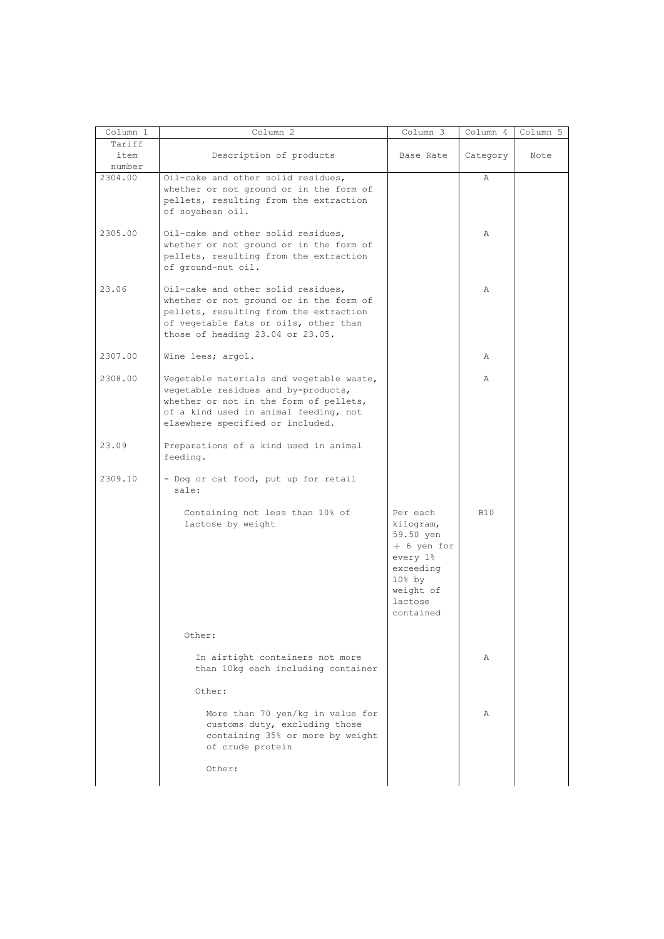| Column 1                 | Column 2                                                                                                                                                                                               | Column 3                                                                                                                      | Column 4     | Column 5 |
|--------------------------|--------------------------------------------------------------------------------------------------------------------------------------------------------------------------------------------------------|-------------------------------------------------------------------------------------------------------------------------------|--------------|----------|
| Tariff<br>item<br>number | Description of products                                                                                                                                                                                | Base Rate                                                                                                                     | Category     | Note     |
| 2304.00                  | Oil-cake and other solid residues,<br>whether or not ground or in the form of<br>pellets, resulting from the extraction<br>of soyabean oil.                                                            |                                                                                                                               | Α            |          |
| 2305.00                  | Oil-cake and other solid residues,<br>whether or not ground or in the form of<br>pellets, resulting from the extraction<br>of ground-nut oil.                                                          |                                                                                                                               | $\mathbb{A}$ |          |
| 23.06                    | Oil-cake and other solid residues,<br>whether or not ground or in the form of<br>pellets, resulting from the extraction<br>of vegetable fats or oils, other than<br>those of heading 23.04 or 23.05.   |                                                                                                                               | $\mathbb{A}$ |          |
| 2307.00                  | Wine lees; argol.                                                                                                                                                                                      |                                                                                                                               | Α            |          |
| 2308.00                  | Vegetable materials and vegetable waste,<br>vegetable residues and by-products,<br>whether or not in the form of pellets,<br>of a kind used in animal feeding, not<br>elsewhere specified or included. |                                                                                                                               | Α            |          |
| 23.09                    | Preparations of a kind used in animal<br>feeding.                                                                                                                                                      |                                                                                                                               |              |          |
| 2309.10                  | - Dog or cat food, put up for retail<br>sale:                                                                                                                                                          |                                                                                                                               |              |          |
|                          | Containing not less than 10% of<br>lactose by weight                                                                                                                                                   | Per each<br>kilogram,<br>59.50 yen<br>$+$ 6 yen for<br>every 1%<br>exceeding<br>$108$ by<br>weight of<br>lactose<br>contained | <b>B10</b>   |          |
|                          | Other:                                                                                                                                                                                                 |                                                                                                                               |              |          |
|                          | In airtight containers not more<br>than 10kg each including container                                                                                                                                  |                                                                                                                               | Α            |          |
|                          | Other:                                                                                                                                                                                                 |                                                                                                                               |              |          |
|                          | More than 70 yen/kg in value for<br>customs duty, excluding those<br>containing 35% or more by weight<br>of crude protein                                                                              |                                                                                                                               | Α            |          |
|                          | Other:                                                                                                                                                                                                 |                                                                                                                               |              |          |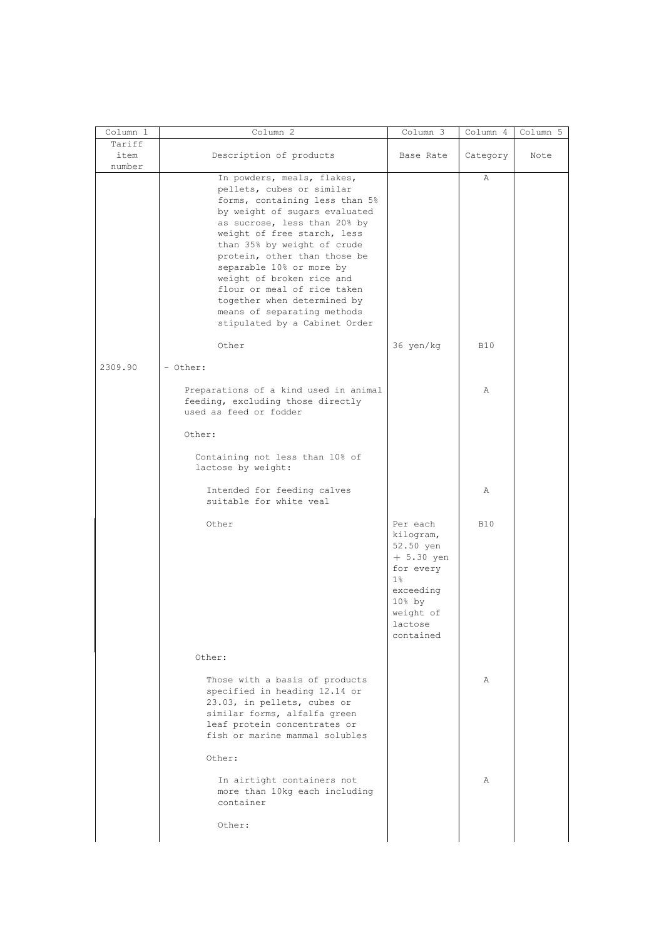| Column 1       | Column <sub>2</sub>                                                                                                                                                                                                                                                                                                                                                                                                                             | Column 3                                                                                                                                      | Column 4   | Column 5 |
|----------------|-------------------------------------------------------------------------------------------------------------------------------------------------------------------------------------------------------------------------------------------------------------------------------------------------------------------------------------------------------------------------------------------------------------------------------------------------|-----------------------------------------------------------------------------------------------------------------------------------------------|------------|----------|
| Tariff<br>item | Description of products                                                                                                                                                                                                                                                                                                                                                                                                                         | Base Rate                                                                                                                                     | Category   | Note     |
| number         | In powders, meals, flakes,<br>pellets, cubes or similar<br>forms, containing less than 5%<br>by weight of sugars evaluated<br>as sucrose, less than 20% by<br>weight of free starch, less<br>than 35% by weight of crude<br>protein, other than those be<br>separable 10% or more by<br>weight of broken rice and<br>flour or meal of rice taken<br>together when determined by<br>means of separating methods<br>stipulated by a Cabinet Order |                                                                                                                                               | Α          |          |
|                | Other                                                                                                                                                                                                                                                                                                                                                                                                                                           | 36 yen/kg                                                                                                                                     | <b>B10</b> |          |
| 2309.90        | - Other:<br>Preparations of a kind used in animal<br>feeding, excluding those directly<br>used as feed or fodder                                                                                                                                                                                                                                                                                                                                |                                                                                                                                               | Α          |          |
|                | Other:                                                                                                                                                                                                                                                                                                                                                                                                                                          |                                                                                                                                               |            |          |
|                | Containing not less than 10% of<br>lactose by weight:                                                                                                                                                                                                                                                                                                                                                                                           |                                                                                                                                               |            |          |
|                | Intended for feeding calves<br>suitable for white veal                                                                                                                                                                                                                                                                                                                                                                                          |                                                                                                                                               | Α          |          |
|                | Other                                                                                                                                                                                                                                                                                                                                                                                                                                           | Per each<br>kilogram,<br>52.50 yen<br>$+ 5.30$ yen<br>for every<br>$1\%$<br>exceeding<br>$10\text{$ } by<br>weight of<br>lactose<br>contained | <b>B10</b> |          |
|                | Other:                                                                                                                                                                                                                                                                                                                                                                                                                                          |                                                                                                                                               |            |          |
|                | Those with a basis of products<br>specified in heading 12.14 or<br>23.03, in pellets, cubes or<br>similar forms, alfalfa green<br>leaf protein concentrates or<br>fish or marine mammal solubles                                                                                                                                                                                                                                                |                                                                                                                                               | Α          |          |
|                | Other:<br>In airtight containers not<br>more than 10kg each including<br>container<br>Other:                                                                                                                                                                                                                                                                                                                                                    |                                                                                                                                               | Α          |          |
|                |                                                                                                                                                                                                                                                                                                                                                                                                                                                 |                                                                                                                                               |            |          |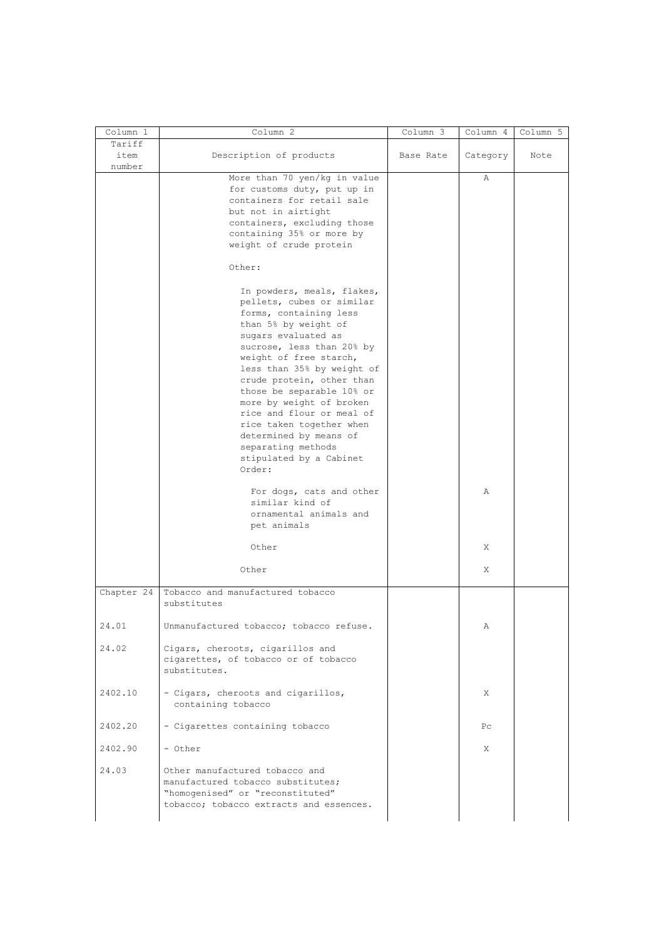| Column 1                 | Column 2                                                                                                                                                                                                                                                                                                                                                                                                                                                  | Column 3  | Column 4       | Column 5 |
|--------------------------|-----------------------------------------------------------------------------------------------------------------------------------------------------------------------------------------------------------------------------------------------------------------------------------------------------------------------------------------------------------------------------------------------------------------------------------------------------------|-----------|----------------|----------|
| Tariff<br>item<br>number | Description of products                                                                                                                                                                                                                                                                                                                                                                                                                                   | Base Rate | Category       | Note     |
|                          | More than 70 yen/kg in value<br>for customs duty, put up in<br>containers for retail sale<br>but not in airtight<br>containers, excluding those<br>containing 35% or more by<br>weight of crude protein                                                                                                                                                                                                                                                   |           | $\mathbb{A}$   |          |
|                          | Other:                                                                                                                                                                                                                                                                                                                                                                                                                                                    |           |                |          |
|                          | In powders, meals, flakes,<br>pellets, cubes or similar<br>forms, containing less<br>than 5% by weight of<br>sugars evaluated as<br>sucrose, less than 20% by<br>weight of free starch,<br>less than 35% by weight of<br>crude protein, other than<br>those be separable 10% or<br>more by weight of broken<br>rice and flour or meal of<br>rice taken together when<br>determined by means of<br>separating methods<br>stipulated by a Cabinet<br>Order: |           |                |          |
|                          | For dogs, cats and other<br>similar kind of<br>ornamental animals and<br>pet animals                                                                                                                                                                                                                                                                                                                                                                      |           | Α              |          |
|                          | Other                                                                                                                                                                                                                                                                                                                                                                                                                                                     |           | Χ              |          |
|                          | Other                                                                                                                                                                                                                                                                                                                                                                                                                                                     |           | Χ              |          |
| Chapter 24               | Tobacco and manufactured tobacco<br>substitutes                                                                                                                                                                                                                                                                                                                                                                                                           |           |                |          |
| 24.01<br>24.02           | Unmanufactured tobacco; tobacco refuse.<br>Cigars, cheroots, cigarillos and                                                                                                                                                                                                                                                                                                                                                                               |           | Α              |          |
|                          | cigarettes, of tobacco or of tobacco<br>substitutes.                                                                                                                                                                                                                                                                                                                                                                                                      |           |                |          |
| 2402.10                  | - Cigars, cheroots and cigarillos,<br>containing tobacco                                                                                                                                                                                                                                                                                                                                                                                                  |           | X              |          |
| 2402.20                  | - Cigarettes containing tobacco                                                                                                                                                                                                                                                                                                                                                                                                                           |           | P <sub>C</sub> |          |
| 2402.90                  | - Other                                                                                                                                                                                                                                                                                                                                                                                                                                                   |           | X              |          |
| 24.03                    | Other manufactured tobacco and<br>manufactured tobacco substitutes;<br>"homogenised" or "reconstituted"<br>tobacco; tobacco extracts and essences.                                                                                                                                                                                                                                                                                                        |           |                |          |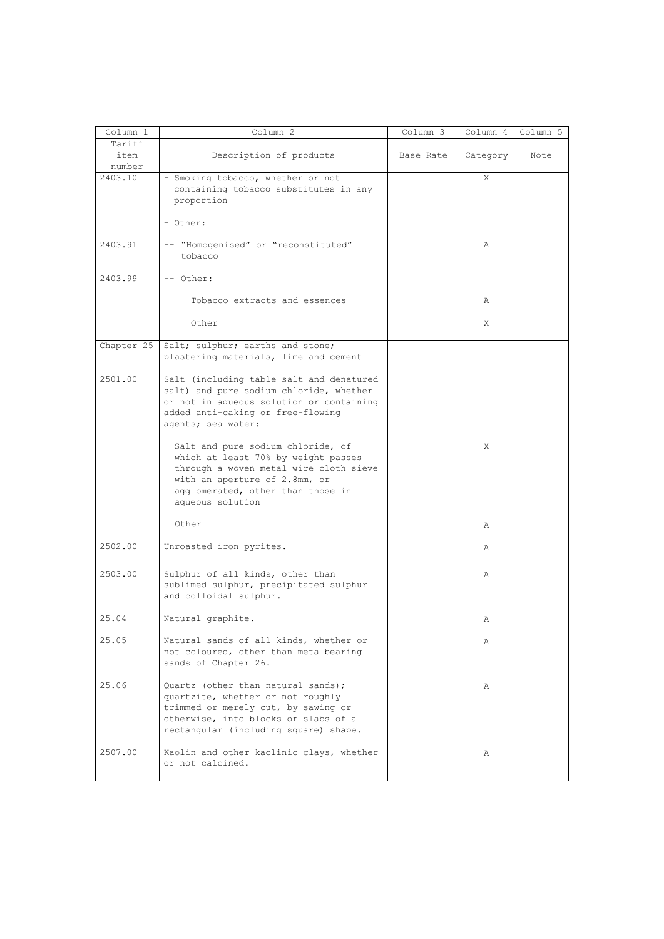| Column 1                 | Column 2                                                                                                                                                                                                     | Column 3  | Column 4 | Column 5 |
|--------------------------|--------------------------------------------------------------------------------------------------------------------------------------------------------------------------------------------------------------|-----------|----------|----------|
| Tariff<br>item<br>number | Description of products                                                                                                                                                                                      | Base Rate | Category | Note     |
| 2403.10                  | - Smoking tobacco, whether or not<br>containing tobacco substitutes in any<br>proportion                                                                                                                     |           | X        |          |
|                          | - Other:                                                                                                                                                                                                     |           |          |          |
| 2403.91                  | -- "Homogenised" or "reconstituted"<br>tobacco                                                                                                                                                               |           | Α        |          |
| 2403.99                  | -- Other:                                                                                                                                                                                                    |           |          |          |
|                          | Tobacco extracts and essences                                                                                                                                                                                |           | Α        |          |
|                          | Other                                                                                                                                                                                                        |           | X        |          |
| Chapter 25               | Salt; sulphur; earths and stone;<br>plastering materials, lime and cement                                                                                                                                    |           |          |          |
| 2501.00                  | Salt (including table salt and denatured<br>salt) and pure sodium chloride, whether<br>or not in aqueous solution or containing<br>added anti-caking or free-flowing<br>agents; sea water:                   |           |          |          |
|                          | Salt and pure sodium chloride, of<br>which at least 70% by weight passes<br>through a woven metal wire cloth sieve<br>with an aperture of 2.8mm, or<br>agglomerated, other than those in<br>aqueous solution |           | X        |          |
|                          | Other                                                                                                                                                                                                        |           | Α        |          |
| 2502.00                  | Unroasted iron pyrites.                                                                                                                                                                                      |           | Α        |          |
| 2503.00                  | Sulphur of all kinds, other than<br>sublimed sulphur, precipitated sulphur<br>and colloidal sulphur.                                                                                                         |           | Α        |          |
| 25.04                    | Natural graphite.                                                                                                                                                                                            |           | Α        |          |
| 25.05                    | Natural sands of all kinds, whether or<br>not coloured, other than metalbearing<br>sands of Chapter 26.                                                                                                      |           | Α        |          |
| 25.06                    | Quartz (other than natural sands);<br>quartzite, whether or not roughly<br>trimmed or merely cut, by sawing or<br>otherwise, into blocks or slabs of a<br>rectangular (including square) shape.              |           | Α        |          |
| 2507.00                  | Kaolin and other kaolinic clays, whether<br>or not calcined.                                                                                                                                                 |           | Α        |          |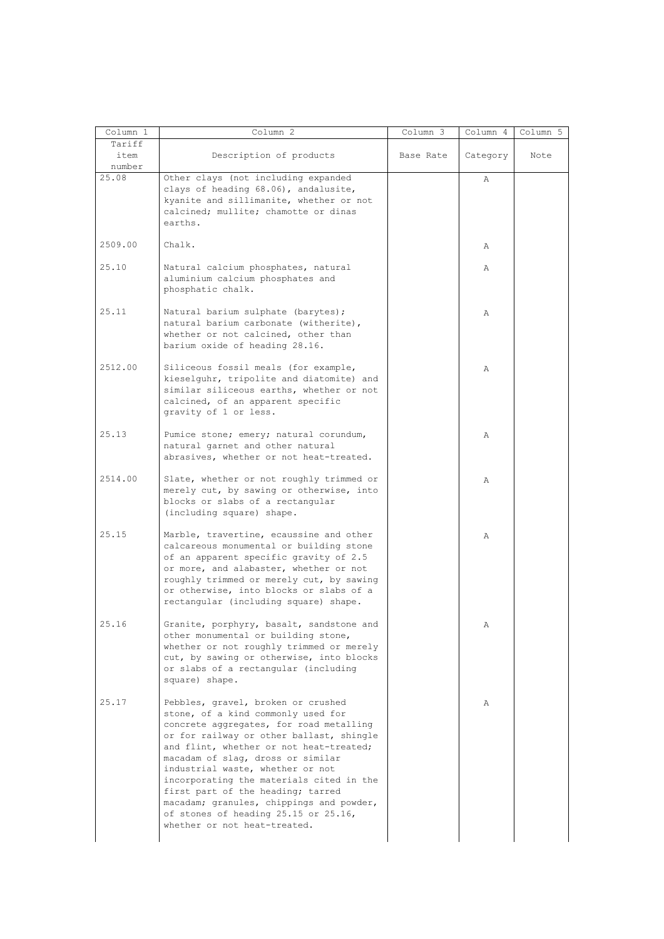| Column 1                 | Column <sub>2</sub>                                                                                                                                                                                                                                                                                                                                                                                                                                                                      | Column 3  | Column 4 | Column 5 |
|--------------------------|------------------------------------------------------------------------------------------------------------------------------------------------------------------------------------------------------------------------------------------------------------------------------------------------------------------------------------------------------------------------------------------------------------------------------------------------------------------------------------------|-----------|----------|----------|
| Tariff<br>item<br>number | Description of products                                                                                                                                                                                                                                                                                                                                                                                                                                                                  | Base Rate | Category | Note     |
| 25.08                    | Other clays (not including expanded<br>clays of heading 68.06), andalusite,<br>kyanite and sillimanite, whether or not<br>calcined; mullite; chamotte or dinas<br>earths.                                                                                                                                                                                                                                                                                                                |           | Α        |          |
| 2509.00                  | Chalk.                                                                                                                                                                                                                                                                                                                                                                                                                                                                                   |           | Α        |          |
| 25.10                    | Natural calcium phosphates, natural<br>aluminium calcium phosphates and<br>phosphatic chalk.                                                                                                                                                                                                                                                                                                                                                                                             |           | Α        |          |
| 25.11                    | Natural barium sulphate (barytes);<br>natural barium carbonate (witherite),<br>whether or not calcined, other than<br>barium oxide of heading 28.16.                                                                                                                                                                                                                                                                                                                                     |           | Α        |          |
| 2512.00                  | Siliceous fossil meals (for example,<br>kieselguhr, tripolite and diatomite) and<br>similar siliceous earths, whether or not<br>calcined, of an apparent specific<br>gravity of 1 or less.                                                                                                                                                                                                                                                                                               |           | Α        |          |
| 25.13                    | Pumice stone; emery; natural corundum,<br>natural garnet and other natural<br>abrasives, whether or not heat-treated.                                                                                                                                                                                                                                                                                                                                                                    |           | Α        |          |
| 2514.00                  | Slate, whether or not roughly trimmed or<br>merely cut, by sawing or otherwise, into<br>blocks or slabs of a rectangular<br>(including square) shape.                                                                                                                                                                                                                                                                                                                                    |           | Α        |          |
| 25.15                    | Marble, travertine, ecaussine and other<br>calcareous monumental or building stone<br>of an apparent specific gravity of 2.5<br>or more, and alabaster, whether or not<br>roughly trimmed or merely cut, by sawing<br>or otherwise, into blocks or slabs of a<br>rectangular (including square) shape.                                                                                                                                                                                   |           | Α        |          |
| 25.16                    | Granite, porphyry, basalt, sandstone and<br>other monumental or building stone,<br>whether or not roughly trimmed or merely<br>cut, by sawing or otherwise, into blocks<br>or slabs of a rectangular (including<br>square) shape.                                                                                                                                                                                                                                                        |           | Α        |          |
| 25.17                    | Pebbles, gravel, broken or crushed<br>stone, of a kind commonly used for<br>concrete aggregates, for road metalling<br>or for railway or other ballast, shingle<br>and flint, whether or not heat-treated;<br>macadam of slag, dross or similar<br>industrial waste, whether or not<br>incorporating the materials cited in the<br>first part of the heading; tarred<br>macadam; granules, chippings and powder,<br>of stones of heading 25.15 or 25.16,<br>whether or not heat-treated. |           | Α        |          |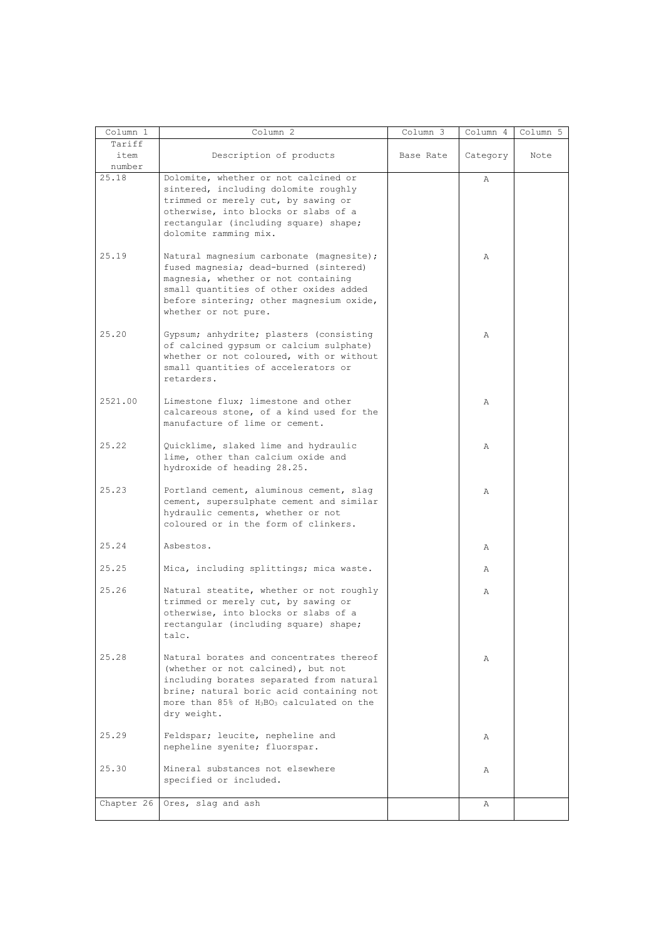| Column 1   | Column <sub>2</sub>                                                                                                                                                                                                                     | Column 3  | Column 4 | Column 5 |
|------------|-----------------------------------------------------------------------------------------------------------------------------------------------------------------------------------------------------------------------------------------|-----------|----------|----------|
| Tariff     |                                                                                                                                                                                                                                         |           |          |          |
| item       | Description of products                                                                                                                                                                                                                 | Base Rate | Category | Note     |
| number     |                                                                                                                                                                                                                                         |           |          |          |
| 25.18      | Dolomite, whether or not calcined or<br>sintered, including dolomite roughly<br>trimmed or merely cut, by sawing or<br>otherwise, into blocks or slabs of a<br>rectangular (including square) shape;<br>dolomite ramming mix.           |           | Α        |          |
| 25.19      | Natural magnesium carbonate (magnesite);<br>fused magnesia; dead-burned (sintered)<br>magnesia, whether or not containing<br>small quantities of other oxides added<br>before sintering; other magnesium oxide,<br>whether or not pure. |           | A        |          |
| 25.20      | Gypsum; anhydrite; plasters (consisting<br>of calcined gypsum or calcium sulphate)<br>whether or not coloured, with or without<br>small quantities of accelerators or<br>retarders.                                                     |           | Α        |          |
| 2521.00    | Limestone flux; limestone and other<br>calcareous stone, of a kind used for the<br>manufacture of lime or cement.                                                                                                                       |           | Α        |          |
| 25.22      | Quicklime, slaked lime and hydraulic<br>lime, other than calcium oxide and<br>hydroxide of heading 28.25.                                                                                                                               |           | Α        |          |
| 25.23      | Portland cement, aluminous cement, slag<br>cement, supersulphate cement and similar<br>hydraulic cements, whether or not<br>coloured or in the form of clinkers.                                                                        |           | Α        |          |
| 25.24      | Asbestos.                                                                                                                                                                                                                               |           | Α        |          |
| 25.25      | Mica, including splittings; mica waste.                                                                                                                                                                                                 |           | Α        |          |
| 25.26      | Natural steatite, whether or not roughly<br>trimmed or merely cut, by sawing or<br>otherwise, into blocks or slabs of a<br>rectangular (including square) shape;<br>talc.                                                               |           | Α        |          |
| 25.28      | Natural borates and concentrates thereof<br>(whether or not calcined), but not<br>including borates separated from natural<br>brine; natural boric acid containing not<br>more than 85% of H3BO3 calculated on the<br>dry weight.       |           | Α        |          |
| 25.29      | Feldspar; leucite, nepheline and<br>nepheline syenite; fluorspar.                                                                                                                                                                       |           | Α        |          |
| 25.30      | Mineral substances not elsewhere<br>specified or included.                                                                                                                                                                              |           | Α        |          |
| Chapter 26 | Ores, slag and ash                                                                                                                                                                                                                      |           | Α        |          |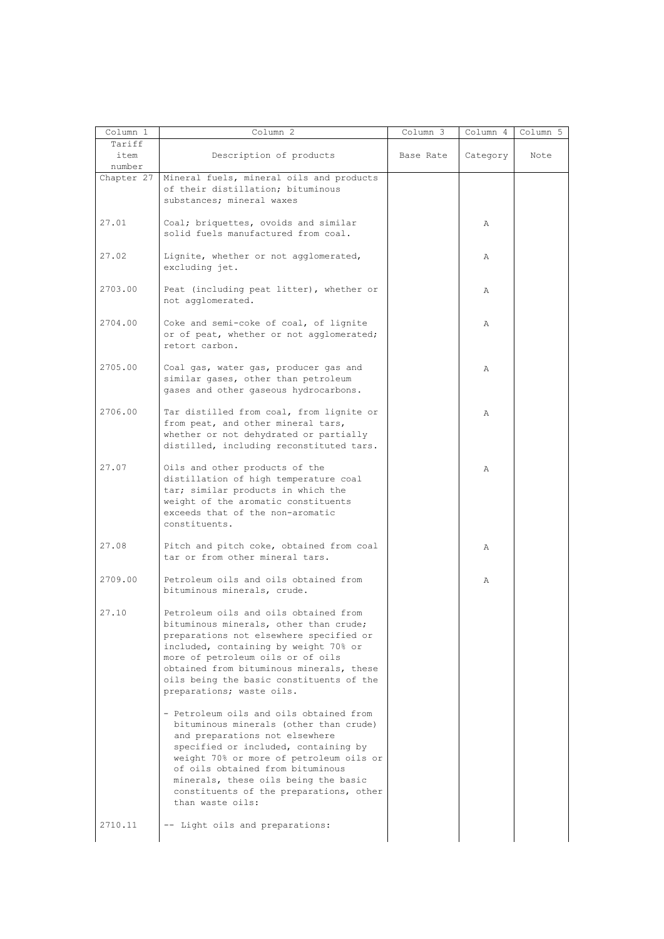| Column 1                 | Column 2                                                                                                                                                                                                                                                                                                                                          | Column 3  | Column 4 | Column 5 |
|--------------------------|---------------------------------------------------------------------------------------------------------------------------------------------------------------------------------------------------------------------------------------------------------------------------------------------------------------------------------------------------|-----------|----------|----------|
| Tariff<br>item<br>number | Description of products                                                                                                                                                                                                                                                                                                                           | Base Rate | Category | Note     |
| Chapter 27               | Mineral fuels, mineral oils and products<br>of their distillation; bituminous<br>substances; mineral waxes                                                                                                                                                                                                                                        |           |          |          |
| 27.01                    | Coal; briquettes, ovoids and similar<br>solid fuels manufactured from coal.                                                                                                                                                                                                                                                                       |           | A        |          |
| 27.02                    | Lignite, whether or not agglomerated,<br>excluding jet.                                                                                                                                                                                                                                                                                           |           | Α        |          |
| 2703.00                  | Peat (including peat litter), whether or<br>not agglomerated.                                                                                                                                                                                                                                                                                     |           | Α        |          |
| 2704.00                  | Coke and semi-coke of coal, of lignite<br>or of peat, whether or not agglomerated;<br>retort carbon.                                                                                                                                                                                                                                              |           | Α        |          |
| 2705.00                  | Coal gas, water gas, producer gas and<br>similar gases, other than petroleum<br>gases and other gaseous hydrocarbons.                                                                                                                                                                                                                             |           | Α        |          |
| 2706.00                  | Tar distilled from coal, from lignite or<br>from peat, and other mineral tars,<br>whether or not dehydrated or partially<br>distilled, including reconstituted tars.                                                                                                                                                                              |           | Α        |          |
| 27.07                    | Oils and other products of the<br>distillation of high temperature coal<br>tar; similar products in which the<br>weight of the aromatic constituents<br>exceeds that of the non-aromatic<br>constituents.                                                                                                                                         |           | Α        |          |
| 27.08                    | Pitch and pitch coke, obtained from coal<br>tar or from other mineral tars.                                                                                                                                                                                                                                                                       |           | Α        |          |
| 2709.00                  | Petroleum oils and oils obtained from<br>bituminous minerals, crude.                                                                                                                                                                                                                                                                              |           | Α        |          |
| 27.10                    | Petroleum oils and oils obtained from<br>bituminous minerals, other than crude;<br>preparations not elsewhere specified or<br>included, containing by weight 70% or<br>more of petroleum oils or of oils<br>obtained from bituminous minerals, these<br>oils being the basic constituents of the<br>preparations; waste oils.                     |           |          |          |
|                          | - Petroleum oils and oils obtained from<br>bituminous minerals (other than crude)<br>and preparations not elsewhere<br>specified or included, containing by<br>weight 70% or more of petroleum oils or<br>of oils obtained from bituminous<br>minerals, these oils being the basic<br>constituents of the preparations, other<br>than waste oils: |           |          |          |
| 2710.11                  | -- Light oils and preparations:                                                                                                                                                                                                                                                                                                                   |           |          |          |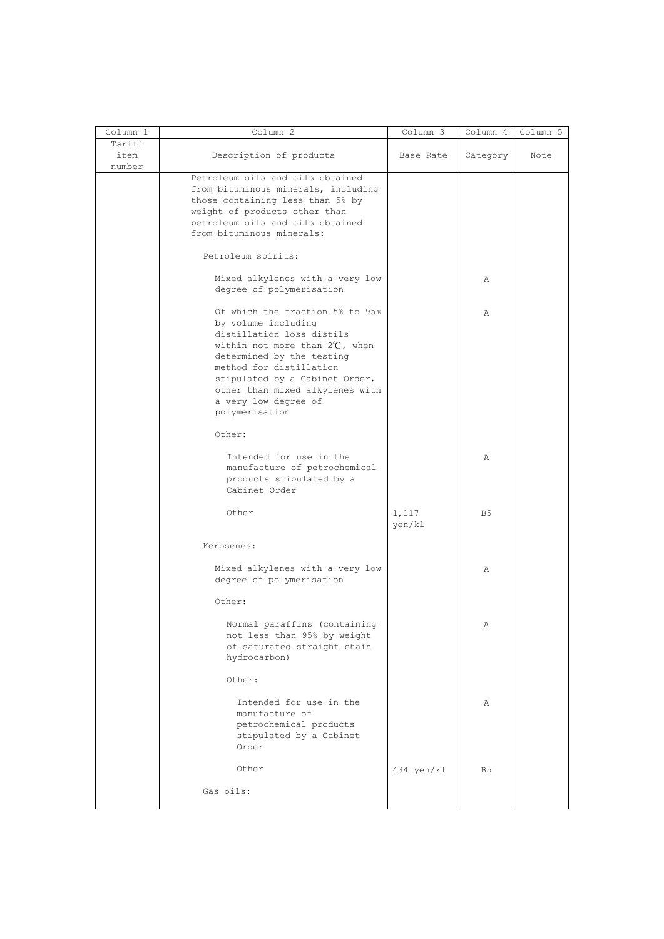| Column 1                 | Column 2                                                                                                                                                                                                                                            | Column 3        | Column 4       | Column 5 |
|--------------------------|-----------------------------------------------------------------------------------------------------------------------------------------------------------------------------------------------------------------------------------------------------|-----------------|----------------|----------|
| Tariff<br>item<br>number | Description of products                                                                                                                                                                                                                             | Base Rate       | Category       | Note     |
|                          | Petroleum oils and oils obtained<br>from bituminous minerals, including<br>those containing less than 5% by<br>weight of products other than<br>petroleum oils and oils obtained<br>from bituminous minerals:                                       |                 |                |          |
|                          | Petroleum spirits:                                                                                                                                                                                                                                  |                 |                |          |
|                          | Mixed alkylenes with a very low<br>degree of polymerisation                                                                                                                                                                                         |                 | Α              |          |
|                          | Of which the fraction 5% to 95%<br>by volume including                                                                                                                                                                                              |                 | Α              |          |
|                          | distillation loss distils<br>within not more than $2^{\circ}\text{C}$ , when<br>determined by the testing<br>method for distillation<br>stipulated by a Cabinet Order,<br>other than mixed alkylenes with<br>a very low degree of<br>polymerisation |                 |                |          |
|                          | Other:                                                                                                                                                                                                                                              |                 |                |          |
|                          | Intended for use in the<br>manufacture of petrochemical<br>products stipulated by a<br>Cabinet Order                                                                                                                                                |                 | Α              |          |
|                          | Other                                                                                                                                                                                                                                               | 1,117<br>yen/kl | B <sub>5</sub> |          |
|                          | Kerosenes:                                                                                                                                                                                                                                          |                 |                |          |
|                          | Mixed alkylenes with a very low<br>degree of polymerisation                                                                                                                                                                                         |                 | Α              |          |
|                          | Other:                                                                                                                                                                                                                                              |                 |                |          |
|                          | Normal paraffins (containing<br>not less than 95% by weight<br>of saturated straight chain<br>hydrocarbon)                                                                                                                                          |                 | Α              |          |
|                          | Other:                                                                                                                                                                                                                                              |                 |                |          |
|                          | Intended for use in the<br>manufacture of<br>petrochemical products<br>stipulated by a Cabinet<br>Order                                                                                                                                             |                 | Α              |          |
|                          | Other                                                                                                                                                                                                                                               | 434 yen/kl      | B <sub>5</sub> |          |
|                          | Gas oils:                                                                                                                                                                                                                                           |                 |                |          |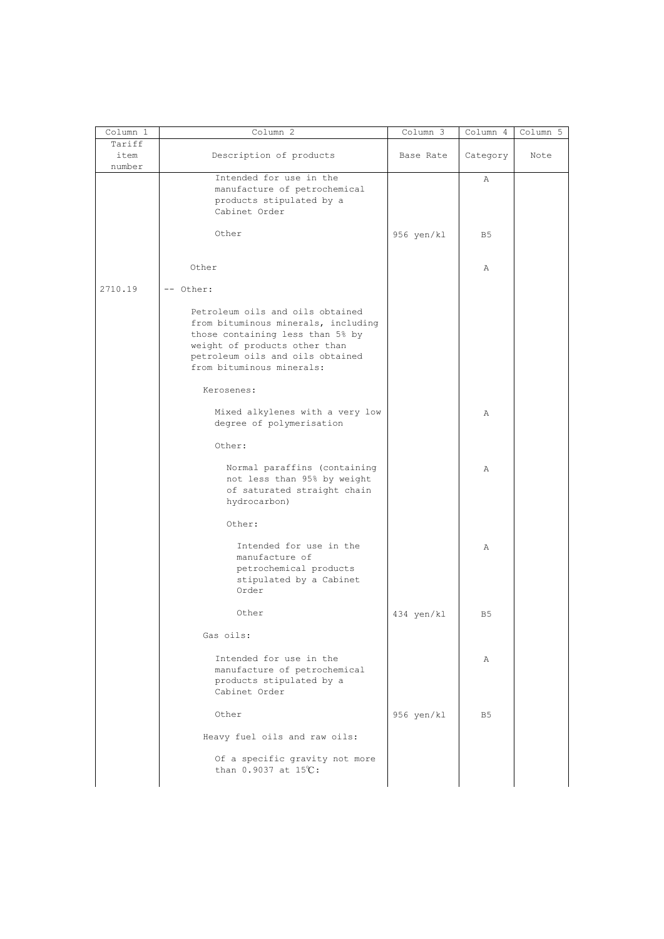| Column 1       | Column 2                                                                                                                                                                                                      | Column 3   | Column 4       | Column 5 |
|----------------|---------------------------------------------------------------------------------------------------------------------------------------------------------------------------------------------------------------|------------|----------------|----------|
| Tariff<br>item | Description of products                                                                                                                                                                                       | Base Rate  | Category       | Note     |
| number         | Intended for use in the<br>manufacture of petrochemical<br>products stipulated by a<br>Cabinet Order                                                                                                          |            | Α              |          |
|                | Other                                                                                                                                                                                                         | 956 yen/kl | B <sub>5</sub> |          |
|                | Other                                                                                                                                                                                                         |            | $\mathbb{A}$   |          |
| 2710.19        | -- Other:                                                                                                                                                                                                     |            |                |          |
|                | Petroleum oils and oils obtained<br>from bituminous minerals, including<br>those containing less than 5% by<br>weight of products other than<br>petroleum oils and oils obtained<br>from bituminous minerals: |            |                |          |
|                | Kerosenes:                                                                                                                                                                                                    |            |                |          |
|                | Mixed alkylenes with a very low<br>degree of polymerisation                                                                                                                                                   |            | $\mathbb{A}$   |          |
|                | Other:                                                                                                                                                                                                        |            |                |          |
|                | Normal paraffins (containing<br>not less than 95% by weight<br>of saturated straight chain<br>hydrocarbon)                                                                                                    |            | $\mathbb{A}$   |          |
|                | Other:                                                                                                                                                                                                        |            |                |          |
|                | Intended for use in the<br>manufacture of<br>petrochemical products<br>stipulated by a Cabinet<br>Order                                                                                                       |            | Α              |          |
|                | Other                                                                                                                                                                                                         | 434 yen/kl | B <sub>5</sub> |          |
|                | Gas oils:                                                                                                                                                                                                     |            |                |          |
|                | Intended for use in the<br>manufacture of petrochemical<br>products stipulated by a<br>Cabinet Order                                                                                                          |            | Α              |          |
|                | Other                                                                                                                                                                                                         | 956 yen/kl | B5             |          |
|                | Heavy fuel oils and raw oils:                                                                                                                                                                                 |            |                |          |
|                | Of a specific gravity not more<br>than 0.9037 at 15℃:                                                                                                                                                         |            |                |          |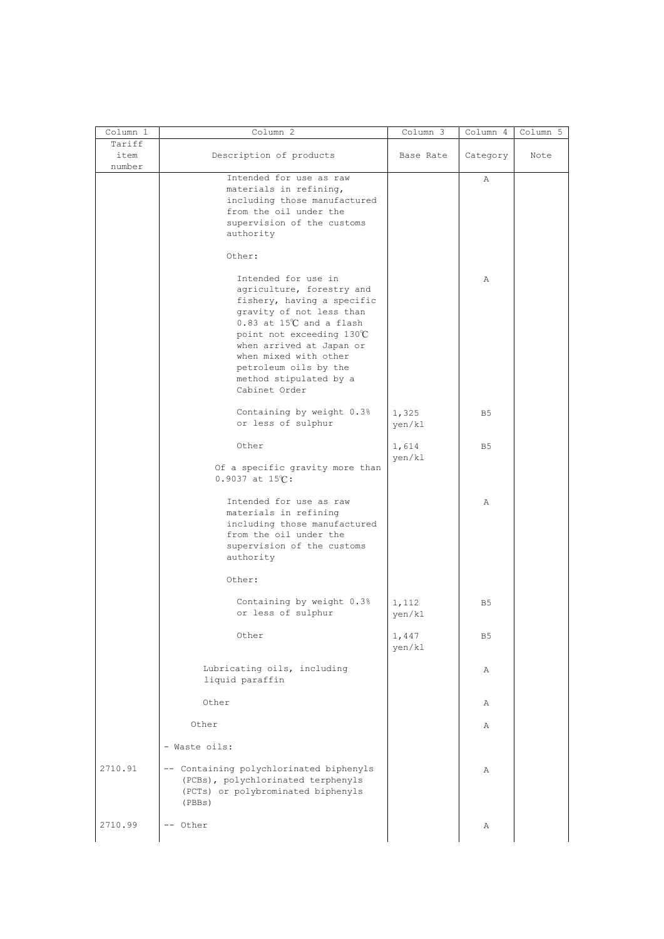| Column 1       | Column 2                                                                                                                                                                                                                                                                                                         | Column 3        | Column 4       | Column 5 |
|----------------|------------------------------------------------------------------------------------------------------------------------------------------------------------------------------------------------------------------------------------------------------------------------------------------------------------------|-----------------|----------------|----------|
| Tariff<br>item | Description of products                                                                                                                                                                                                                                                                                          | Base Rate       | Category       | Note     |
| number         | Intended for use as raw<br>materials in refining,<br>including those manufactured<br>from the oil under the<br>supervision of the customs<br>authority                                                                                                                                                           |                 | Α              |          |
|                | Other:<br>Intended for use in<br>agriculture, forestry and<br>fishery, having a specific<br>gravity of not less than<br>$0.83$ at $15^{\circ}$ and a flash<br>point not exceeding 130°C<br>when arrived at Japan or<br>when mixed with other<br>petroleum oils by the<br>method stipulated by a<br>Cabinet Order |                 | Α              |          |
|                | Containing by weight 0.3%<br>or less of sulphur                                                                                                                                                                                                                                                                  | 1,325<br>yen/kl | B5             |          |
|                | Other                                                                                                                                                                                                                                                                                                            | 1,614<br>yen/kl | B <sub>5</sub> |          |
|                | Of a specific gravity more than<br>$0.9037$ at $15^{\circ}$ C:                                                                                                                                                                                                                                                   |                 |                |          |
|                | Intended for use as raw<br>materials in refining<br>including those manufactured<br>from the oil under the<br>supervision of the customs<br>authority                                                                                                                                                            |                 | Α              |          |
|                | Other:                                                                                                                                                                                                                                                                                                           |                 |                |          |
|                | Containing by weight 0.3%<br>or less of sulphur                                                                                                                                                                                                                                                                  | 1,112<br>yen/kl | B <sub>5</sub> |          |
|                | Other                                                                                                                                                                                                                                                                                                            | 1,447<br>yen/kl | B <sub>5</sub> |          |
|                | Lubricating oils, including<br>liquid paraffin                                                                                                                                                                                                                                                                   |                 | Α              |          |
|                | Other                                                                                                                                                                                                                                                                                                            |                 | Α              |          |
|                | Other                                                                                                                                                                                                                                                                                                            |                 | Α              |          |
|                | - Waste oils:                                                                                                                                                                                                                                                                                                    |                 |                |          |
| 2710.91        | -- Containing polychlorinated biphenyls<br>(PCBs), polychlorinated terphenyls<br>(PCTs) or polybrominated biphenyls<br>(PBBs)                                                                                                                                                                                    |                 | Α              |          |
| 2710.99        | -- Other                                                                                                                                                                                                                                                                                                         |                 | Α              |          |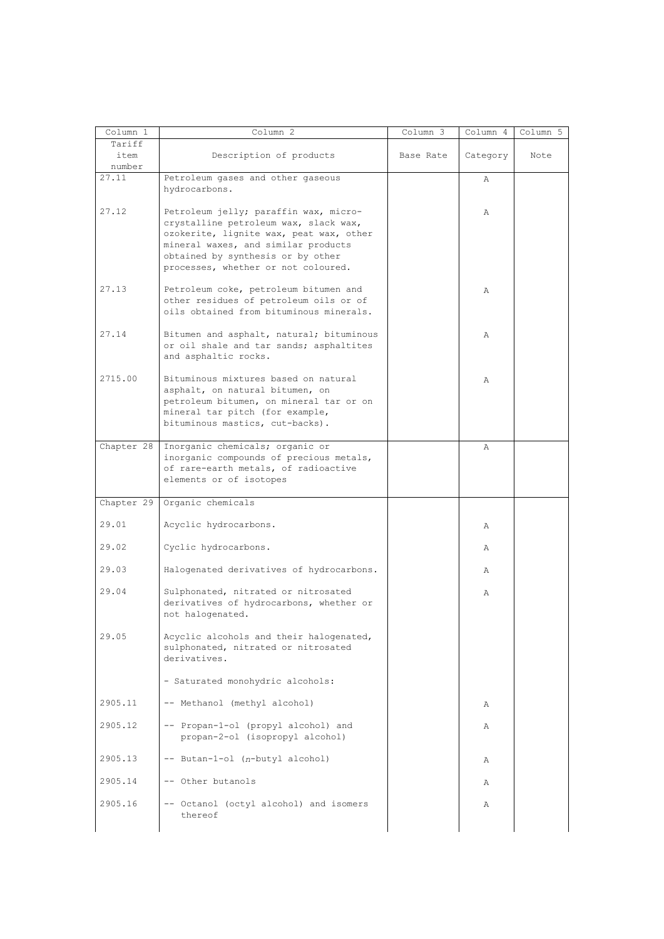| Column 1       | Column 2                                                                                                                                                                                                                                     | Column 3  | Column 4 | Column 5 |
|----------------|----------------------------------------------------------------------------------------------------------------------------------------------------------------------------------------------------------------------------------------------|-----------|----------|----------|
| Tariff         |                                                                                                                                                                                                                                              |           |          |          |
| item<br>number | Description of products                                                                                                                                                                                                                      | Base Rate | Category | Note     |
| 27.11          | Petroleum gases and other gaseous                                                                                                                                                                                                            |           | Α        |          |
|                | hydrocarbons.                                                                                                                                                                                                                                |           |          |          |
| 27.12          | Petroleum jelly; paraffin wax, micro-<br>crystalline petroleum wax, slack wax,<br>ozokerite, lignite wax, peat wax, other<br>mineral waxes, and similar products<br>obtained by synthesis or by other<br>processes, whether or not coloured. |           | Α        |          |
| 27.13          | Petroleum coke, petroleum bitumen and<br>other residues of petroleum oils or of<br>oils obtained from bituminous minerals.                                                                                                                   |           | Α        |          |
| 27.14          | Bitumen and asphalt, natural; bituminous<br>or oil shale and tar sands; asphaltites<br>and asphaltic rocks.                                                                                                                                  |           | Α        |          |
| 2715.00        | Bituminous mixtures based on natural<br>asphalt, on natural bitumen, on<br>petroleum bitumen, on mineral tar or on<br>mineral tar pitch (for example,<br>bituminous mastics, cut-backs).                                                     |           | Α        |          |
| Chapter 28     | Inorganic chemicals; organic or<br>inorganic compounds of precious metals,<br>of rare-earth metals, of radioactive<br>elements or of isotopes                                                                                                |           | Α        |          |
| Chapter 29     | Organic chemicals                                                                                                                                                                                                                            |           |          |          |
| 29.01          | Acyclic hydrocarbons.                                                                                                                                                                                                                        |           | Α        |          |
| 29.02          | Cyclic hydrocarbons.                                                                                                                                                                                                                         |           | Α        |          |
| 29.03          | Halogenated derivatives of hydrocarbons.                                                                                                                                                                                                     |           | Α        |          |
| 29.04          | Sulphonated, nitrated or nitrosated<br>derivatives of hydrocarbons, whether or<br>not halogenated.                                                                                                                                           |           | Α        |          |
| 29.05          | Acyclic alcohols and their halogenated,<br>sulphonated, nitrated or nitrosated<br>derivatives.                                                                                                                                               |           |          |          |
|                | - Saturated monohydric alcohols:                                                                                                                                                                                                             |           |          |          |
| 2905.11        | -- Methanol (methyl alcohol)                                                                                                                                                                                                                 |           | Α        |          |
| 2905.12        | -- Propan-1-ol (propyl alcohol) and<br>propan-2-ol (isopropyl alcohol)                                                                                                                                                                       |           | Α        |          |
| 2905.13        | -- Butan-1-ol (n-butyl alcohol)                                                                                                                                                                                                              |           | Α        |          |
| 2905.14        | -- Other butanols                                                                                                                                                                                                                            |           | Α        |          |
| 2905.16        | -- Octanol (octyl alcohol) and isomers<br>thereof                                                                                                                                                                                            |           | Α        |          |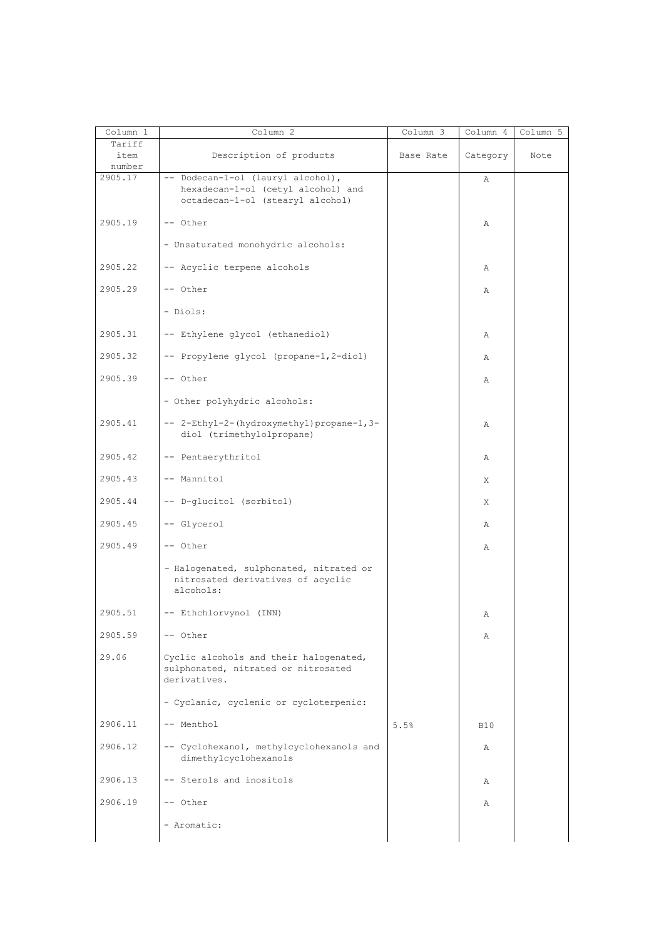| Column 1       | Column 2                                                                                      | Column 3  | Column 4   | Column 5 |
|----------------|-----------------------------------------------------------------------------------------------|-----------|------------|----------|
| Tariff<br>item | Description of products                                                                       | Base Rate | Category   | Note     |
| number         |                                                                                               |           |            |          |
| 2905.17        | -- Dodecan-1-ol (lauryl alcohol),                                                             |           | Α          |          |
|                | hexadecan-1-ol (cetyl alcohol) and<br>octadecan-1-ol (stearyl alcohol)                        |           |            |          |
| 2905.19        | -- Other                                                                                      |           | Α          |          |
|                | - Unsaturated monohydric alcohols:                                                            |           |            |          |
| 2905.22        | -- Acyclic terpene alcohols                                                                   |           | Α          |          |
| 2905.29        | -- Other                                                                                      |           | Α          |          |
|                | - Diols:                                                                                      |           |            |          |
| 2905.31        | -- Ethylene glycol (ethanediol)                                                               |           | Α          |          |
| 2905.32        | -- Propylene glycol (propane-1,2-diol)                                                        |           | Α          |          |
| 2905.39        | -- Other                                                                                      |           | Α          |          |
|                | - Other polyhydric alcohols:                                                                  |           |            |          |
| 2905.41        | -- 2-Ethyl-2-(hydroxymethyl)propane-1,3-<br>diol (trimethylolpropane)                         |           | Α          |          |
| 2905.42        | -- Pentaerythritol                                                                            |           | Α          |          |
| 2905.43        | -- Mannitol                                                                                   |           | Χ          |          |
| 2905.44        | -- D-glucitol (sorbitol)                                                                      |           | X          |          |
| 2905.45        | -- Glycerol                                                                                   |           | Α          |          |
| 2905.49        | -- Other                                                                                      |           | Α          |          |
|                | - Halogenated, sulphonated, nitrated or<br>nitrosated derivatives of acyclic<br>alcohols:     |           |            |          |
| 2905.51        | -- Ethchlorvynol (INN)                                                                        |           | Α          |          |
| 2905.59        | -- Other                                                                                      |           | Α          |          |
| 29.06          | Cyclic alcohols and their halogenated,<br>sulphonated, nitrated or nitrosated<br>derivatives. |           |            |          |
|                | - Cyclanic, cyclenic or cycloterpenic:                                                        |           |            |          |
| 2906.11        | -- Menthol                                                                                    | 5.5%      | <b>B10</b> |          |
| 2906.12        | -- Cyclohexanol, methylcyclohexanols and<br>dimethylcyclohexanols                             |           | Α          |          |
| 2906.13        | -- Sterols and inositols                                                                      |           | Α          |          |
| 2906.19        | -- Other                                                                                      |           | Α          |          |
|                | - Aromatic:                                                                                   |           |            |          |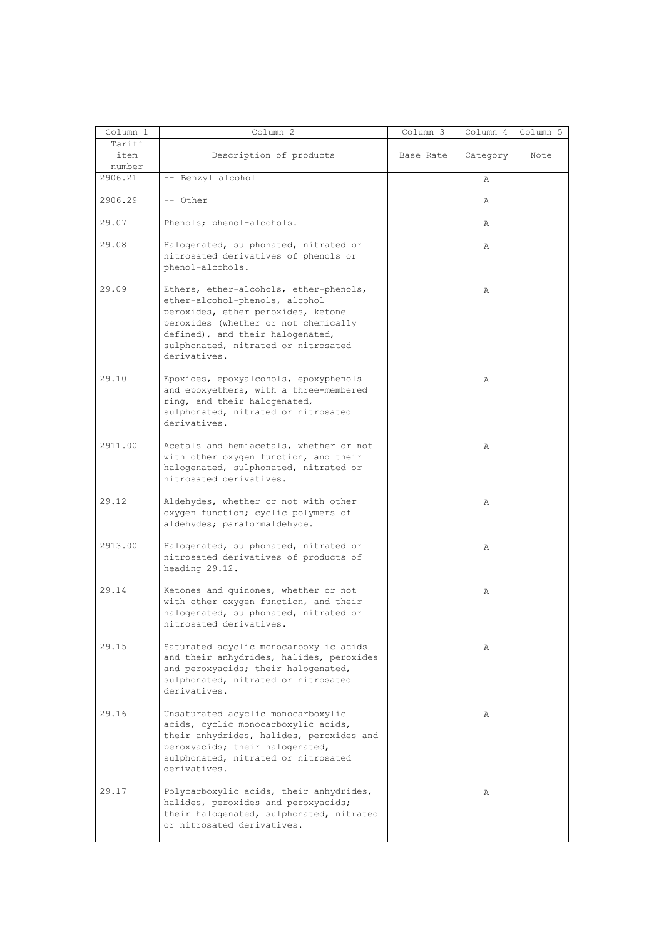| Column 1 | Column 2                                                                                                                                                                                                                                          | Column 3  | Column 4 | Column 5 |
|----------|---------------------------------------------------------------------------------------------------------------------------------------------------------------------------------------------------------------------------------------------------|-----------|----------|----------|
| Tariff   |                                                                                                                                                                                                                                                   |           |          |          |
| item     | Description of products                                                                                                                                                                                                                           | Base Rate | Category | Note     |
| number   |                                                                                                                                                                                                                                                   |           |          |          |
| 2906.21  | -- Benzyl alcohol                                                                                                                                                                                                                                 |           | Α        |          |
| 2906.29  | $--$ Other                                                                                                                                                                                                                                        |           | Α        |          |
| 29.07    | Phenols; phenol-alcohols.                                                                                                                                                                                                                         |           | Α        |          |
| 29.08    | Halogenated, sulphonated, nitrated or<br>nitrosated derivatives of phenols or<br>phenol-alcohols.                                                                                                                                                 |           | Α        |          |
| 29.09    | Ethers, ether-alcohols, ether-phenols,<br>ether-alcohol-phenols, alcohol<br>peroxides, ether peroxides, ketone<br>peroxides (whether or not chemically<br>defined), and their halogenated,<br>sulphonated, nitrated or nitrosated<br>derivatives. |           | Α        |          |
| 29.10    | Epoxides, epoxyalcohols, epoxyphenols<br>and epoxyethers, with a three-membered<br>ring, and their halogenated,<br>sulphonated, nitrated or nitrosated<br>derivatives.                                                                            |           | Α        |          |
| 2911.00  | Acetals and hemiacetals, whether or not<br>with other oxygen function, and their<br>halogenated, sulphonated, nitrated or<br>nitrosated derivatives.                                                                                              |           | Α        |          |
| 29.12    | Aldehydes, whether or not with other<br>oxygen function; cyclic polymers of<br>aldehydes; paraformaldehyde.                                                                                                                                       |           | Α        |          |
| 2913.00  | Halogenated, sulphonated, nitrated or<br>nitrosated derivatives of products of<br>heading 29.12.                                                                                                                                                  |           | Α        |          |
| 29.14    | Ketones and quinones, whether or not<br>with other oxygen function, and their<br>halogenated, sulphonated, nitrated or<br>nitrosated derivatives.                                                                                                 |           | Α        |          |
| 29.15    | Saturated acyclic monocarboxylic acids<br>and their anhydrides, halides, peroxides<br>and peroxyacids; their halogenated,<br>sulphonated, nitrated or nitrosated<br>derivatives.                                                                  |           | Α        |          |
| 29.16    | Unsaturated acyclic monocarboxylic<br>acids, cyclic monocarboxylic acids,<br>their anhydrides, halides, peroxides and<br>peroxyacids; their halogenated,<br>sulphonated, nitrated or nitrosated<br>derivatives.                                   |           | Α        |          |
| 29.17    | Polycarboxylic acids, their anhydrides,<br>halides, peroxides and peroxyacids;<br>their halogenated, sulphonated, nitrated<br>or nitrosated derivatives.                                                                                          |           | Α        |          |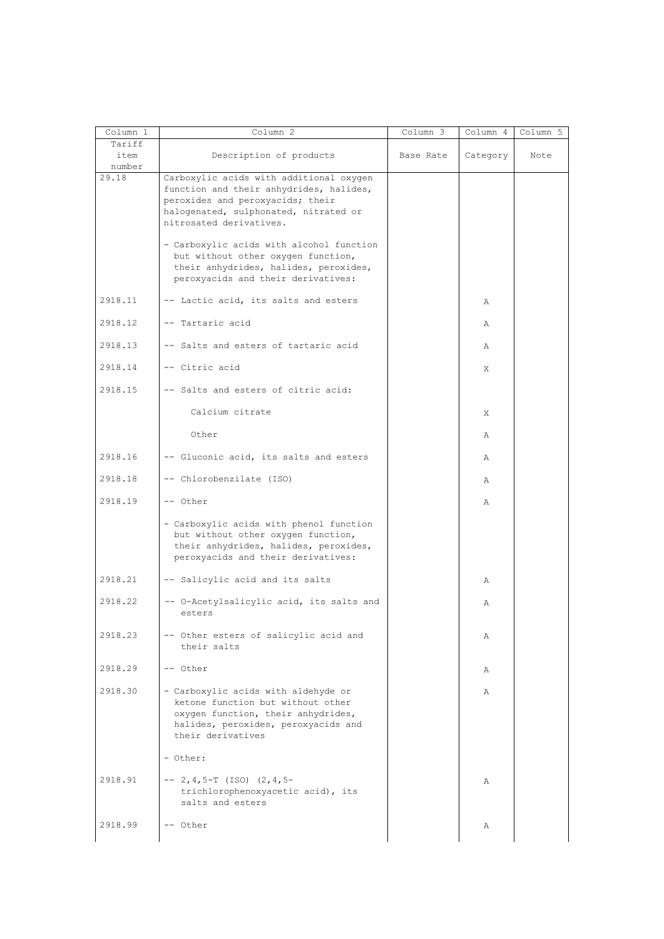| Column 1                 | Column 2                                                                                                                                                                                   | Column 3  | Column 4     | Column 5 |
|--------------------------|--------------------------------------------------------------------------------------------------------------------------------------------------------------------------------------------|-----------|--------------|----------|
| Tariff<br>item<br>number | Description of products                                                                                                                                                                    | Base Rate | Category     | Note     |
| 29.18                    | Carboxylic acids with additional oxygen<br>function and their anhydrides, halides,<br>peroxides and peroxyacids; their<br>halogenated, sulphonated, nitrated or<br>nitrosated derivatives. |           |              |          |
|                          | - Carboxylic acids with alcohol function<br>but without other oxygen function,<br>their anhydrides, halides, peroxides,<br>peroxyacids and their derivatives:                              |           |              |          |
| 2918.11                  | -- Lactic acid, its salts and esters                                                                                                                                                       |           | Α            |          |
| 2918.12                  | -- Tartaric acid                                                                                                                                                                           |           | Α            |          |
| 2918.13                  | -- Salts and esters of tartaric acid                                                                                                                                                       |           | Α            |          |
| 2918.14                  | -- Citric acid                                                                                                                                                                             |           | X            |          |
| 2918.15                  | -- Salts and esters of citric acid:                                                                                                                                                        |           |              |          |
|                          | Calcium citrate                                                                                                                                                                            |           | X            |          |
|                          | Other                                                                                                                                                                                      |           | Α            |          |
| 2918.16                  | -- Gluconic acid, its salts and esters                                                                                                                                                     |           | Α            |          |
| 2918.18                  | -- Chlorobenzilate (ISO)                                                                                                                                                                   |           | Α            |          |
| 2918.19                  | -- Other                                                                                                                                                                                   |           | Α            |          |
|                          | - Carboxylic acids with phenol function<br>but without other oxygen function,<br>their anhydrides, halides, peroxides,<br>peroxyacids and their derivatives:                               |           |              |          |
| 2918.21                  | -- Salicylic acid and its salts                                                                                                                                                            |           | Α            |          |
| 2918.22                  | -- O-Acetylsalicylic acid, its salts and<br>esters                                                                                                                                         |           | Α            |          |
| 2918.23                  | -- Other esters of salicylic acid and<br>their salts                                                                                                                                       |           | Α            |          |
| 2918.29                  | -- Other                                                                                                                                                                                   |           | Α            |          |
| 2918.30                  | - Carboxylic acids with aldehyde or<br>ketone function but without other<br>oxygen function, their anhydrides,<br>halides, peroxides, peroxyacids and<br>their derivatives                 |           | $\mathbb{A}$ |          |
|                          | - Other:                                                                                                                                                                                   |           |              |          |
| 2918.91                  | $-- 2, 4, 5-T (ISO) (2, 4, 5-$<br>trichlorophenoxyacetic acid), its<br>salts and esters                                                                                                    |           | Α            |          |
| 2918.99                  | -- Other                                                                                                                                                                                   |           | Α            |          |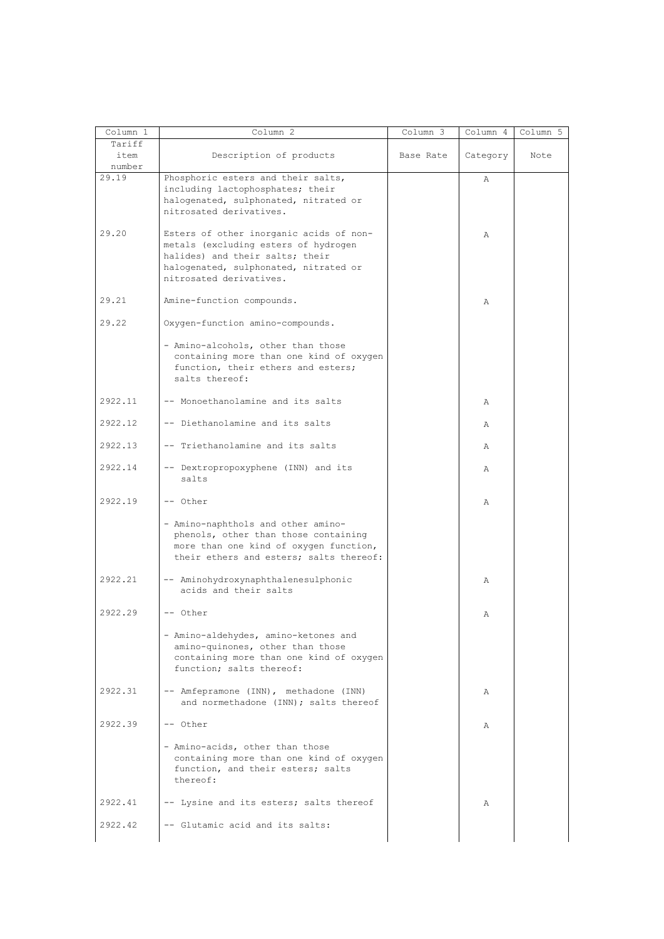| Column 1 | Column 2                                | Column 3  | Column 4 | Column 5 |
|----------|-----------------------------------------|-----------|----------|----------|
| Tariff   |                                         |           |          |          |
| item     | Description of products                 | Base Rate | Category | Note     |
| number   |                                         |           |          |          |
| 29.19    | Phosphoric esters and their salts,      |           |          |          |
|          |                                         |           | Α        |          |
|          | including lactophosphates; their        |           |          |          |
|          | halogenated, sulphonated, nitrated or   |           |          |          |
|          | nitrosated derivatives.                 |           |          |          |
|          |                                         |           |          |          |
| 29.20    |                                         |           |          |          |
|          | Esters of other inorganic acids of non- |           | Α        |          |
|          | metals (excluding esters of hydrogen    |           |          |          |
|          | halides) and their salts; their         |           |          |          |
|          | halogenated, sulphonated, nitrated or   |           |          |          |
|          | nitrosated derivatives.                 |           |          |          |
|          |                                         |           |          |          |
|          |                                         |           |          |          |
| 29.21    | Amine-function compounds.               |           | Α        |          |
|          |                                         |           |          |          |
| 29.22    | Oxygen-function amino-compounds.        |           |          |          |
|          |                                         |           |          |          |
|          | - Amino-alcohols, other than those      |           |          |          |
|          |                                         |           |          |          |
|          | containing more than one kind of oxygen |           |          |          |
|          | function, their ethers and esters;      |           |          |          |
|          | salts thereof:                          |           |          |          |
|          |                                         |           |          |          |
| 2922.11  | -- Monoethanolamine and its salts       |           | Α        |          |
|          |                                         |           |          |          |
|          |                                         |           |          |          |
| 2922.12  | -- Diethanolamine and its salts         |           | Α        |          |
|          |                                         |           |          |          |
| 2922.13  | -- Triethanolamine and its salts        |           | Α        |          |
|          |                                         |           |          |          |
| 2922.14  | -- Dextropropoxyphene (INN) and its     |           | Α        |          |
|          | salts                                   |           |          |          |
|          |                                         |           |          |          |
|          |                                         |           |          |          |
| 2922.19  | -- Other                                |           | Α        |          |
|          |                                         |           |          |          |
|          | - Amino-naphthols and other amino-      |           |          |          |
|          | phenols, other than those containing    |           |          |          |
|          |                                         |           |          |          |
|          | more than one kind of oxygen function,  |           |          |          |
|          | their ethers and esters; salts thereof: |           |          |          |
|          |                                         |           |          |          |
| 2922.21  | -- Aminohydroxynaphthalenesulphonic     |           | Α        |          |
|          | acids and their salts                   |           |          |          |
|          |                                         |           |          |          |
| 2922.29  | $--$ Other                              |           |          |          |
|          |                                         |           | Α        |          |
|          |                                         |           |          |          |
|          | - Amino-aldehydes, amino-ketones and    |           |          |          |
|          | amino-quinones, other than those        |           |          |          |
|          | containing more than one kind of oxygen |           |          |          |
|          | function; salts thereof:                |           |          |          |
|          |                                         |           |          |          |
|          |                                         |           |          |          |
| 2922.31  | -- Amfepramone (INN), methadone (INN)   |           | Α        |          |
|          | and normethadone (INN); salts thereof   |           |          |          |
|          |                                         |           |          |          |
| 2922.39  | -- Other                                |           | Α        |          |
|          |                                         |           |          |          |
|          |                                         |           |          |          |
|          | - Amino-acids, other than those         |           |          |          |
|          | containing more than one kind of oxygen |           |          |          |
|          | function, and their esters; salts       |           |          |          |
|          | thereof:                                |           |          |          |
|          |                                         |           |          |          |
| 2922.41  | -- Lysine and its esters; salts thereof |           | Α        |          |
|          |                                         |           |          |          |
|          |                                         |           |          |          |
| 2922.42  | -- Glutamic acid and its salts:         |           |          |          |
|          |                                         |           |          |          |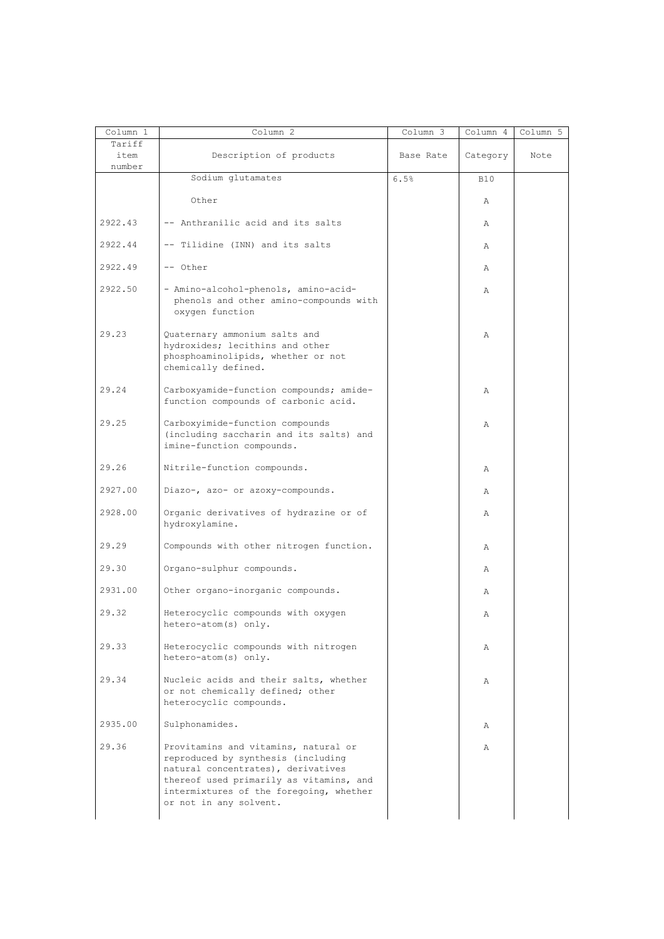| Column 1<br>Tariff | Column <sup>2</sup>                                                                                                                                                                                                              | $Column \overline{3}$ | Column 4   | Column 5 |
|--------------------|----------------------------------------------------------------------------------------------------------------------------------------------------------------------------------------------------------------------------------|-----------------------|------------|----------|
| item               | Description of products                                                                                                                                                                                                          | Base Rate             | Category   | Note     |
| number             | Sodium glutamates                                                                                                                                                                                                                | 6.5%                  | <b>B10</b> |          |
|                    | Other                                                                                                                                                                                                                            |                       | Α          |          |
| 2922.43            | -- Anthranilic acid and its salts                                                                                                                                                                                                |                       | Α          |          |
|                    |                                                                                                                                                                                                                                  |                       |            |          |
| 2922.44            | -- Tilidine (INN) and its salts                                                                                                                                                                                                  |                       | Α          |          |
| 2922.49            | $--$ Other                                                                                                                                                                                                                       |                       | Α          |          |
| 2922.50            | - Amino-alcohol-phenols, amino-acid-<br>phenols and other amino-compounds with<br>oxygen function                                                                                                                                |                       | Α          |          |
| 29.23              | Quaternary ammonium salts and<br>hydroxides; lecithins and other<br>phosphoaminolipids, whether or not<br>chemically defined.                                                                                                    |                       | Α          |          |
| 29.24              | Carboxyamide-function compounds; amide-<br>function compounds of carbonic acid.                                                                                                                                                  |                       | Α          |          |
| 29.25              | Carboxyimide-function compounds<br>(including saccharin and its salts) and<br>imine-function compounds.                                                                                                                          |                       | Α          |          |
| 29.26              | Nitrile-function compounds.                                                                                                                                                                                                      |                       | Α          |          |
| 2927.00            | Diazo-, azo- or azoxy-compounds.                                                                                                                                                                                                 |                       | Α          |          |
| 2928.00            | Organic derivatives of hydrazine or of<br>hydroxylamine.                                                                                                                                                                         |                       | Α          |          |
| 29.29              | Compounds with other nitrogen function.                                                                                                                                                                                          |                       | Α          |          |
| 29.30              | Organo-sulphur compounds.                                                                                                                                                                                                        |                       | Α          |          |
| 2931.00            | Other organo-inorganic compounds.                                                                                                                                                                                                |                       | Α          |          |
| 29.32              | Heterocyclic compounds with oxygen<br>hetero-atom(s) only.                                                                                                                                                                       |                       | Α          |          |
| 29.33              | Heterocyclic compounds with nitrogen<br>hetero-atom(s) only.                                                                                                                                                                     |                       | Α          |          |
| 29.34              | Nucleic acids and their salts, whether<br>or not chemically defined; other<br>heterocyclic compounds.                                                                                                                            |                       | Α          |          |
| 2935.00            | Sulphonamides.                                                                                                                                                                                                                   |                       | Α          |          |
| 29.36              | Provitamins and vitamins, natural or<br>reproduced by synthesis (including<br>natural concentrates), derivatives<br>thereof used primarily as vitamins, and<br>intermixtures of the foregoing, whether<br>or not in any solvent. |                       | Α          |          |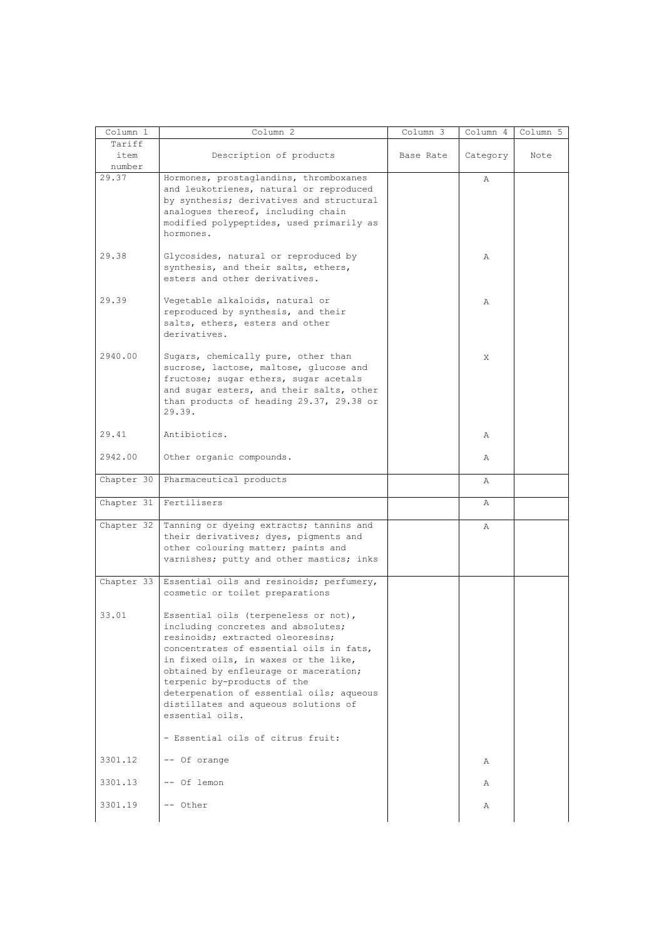| Column 1                 | Column 2                                                                                                                                                                                                                                                                                                                                                                         | Column 3  | Column 4 | Column 5 |
|--------------------------|----------------------------------------------------------------------------------------------------------------------------------------------------------------------------------------------------------------------------------------------------------------------------------------------------------------------------------------------------------------------------------|-----------|----------|----------|
| Tariff<br>item<br>number | Description of products                                                                                                                                                                                                                                                                                                                                                          | Base Rate | Category | Note     |
| 29.37                    | Hormones, prostaglandins, thromboxanes<br>and leukotrienes, natural or reproduced<br>by synthesis; derivatives and structural<br>analogues thereof, including chain<br>modified polypeptides, used primarily as<br>hormones.                                                                                                                                                     |           | Α        |          |
| 29.38                    | Glycosides, natural or reproduced by<br>synthesis, and their salts, ethers,<br>esters and other derivatives.                                                                                                                                                                                                                                                                     |           | Α        |          |
| 29.39                    | Vegetable alkaloids, natural or<br>reproduced by synthesis, and their<br>salts, ethers, esters and other<br>derivatives.                                                                                                                                                                                                                                                         |           | Α        |          |
| 2940.00                  | Sugars, chemically pure, other than<br>sucrose, lactose, maltose, glucose and<br>fructose; sugar ethers, sugar acetals<br>and sugar esters, and their salts, other<br>than products of heading 29.37, 29.38 or<br>29.39.                                                                                                                                                         |           | X        |          |
| 29.41                    | Antibiotics.                                                                                                                                                                                                                                                                                                                                                                     |           | Α        |          |
| 2942.00                  | Other organic compounds.                                                                                                                                                                                                                                                                                                                                                         |           | Α        |          |
| Chapter 30               | Pharmaceutical products                                                                                                                                                                                                                                                                                                                                                          |           | Α        |          |
| Chapter 31               | Fertilisers                                                                                                                                                                                                                                                                                                                                                                      |           | Α        |          |
| Chapter 32               | Tanning or dyeing extracts; tannins and<br>their derivatives; dyes, pigments and<br>other colouring matter; paints and<br>varnishes; putty and other mastics; inks                                                                                                                                                                                                               |           | Α        |          |
| Chapter 33               | Essential oils and resinoids; perfumery,<br>cosmetic or toilet preparations                                                                                                                                                                                                                                                                                                      |           |          |          |
| 33.01                    | Essential oils (terpeneless or not),<br>including concretes and absolutes;<br>resinoids; extracted oleoresins;<br>concentrates of essential oils in fats,<br>in fixed oils, in waxes or the like,<br>obtained by enfleurage or maceration;<br>terpenic by-products of the<br>deterpenation of essential oils; aqueous<br>distillates and aqueous solutions of<br>essential oils. |           |          |          |
|                          | - Essential oils of citrus fruit:                                                                                                                                                                                                                                                                                                                                                |           |          |          |
| 3301.12                  | -- Of orange                                                                                                                                                                                                                                                                                                                                                                     |           | Α        |          |
| 3301.13                  | -- Of lemon                                                                                                                                                                                                                                                                                                                                                                      |           | Α        |          |
| 3301.19                  | -- Other                                                                                                                                                                                                                                                                                                                                                                         |           | Α        |          |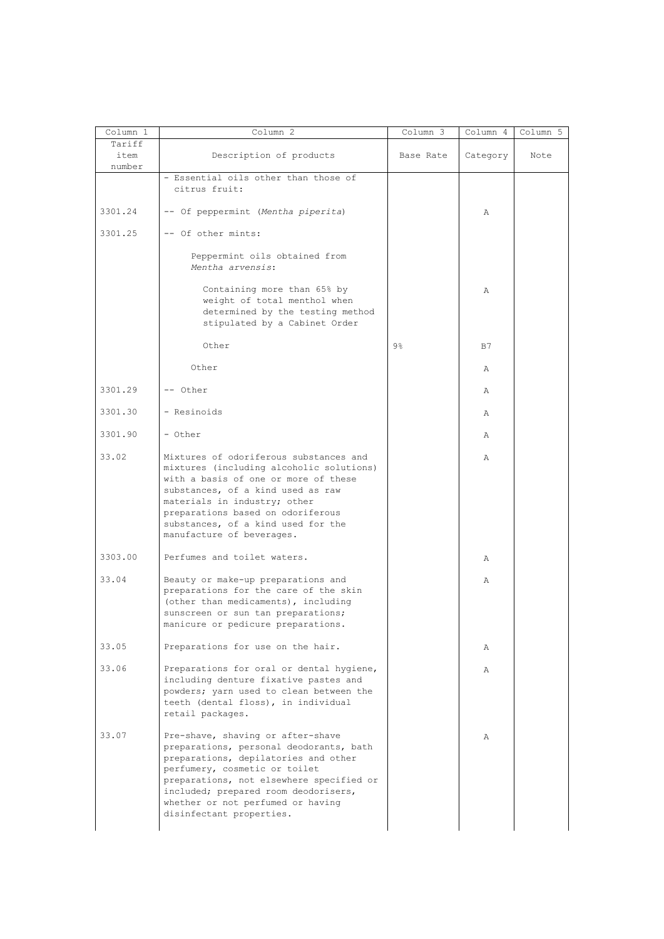|                          | Column 2                                                                                                                                                                                                                                                                                                   | Column 3       | Column 4 | Column 5 |
|--------------------------|------------------------------------------------------------------------------------------------------------------------------------------------------------------------------------------------------------------------------------------------------------------------------------------------------------|----------------|----------|----------|
| Tariff<br>item<br>number | Description of products                                                                                                                                                                                                                                                                                    | Base Rate      | Category | Note     |
|                          | - Essential oils other than those of<br>citrus fruit:                                                                                                                                                                                                                                                      |                |          |          |
| 3301.24                  | -- Of peppermint (Mentha piperita)                                                                                                                                                                                                                                                                         |                | Α        |          |
| 3301.25                  | -- Of other mints:                                                                                                                                                                                                                                                                                         |                |          |          |
|                          | Peppermint oils obtained from<br>Mentha arvensis:                                                                                                                                                                                                                                                          |                |          |          |
|                          | Containing more than 65% by<br>weight of total menthol when<br>determined by the testing method<br>stipulated by a Cabinet Order                                                                                                                                                                           |                | Α        |          |
|                          | Other                                                                                                                                                                                                                                                                                                      | $9\frac{6}{6}$ | B7       |          |
|                          | Other                                                                                                                                                                                                                                                                                                      |                | Α        |          |
| 3301.29                  | -- Other                                                                                                                                                                                                                                                                                                   |                | Α        |          |
| 3301.30                  | - Resinoids                                                                                                                                                                                                                                                                                                |                | Α        |          |
| 3301.90                  | - Other                                                                                                                                                                                                                                                                                                    |                | Α        |          |
| 33.02                    | Mixtures of odoriferous substances and<br>mixtures (including alcoholic solutions)<br>with a basis of one or more of these<br>substances, of a kind used as raw<br>materials in industry; other<br>preparations based on odoriferous<br>substances, of a kind used for the<br>manufacture of beverages.    |                | Α        |          |
| 3303.00                  | Perfumes and toilet waters.                                                                                                                                                                                                                                                                                |                | Α        |          |
| 33.04                    | Beauty or make-up preparations and<br>preparations for the care of the skin<br>(other than medicaments), including<br>sunscreen or sun tan preparations;<br>manicure or pedicure preparations.                                                                                                             |                | Α        |          |
| 33.05                    | Preparations for use on the hair.                                                                                                                                                                                                                                                                          |                | Α        |          |
| 33.06                    | Preparations for oral or dental hygiene,<br>including denture fixative pastes and<br>powders; yarn used to clean between the<br>teeth (dental floss), in individual<br>retail packages.                                                                                                                    |                | Α        |          |
| 33.07                    | Pre-shave, shaving or after-shave<br>preparations, personal deodorants, bath<br>preparations, depilatories and other<br>perfumery, cosmetic or toilet<br>preparations, not elsewhere specified or<br>included; prepared room deodorisers,<br>whether or not perfumed or having<br>disinfectant properties. |                | Α        |          |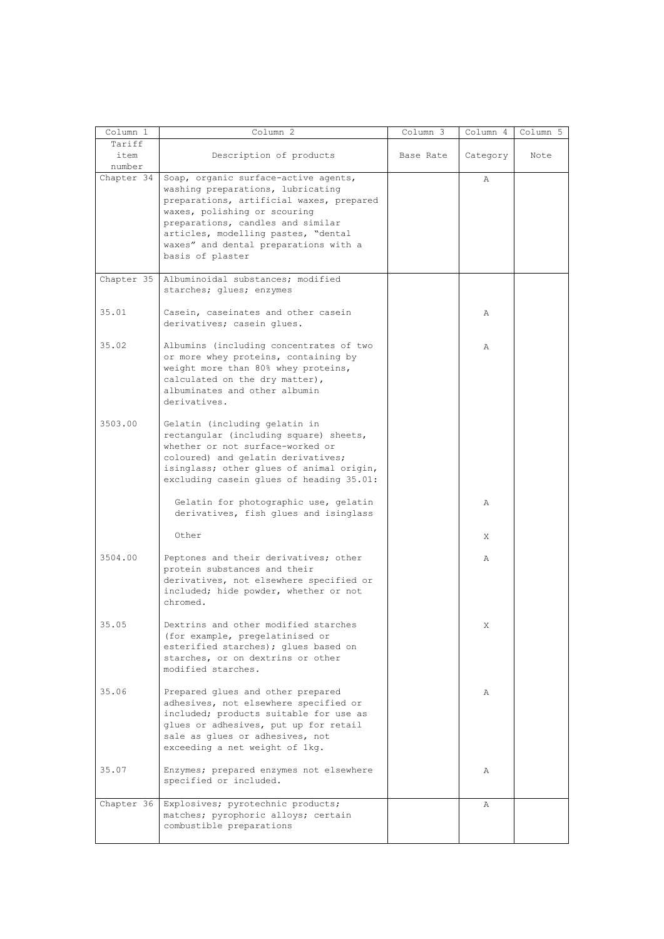| Column 1   | Column <sub>2</sub>                                                                  | Column 3  | Column 4 | Column 5 |
|------------|--------------------------------------------------------------------------------------|-----------|----------|----------|
| Tariff     |                                                                                      |           |          |          |
| item       | Description of products                                                              | Base Rate | Category | Note     |
| number     |                                                                                      |           |          |          |
| Chapter 34 | Soap, organic surface-active agents,                                                 |           | Α        |          |
|            | washing preparations, lubricating                                                    |           |          |          |
|            | preparations, artificial waxes, prepared                                             |           |          |          |
|            | waxes, polishing or scouring                                                         |           |          |          |
|            | preparations, candles and similar                                                    |           |          |          |
|            | articles, modelling pastes, "dental                                                  |           |          |          |
|            | waxes" and dental preparations with a                                                |           |          |          |
|            | basis of plaster                                                                     |           |          |          |
|            |                                                                                      |           |          |          |
| Chapter 35 | Albuminoidal substances; modified<br>starches; glues; enzymes                        |           |          |          |
|            |                                                                                      |           |          |          |
| 35.01      | Casein, caseinates and other casein                                                  |           | Α        |          |
|            | derivatives; casein glues.                                                           |           |          |          |
|            |                                                                                      |           |          |          |
| 35.02      | Albumins (including concentrates of two                                              |           | Α        |          |
|            | or more whey proteins, containing by                                                 |           |          |          |
|            | weight more than 80% whey proteins,                                                  |           |          |          |
|            | calculated on the dry matter),                                                       |           |          |          |
|            | albuminates and other albumin                                                        |           |          |          |
|            | derivatives.                                                                         |           |          |          |
|            |                                                                                      |           |          |          |
| 3503.00    | Gelatin (including gelatin in                                                        |           |          |          |
|            | rectangular (including square) sheets,                                               |           |          |          |
|            | whether or not surface-worked or                                                     |           |          |          |
|            | coloured) and gelatin derivatives;                                                   |           |          |          |
|            | isinglass; other glues of animal origin,<br>excluding casein glues of heading 35.01: |           |          |          |
|            |                                                                                      |           |          |          |
|            | Gelatin for photographic use, gelatin                                                |           | Α        |          |
|            | derivatives, fish glues and isinglass                                                |           |          |          |
|            |                                                                                      |           |          |          |
|            | Other                                                                                |           | X        |          |
|            |                                                                                      |           |          |          |
| 3504.00    | Peptones and their derivatives; other                                                |           | Α        |          |
|            | protein substances and their                                                         |           |          |          |
|            | derivatives, not elsewhere specified or                                              |           |          |          |
|            | included; hide powder, whether or not                                                |           |          |          |
|            | chromed.                                                                             |           |          |          |
| 35.05      | Dextrins and other modified starches                                                 |           | X.       |          |
|            | (for example, pregelatinised or                                                      |           |          |          |
|            | esterified starches); glues based on                                                 |           |          |          |
|            | starches, or on dextrins or other                                                    |           |          |          |
|            | modified starches.                                                                   |           |          |          |
|            |                                                                                      |           |          |          |
| 35.06      | Prepared glues and other prepared                                                    |           | Α        |          |
|            | adhesives, not elsewhere specified or                                                |           |          |          |
|            | included; products suitable for use as                                               |           |          |          |
|            | glues or adhesives, put up for retail                                                |           |          |          |
|            | sale as glues or adhesives, not                                                      |           |          |          |
|            | exceeding a net weight of 1kg.                                                       |           |          |          |
| 35.07      | Enzymes; prepared enzymes not elsewhere                                              |           | Α        |          |
|            | specified or included.                                                               |           |          |          |
|            |                                                                                      |           |          |          |
| Chapter 36 | Explosives; pyrotechnic products;                                                    |           | Α        |          |
|            | matches; pyrophoric alloys; certain                                                  |           |          |          |
|            | combustible preparations                                                             |           |          |          |
|            |                                                                                      |           |          |          |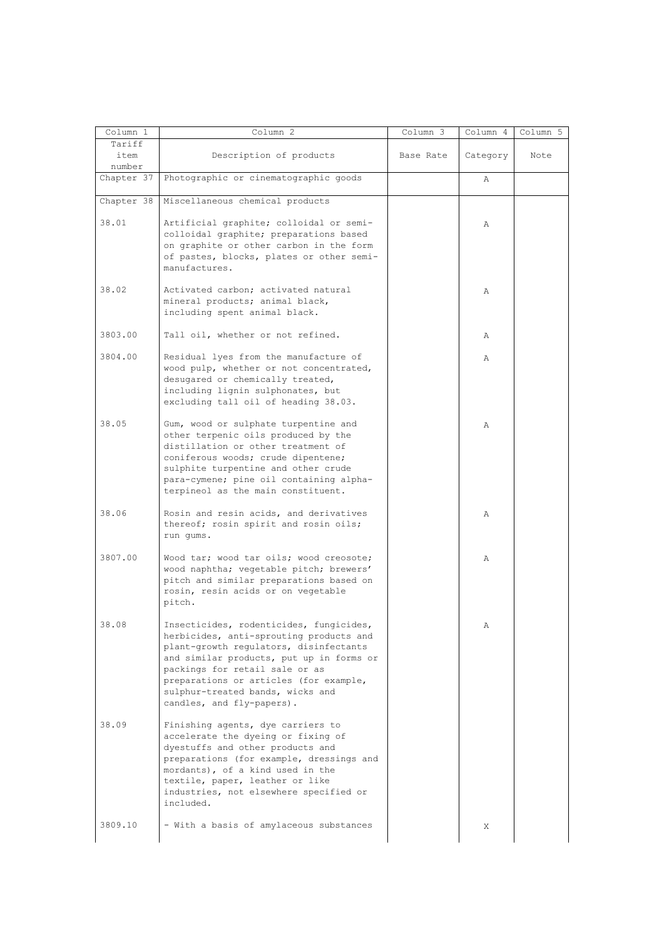| Column 1             | Column 2                                                                                                                                                                                                                                                                                                              | $Column \overline{3}$ | Column 4 | Column 5 |
|----------------------|-----------------------------------------------------------------------------------------------------------------------------------------------------------------------------------------------------------------------------------------------------------------------------------------------------------------------|-----------------------|----------|----------|
| Tariff<br>item       | Description of products                                                                                                                                                                                                                                                                                               | Base Rate             | Category | Note     |
| number<br>Chapter 37 | Photographic or cinematographic goods                                                                                                                                                                                                                                                                                 |                       | Α        |          |
| Chapter 38           | Miscellaneous chemical products                                                                                                                                                                                                                                                                                       |                       |          |          |
| 38.01                | Artificial graphite; colloidal or semi-<br>colloidal graphite; preparations based<br>on graphite or other carbon in the form<br>of pastes, blocks, plates or other semi-<br>manufactures.                                                                                                                             |                       | Α        |          |
| 38.02                | Activated carbon; activated natural<br>mineral products; animal black,<br>including spent animal black.                                                                                                                                                                                                               |                       | Α        |          |
| 3803.00              | Tall oil, whether or not refined.                                                                                                                                                                                                                                                                                     |                       | Α        |          |
| 3804.00              | Residual lyes from the manufacture of<br>wood pulp, whether or not concentrated,<br>desugared or chemically treated,<br>including lignin sulphonates, but<br>excluding tall oil of heading 38.03.                                                                                                                     |                       | Α        |          |
| 38.05                | Gum, wood or sulphate turpentine and<br>other terpenic oils produced by the<br>distillation or other treatment of<br>coniferous woods; crude dipentene;<br>sulphite turpentine and other crude<br>para-cymene; pine oil containing alpha-<br>terpineol as the main constituent.                                       |                       | Α        |          |
| 38.06                | Rosin and resin acids, and derivatives<br>thereof; rosin spirit and rosin oils;<br>run gums.                                                                                                                                                                                                                          |                       | Α        |          |
| 3807.00              | Wood tar; wood tar oils; wood creosote;<br>wood naphtha; vegetable pitch; brewers'<br>pitch and similar preparations based on<br>rosin, resin acids or on vegetable<br>pitch.                                                                                                                                         |                       | Α        |          |
| 38.08                | Insecticides, rodenticides, fungicides,<br>herbicides, anti-sprouting products and<br>plant-growth regulators, disinfectants<br>and similar products, put up in forms or<br>packings for retail sale or as<br>preparations or articles (for example,<br>sulphur-treated bands, wicks and<br>candles, and fly-papers). |                       | Α        |          |
| 38.09                | Finishing agents, dye carriers to<br>accelerate the dyeing or fixing of<br>dyestuffs and other products and<br>preparations (for example, dressings and<br>mordants), of a kind used in the<br>textile, paper, leather or like<br>industries, not elsewhere specified or<br>included.                                 |                       |          |          |
| 3809.10              | - With a basis of amylaceous substances                                                                                                                                                                                                                                                                               |                       | Χ        |          |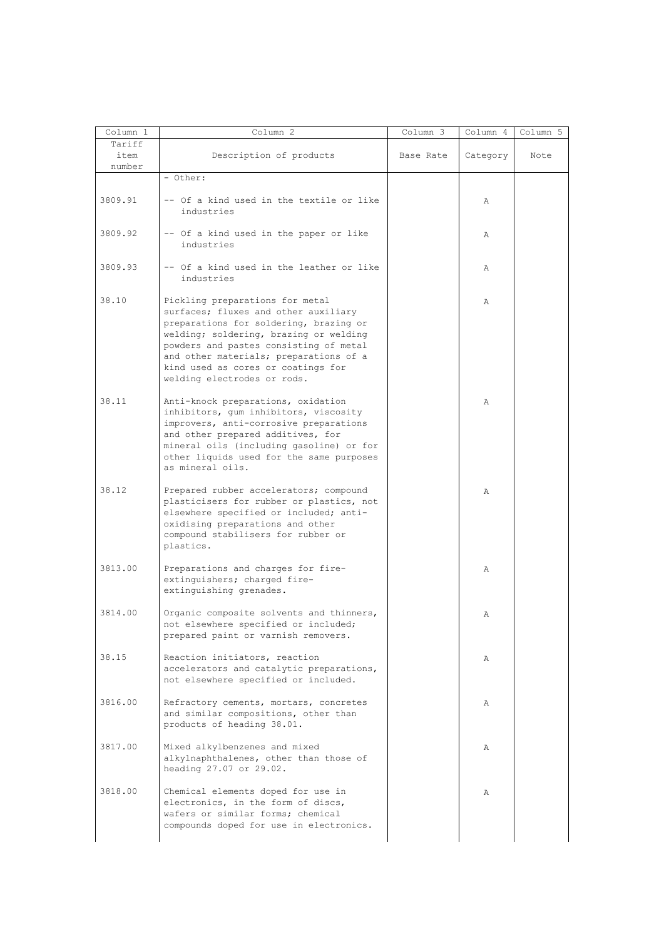| Column 1 | Column <sub>2</sub>                                                     | Column 3  | Column 4 | Column 5 |
|----------|-------------------------------------------------------------------------|-----------|----------|----------|
| Tariff   |                                                                         |           |          |          |
| item     | Description of products                                                 | Base Rate | Category | Note     |
| number   |                                                                         |           |          |          |
|          | - Other:                                                                |           |          |          |
| 3809.91  | -- Of a kind used in the textile or like                                |           |          |          |
|          | industries                                                              |           | Α        |          |
|          |                                                                         |           |          |          |
| 3809.92  | -- Of a kind used in the paper or like                                  |           | Α        |          |
|          | industries                                                              |           |          |          |
|          |                                                                         |           |          |          |
| 3809.93  | -- Of a kind used in the leather or like                                |           | Α        |          |
|          | industries                                                              |           |          |          |
|          |                                                                         |           |          |          |
| 38.10    | Pickling preparations for metal                                         |           | Α        |          |
|          | surfaces; fluxes and other auxiliary                                    |           |          |          |
|          | preparations for soldering, brazing or                                  |           |          |          |
|          | welding; soldering, brazing or welding                                  |           |          |          |
|          | powders and pastes consisting of metal                                  |           |          |          |
|          | and other materials; preparations of a                                  |           |          |          |
|          | kind used as cores or coatings for                                      |           |          |          |
|          | welding electrodes or rods.                                             |           |          |          |
| 38.11    | Anti-knock preparations, oxidation                                      |           |          |          |
|          | inhibitors, qum inhibitors, viscosity                                   |           | Α        |          |
|          | improvers, anti-corrosive preparations                                  |           |          |          |
|          | and other prepared additives, for                                       |           |          |          |
|          | mineral oils (including gasoline) or for                                |           |          |          |
|          | other liquids used for the same purposes                                |           |          |          |
|          | as mineral oils.                                                        |           |          |          |
|          |                                                                         |           |          |          |
| 38.12    | Prepared rubber accelerators; compound                                  |           | Α        |          |
|          | plasticisers for rubber or plastics, not                                |           |          |          |
|          | elsewhere specified or included; anti-                                  |           |          |          |
|          | oxidising preparations and other<br>compound stabilisers for rubber or  |           |          |          |
|          | plastics.                                                               |           |          |          |
|          |                                                                         |           |          |          |
| 3813.00  | Preparations and charges for fire-                                      |           | Α        |          |
|          | extinguishers; charged fire-                                            |           |          |          |
|          | extinguishing grenades.                                                 |           |          |          |
|          |                                                                         |           |          |          |
| 3814.00  | Organic composite solvents and thinners,                                |           | Α        |          |
|          | not elsewhere specified or included;                                    |           |          |          |
|          | prepared paint or varnish removers.                                     |           |          |          |
| 38.15    | Reaction initiators, reaction                                           |           | Α        |          |
|          | accelerators and catalytic preparations,                                |           |          |          |
|          | not elsewhere specified or included.                                    |           |          |          |
|          |                                                                         |           |          |          |
| 3816.00  | Refractory cements, mortars, concretes                                  |           | Α        |          |
|          | and similar compositions, other than                                    |           |          |          |
|          | products of heading 38.01.                                              |           |          |          |
| 3817.00  |                                                                         |           |          |          |
|          | Mixed alkylbenzenes and mixed<br>alkylnaphthalenes, other than those of |           | Α        |          |
|          | heading 27.07 or 29.02.                                                 |           |          |          |
|          |                                                                         |           |          |          |
| 3818.00  | Chemical elements doped for use in                                      |           | Α        |          |
|          | electronics, in the form of discs,                                      |           |          |          |
|          | wafers or similar forms; chemical                                       |           |          |          |
|          | compounds doped for use in electronics.                                 |           |          |          |
|          |                                                                         |           |          |          |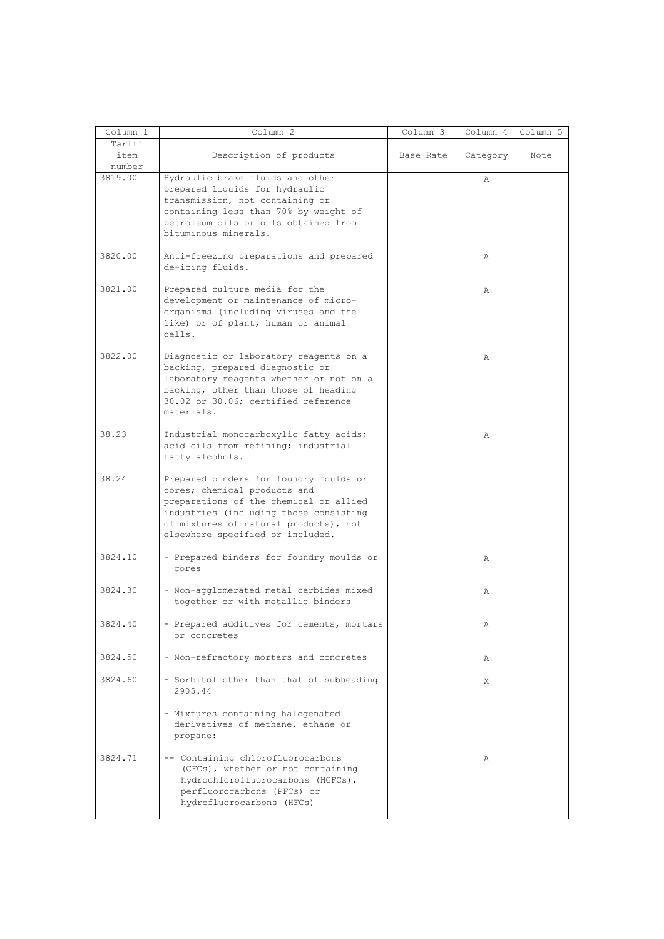| Column 1                 | Column <sup>2</sup>                                                                                                                                                                                                                     | Column 3  | Column 4 | Column 5 |
|--------------------------|-----------------------------------------------------------------------------------------------------------------------------------------------------------------------------------------------------------------------------------------|-----------|----------|----------|
| Tariff<br>item<br>number | Description of products                                                                                                                                                                                                                 | Base Rate | Category | Note     |
| 3819.00                  | Hydraulic brake fluids and other<br>prepared liquids for hydraulic<br>transmission, not containing or<br>containing less than 70% by weight of<br>petroleum oils or oils obtained from<br>bituminous minerals.                          |           | Α        |          |
| 3820.00                  | Anti-freezing preparations and prepared<br>de-icing fluids.                                                                                                                                                                             |           | Α        |          |
| 3821.00                  | Prepared culture media for the<br>development or maintenance of micro-<br>organisms (including viruses and the<br>like) or of plant, human or animal<br>cells.                                                                          |           | Α        |          |
| 3822.00                  | Diagnostic or laboratory reagents on a<br>backing, prepared diagnostic or<br>laboratory reagents whether or not on a<br>backing, other than those of heading<br>30.02 or 30.06; certified reference<br>materials.                       |           | Α        |          |
| 38.23                    | Industrial monocarboxylic fatty acids;<br>acid oils from refining; industrial<br>fatty alcohols.                                                                                                                                        |           | Α        |          |
| 38.24                    | Prepared binders for foundry moulds or<br>cores; chemical products and<br>preparations of the chemical or allied<br>industries (including those consisting<br>of mixtures of natural products), not<br>elsewhere specified or included. |           |          |          |
| 3824.10                  | - Prepared binders for foundry moulds or<br>cores                                                                                                                                                                                       |           | Α        |          |
| 3824.30                  | - Non-agglomerated metal carbides mixed<br>together or with metallic binders                                                                                                                                                            |           | Α        |          |
| 3824.40                  | - Prepared additives for cements, mortars<br>or concretes                                                                                                                                                                               |           | Α        |          |
| 3824.50                  | - Non-refractory mortars and concretes                                                                                                                                                                                                  |           | Α        |          |
| 3824.60                  | - Sorbitol other than that of subheading<br>2905.44                                                                                                                                                                                     |           | Χ        |          |
|                          | - Mixtures containing halogenated<br>derivatives of methane, ethane or<br>propane:                                                                                                                                                      |           |          |          |
| 3824.71                  | -- Containing chlorofluorocarbons<br>(CFCs), whether or not containing<br>hydrochlorofluorocarbons (HCFCs),<br>perfluorocarbons (PFCs) or<br>hydrofluorocarbons (HFCs)                                                                  |           | Α        |          |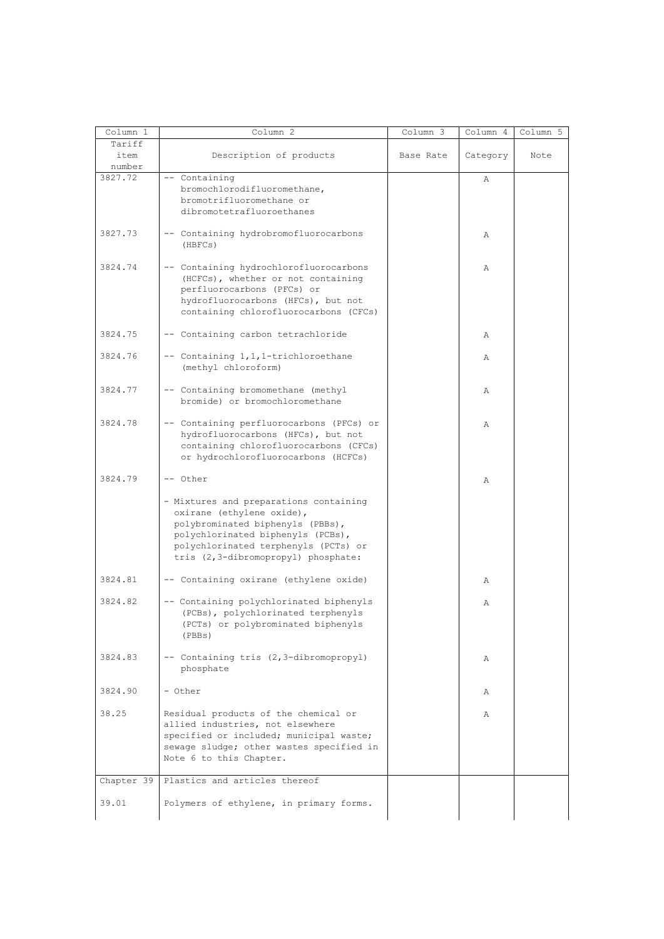| Column 1   | Column <sub>2</sub>                      | Column 3  | Column 4 | Column 5 |
|------------|------------------------------------------|-----------|----------|----------|
| Tariff     |                                          |           |          |          |
| item       | Description of products                  | Base Rate | Category | Note     |
| number     |                                          |           |          |          |
| 3827.72    | -- Containing                            |           | Α        |          |
|            | bromochlorodifluoromethane,              |           |          |          |
|            | bromotrifluoromethane or                 |           |          |          |
|            | dibromotetrafluoroethanes                |           |          |          |
|            |                                          |           |          |          |
| 3827.73    | -- Containing hydrobromofluorocarbons    |           | Α        |          |
|            | (HBFCs)                                  |           |          |          |
|            |                                          |           |          |          |
| 3824.74    | -- Containing hydrochlorofluorocarbons   |           | Α        |          |
|            | (HCFCs), whether or not containing       |           |          |          |
|            | perfluorocarbons (PFCs) or               |           |          |          |
|            | hydrofluorocarbons (HFCs), but not       |           |          |          |
|            | containing chlorofluorocarbons (CFCs)    |           |          |          |
| 3824.75    | -- Containing carbon tetrachloride       |           |          |          |
|            |                                          |           | Α        |          |
| 3824.76    | -- Containing 1, 1, 1-trichloroethane    |           | Α        |          |
|            | (methyl chloroform)                      |           |          |          |
|            |                                          |           |          |          |
| 3824.77    | -- Containing bromomethane (methyl       |           | Α        |          |
|            | bromide) or bromochloromethane           |           |          |          |
|            |                                          |           |          |          |
| 3824.78    | -- Containing perfluorocarbons (PFCs) or |           | Α        |          |
|            | hydrofluorocarbons (HFCs), but not       |           |          |          |
|            | containing chlorofluorocarbons (CFCs)    |           |          |          |
|            | or hydrochlorofluorocarbons (HCFCs)      |           |          |          |
|            |                                          |           |          |          |
| 3824.79    | -- Other                                 |           | Α        |          |
|            | - Mixtures and preparations containing   |           |          |          |
|            | oxirane (ethylene oxide),                |           |          |          |
|            | polybrominated biphenyls (PBBs),         |           |          |          |
|            | polychlorinated biphenyls (PCBs),        |           |          |          |
|            | polychlorinated terphenyls (PCTs) or     |           |          |          |
|            | tris (2,3-dibromopropyl) phosphate:      |           |          |          |
|            |                                          |           |          |          |
| 3824.81    | -- Containing oxirane (ethylene oxide)   |           | Α        |          |
|            |                                          |           |          |          |
| 3824.82    | -- Containing polychlorinated biphenyls  |           | Α        |          |
|            | (PCBs), polychlorinated terphenyls       |           |          |          |
|            | (PCTs) or polybrominated biphenyls       |           |          |          |
|            | (PBBs)                                   |           |          |          |
| 3824.83    | -- Containing tris (2,3-dibromopropyl)   |           | Α        |          |
|            | phosphate                                |           |          |          |
|            |                                          |           |          |          |
| 3824.90    | - Other                                  |           | Α        |          |
|            |                                          |           |          |          |
| 38.25      | Residual products of the chemical or     |           | Α        |          |
|            | allied industries, not elsewhere         |           |          |          |
|            | specified or included; municipal waste;  |           |          |          |
|            | sewage sludge; other wastes specified in |           |          |          |
|            | Note 6 to this Chapter.                  |           |          |          |
| Chapter 39 | Plastics and articles thereof            |           |          |          |
|            |                                          |           |          |          |
| 39.01      | Polymers of ethylene, in primary forms.  |           |          |          |
|            |                                          |           |          |          |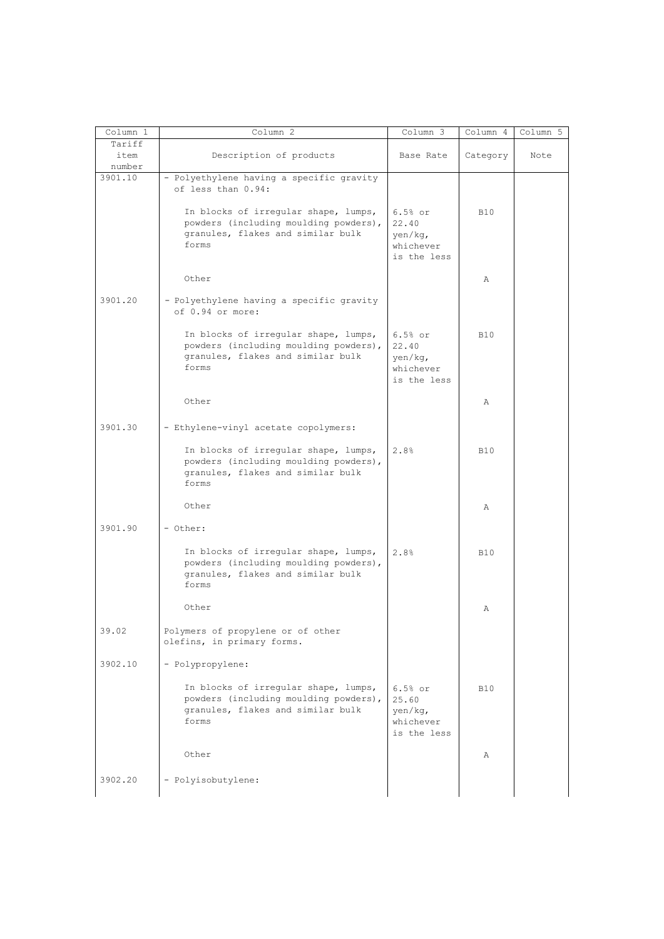| Column 1                 | Column 2                                                                                                                    | $Column \overline{3}$                                     | Column 4   | Column 5 |
|--------------------------|-----------------------------------------------------------------------------------------------------------------------------|-----------------------------------------------------------|------------|----------|
| Tariff<br>item<br>number | Description of products                                                                                                     | Base Rate                                                 | Category   | Note     |
| 3901.10                  | - Polyethylene having a specific gravity<br>of less than 0.94:                                                              |                                                           |            |          |
|                          | In blocks of irregular shape, lumps,<br>powders (including moulding powders),<br>granules, flakes and similar bulk<br>forms | $6.5%$ or<br>22.40<br>yen/kg,<br>whichever<br>is the less | <b>B10</b> |          |
|                          | Other                                                                                                                       |                                                           | Α          |          |
| 3901.20                  | - Polyethylene having a specific gravity<br>of 0.94 or more:                                                                |                                                           |            |          |
|                          | In blocks of irregular shape, lumps,<br>powders (including moulding powders),<br>granules, flakes and similar bulk<br>forms | $6.5%$ or<br>22.40<br>yen/kg,<br>whichever<br>is the less | <b>B10</b> |          |
|                          | Other                                                                                                                       |                                                           | Α          |          |
| 3901.30                  | - Ethylene-vinyl acetate copolymers:                                                                                        |                                                           |            |          |
|                          | In blocks of irregular shape, lumps,<br>powders (including moulding powders),<br>granules, flakes and similar bulk<br>forms | 2.8%                                                      | <b>B10</b> |          |
|                          | Other                                                                                                                       |                                                           | Α          |          |
| 3901.90                  | - Other:                                                                                                                    |                                                           |            |          |
|                          | In blocks of irregular shape, lumps,<br>powders (including moulding powders),<br>granules, flakes and similar bulk<br>forms | 2.8%                                                      | <b>B10</b> |          |
|                          | Other                                                                                                                       |                                                           | Α          |          |
| 39.02                    | Polymers of propylene or of other<br>olefins, in primary forms.                                                             |                                                           |            |          |
| 3902.10                  | - Polypropylene:                                                                                                            |                                                           |            |          |
|                          | In blocks of irregular shape, lumps,<br>powders (including moulding powders),<br>granules, flakes and similar bulk<br>forms | $6.5%$ or<br>25.60<br>yen/kg,<br>whichever<br>is the less | <b>B10</b> |          |
|                          | Other                                                                                                                       |                                                           | Α          |          |
| 3902.20                  | - Polyisobutylene:                                                                                                          |                                                           |            |          |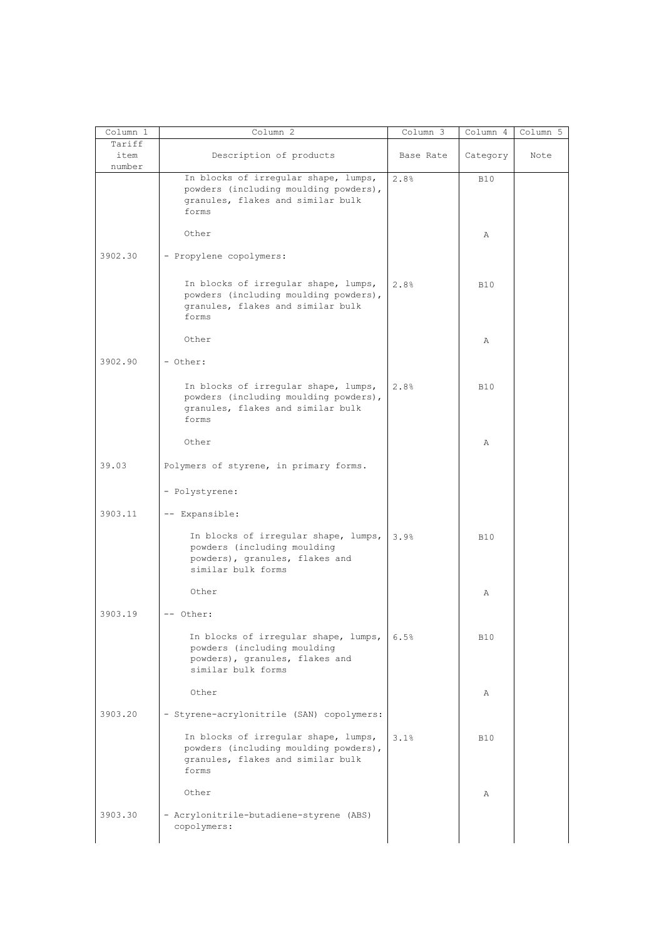| Column 1                 | Column 2                                                                                                                    | Column 3  | Column 4   | Column 5 |
|--------------------------|-----------------------------------------------------------------------------------------------------------------------------|-----------|------------|----------|
| Tariff<br>item<br>number | Description of products                                                                                                     | Base Rate | Category   | Note     |
|                          | In blocks of irregular shape, lumps,<br>powders (including moulding powders),<br>granules, flakes and similar bulk<br>forms | 2.8%      | <b>B10</b> |          |
|                          | Other                                                                                                                       |           | Α          |          |
| 3902.30                  | - Propylene copolymers:                                                                                                     |           |            |          |
|                          | In blocks of irregular shape, lumps,<br>powders (including moulding powders),<br>granules, flakes and similar bulk<br>forms | 2.8%      | <b>B10</b> |          |
|                          | Other                                                                                                                       |           | Α          |          |
| 3902.90                  | - Other:                                                                                                                    |           |            |          |
|                          | In blocks of irregular shape, lumps,<br>powders (including moulding powders),<br>granules, flakes and similar bulk<br>forms | 2.8%      | <b>B10</b> |          |
|                          | Other                                                                                                                       |           | Α          |          |
| 39.03                    | Polymers of styrene, in primary forms.                                                                                      |           |            |          |
|                          | - Polystyrene:                                                                                                              |           |            |          |
| 3903.11                  | -- Expansible:                                                                                                              |           |            |          |
|                          | In blocks of irregular shape, lumps,<br>powders (including moulding<br>powders), granules, flakes and<br>similar bulk forms | 3.9%      | <b>B10</b> |          |
|                          | Other                                                                                                                       |           | Α          |          |
| 3903.19                  | -- Other:                                                                                                                   |           |            |          |
|                          | In blocks of irregular shape, lumps,<br>powders (including moulding<br>powders), granules, flakes and<br>similar bulk forms | 6.5%      | <b>B10</b> |          |
|                          | Other                                                                                                                       |           | Α          |          |
| 3903.20                  | - Styrene-acrylonitrile (SAN) copolymers:                                                                                   |           |            |          |
|                          | In blocks of irregular shape, lumps,<br>powders (including moulding powders),<br>granules, flakes and similar bulk<br>forms | 3.1%      | <b>B10</b> |          |
|                          | Other                                                                                                                       |           | Α          |          |
| 3903.30                  | - Acrylonitrile-butadiene-styrene (ABS)                                                                                     |           |            |          |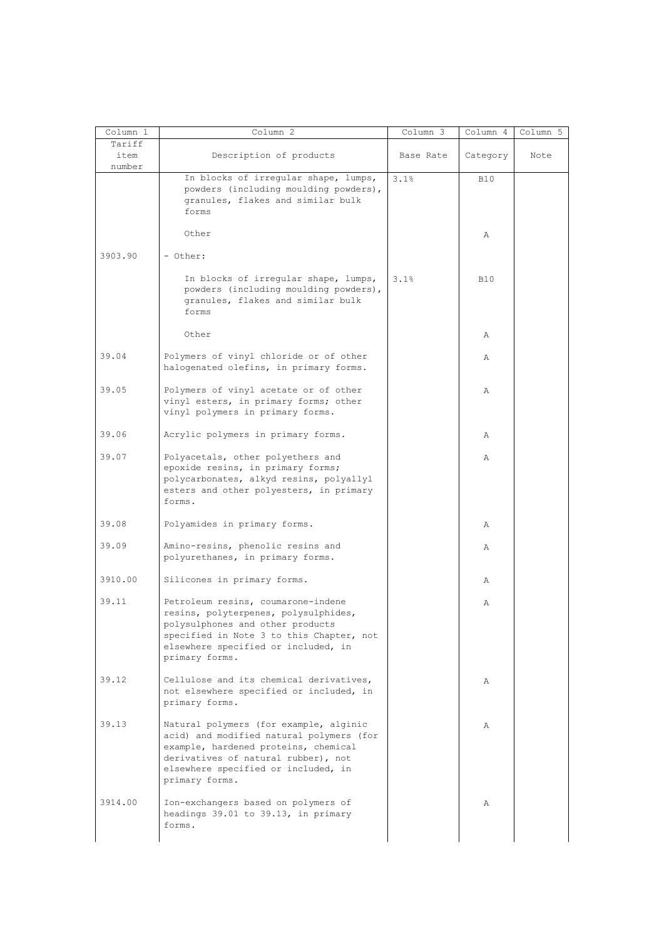| Column 1       | Column 2                                                                                                                                                                                                                   | Column 3  | Column 4   | Column 5 |
|----------------|----------------------------------------------------------------------------------------------------------------------------------------------------------------------------------------------------------------------------|-----------|------------|----------|
| Tariff         |                                                                                                                                                                                                                            | Base Rate |            |          |
| item<br>number | Description of products                                                                                                                                                                                                    |           | Category   | Note     |
|                | In blocks of irregular shape, lumps,<br>powders (including moulding powders),<br>granules, flakes and similar bulk<br>forms                                                                                                | 3.1%      | <b>B10</b> |          |
|                | Other                                                                                                                                                                                                                      |           | Α          |          |
| 3903.90        | - Other:                                                                                                                                                                                                                   |           |            |          |
|                | In blocks of irregular shape, lumps,<br>powders (including moulding powders),<br>granules, flakes and similar bulk<br>forms                                                                                                | 3.1%      | <b>B10</b> |          |
|                | Other                                                                                                                                                                                                                      |           | Α          |          |
| 39.04          | Polymers of vinyl chloride or of other<br>halogenated olefins, in primary forms.                                                                                                                                           |           | Α          |          |
| 39.05          | Polymers of vinyl acetate or of other<br>vinyl esters, in primary forms; other<br>vinyl polymers in primary forms.                                                                                                         |           | Α          |          |
| 39.06          | Acrylic polymers in primary forms.                                                                                                                                                                                         |           | Α          |          |
| 39.07          | Polyacetals, other polyethers and<br>epoxide resins, in primary forms;<br>polycarbonates, alkyd resins, polyallyl<br>esters and other polyesters, in primary<br>forms.                                                     |           | Α          |          |
| 39.08          | Polyamides in primary forms.                                                                                                                                                                                               |           | Α          |          |
| 39.09          | Amino-resins, phenolic resins and<br>polyurethanes, in primary forms.                                                                                                                                                      |           | Α          |          |
| 3910.00        | Silicones in primary forms.                                                                                                                                                                                                |           | Α          |          |
| 39.11          | Petroleum resins, coumarone-indene<br>resins, polyterpenes, polysulphides,<br>polysulphones and other products<br>specified in Note 3 to this Chapter, not<br>elsewhere specified or included, in<br>primary forms.        |           | Α          |          |
| 39.12          | Cellulose and its chemical derivatives,<br>not elsewhere specified or included, in<br>primary forms.                                                                                                                       |           | Α          |          |
| 39.13          | Natural polymers (for example, alginic<br>acid) and modified natural polymers (for<br>example, hardened proteins, chemical<br>derivatives of natural rubber), not<br>elsewhere specified or included, in<br>primary forms. |           | Α          |          |
| 3914.00        | Ion-exchangers based on polymers of<br>headings 39.01 to 39.13, in primary<br>forms.                                                                                                                                       |           | Α          |          |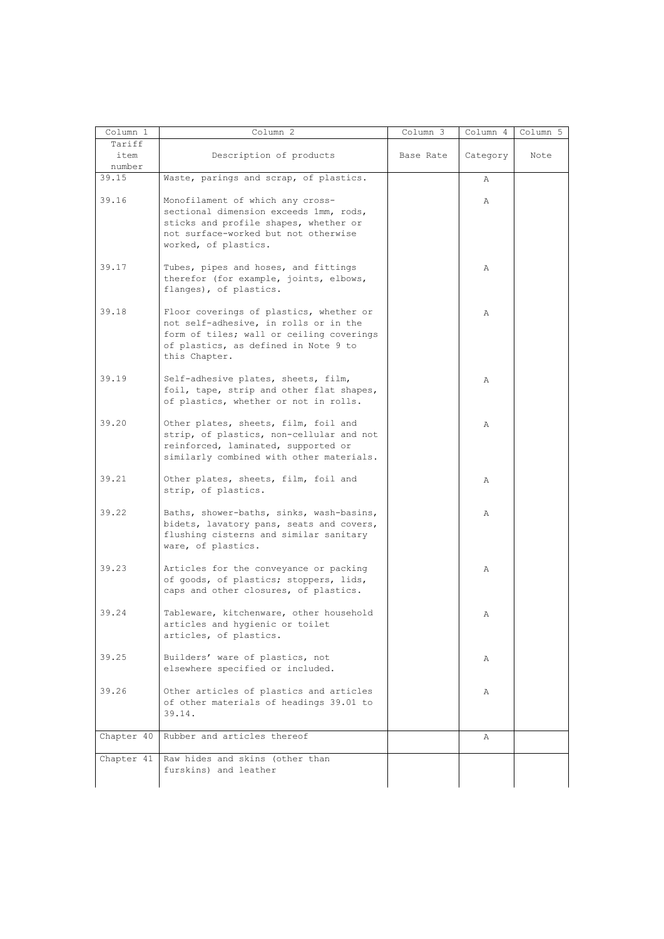| Column 1        | Column 2                                                                                                                                                                              | Column 3  | Column 4 | Column 5 |
|-----------------|---------------------------------------------------------------------------------------------------------------------------------------------------------------------------------------|-----------|----------|----------|
| Tariff          |                                                                                                                                                                                       |           |          |          |
| item            | Description of products                                                                                                                                                               | Base Rate | Category | Note     |
| number<br>39.15 | Waste, parings and scrap, of plastics.                                                                                                                                                |           |          |          |
|                 |                                                                                                                                                                                       |           | Α        |          |
| 39.16           | Monofilament of which any cross-<br>sectional dimension exceeds 1mm, rods,<br>sticks and profile shapes, whether or<br>not surface-worked but not otherwise                           |           | Α        |          |
|                 | worked, of plastics.                                                                                                                                                                  |           |          |          |
| 39.17           | Tubes, pipes and hoses, and fittings<br>therefor (for example, joints, elbows,<br>flanges), of plastics.                                                                              |           | Α        |          |
| 39.18           | Floor coverings of plastics, whether or<br>not self-adhesive, in rolls or in the<br>form of tiles; wall or ceiling coverings<br>of plastics, as defined in Note 9 to<br>this Chapter. |           | Α        |          |
| 39.19           | Self-adhesive plates, sheets, film,<br>foil, tape, strip and other flat shapes,<br>of plastics, whether or not in rolls.                                                              |           | Α        |          |
| 39.20           | Other plates, sheets, film, foil and<br>strip, of plastics, non-cellular and not<br>reinforced, laminated, supported or<br>similarly combined with other materials.                   |           | Α        |          |
| 39.21           | Other plates, sheets, film, foil and<br>strip, of plastics.                                                                                                                           |           | Α        |          |
| 39.22           | Baths, shower-baths, sinks, wash-basins,<br>bidets, lavatory pans, seats and covers,<br>flushing cisterns and similar sanitary<br>ware, of plastics.                                  |           | Α        |          |
| 39.23           | Articles for the conveyance or packing<br>of goods, of plastics; stoppers, lids,<br>caps and other closures, of plastics.                                                             |           | Α        |          |
| 39.24           | Tableware, kitchenware, other household<br>articles and hygienic or toilet<br>articles, of plastics.                                                                                  |           | Α        |          |
| 39.25           | Builders' ware of plastics, not<br>elsewhere specified or included.                                                                                                                   |           | Α        |          |
| 39.26           | Other articles of plastics and articles<br>of other materials of headings 39.01 to<br>39.14.                                                                                          |           | Α        |          |
| Chapter 40      | Rubber and articles thereof                                                                                                                                                           |           | Α        |          |
| Chapter 41      | Raw hides and skins (other than<br>furskins) and leather                                                                                                                              |           |          |          |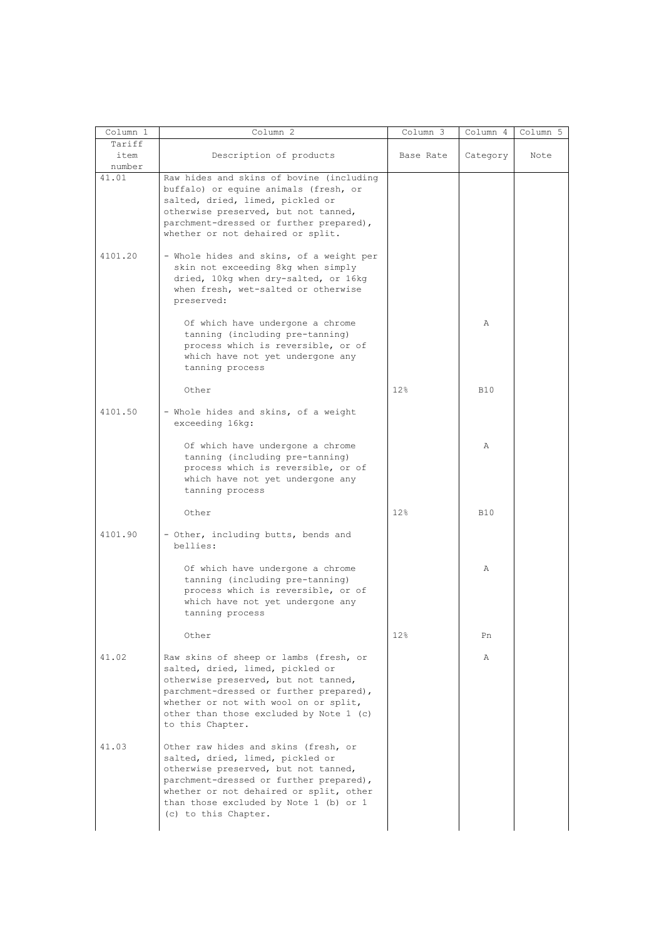|                          | Column 2                                                                                                                                                                                                                                                                 | Column 3  | Column 4   | Column 5 |
|--------------------------|--------------------------------------------------------------------------------------------------------------------------------------------------------------------------------------------------------------------------------------------------------------------------|-----------|------------|----------|
| Tariff<br>item<br>number | Description of products                                                                                                                                                                                                                                                  | Base Rate | Category   | Note     |
| 41.01                    | Raw hides and skins of bovine (including<br>buffalo) or equine animals (fresh, or<br>salted, dried, limed, pickled or<br>otherwise preserved, but not tanned,<br>parchment-dressed or further prepared),<br>whether or not dehaired or split.                            |           |            |          |
| 4101.20                  | - Whole hides and skins, of a weight per<br>skin not exceeding 8kg when simply<br>dried, 10kg when dry-salted, or 16kg<br>when fresh, wet-salted or otherwise<br>preserved:                                                                                              |           |            |          |
|                          | Of which have undergone a chrome<br>tanning (including pre-tanning)<br>process which is reversible, or of<br>which have not yet undergone any<br>tanning process                                                                                                         |           | Α          |          |
|                          | Other                                                                                                                                                                                                                                                                    | 12%       | <b>B10</b> |          |
| 4101.50                  | - Whole hides and skins, of a weight<br>exceeding 16kg:                                                                                                                                                                                                                  |           |            |          |
|                          | Of which have undergone a chrome<br>tanning (including pre-tanning)<br>process which is reversible, or of<br>which have not yet undergone any<br>tanning process                                                                                                         |           | Α          |          |
|                          | Other                                                                                                                                                                                                                                                                    | 12%       | <b>B10</b> |          |
| 4101.90                  | - Other, including butts, bends and<br>bellies:                                                                                                                                                                                                                          |           |            |          |
|                          | Of which have undergone a chrome<br>tanning (including pre-tanning)<br>process which is reversible, or of<br>which have not yet undergone any<br>tanning process                                                                                                         |           | Α          |          |
|                          | Other                                                                                                                                                                                                                                                                    | 12%       | Pn         |          |
| 41.02                    | Raw skins of sheep or lambs (fresh, or<br>salted, dried, limed, pickled or<br>otherwise preserved, but not tanned,<br>parchment-dressed or further prepared),<br>whether or not with wool on or split,<br>other than those excluded by Note 1 (c)<br>to this Chapter.    |           | Α          |          |
| 41.03                    | Other raw hides and skins (fresh, or<br>salted, dried, limed, pickled or<br>otherwise preserved, but not tanned,<br>parchment-dressed or further prepared),<br>whether or not dehaired or split, other<br>than those excluded by Note 1 (b) or 1<br>(c) to this Chapter. |           |            |          |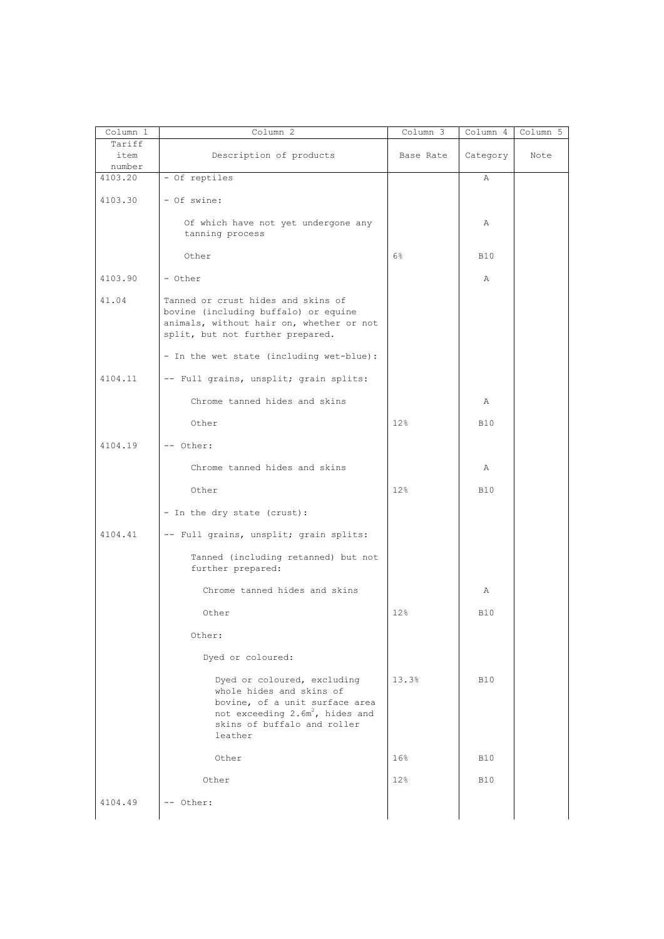| Column 1                 | Column 2                                                                                                                                                                           | Column 3  | Column 4   | Column 5 |
|--------------------------|------------------------------------------------------------------------------------------------------------------------------------------------------------------------------------|-----------|------------|----------|
| Tariff<br>item<br>number | Description of products                                                                                                                                                            | Base Rate | Category   | Note     |
| 4103.20                  | - Of reptiles                                                                                                                                                                      |           | Α          |          |
|                          |                                                                                                                                                                                    |           |            |          |
| 4103.30                  | - Of swine:                                                                                                                                                                        |           |            |          |
|                          | Of which have not yet undergone any<br>tanning process                                                                                                                             |           | Α          |          |
|                          | Other                                                                                                                                                                              | 6%        | <b>B10</b> |          |
| 4103.90                  | - Other                                                                                                                                                                            |           | Α          |          |
| 41.04                    | Tanned or crust hides and skins of<br>bovine (including buffalo) or equine<br>animals, without hair on, whether or not<br>split, but not further prepared.                         |           |            |          |
|                          | - In the wet state (including wet-blue):                                                                                                                                           |           |            |          |
| 4104.11                  | -- Full grains, unsplit; grain splits:                                                                                                                                             |           |            |          |
|                          | Chrome tanned hides and skins                                                                                                                                                      |           | Α          |          |
|                          | Other                                                                                                                                                                              | 12%       | <b>B10</b> |          |
| 4104.19                  | -- Other:                                                                                                                                                                          |           |            |          |
|                          | Chrome tanned hides and skins                                                                                                                                                      |           | Α          |          |
|                          | Other                                                                                                                                                                              | 12%       | <b>B10</b> |          |
|                          | - In the dry state (crust):                                                                                                                                                        |           |            |          |
| 4104.41                  | -- Full grains, unsplit; grain splits:                                                                                                                                             |           |            |          |
|                          | Tanned (including retanned) but not<br>further prepared:                                                                                                                           |           |            |          |
|                          | Chrome tanned hides and skins                                                                                                                                                      |           | Α          |          |
|                          | Other                                                                                                                                                                              | 12%       | <b>B10</b> |          |
|                          | Other:                                                                                                                                                                             |           |            |          |
|                          | Dyed or coloured:                                                                                                                                                                  |           |            |          |
|                          | Dyed or coloured, excluding<br>whole hides and skins of<br>bovine, of a unit surface area<br>not exceeding 2.6m <sup>2</sup> , hides and<br>skins of buffalo and roller<br>leather | 13.3%     | <b>B10</b> |          |
|                          | Other                                                                                                                                                                              | 16%       | <b>B10</b> |          |
|                          | Other                                                                                                                                                                              | 12%       | <b>B10</b> |          |
| 4104.49                  | -- Other:                                                                                                                                                                          |           |            |          |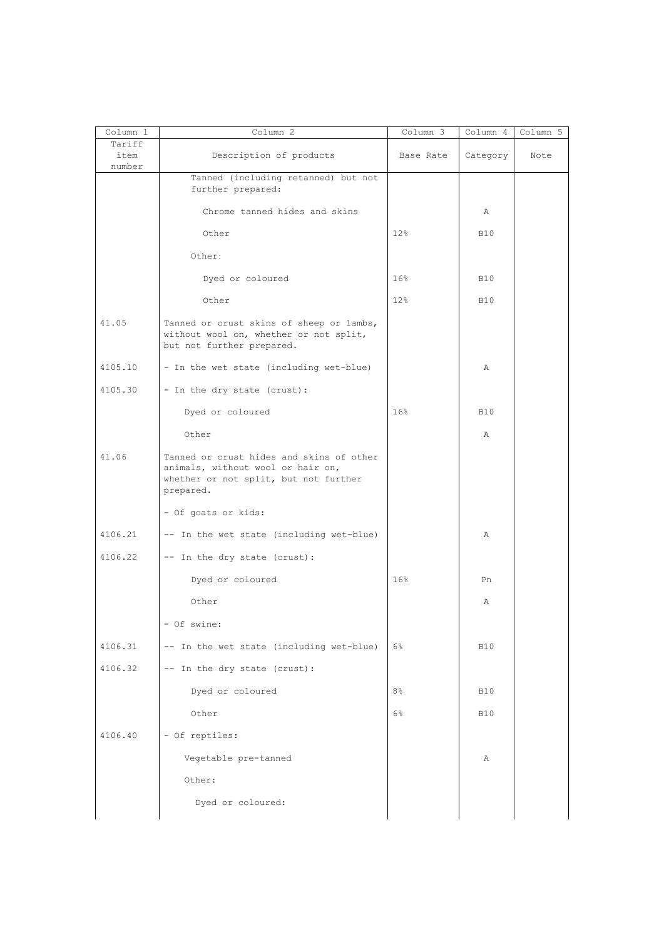| Column 1<br>Tariff | Column <sup>2</sup>                                                                                                                 | Column 3        | Column 4     | Column 5 |
|--------------------|-------------------------------------------------------------------------------------------------------------------------------------|-----------------|--------------|----------|
| item<br>number     | Description of products                                                                                                             | Base Rate       | Category     | Note     |
|                    | Tanned (including retanned) but not<br>further prepared:                                                                            |                 |              |          |
|                    | Chrome tanned hides and skins                                                                                                       |                 | Α            |          |
|                    | Other                                                                                                                               | 12%             | B10          |          |
|                    | Other:                                                                                                                              |                 |              |          |
|                    | Dyed or coloured                                                                                                                    | 16 <sup>°</sup> | <b>B10</b>   |          |
|                    | Other                                                                                                                               | 12%             | B10          |          |
| 41.05              | Tanned or crust skins of sheep or lambs,<br>without wool on, whether or not split,<br>but not further prepared.                     |                 |              |          |
| 4105.10            | - In the wet state (including wet-blue)                                                                                             |                 | Α            |          |
| 4105.30            | - In the dry state (crust):                                                                                                         |                 |              |          |
|                    | Dyed or coloured                                                                                                                    | 16%             | <b>B10</b>   |          |
|                    | Other                                                                                                                               |                 | $\mathbb{A}$ |          |
| 41.06              | Tanned or crust hides and skins of other<br>animals, without wool or hair on,<br>whether or not split, but not further<br>prepared. |                 |              |          |
|                    | - Of goats or kids:                                                                                                                 |                 |              |          |
| 4106.21            | -- In the wet state (including wet-blue)                                                                                            |                 | Α            |          |
| 4106.22            | -- In the dry state (crust):                                                                                                        |                 |              |          |
|                    | Dyed or coloured                                                                                                                    | 16%             | Pn           |          |
|                    | Other                                                                                                                               |                 | Α            |          |
|                    | - Of swine:                                                                                                                         |                 |              |          |
| 4106.31            | -- In the wet state (including wet-blue)                                                                                            | 6%              | <b>B10</b>   |          |
| 4106.32            | -- In the dry state (crust):                                                                                                        |                 |              |          |
|                    | Dyed or coloured                                                                                                                    | 8 <sup>°</sup>  | <b>B10</b>   |          |
|                    | Other                                                                                                                               | 6%              | <b>B10</b>   |          |
| 4106.40            | - Of reptiles:                                                                                                                      |                 |              |          |
|                    | Vegetable pre-tanned                                                                                                                |                 | Α            |          |
|                    | Other:                                                                                                                              |                 |              |          |
|                    | Dyed or coloured:                                                                                                                   |                 |              |          |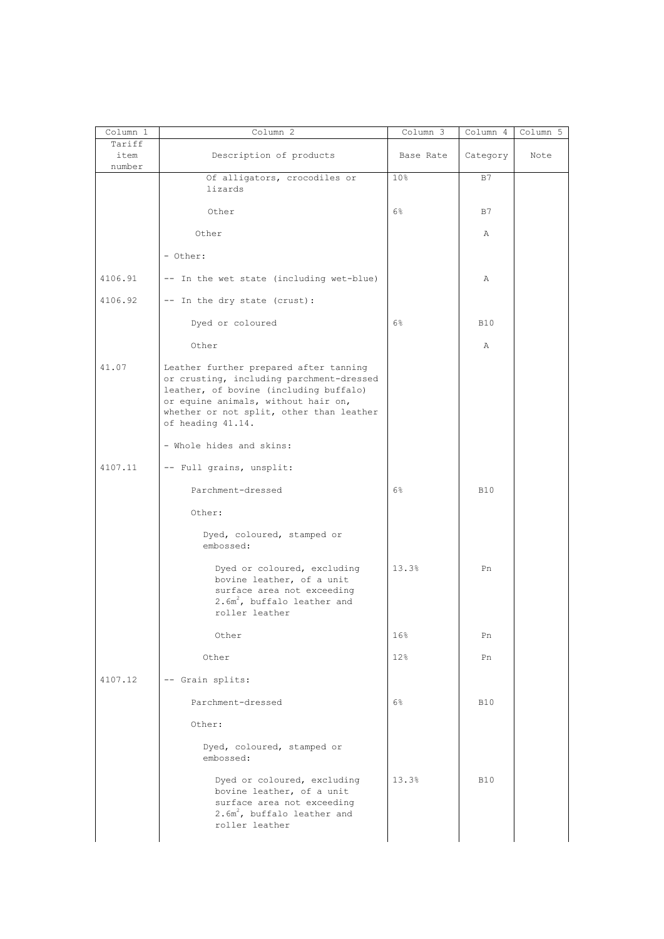| Column 1       | Column 2                                                                                                                                                                                                                             | Column 3        | Column 4   | Column 5 |
|----------------|--------------------------------------------------------------------------------------------------------------------------------------------------------------------------------------------------------------------------------------|-----------------|------------|----------|
| Tariff<br>item | Description of products                                                                                                                                                                                                              | Base Rate       | Category   | Note     |
| number         | Of alligators, crocodiles or                                                                                                                                                                                                         | 10 <sup>°</sup> | B7         |          |
|                | lizards                                                                                                                                                                                                                              |                 |            |          |
|                | Other                                                                                                                                                                                                                                | $6\%$           | B7         |          |
|                | Other                                                                                                                                                                                                                                |                 | Α          |          |
|                | - Other:                                                                                                                                                                                                                             |                 |            |          |
| 4106.91        | -- In the wet state (including wet-blue)                                                                                                                                                                                             |                 | Α          |          |
| 4106.92        | -- In the dry state (crust):                                                                                                                                                                                                         |                 |            |          |
|                | Dyed or coloured                                                                                                                                                                                                                     | 6%              | <b>B10</b> |          |
|                | Other                                                                                                                                                                                                                                |                 | Α          |          |
| 41.07          | Leather further prepared after tanning<br>or crusting, including parchment-dressed<br>leather, of bovine (including buffalo)<br>or equine animals, without hair on,<br>whether or not split, other than leather<br>of heading 41.14. |                 |            |          |
|                | - Whole hides and skins:                                                                                                                                                                                                             |                 |            |          |
| 4107.11        | -- Full grains, unsplit:                                                                                                                                                                                                             |                 |            |          |
|                | Parchment-dressed                                                                                                                                                                                                                    | $6\%$           | <b>B10</b> |          |
|                | Other:                                                                                                                                                                                                                               |                 |            |          |
|                | Dyed, coloured, stamped or<br>embossed:                                                                                                                                                                                              |                 |            |          |
|                | Dyed or coloured, excluding<br>bovine leather, of a unit<br>surface area not exceeding<br>$2.6m^2$ , buffalo leather and<br>roller leather                                                                                           | 13.3%           | Pn         |          |
|                | Other                                                                                                                                                                                                                                | 16%             | Pn         |          |
|                | Other                                                                                                                                                                                                                                | 12%             | Pn         |          |
| 4107.12        | -- Grain splits:                                                                                                                                                                                                                     |                 |            |          |
|                | Parchment-dressed                                                                                                                                                                                                                    | 6%              | <b>B10</b> |          |
|                | Other:                                                                                                                                                                                                                               |                 |            |          |
|                | Dyed, coloured, stamped or<br>embossed:                                                                                                                                                                                              |                 |            |          |
|                | Dyed or coloured, excluding<br>bovine leather, of a unit<br>surface area not exceeding<br>2.6m <sup>2</sup> , buffalo leather and<br>roller leather                                                                                  | 13.3%           | <b>B10</b> |          |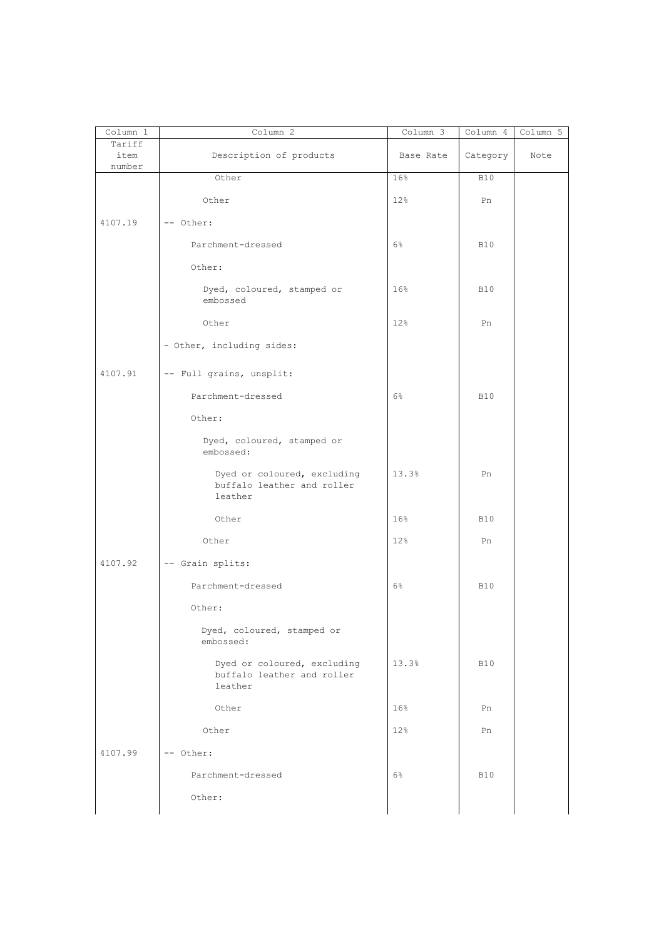| Column 1       | Column 2                                                             | Column 3  | Column 4   | Column 5 |
|----------------|----------------------------------------------------------------------|-----------|------------|----------|
| Tariff<br>item | Description of products                                              | Base Rate | Category   | Note     |
| number         | Other                                                                | 16%       | <b>B10</b> |          |
|                | Other                                                                | 12%       | Pn         |          |
|                |                                                                      |           |            |          |
| 4107.19        | -- Other:                                                            |           |            |          |
|                | Parchment-dressed                                                    | 6%        | <b>B10</b> |          |
|                | Other:                                                               |           |            |          |
|                | Dyed, coloured, stamped or<br>embossed                               | 16%       | <b>B10</b> |          |
|                | Other                                                                | 12%       | Pn         |          |
|                | - Other, including sides:                                            |           |            |          |
| 4107.91        | -- Full grains, unsplit:                                             |           |            |          |
|                | Parchment-dressed                                                    | 6%        | <b>B10</b> |          |
|                | Other:                                                               |           |            |          |
|                | Dyed, coloured, stamped or<br>embossed:                              |           |            |          |
|                | Dyed or coloured, excluding<br>buffalo leather and roller<br>leather | 13.3%     | Pn         |          |
|                | Other                                                                | 16%       | <b>B10</b> |          |
|                | Other                                                                | 12%       | Pn         |          |
| 4107.92        | -- Grain splits:                                                     |           |            |          |
|                | Parchment-dressed                                                    | $6\%$     | <b>B10</b> |          |
|                | Other:                                                               |           |            |          |
|                | Dyed, coloured, stamped or<br>embossed:                              |           |            |          |
|                | Dyed or coloured, excluding<br>buffalo leather and roller<br>leather | 13.3%     | <b>B10</b> |          |
|                | Other                                                                | 16%       | Pn         |          |
|                | Other                                                                | 12%       | Pn         |          |
| 4107.99        | -- Other:                                                            |           |            |          |
|                | Parchment-dressed                                                    | $6\%$     | <b>B10</b> |          |
|                | Other:                                                               |           |            |          |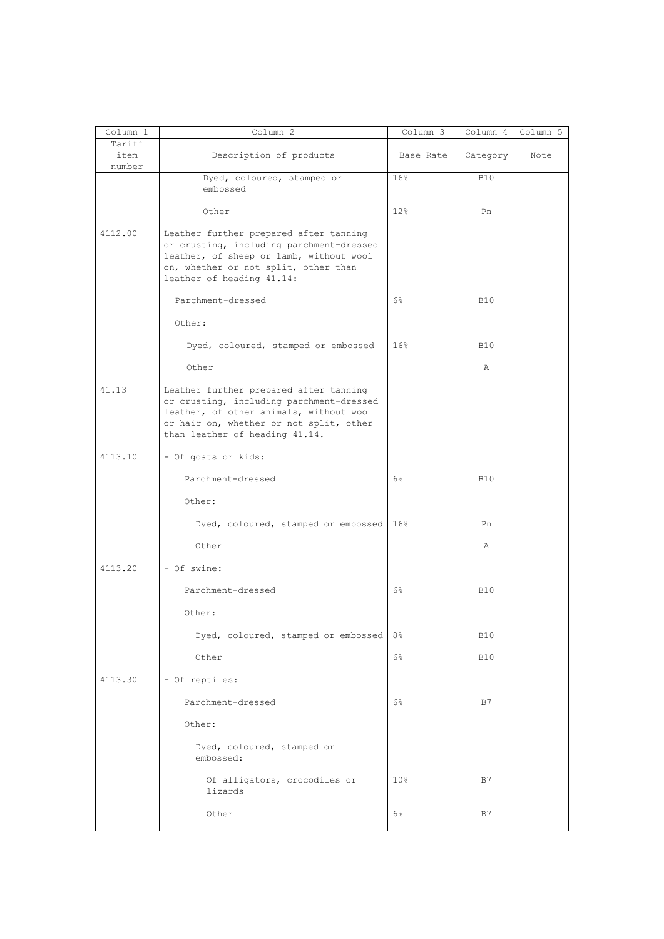| Column 1                 | Column 2                                                                                                                                                                                                   | Column 3       | Column 4   | Column 5 |
|--------------------------|------------------------------------------------------------------------------------------------------------------------------------------------------------------------------------------------------------|----------------|------------|----------|
| Tariff<br>item<br>number | Description of products                                                                                                                                                                                    | Base Rate      | Category   | Note     |
|                          | Dyed, coloured, stamped or<br>embossed                                                                                                                                                                     | 16%            | <b>B10</b> |          |
|                          | Other                                                                                                                                                                                                      | 12%            | Pn         |          |
| 4112.00                  | Leather further prepared after tanning<br>or crusting, including parchment-dressed<br>leather, of sheep or lamb, without wool<br>on, whether or not split, other than<br>leather of heading 41.14:         |                |            |          |
|                          | Parchment-dressed                                                                                                                                                                                          | 6%             | <b>B10</b> |          |
|                          | Other:                                                                                                                                                                                                     |                |            |          |
|                          | Dyed, coloured, stamped or embossed                                                                                                                                                                        | 16%            | <b>B10</b> |          |
|                          | Other                                                                                                                                                                                                      |                | Α          |          |
| 41.13                    | Leather further prepared after tanning<br>or crusting, including parchment-dressed<br>leather, of other animals, without wool<br>or hair on, whether or not split, other<br>than leather of heading 41.14. |                |            |          |
| 4113.10                  | - Of goats or kids:                                                                                                                                                                                        |                |            |          |
|                          | Parchment-dressed                                                                                                                                                                                          | $6\%$          | <b>B10</b> |          |
|                          | Other:                                                                                                                                                                                                     |                |            |          |
|                          | Dyed, coloured, stamped or embossed                                                                                                                                                                        | $16\%$         | Pn         |          |
|                          | Other                                                                                                                                                                                                      |                | Α          |          |
| 4113.20                  | - Of swine:                                                                                                                                                                                                |                |            |          |
|                          | Parchment-dressed                                                                                                                                                                                          | 6%             | <b>B10</b> |          |
|                          | Other:                                                                                                                                                                                                     |                |            |          |
|                          | Dyed, coloured, stamped or embossed                                                                                                                                                                        | 8 <sup>°</sup> | <b>B10</b> |          |
|                          | Other                                                                                                                                                                                                      | 6%             | <b>B10</b> |          |
| 4113.30                  | - Of reptiles:                                                                                                                                                                                             |                |            |          |
|                          | Parchment-dressed                                                                                                                                                                                          | 6%             | B7         |          |
|                          | Other:                                                                                                                                                                                                     |                |            |          |
|                          | Dyed, coloured, stamped or<br>embossed:                                                                                                                                                                    |                |            |          |
|                          | Of alligators, crocodiles or<br>lizards                                                                                                                                                                    | 10%            | B7         |          |
|                          | Other                                                                                                                                                                                                      | 6%             | B7         |          |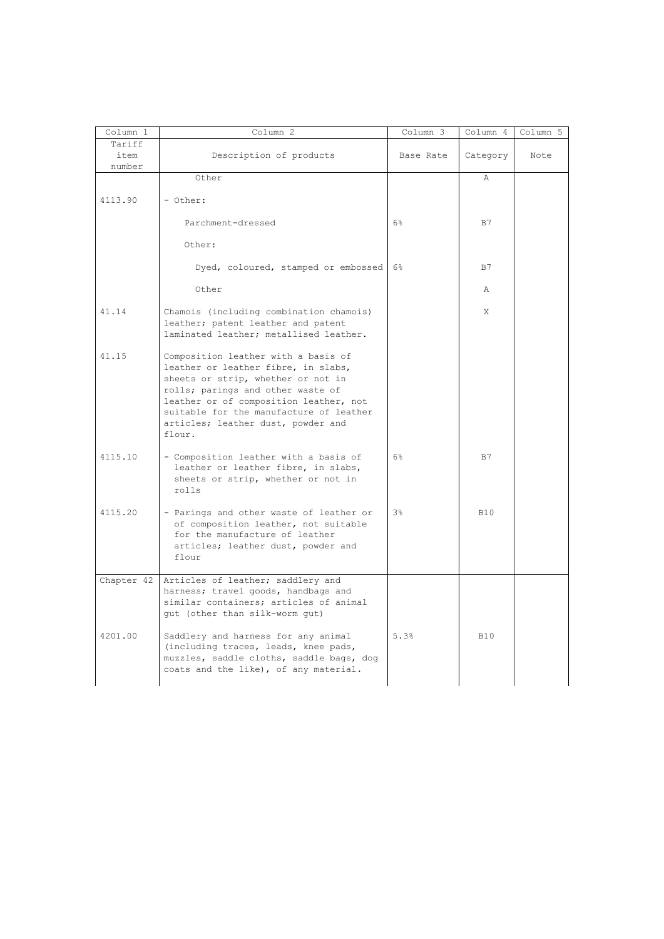| Column 1                 | Column <sub>2</sub>                                                                                                                                                                                                                                                                        | Column 3       | Column 4     | Column 5 |
|--------------------------|--------------------------------------------------------------------------------------------------------------------------------------------------------------------------------------------------------------------------------------------------------------------------------------------|----------------|--------------|----------|
| Tariff<br>item<br>number | Description of products                                                                                                                                                                                                                                                                    | Base Rate      | Category     | Note     |
|                          | Other                                                                                                                                                                                                                                                                                      |                | Α            |          |
| 4113.90                  | - Other:                                                                                                                                                                                                                                                                                   |                |              |          |
|                          | Parchment-dressed                                                                                                                                                                                                                                                                          | 6%             | B7           |          |
|                          | Other:                                                                                                                                                                                                                                                                                     |                |              |          |
|                          | Dyed, coloured, stamped or embossed                                                                                                                                                                                                                                                        | 6%             | B7           |          |
|                          | Other                                                                                                                                                                                                                                                                                      |                | $\mathbb{A}$ |          |
| 41.14                    | Chamois (including combination chamois)<br>leather; patent leather and patent<br>laminated leather; metallised leather.                                                                                                                                                                    |                | X            |          |
| 41.15                    | Composition leather with a basis of<br>leather or leather fibre, in slabs,<br>sheets or strip, whether or not in<br>rolls; parings and other waste of<br>leather or of composition leather, not<br>suitable for the manufacture of leather<br>articles; leather dust, powder and<br>flour. |                |              |          |
| 4115.10                  | - Composition leather with a basis of<br>leather or leather fibre, in slabs,<br>sheets or strip, whether or not in<br>rolls                                                                                                                                                                | 6%             | B7           |          |
| 4115.20                  | - Parings and other waste of leather or<br>of composition leather, not suitable<br>for the manufacture of leather<br>articles; leather dust, powder and<br>flour                                                                                                                           | 3 <sup>°</sup> | B10          |          |
| Chapter 42               | Articles of leather; saddlery and<br>harness; travel goods, handbags and<br>similar containers; articles of animal<br>gut (other than silk-worm gut)                                                                                                                                       |                |              |          |
| 4201.00                  | Saddlery and harness for any animal<br>(including traces, leads, knee pads,<br>muzzles, saddle cloths, saddle bags, dog<br>coats and the like), of any material.                                                                                                                           | 5.3%           | <b>B10</b>   |          |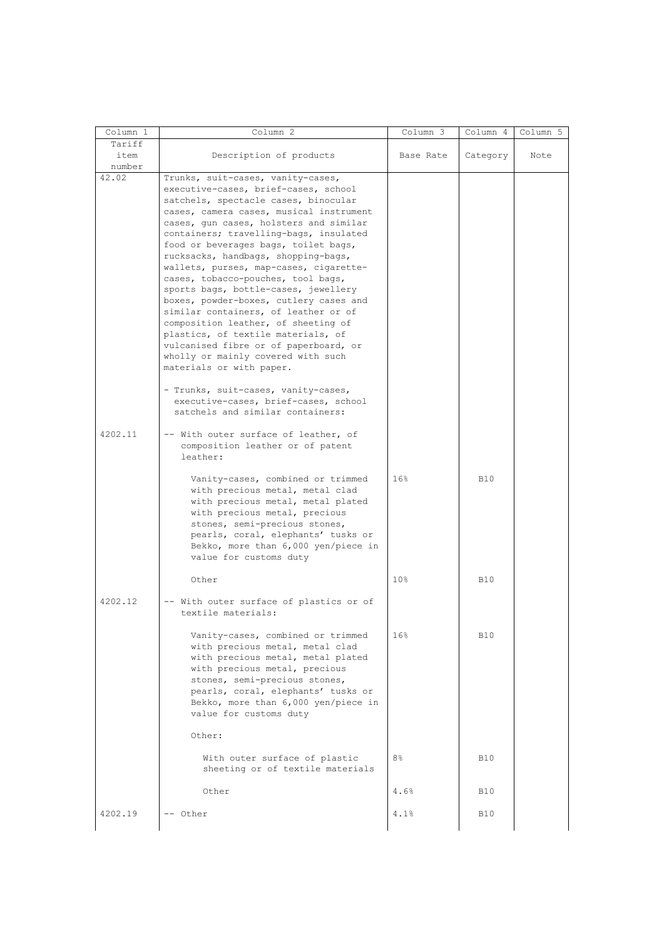| Column 1       | Column 2                                                       | Column 3        | Column 4   | Column 5 |
|----------------|----------------------------------------------------------------|-----------------|------------|----------|
| Tariff<br>item | Description of products                                        | Base Rate       | Category   | Note     |
| number         |                                                                |                 |            |          |
| 42.02          | Trunks, suit-cases, vanity-cases,                              |                 |            |          |
|                | executive-cases, brief-cases, school                           |                 |            |          |
|                | satchels, spectacle cases, binocular                           |                 |            |          |
|                | cases, camera cases, musical instrument                        |                 |            |          |
|                | cases, gun cases, holsters and similar                         |                 |            |          |
|                | containers; travelling-bags, insulated                         |                 |            |          |
|                | food or beverages bags, toilet bags,                           |                 |            |          |
|                | rucksacks, handbags, shopping-bags,                            |                 |            |          |
|                | wallets, purses, map-cases, cigarette-                         |                 |            |          |
|                | cases, tobacco-pouches, tool bags,                             |                 |            |          |
|                | sports bags, bottle-cases, jewellery                           |                 |            |          |
|                | boxes, powder-boxes, cutlery cases and                         |                 |            |          |
|                | similar containers, of leather or of                           |                 |            |          |
|                | composition leather, of sheeting of                            |                 |            |          |
|                | plastics, of textile materials, of                             |                 |            |          |
|                | vulcanised fibre or of paperboard, or                          |                 |            |          |
|                | wholly or mainly covered with such<br>materials or with paper. |                 |            |          |
|                |                                                                |                 |            |          |
|                | - Trunks, suit-cases, vanity-cases,                            |                 |            |          |
|                | executive-cases, brief-cases, school                           |                 |            |          |
|                | satchels and similar containers:                               |                 |            |          |
|                |                                                                |                 |            |          |
| 4202.11        | -- With outer surface of leather, of                           |                 |            |          |
|                | composition leather or of patent                               |                 |            |          |
|                | leather:                                                       |                 |            |          |
|                |                                                                |                 |            |          |
|                | Vanity-cases, combined or trimmed                              | 16%             | <b>B10</b> |          |
|                | with precious metal, metal clad                                |                 |            |          |
|                | with precious metal, metal plated                              |                 |            |          |
|                | with precious metal, precious                                  |                 |            |          |
|                | stones, semi-precious stones,                                  |                 |            |          |
|                | pearls, coral, elephants' tusks or                             |                 |            |          |
|                | Bekko, more than 6,000 yen/piece in<br>value for customs duty  |                 |            |          |
|                |                                                                |                 |            |          |
|                | Other                                                          | 10 <sup>°</sup> | <b>B10</b> |          |
|                |                                                                |                 |            |          |
| 4202.12        | -- With outer surface of plastics or of                        |                 |            |          |
|                | textile materials:                                             |                 |            |          |
|                | Vanity-cases, combined or trimmed                              | 16%             | <b>B10</b> |          |
|                | with precious metal, metal clad                                |                 |            |          |
|                | with precious metal, metal plated                              |                 |            |          |
|                | with precious metal, precious                                  |                 |            |          |
|                | stones, semi-precious stones,                                  |                 |            |          |
|                | pearls, coral, elephants' tusks or                             |                 |            |          |
|                | Bekko, more than 6,000 yen/piece in                            |                 |            |          |
|                | value for customs duty                                         |                 |            |          |
|                | Other:                                                         |                 |            |          |
|                |                                                                |                 |            |          |
|                | With outer surface of plastic                                  | 8%              | <b>B10</b> |          |
|                | sheeting or of textile materials                               |                 |            |          |
|                |                                                                |                 |            |          |
|                | Other                                                          | 4.6%            | <b>B10</b> |          |
| 4202.19        | -- Other                                                       | 4.1%            | <b>B10</b> |          |
|                |                                                                |                 |            |          |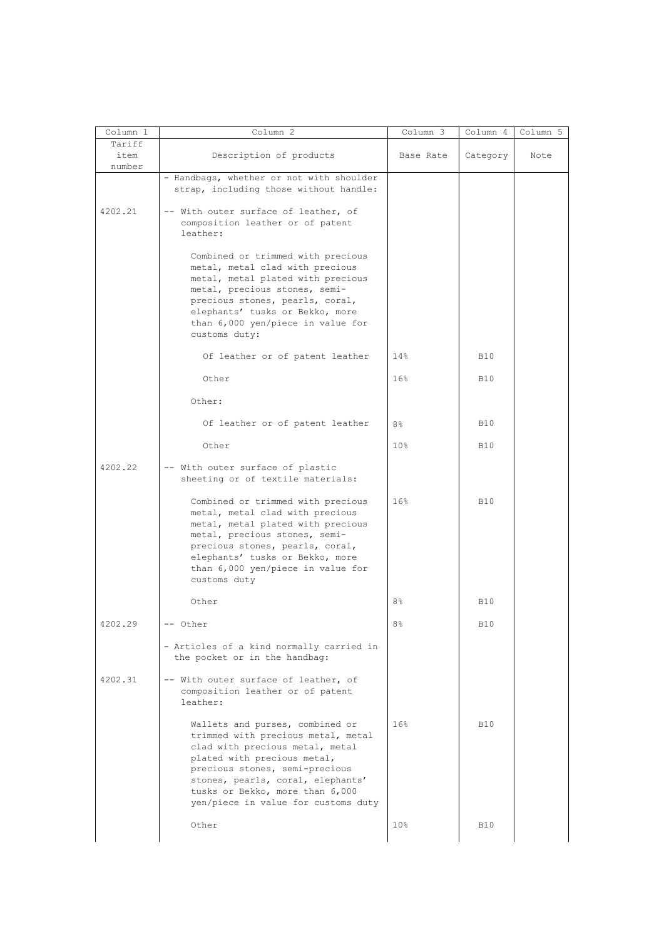| Column 1                 | Column 2                                                                                                                                                                                                                                                                                 | Column 3        | Column 4     | Column 5 |
|--------------------------|------------------------------------------------------------------------------------------------------------------------------------------------------------------------------------------------------------------------------------------------------------------------------------------|-----------------|--------------|----------|
| Tariff<br>item<br>number | Description of products                                                                                                                                                                                                                                                                  | Base Rate       | Category     | Note     |
|                          | - Handbags, whether or not with shoulder<br>strap, including those without handle:                                                                                                                                                                                                       |                 |              |          |
| 4202.21                  | -- With outer surface of leather, of<br>composition leather or of patent<br>leather:                                                                                                                                                                                                     |                 |              |          |
|                          | Combined or trimmed with precious<br>metal, metal clad with precious<br>metal, metal plated with precious<br>metal, precious stones, semi-<br>precious stones, pearls, coral,<br>elephants' tusks or Bekko, more<br>than 6,000 yen/piece in value for<br>customs duty:                   |                 |              |          |
|                          | Of leather or of patent leather                                                                                                                                                                                                                                                          | 14%             | <b>B10</b>   |          |
|                          | Other                                                                                                                                                                                                                                                                                    | 16%             | <b>B10</b>   |          |
|                          | Other:                                                                                                                                                                                                                                                                                   |                 |              |          |
|                          | Of leather or of patent leather                                                                                                                                                                                                                                                          | 8 <sup>°</sup>  | <b>B10</b>   |          |
|                          | Other                                                                                                                                                                                                                                                                                    | 10%             | <b>B10</b>   |          |
| 4202.22                  | -- With outer surface of plastic<br>sheeting or of textile materials:                                                                                                                                                                                                                    |                 |              |          |
|                          | Combined or trimmed with precious<br>metal, metal clad with precious<br>metal, metal plated with precious<br>metal, precious stones, semi-<br>precious stones, pearls, coral,<br>elephants' tusks or Bekko, more<br>than 6,000 yen/piece in value for<br>customs duty                    | 16%             | <b>B10</b>   |          |
|                          | Other                                                                                                                                                                                                                                                                                    | 8%              | <b>B10</b>   |          |
| 4202.29                  | -- Other                                                                                                                                                                                                                                                                                 | 8 <sup>°</sup>  | $\mbox{B10}$ |          |
| 4202.31                  | - Articles of a kind normally carried in<br>the pocket or in the handbag:<br>-- With outer surface of leather, of                                                                                                                                                                        |                 |              |          |
|                          | composition leather or of patent<br>leather:                                                                                                                                                                                                                                             |                 |              |          |
|                          | Wallets and purses, combined or<br>trimmed with precious metal, metal<br>clad with precious metal, metal<br>plated with precious metal,<br>precious stones, semi-precious<br>stones, pearls, coral, elephants'<br>tusks or Bekko, more than 6,000<br>yen/piece in value for customs duty | 16%             | <b>B10</b>   |          |
|                          | Other                                                                                                                                                                                                                                                                                    | 10 <sup>°</sup> | <b>B10</b>   |          |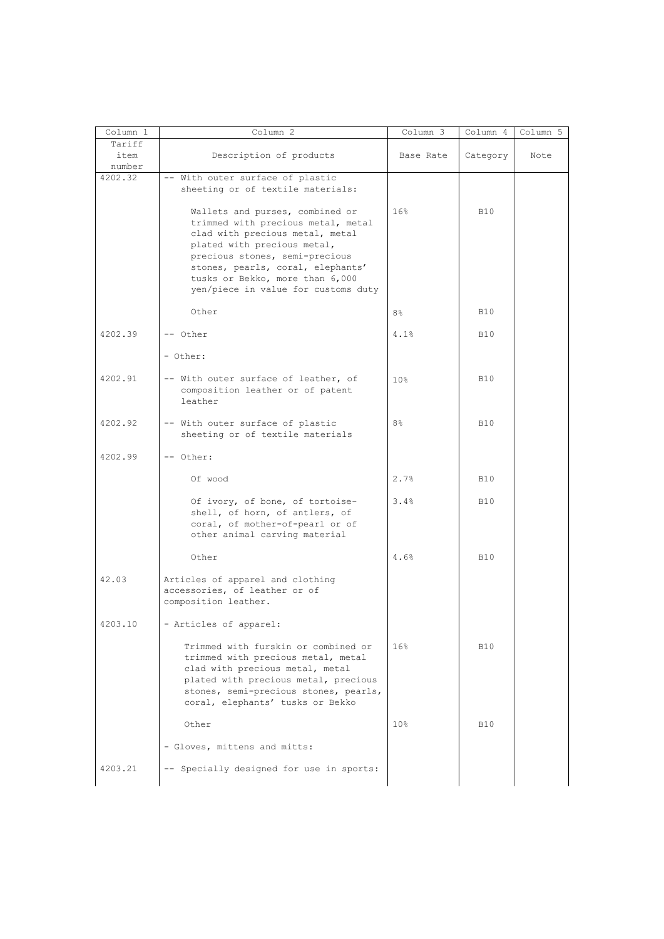| Column 1                 | Column 2                                                                                                                                                                                                                                                                                 | Column 3        | Column 4   | Column 5 |
|--------------------------|------------------------------------------------------------------------------------------------------------------------------------------------------------------------------------------------------------------------------------------------------------------------------------------|-----------------|------------|----------|
| Tariff<br>item<br>number | Description of products                                                                                                                                                                                                                                                                  | Base Rate       | Category   | Note     |
| 4202.32                  | -- With outer surface of plastic<br>sheeting or of textile materials:                                                                                                                                                                                                                    |                 |            |          |
|                          | Wallets and purses, combined or<br>trimmed with precious metal, metal<br>clad with precious metal, metal<br>plated with precious metal,<br>precious stones, semi-precious<br>stones, pearls, coral, elephants'<br>tusks or Bekko, more than 6,000<br>yen/piece in value for customs duty | 16%             | <b>B10</b> |          |
|                          | Other                                                                                                                                                                                                                                                                                    | 8 <sup>°</sup>  | <b>B10</b> |          |
| 4202.39                  | -- Other                                                                                                                                                                                                                                                                                 | 4.1%            | <b>B10</b> |          |
|                          | - Other:                                                                                                                                                                                                                                                                                 |                 |            |          |
| 4202.91                  | -- With outer surface of leather, of<br>composition leather or of patent<br>leather                                                                                                                                                                                                      | 10 <sub>8</sub> | <b>B10</b> |          |
| 4202.92                  | -- With outer surface of plastic<br>sheeting or of textile materials                                                                                                                                                                                                                     | 8 <sup>°</sup>  | <b>B10</b> |          |
| 4202.99                  | -- Other:                                                                                                                                                                                                                                                                                |                 |            |          |
|                          | Of wood                                                                                                                                                                                                                                                                                  | 2.7%            | <b>B10</b> |          |
|                          | Of ivory, of bone, of tortoise-<br>shell, of horn, of antlers, of<br>coral, of mother-of-pearl or of<br>other animal carving material                                                                                                                                                    | 3.4%            | <b>B10</b> |          |
|                          | Other                                                                                                                                                                                                                                                                                    | 4.6%            | <b>B10</b> |          |
| 42.03                    | Articles of apparel and clothing<br>accessories, of leather or of<br>composition leather.                                                                                                                                                                                                |                 |            |          |
| 4203.10                  | - Articles of apparel:                                                                                                                                                                                                                                                                   |                 |            |          |
|                          | Trimmed with furskin or combined or<br>trimmed with precious metal, metal<br>clad with precious metal, metal<br>plated with precious metal, precious<br>stones, semi-precious stones, pearls,<br>coral, elephants' tusks or Bekko                                                        | 16%             | <b>B10</b> |          |
|                          | Other                                                                                                                                                                                                                                                                                    | 10 <sup>8</sup> | <b>B10</b> |          |
|                          | - Gloves, mittens and mitts:                                                                                                                                                                                                                                                             |                 |            |          |
| 4203.21                  | -- Specially designed for use in sports:                                                                                                                                                                                                                                                 |                 |            |          |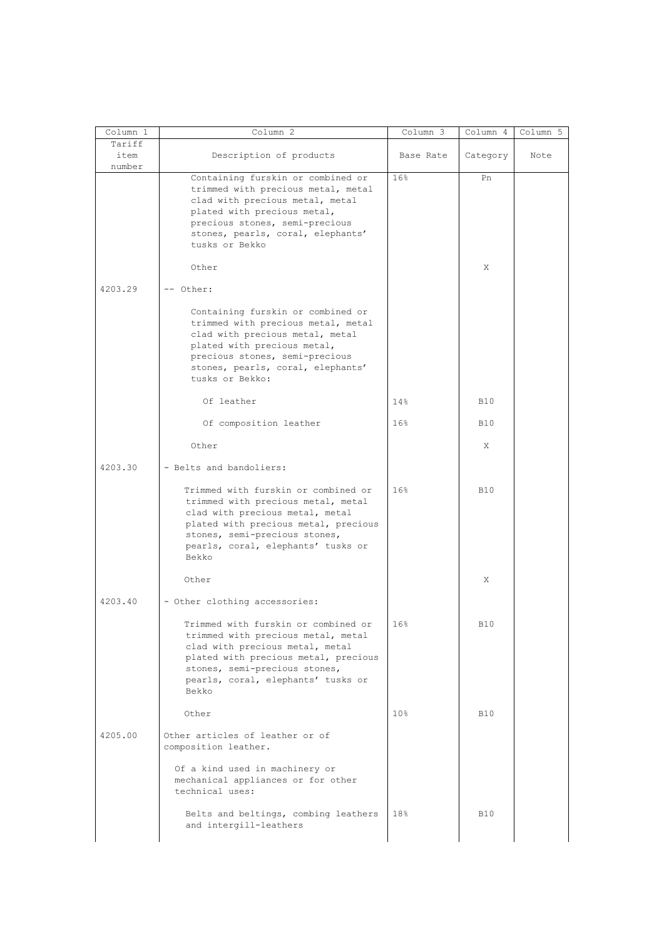| Column 1                 | Column 2                                                                                                                                                                                                                             | Column 3        | Column 4   | Column 5 |
|--------------------------|--------------------------------------------------------------------------------------------------------------------------------------------------------------------------------------------------------------------------------------|-----------------|------------|----------|
| Tariff<br>item<br>number | Description of products                                                                                                                                                                                                              | Base Rate       | Category   | Note     |
|                          | Containing furskin or combined or<br>trimmed with precious metal, metal<br>clad with precious metal, metal<br>plated with precious metal,<br>precious stones, semi-precious<br>stones, pearls, coral, elephants'<br>tusks or Bekko   | 16%             | Pn         |          |
|                          | Other                                                                                                                                                                                                                                |                 | X          |          |
| 4203.29                  | -- Other:                                                                                                                                                                                                                            |                 |            |          |
|                          | Containing furskin or combined or<br>trimmed with precious metal, metal<br>clad with precious metal, metal<br>plated with precious metal,<br>precious stones, semi-precious<br>stones, pearls, coral, elephants'<br>tusks or Bekko:  |                 |            |          |
|                          | Of leather                                                                                                                                                                                                                           | 14%             | <b>B10</b> |          |
|                          | Of composition leather                                                                                                                                                                                                               | 16%             | <b>B10</b> |          |
|                          | Other                                                                                                                                                                                                                                |                 | Χ          |          |
| 4203.30                  | - Belts and bandoliers:                                                                                                                                                                                                              |                 |            |          |
|                          | Trimmed with furskin or combined or<br>trimmed with precious metal, metal<br>clad with precious metal, metal<br>plated with precious metal, precious<br>stones, semi-precious stones,<br>pearls, coral, elephants' tusks or<br>Bekko | 16%             | <b>B10</b> |          |
|                          | Other                                                                                                                                                                                                                                |                 | X          |          |
| 4203.40                  | - Other clothing accessories:                                                                                                                                                                                                        |                 |            |          |
|                          | Trimmed with furskin or combined or<br>trimmed with precious metal, metal<br>clad with precious metal, metal<br>plated with precious metal, precious<br>stones, semi-precious stones,<br>pearls, coral, elephants' tusks or<br>Bekko | 16%             | <b>B10</b> |          |
|                          | Other                                                                                                                                                                                                                                | 10 <sup>8</sup> | <b>B10</b> |          |
| 4205.00                  | Other articles of leather or of<br>composition leather.<br>Of a kind used in machinery or<br>mechanical appliances or for other<br>technical uses:                                                                                   |                 |            |          |
|                          | Belts and beltings, combing leathers<br>and intergill-leathers                                                                                                                                                                       | 18%             | <b>B10</b> |          |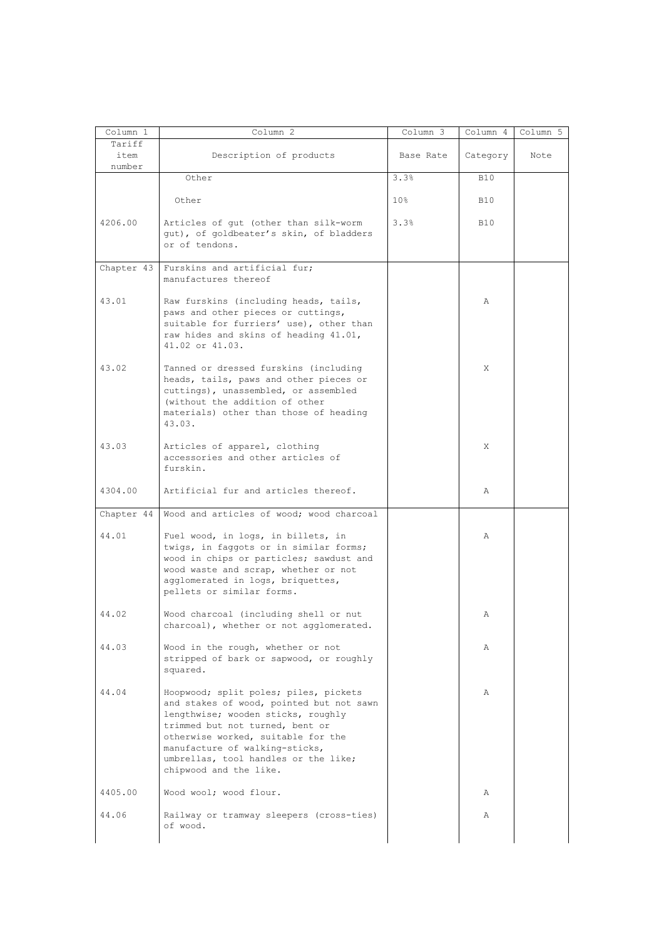| Column 1                 | Column <sub>2</sub>                                                                                                                                                                                                                                                                                  | Column 3        | Column 4   | Column 5 |
|--------------------------|------------------------------------------------------------------------------------------------------------------------------------------------------------------------------------------------------------------------------------------------------------------------------------------------------|-----------------|------------|----------|
| Tariff<br>item<br>number | Description of products                                                                                                                                                                                                                                                                              | Base Rate       | Category   | Note     |
|                          | Other                                                                                                                                                                                                                                                                                                | 3.3%            | <b>B10</b> |          |
|                          | Other                                                                                                                                                                                                                                                                                                | 10 <sub>8</sub> | <b>B10</b> |          |
| 4206.00                  | Articles of gut (other than silk-worm<br>gut), of goldbeater's skin, of bladders<br>or of tendons.                                                                                                                                                                                                   | 3.3%            | <b>B10</b> |          |
| Chapter 43               | Furskins and artificial fur;<br>manufactures thereof                                                                                                                                                                                                                                                 |                 |            |          |
| 43.01                    | Raw furskins (including heads, tails,<br>paws and other pieces or cuttings,<br>suitable for furriers' use), other than<br>raw hides and skins of heading 41.01,<br>41.02 or 41.03.                                                                                                                   |                 | Α          |          |
| 43.02                    | Tanned or dressed furskins (including<br>heads, tails, paws and other pieces or<br>cuttings), unassembled, or assembled<br>(without the addition of other<br>materials) other than those of heading<br>43.03.                                                                                        |                 | X          |          |
| 43.03                    | Articles of apparel, clothing<br>accessories and other articles of<br>furskin.                                                                                                                                                                                                                       |                 | X          |          |
| 4304.00                  | Artificial fur and articles thereof.                                                                                                                                                                                                                                                                 |                 | Α          |          |
| Chapter 44               | Wood and articles of wood; wood charcoal                                                                                                                                                                                                                                                             |                 |            |          |
| 44.01                    | Fuel wood, in logs, in billets, in<br>twigs, in faggots or in similar forms;<br>wood in chips or particles; sawdust and<br>wood waste and scrap, whether or not<br>agglomerated in logs, briquettes,<br>pellets or similar forms.                                                                    |                 | Α          |          |
| 44.02                    | Wood charcoal (including shell or nut<br>charcoal), whether or not agglomerated.                                                                                                                                                                                                                     |                 | Α          |          |
| 44.03                    | Wood in the rough, whether or not<br>stripped of bark or sapwood, or roughly<br>squared.                                                                                                                                                                                                             |                 | Α          |          |
| 44.04                    | Hoopwood; split poles; piles, pickets<br>and stakes of wood, pointed but not sawn<br>lengthwise; wooden sticks, roughly<br>trimmed but not turned, bent or<br>otherwise worked, suitable for the<br>manufacture of walking-sticks,<br>umbrellas, tool handles or the like;<br>chipwood and the like. |                 | Α          |          |
| 4405.00                  | Wood wool; wood flour.                                                                                                                                                                                                                                                                               |                 | Α          |          |
| 44.06                    | Railway or tramway sleepers (cross-ties)                                                                                                                                                                                                                                                             |                 | Α          |          |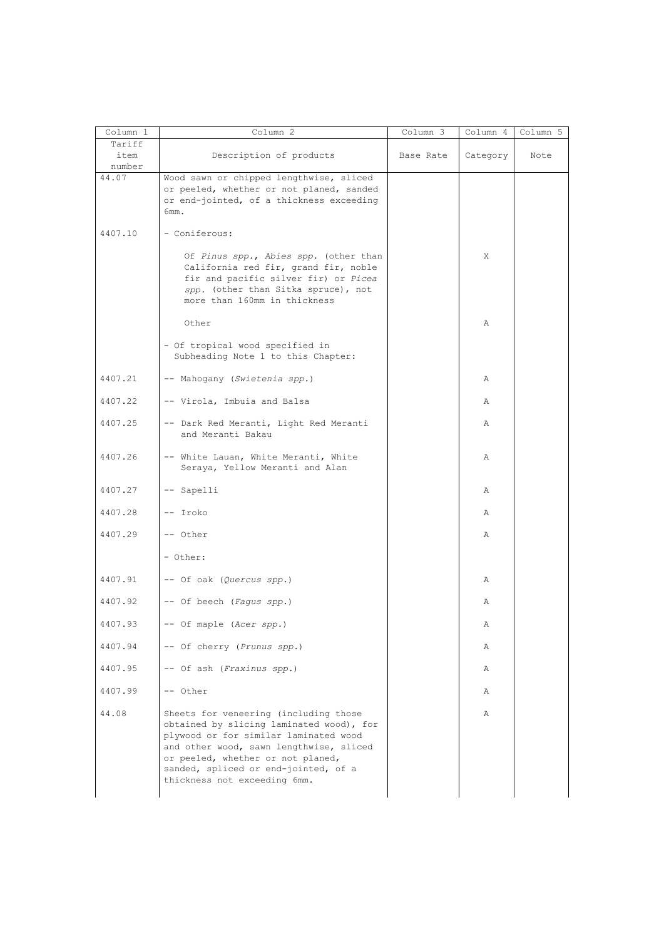| Column 1                 | Column 2                                                                                                                                                                                                                                                                           | Column 3  | Column 4 | Column 5 |
|--------------------------|------------------------------------------------------------------------------------------------------------------------------------------------------------------------------------------------------------------------------------------------------------------------------------|-----------|----------|----------|
| Tariff<br>item<br>number | Description of products                                                                                                                                                                                                                                                            | Base Rate | Category | Note     |
| 44.07                    | Wood sawn or chipped lengthwise, sliced<br>or peeled, whether or not planed, sanded<br>or end-jointed, of a thickness exceeding<br>6mm.                                                                                                                                            |           |          |          |
| 4407.10                  | - Coniferous:                                                                                                                                                                                                                                                                      |           |          |          |
|                          | Of Pinus spp., Abies spp. (other than<br>California red fir, grand fir, noble<br>fir and pacific silver fir) or Picea<br>spp. (other than Sitka spruce), not<br>more than 160mm in thickness                                                                                       |           | X        |          |
|                          | Other                                                                                                                                                                                                                                                                              |           | Α        |          |
|                          | - Of tropical wood specified in<br>Subheading Note 1 to this Chapter:                                                                                                                                                                                                              |           |          |          |
| 4407.21                  | -- Mahogany (Swietenia spp.)                                                                                                                                                                                                                                                       |           | Α        |          |
| 4407.22                  | -- Virola, Imbuia and Balsa                                                                                                                                                                                                                                                        |           | Α        |          |
| 4407.25                  | -- Dark Red Meranti, Light Red Meranti<br>and Meranti Bakau                                                                                                                                                                                                                        |           | Α        |          |
| 4407.26                  | -- White Lauan, White Meranti, White<br>Seraya, Yellow Meranti and Alan                                                                                                                                                                                                            |           | Α        |          |
| 4407.27                  | -- Sapelli                                                                                                                                                                                                                                                                         |           | Α        |          |
| 4407.28                  | -- Iroko                                                                                                                                                                                                                                                                           |           | Α        |          |
| 4407.29                  | -- Other                                                                                                                                                                                                                                                                           |           | Α        |          |
|                          | - Other:                                                                                                                                                                                                                                                                           |           |          |          |
| 4407.91                  | -- Of oak (Quercus spp.)                                                                                                                                                                                                                                                           |           | Α        |          |
| 4407.92                  | -- Of beech (Fagus spp.)                                                                                                                                                                                                                                                           |           | Α        |          |
| 4407.93                  | -- Of maple (Acer spp.)                                                                                                                                                                                                                                                            |           | Α        |          |
| 4407.94                  | -- Of cherry (Prunus spp.)                                                                                                                                                                                                                                                         |           | Α        |          |
| 4407.95                  | -- Of ash (Fraxinus spp.)                                                                                                                                                                                                                                                          |           | Α        |          |
| 4407.99                  | -- Other                                                                                                                                                                                                                                                                           |           | Α        |          |
| 44.08                    | Sheets for veneering (including those<br>obtained by slicing laminated wood), for<br>plywood or for similar laminated wood<br>and other wood, sawn lengthwise, sliced<br>or peeled, whether or not planed,<br>sanded, spliced or end-jointed, of a<br>thickness not exceeding 6mm. |           | Α        |          |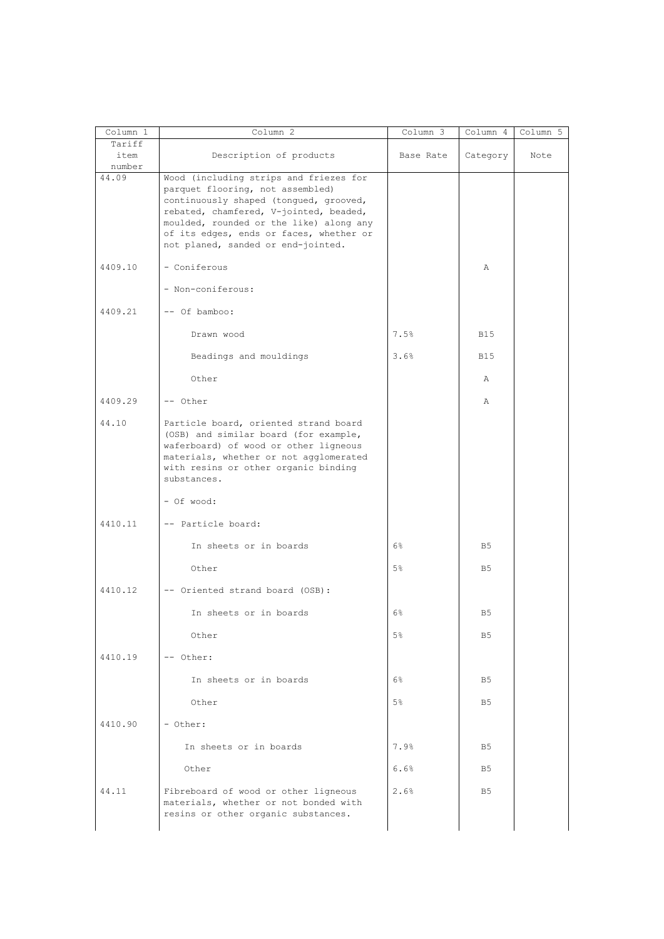| Column 1                 | Column <sub>2</sub>                                                                                                                                                                                                                                                                        | Column 3       | Column 4       | Column 5 |
|--------------------------|--------------------------------------------------------------------------------------------------------------------------------------------------------------------------------------------------------------------------------------------------------------------------------------------|----------------|----------------|----------|
| Tariff<br>item<br>number | Description of products                                                                                                                                                                                                                                                                    | Base Rate      | Category       | Note     |
| 44.09                    | Wood (including strips and friezes for<br>parquet flooring, not assembled)<br>continuously shaped (tongued, grooved,<br>rebated, chamfered, V-jointed, beaded,<br>moulded, rounded or the like) along any<br>of its edges, ends or faces, whether or<br>not planed, sanded or end-jointed. |                |                |          |
| 4409.10                  | - Coniferous                                                                                                                                                                                                                                                                               |                | Α              |          |
|                          | - Non-coniferous:                                                                                                                                                                                                                                                                          |                |                |          |
| 4409.21                  | -- Of bamboo:                                                                                                                                                                                                                                                                              |                |                |          |
|                          | Drawn wood                                                                                                                                                                                                                                                                                 | 7.5%           | <b>B15</b>     |          |
|                          | Beadings and mouldings                                                                                                                                                                                                                                                                     | 3.6%           | <b>B15</b>     |          |
|                          | Other                                                                                                                                                                                                                                                                                      |                | Α              |          |
| 4409.29                  | -- Other                                                                                                                                                                                                                                                                                   |                | Α              |          |
| 44.10                    | Particle board, oriented strand board<br>(OSB) and similar board (for example,<br>waferboard) of wood or other ligneous<br>materials, whether or not agglomerated<br>with resins or other organic binding<br>substances.                                                                   |                |                |          |
|                          | - Of wood:                                                                                                                                                                                                                                                                                 |                |                |          |
| 4410.11                  | -- Particle board:                                                                                                                                                                                                                                                                         |                |                |          |
|                          | In sheets or in boards                                                                                                                                                                                                                                                                     | 6%             | B <sub>5</sub> |          |
|                          | Other                                                                                                                                                                                                                                                                                      | 5%             | B <sub>5</sub> |          |
| 4410.12                  | -- Oriented strand board (OSB):                                                                                                                                                                                                                                                            |                |                |          |
|                          | In sheets or in boards                                                                                                                                                                                                                                                                     | 6%             | B <sub>5</sub> |          |
|                          | Other                                                                                                                                                                                                                                                                                      | 5%             | B <sub>5</sub> |          |
| 4410.19                  | -- Other:                                                                                                                                                                                                                                                                                  |                |                |          |
|                          | In sheets or in boards                                                                                                                                                                                                                                                                     | $6\%$          | B <sub>5</sub> |          |
|                          | Other                                                                                                                                                                                                                                                                                      | 5 <sup>°</sup> | B <sub>5</sub> |          |
| 4410.90                  | - Other:                                                                                                                                                                                                                                                                                   |                |                |          |
|                          | In sheets or in boards                                                                                                                                                                                                                                                                     | 7.9%           | B <sub>5</sub> |          |
|                          | Other                                                                                                                                                                                                                                                                                      | 6.6%           | B <sub>5</sub> |          |
| 44.11                    | Fibreboard of wood or other ligneous<br>materials, whether or not bonded with<br>resins or other organic substances.                                                                                                                                                                       | 2.6%           | B <sub>5</sub> |          |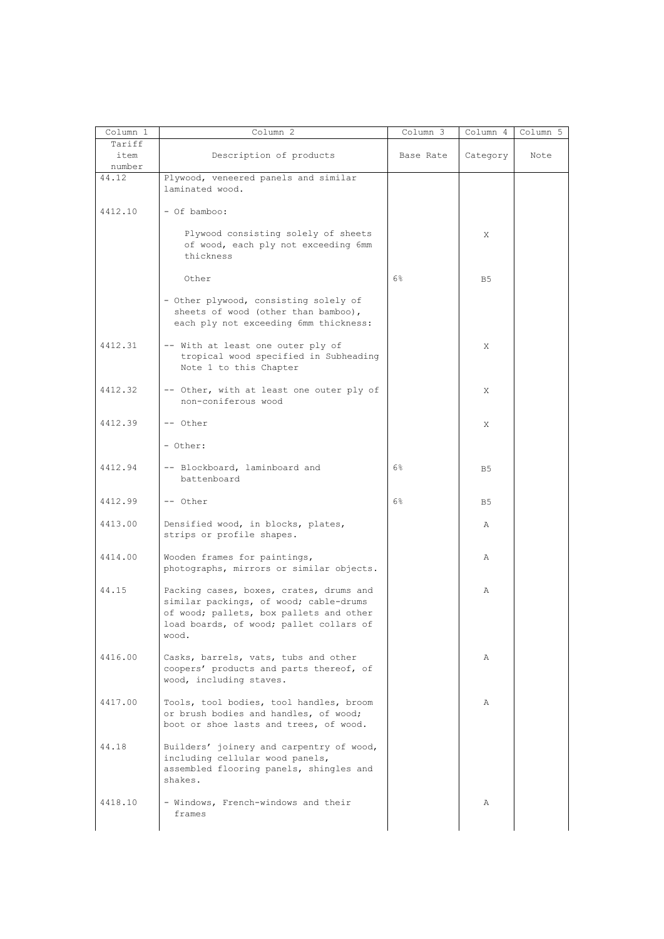| Column 1 | Column <sub>2</sub>                      | Column 3  | Column 4       | Column 5 |
|----------|------------------------------------------|-----------|----------------|----------|
| Tariff   |                                          |           |                |          |
| item     | Description of products                  | Base Rate | Category       | Note     |
| number   |                                          |           |                |          |
| 44.12    | Plywood, veneered panels and similar     |           |                |          |
|          | laminated wood.                          |           |                |          |
|          |                                          |           |                |          |
| 4412.10  | - Of bamboo:                             |           |                |          |
|          |                                          |           |                |          |
|          |                                          |           |                |          |
|          | Plywood consisting solely of sheets      |           | X              |          |
|          | of wood, each ply not exceeding 6mm      |           |                |          |
|          | thickness                                |           |                |          |
|          |                                          |           |                |          |
|          | Other                                    | $6\%$     | B <sub>5</sub> |          |
|          |                                          |           |                |          |
|          | - Other plywood, consisting solely of    |           |                |          |
|          | sheets of wood (other than bamboo),      |           |                |          |
|          |                                          |           |                |          |
|          | each ply not exceeding 6mm thickness:    |           |                |          |
|          |                                          |           |                |          |
| 4412.31  | -- With at least one outer ply of        |           | X              |          |
|          | tropical wood specified in Subheading    |           |                |          |
|          | Note 1 to this Chapter                   |           |                |          |
|          |                                          |           |                |          |
| 4412.32  | -- Other, with at least one outer ply of |           | X              |          |
|          | non-coniferous wood                      |           |                |          |
|          |                                          |           |                |          |
|          |                                          |           |                |          |
| 4412.39  | -- Other                                 |           | X              |          |
|          |                                          |           |                |          |
|          | - Other:                                 |           |                |          |
|          |                                          |           |                |          |
| 4412.94  | -- Blockboard, laminboard and            | $6\%$     | B5             |          |
|          | battenboard                              |           |                |          |
|          |                                          |           |                |          |
| 4412.99  | -- Other                                 | $6\%$     | B5             |          |
|          |                                          |           |                |          |
| 4413.00  | Densified wood, in blocks, plates,       |           |                |          |
|          |                                          |           | Α              |          |
|          | strips or profile shapes.                |           |                |          |
|          |                                          |           |                |          |
| 4414.00  | Wooden frames for paintings,             |           | Α              |          |
|          | photographs, mirrors or similar objects. |           |                |          |
|          |                                          |           |                |          |
| 44.15    | Packing cases, boxes, crates, drums and  |           | Α              |          |
|          | similar packings, of wood; cable-drums   |           |                |          |
|          | of wood; pallets, box pallets and other  |           |                |          |
|          | load boards, of wood; pallet collars of  |           |                |          |
|          |                                          |           |                |          |
|          | wood.                                    |           |                |          |
|          |                                          |           |                |          |
| 4416.00  | Casks, barrels, vats, tubs and other     |           | Α              |          |
|          | coopers' products and parts thereof, of  |           |                |          |
|          | wood, including staves.                  |           |                |          |
|          |                                          |           |                |          |
| 4417.00  | Tools, tool bodies, tool handles, broom  |           | Α              |          |
|          | or brush bodies and handles, of wood;    |           |                |          |
|          | boot or shoe lasts and trees, of wood.   |           |                |          |
|          |                                          |           |                |          |
|          |                                          |           |                |          |
| 44.18    | Builders' joinery and carpentry of wood, |           |                |          |
|          | including cellular wood panels,          |           |                |          |
|          | assembled flooring panels, shingles and  |           |                |          |
|          | shakes.                                  |           |                |          |
|          |                                          |           |                |          |
| 4418.10  | - Windows, French-windows and their      |           | Α              |          |
|          | frames                                   |           |                |          |
|          |                                          |           |                |          |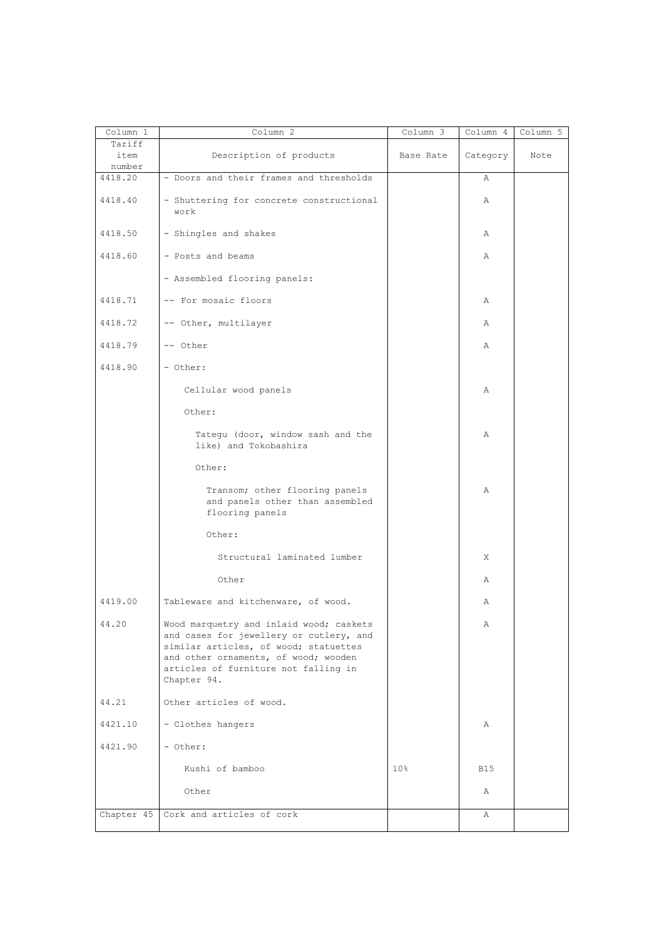| Column 1                 | Column <sub>2</sub>                                                                                                                                                                                                        | Column 3        | Column 4   | Column 5 |
|--------------------------|----------------------------------------------------------------------------------------------------------------------------------------------------------------------------------------------------------------------------|-----------------|------------|----------|
| Tariff<br>item<br>number | Description of products                                                                                                                                                                                                    | Base Rate       | Category   | Note     |
| 4418.20                  | - Doors and their frames and thresholds                                                                                                                                                                                    |                 | Α          |          |
| 4418.40                  | - Shuttering for concrete constructional<br>work                                                                                                                                                                           |                 | Α          |          |
| 4418.50                  | - Shingles and shakes                                                                                                                                                                                                      |                 | Α          |          |
| 4418.60                  | - Posts and beams                                                                                                                                                                                                          |                 | Α          |          |
|                          | - Assembled flooring panels:                                                                                                                                                                                               |                 |            |          |
| 4418.71                  | -- For mosaic floors                                                                                                                                                                                                       |                 | Α          |          |
| 4418.72                  | -- Other, multilayer                                                                                                                                                                                                       |                 | Α          |          |
| 4418.79                  | -- Other                                                                                                                                                                                                                   |                 | Α          |          |
| 4418.90                  | - Other:                                                                                                                                                                                                                   |                 |            |          |
|                          | Cellular wood panels                                                                                                                                                                                                       |                 | Α          |          |
|                          | Other:                                                                                                                                                                                                                     |                 |            |          |
|                          | Tategu (door, window sash and the<br>like) and Tokobashira                                                                                                                                                                 |                 | Α          |          |
|                          | Other:                                                                                                                                                                                                                     |                 |            |          |
|                          | Transom; other flooring panels<br>and panels other than assembled<br>flooring panels                                                                                                                                       |                 | Α          |          |
|                          | Other:                                                                                                                                                                                                                     |                 |            |          |
|                          | Structural laminated lumber                                                                                                                                                                                                |                 | Χ          |          |
|                          | Other                                                                                                                                                                                                                      |                 | Α          |          |
| 4419.00                  | Tableware and kitchenware, of wood.                                                                                                                                                                                        |                 | Α          |          |
| 44.20                    | Wood marquetry and inlaid wood; caskets<br>and cases for jewellery or cutlery, and<br>similar articles, of wood; statuettes<br>and other ornaments, of wood; wooden<br>articles of furniture not falling in<br>Chapter 94. |                 | Α          |          |
| 44.21                    | Other articles of wood.                                                                                                                                                                                                    |                 |            |          |
| 4421.10                  | - Clothes hangers                                                                                                                                                                                                          |                 | Α          |          |
| 4421.90                  | - Other:                                                                                                                                                                                                                   |                 |            |          |
|                          | Kushi of bamboo                                                                                                                                                                                                            | 10 <sub>8</sub> | <b>B15</b> |          |
|                          | Other                                                                                                                                                                                                                      |                 | Α          |          |
|                          | Chapter 45   Cork and articles of cork                                                                                                                                                                                     |                 | Α          |          |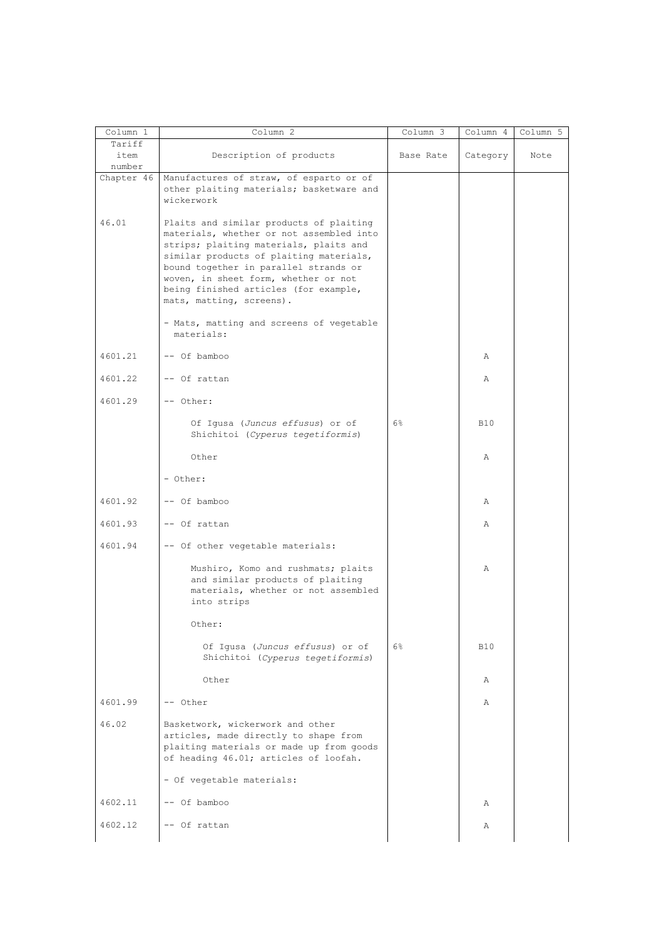| Column 1                 | Column 2                                                                                                                                                                                                                                                                                                                       | Column 3  | Column 4     | Column 5 |
|--------------------------|--------------------------------------------------------------------------------------------------------------------------------------------------------------------------------------------------------------------------------------------------------------------------------------------------------------------------------|-----------|--------------|----------|
| Tariff<br>item<br>number | Description of products                                                                                                                                                                                                                                                                                                        | Base Rate | Category     | Note     |
| Chapter 46               | Manufactures of straw, of esparto or of<br>other plaiting materials; basketware and<br>wickerwork                                                                                                                                                                                                                              |           |              |          |
| 46.01                    | Plaits and similar products of plaiting<br>materials, whether or not assembled into<br>strips; plaiting materials, plaits and<br>similar products of plaiting materials,<br>bound together in parallel strands or<br>woven, in sheet form, whether or not<br>being finished articles (for example,<br>mats, matting, screens). |           |              |          |
|                          | - Mats, matting and screens of vegetable<br>materials:                                                                                                                                                                                                                                                                         |           |              |          |
| 4601.21                  | -- Of bamboo                                                                                                                                                                                                                                                                                                                   |           | Α            |          |
| 4601.22                  | -- Of rattan                                                                                                                                                                                                                                                                                                                   |           | Α            |          |
| 4601.29                  | -- Other:                                                                                                                                                                                                                                                                                                                      |           |              |          |
|                          | Of Igusa (Juncus effusus) or of<br>Shichitoi (Cyperus tegetiformis)                                                                                                                                                                                                                                                            | 6%        | <b>B10</b>   |          |
|                          | Other                                                                                                                                                                                                                                                                                                                          |           | Α            |          |
|                          | - Other:                                                                                                                                                                                                                                                                                                                       |           |              |          |
| 4601.92                  | -- Of bamboo                                                                                                                                                                                                                                                                                                                   |           | Α            |          |
| 4601.93                  | -- Of rattan                                                                                                                                                                                                                                                                                                                   |           | Α            |          |
| 4601.94                  | -- Of other vegetable materials:                                                                                                                                                                                                                                                                                               |           |              |          |
|                          | Mushiro, Komo and rushmats; plaits<br>and similar products of plaiting<br>materials, whether or not assembled<br>into strips                                                                                                                                                                                                   |           | Α            |          |
|                          | Other:                                                                                                                                                                                                                                                                                                                         |           |              |          |
|                          | Of Igusa (Juncus effusus) or of<br>Shichitoi (Cyperus tegetiformis)                                                                                                                                                                                                                                                            | $6\%$     | <b>B10</b>   |          |
|                          | Other                                                                                                                                                                                                                                                                                                                          |           | Α            |          |
| 4601.99                  | -- Other                                                                                                                                                                                                                                                                                                                       |           | $\mathbb{A}$ |          |
| 46.02                    | Basketwork, wickerwork and other<br>articles, made directly to shape from<br>plaiting materials or made up from goods<br>of heading 46.01; articles of loofah.                                                                                                                                                                 |           |              |          |
|                          | - Of vegetable materials:                                                                                                                                                                                                                                                                                                      |           |              |          |
| 4602.11                  | -- Of bamboo                                                                                                                                                                                                                                                                                                                   |           | Α            |          |
| 4602.12                  | -- Of rattan                                                                                                                                                                                                                                                                                                                   |           | Α            |          |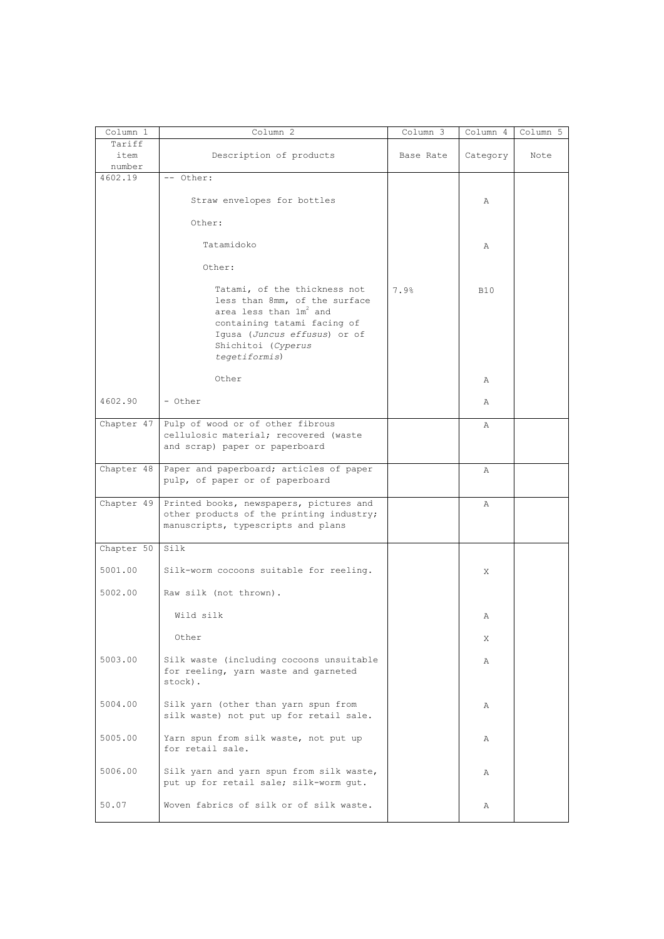| Column 1          | Column 2                                                                                                                                                                                                  | Column 3  | Column 4   | Column 5 |
|-------------------|-----------------------------------------------------------------------------------------------------------------------------------------------------------------------------------------------------------|-----------|------------|----------|
| Tariff            |                                                                                                                                                                                                           |           |            |          |
| item              | Description of products                                                                                                                                                                                   | Base Rate | Category   | Note     |
| number<br>4602.19 | -- Other:                                                                                                                                                                                                 |           |            |          |
|                   | Straw envelopes for bottles                                                                                                                                                                               |           | Α          |          |
|                   | Other:                                                                                                                                                                                                    |           |            |          |
|                   | Tatamidoko                                                                                                                                                                                                |           | Α          |          |
|                   | Other:                                                                                                                                                                                                    |           |            |          |
|                   | Tatami, of the thickness not<br>less than 8mm, of the surface<br>area less than 1m <sup>2</sup> and<br>containing tatami facing of<br>Igusa (Juncus effusus) or of<br>Shichitoi (Cyperus<br>tegetiformis) | 7.9%      | <b>B10</b> |          |
|                   | Other                                                                                                                                                                                                     |           | Α          |          |
| 4602.90           | - Other                                                                                                                                                                                                   |           | Α          |          |
| Chapter 47        | Pulp of wood or of other fibrous<br>cellulosic material; recovered (waste<br>and scrap) paper or paperboard                                                                                               |           | Α          |          |
| Chapter 48        | Paper and paperboard; articles of paper<br>pulp, of paper or of paperboard                                                                                                                                |           | A          |          |
| Chapter 49        | Printed books, newspapers, pictures and<br>other products of the printing industry;<br>manuscripts, typescripts and plans                                                                                 |           | Α          |          |
| Chapter 50        | Silk                                                                                                                                                                                                      |           |            |          |
| 5001.00           | Silk-worm cocoons suitable for reeling.                                                                                                                                                                   |           | X          |          |
| 5002.00           | Raw silk (not thrown).                                                                                                                                                                                    |           |            |          |
|                   | Wild silk                                                                                                                                                                                                 |           | Α          |          |
|                   | Other                                                                                                                                                                                                     |           | X          |          |
| 5003.00           | Silk waste (including cocoons unsuitable<br>for reeling, yarn waste and garneted<br>stock).                                                                                                               |           | Α          |          |
| 5004.00           | Silk yarn (other than yarn spun from<br>silk waste) not put up for retail sale.                                                                                                                           |           | Α          |          |
| 5005.00           | Yarn spun from silk waste, not put up<br>for retail sale.                                                                                                                                                 |           | Α          |          |
| 5006.00           | Silk yarn and yarn spun from silk waste,<br>put up for retail sale; silk-worm qut.                                                                                                                        |           | Α          |          |
| 50.07             | Woven fabrics of silk or of silk waste.                                                                                                                                                                   |           | Α          |          |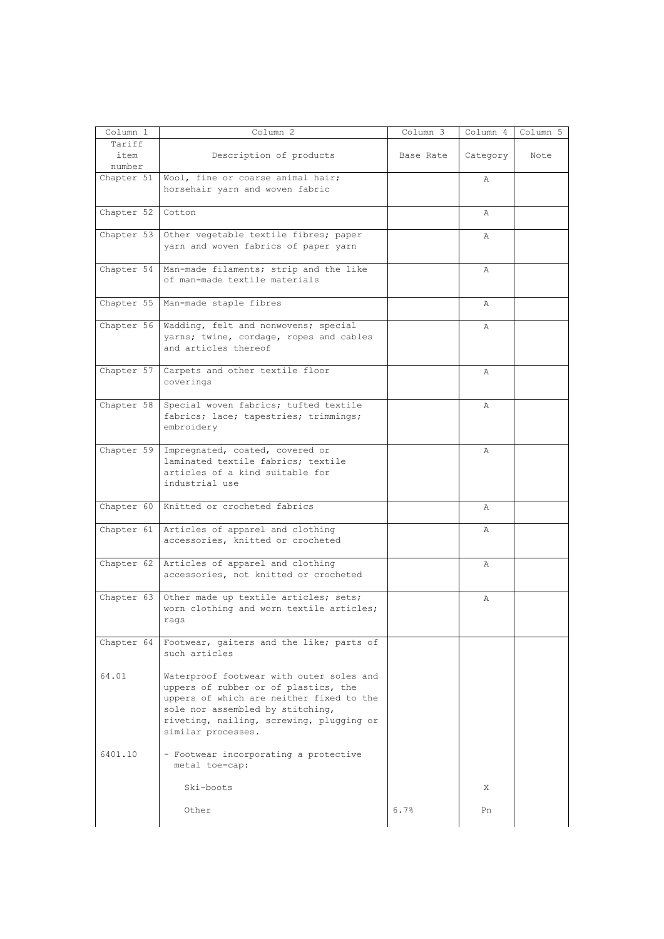| Column 1       | Column <sub>2</sub>                                                                                                                                                                                                                | Column 3  | Column 4     | Column 5 |
|----------------|------------------------------------------------------------------------------------------------------------------------------------------------------------------------------------------------------------------------------------|-----------|--------------|----------|
| Tariff<br>item | Description of products                                                                                                                                                                                                            | Base Rate | Category     | Note     |
| number         | Chapter 51   Wool, fine or coarse animal hair;                                                                                                                                                                                     |           |              |          |
|                | horsehair yarn and woven fabric                                                                                                                                                                                                    |           | Α            |          |
| Chapter 52     | Cotton                                                                                                                                                                                                                             |           | Α            |          |
| Chapter 53     | Other vegetable textile fibres; paper<br>yarn and woven fabrics of paper yarn                                                                                                                                                      |           | Α            |          |
| Chapter 54     | Man-made filaments; strip and the like<br>of man-made textile materials                                                                                                                                                            |           | Α            |          |
|                | Chapter 55 Man-made staple fibres                                                                                                                                                                                                  |           | Α            |          |
| Chapter $56$   | Wadding, felt and nonwovens; special<br>yarns; twine, cordage, ropes and cables<br>and articles thereof                                                                                                                            |           | Α            |          |
| Chapter 57     | Carpets and other textile floor<br>coverings                                                                                                                                                                                       |           | Α            |          |
| Chapter $58$   | Special woven fabrics; tufted textile<br>fabrics; lace; tapestries; trimmings;<br>embroidery                                                                                                                                       |           | Α            |          |
| Chapter 59     | Impregnated, coated, covered or<br>laminated textile fabrics; textile<br>articles of a kind suitable for<br>industrial use                                                                                                         |           | $\mathbb{A}$ |          |
|                | Chapter 60 Knitted or crocheted fabrics                                                                                                                                                                                            |           | Α            |          |
| Chapter $61$   | Articles of apparel and clothing<br>accessories, knitted or crocheted                                                                                                                                                              |           | Α            |          |
| Chapter 62     | Articles of apparel and clothing<br>accessories, not knitted or crocheted                                                                                                                                                          |           | Α            |          |
| Chapter 63     | Other made up textile articles; sets;<br>worn clothing and worn textile articles;<br>rags                                                                                                                                          |           | Α            |          |
|                | Chapter 64   Footwear, gaiters and the like; parts of<br>such articles                                                                                                                                                             |           |              |          |
| 64.01          | Waterproof footwear with outer soles and<br>uppers of rubber or of plastics, the<br>uppers of which are neither fixed to the<br>sole nor assembled by stitching,<br>riveting, nailing, screwing, plugging or<br>similar processes. |           |              |          |
| 6401.10        | - Footwear incorporating a protective<br>metal toe-cap:                                                                                                                                                                            |           |              |          |
|                | Ski-boots                                                                                                                                                                                                                          |           | X            |          |
|                | Other                                                                                                                                                                                                                              | 6.7%      | Pn           |          |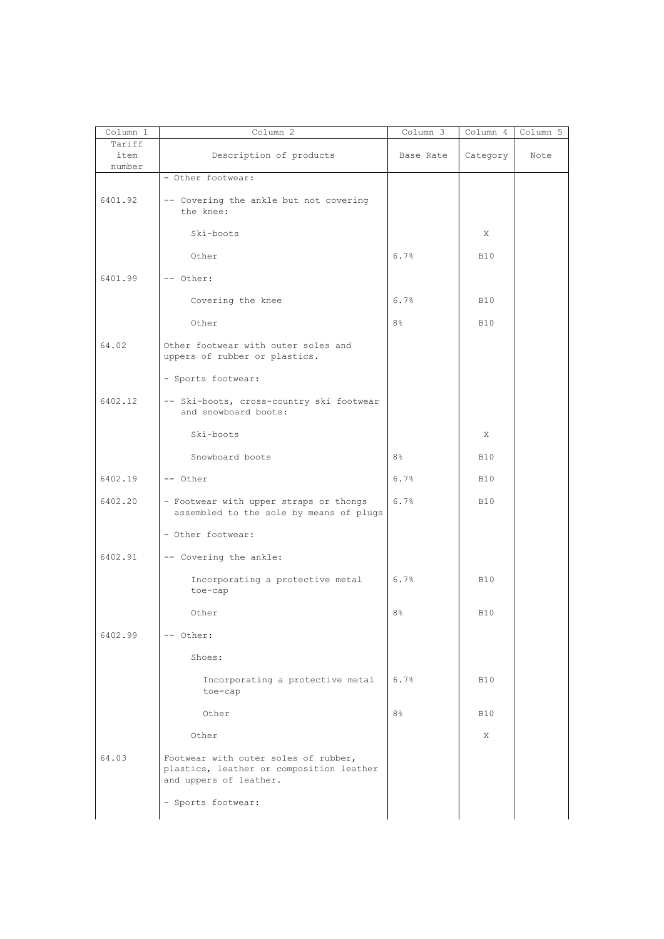| Column 1       | Column <sup>2</sup>                                                                                        | $Column \overline{3}$ | Column 4   | Column 5 |
|----------------|------------------------------------------------------------------------------------------------------------|-----------------------|------------|----------|
| Tariff<br>item | Description of products                                                                                    | Base Rate             | Category   | Note     |
| number         |                                                                                                            |                       |            |          |
|                | - Other footwear:                                                                                          |                       |            |          |
| 6401.92        | -- Covering the ankle but not covering<br>the knee:                                                        |                       |            |          |
|                | Ski-boots                                                                                                  |                       | X          |          |
|                | Other                                                                                                      | 6.7%                  | <b>B10</b> |          |
| 6401.99        | -- Other:                                                                                                  |                       |            |          |
|                | Covering the knee                                                                                          | 6.7%                  | <b>B10</b> |          |
|                | Other                                                                                                      | 8 <sup>°</sup>        | <b>B10</b> |          |
| 64.02          | Other footwear with outer soles and<br>uppers of rubber or plastics.                                       |                       |            |          |
|                | - Sports footwear:                                                                                         |                       |            |          |
| 6402.12        | -- Ski-boots, cross-country ski footwear<br>and snowboard boots:                                           |                       |            |          |
|                | Ski-boots                                                                                                  |                       | X          |          |
|                | Snowboard boots                                                                                            | 8 <sup>°</sup>        | <b>B10</b> |          |
| 6402.19        | -- Other                                                                                                   | 6.7%                  | <b>B10</b> |          |
| 6402.20        | - Footwear with upper straps or thongs<br>assembled to the sole by means of plugs                          | 6.7%                  | <b>B10</b> |          |
|                | - Other footwear:                                                                                          |                       |            |          |
| 6402.91        | -- Covering the ankle:                                                                                     |                       |            |          |
|                | Incorporating a protective metal<br>toe-cap                                                                | 6.7%                  | <b>B10</b> |          |
|                | Other                                                                                                      | 8%                    | <b>B10</b> |          |
| 6402.99        | -- Other:                                                                                                  |                       |            |          |
|                | Shoes:                                                                                                     |                       |            |          |
|                | Incorporating a protective metal<br>toe-cap                                                                | 6.7%                  | <b>B10</b> |          |
|                | Other                                                                                                      | 8 <sup>°</sup>        | <b>B10</b> |          |
|                | Other                                                                                                      |                       | X          |          |
| 64.03          | Footwear with outer soles of rubber,<br>plastics, leather or composition leather<br>and uppers of leather. |                       |            |          |
|                | - Sports footwear:                                                                                         |                       |            |          |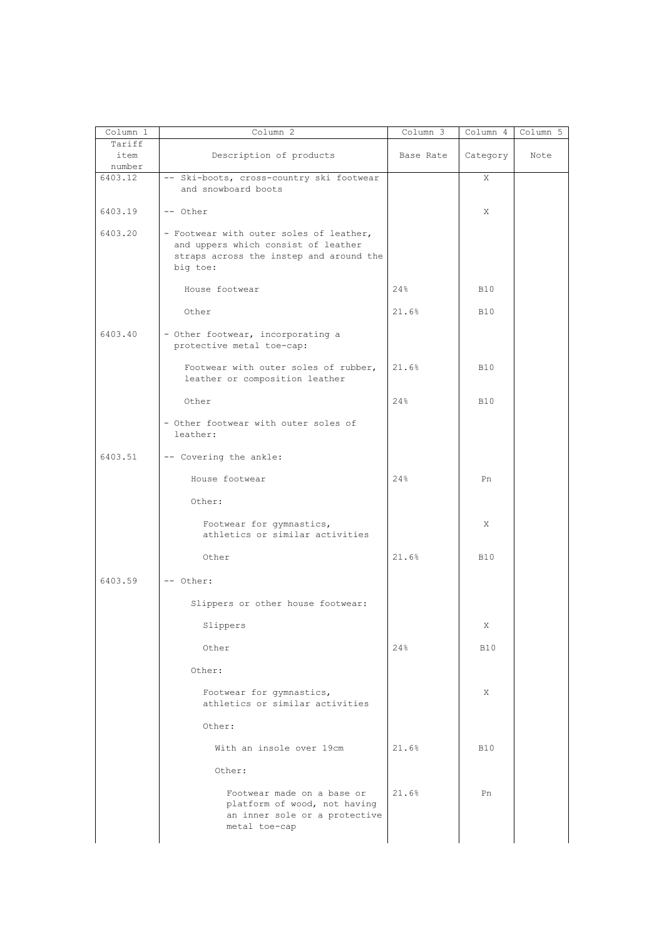| Column 1 | Column 2                                                                                                                              | Column 3  | Column 4   | Column 5 |
|----------|---------------------------------------------------------------------------------------------------------------------------------------|-----------|------------|----------|
| Tariff   |                                                                                                                                       |           |            |          |
| item     | Description of products                                                                                                               | Base Rate | Category   | Note     |
| number   |                                                                                                                                       |           |            |          |
| 6403.12  | -- Ski-boots, cross-country ski footwear                                                                                              |           | Χ          |          |
|          | and snowboard boots                                                                                                                   |           |            |          |
| 6403.19  | -- Other                                                                                                                              |           | X          |          |
| 6403.20  | - Footwear with outer soles of leather,<br>and uppers which consist of leather<br>straps across the instep and around the<br>big toe: |           |            |          |
|          | House footwear                                                                                                                        | 24%       | <b>B10</b> |          |
|          | Other                                                                                                                                 | 21.6%     | <b>B10</b> |          |
| 6403.40  | - Other footwear, incorporating a<br>protective metal toe-cap:                                                                        |           |            |          |
|          | Footwear with outer soles of rubber,<br>leather or composition leather                                                                | 21.6%     | <b>B10</b> |          |
|          | Other                                                                                                                                 | 24%       | <b>B10</b> |          |
|          | - Other footwear with outer soles of<br>leather:                                                                                      |           |            |          |
| 6403.51  | -- Covering the ankle:                                                                                                                |           |            |          |
|          | House footwear                                                                                                                        | 24%       | Pn         |          |
|          | Other:                                                                                                                                |           |            |          |
|          | Footwear for gymnastics,<br>athletics or similar activities                                                                           |           | X          |          |
|          | Other                                                                                                                                 | 21.6%     | <b>B10</b> |          |
| 6403.59  | -- Other:                                                                                                                             |           |            |          |
|          | Slippers or other house footwear:                                                                                                     |           |            |          |
|          | Slippers                                                                                                                              |           | X          |          |
|          | Other                                                                                                                                 | 24%       | <b>B10</b> |          |
|          | Other:                                                                                                                                |           |            |          |
|          | Footwear for gymnastics,<br>athletics or similar activities                                                                           |           | X          |          |
|          | Other:                                                                                                                                |           |            |          |
|          | With an insole over 19cm                                                                                                              | 21.6%     | <b>B10</b> |          |
|          | Other:                                                                                                                                |           |            |          |
|          | Footwear made on a base or<br>platform of wood, not having<br>an inner sole or a protective<br>metal toe-cap                          | 21.6%     | Pn         |          |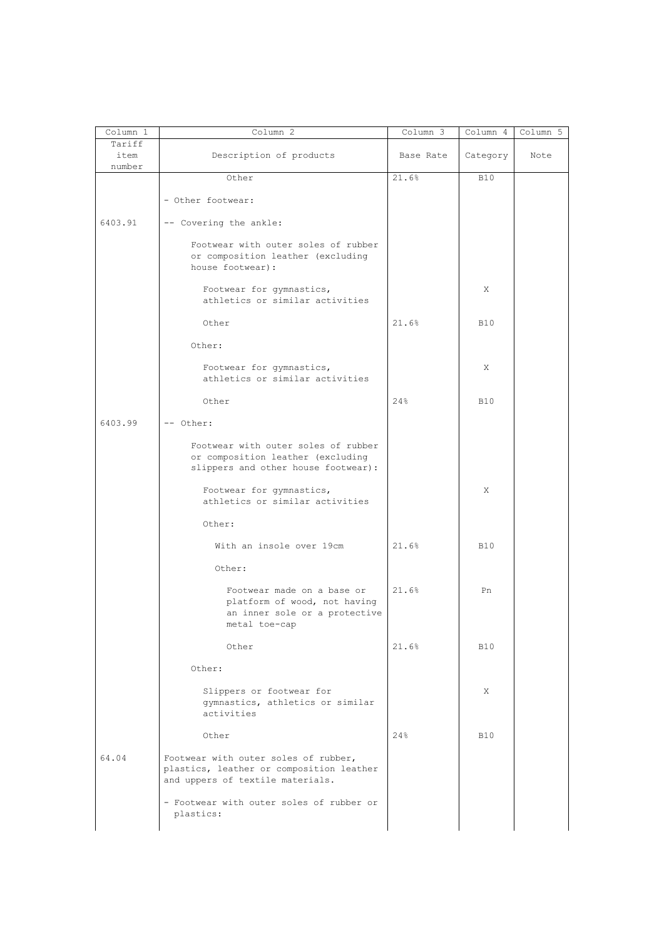| Column 1                 | Column 2                                                                                                             | $Column \overline{3}$ | Column 4   | Column 5 |
|--------------------------|----------------------------------------------------------------------------------------------------------------------|-----------------------|------------|----------|
| Tariff<br>item<br>number | Description of products                                                                                              | Base Rate             | Category   | Note     |
|                          | Other                                                                                                                | 21.6%                 | <b>B10</b> |          |
|                          | - Other footwear:                                                                                                    |                       |            |          |
| 6403.91                  | -- Covering the ankle:                                                                                               |                       |            |          |
|                          | Footwear with outer soles of rubber<br>or composition leather (excluding<br>house footwear):                         |                       |            |          |
|                          | Footwear for gymnastics,<br>athletics or similar activities                                                          |                       | Χ          |          |
|                          | Other                                                                                                                | 21.6%                 | <b>B10</b> |          |
|                          | Other:                                                                                                               |                       |            |          |
|                          | Footwear for gymnastics,<br>athletics or similar activities                                                          |                       | X          |          |
|                          | Other                                                                                                                | 24%                   | <b>B10</b> |          |
| 6403.99                  | -- Other:                                                                                                            |                       |            |          |
|                          | Footwear with outer soles of rubber<br>or composition leather (excluding<br>slippers and other house footwear):      |                       |            |          |
|                          | Footwear for gymnastics,<br>athletics or similar activities                                                          |                       | Χ          |          |
|                          | Other:                                                                                                               |                       |            |          |
|                          | With an insole over 19cm                                                                                             | 21.6%                 | <b>B10</b> |          |
|                          | Other:                                                                                                               |                       |            |          |
|                          | Footwear made on a base or<br>platform of wood, not having<br>an inner sole or a protective<br>metal toe-cap         | 21.6%                 | Pn         |          |
|                          | Other                                                                                                                | 21.6%                 | <b>B10</b> |          |
|                          | Other:                                                                                                               |                       |            |          |
|                          | Slippers or footwear for<br>gymnastics, athletics or similar<br>activities                                           |                       | X          |          |
|                          | Other                                                                                                                | 24%                   | <b>B10</b> |          |
| 64.04                    | Footwear with outer soles of rubber,<br>plastics, leather or composition leather<br>and uppers of textile materials. |                       |            |          |
|                          | - Footwear with outer soles of rubber or<br>plastics:                                                                |                       |            |          |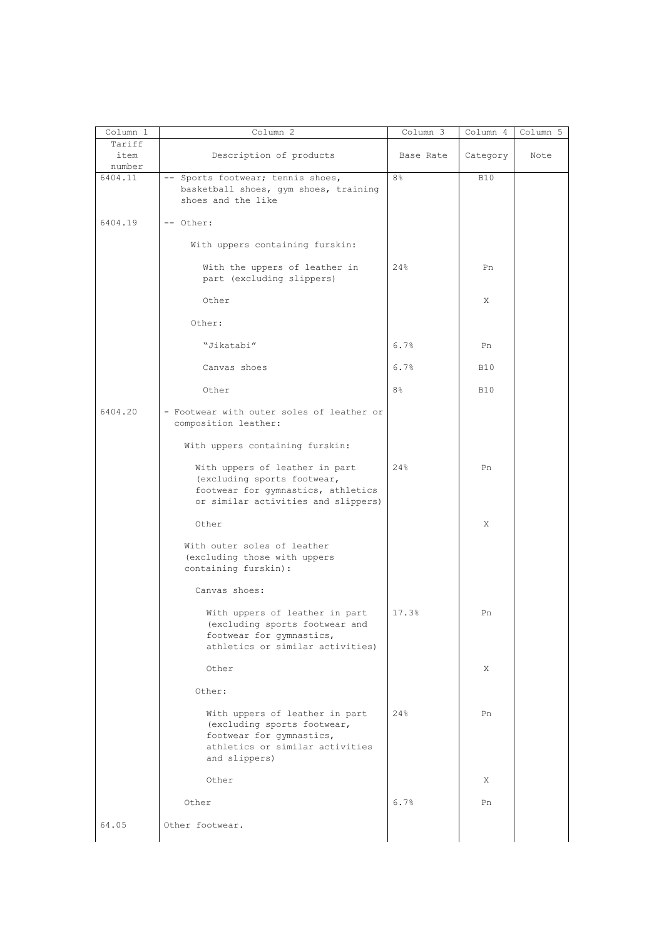| Column 1                 | Column 2                                                                                                                                      | Column 3       | Column 4   | Column 5 |
|--------------------------|-----------------------------------------------------------------------------------------------------------------------------------------------|----------------|------------|----------|
| Tariff<br>item<br>number | Description of products                                                                                                                       | Base Rate      | Category   | Note     |
| 6404.11                  | -- Sports footwear; tennis shoes,<br>basketball shoes, gym shoes, training<br>shoes and the like                                              | 8 <sup>°</sup> | <b>B10</b> |          |
| 6404.19                  | -- Other:                                                                                                                                     |                |            |          |
|                          | With uppers containing furskin:                                                                                                               |                |            |          |
|                          | With the uppers of leather in<br>part (excluding slippers)                                                                                    | 24%            | Pn         |          |
|                          | Other                                                                                                                                         |                | Χ          |          |
|                          | Other:                                                                                                                                        |                |            |          |
|                          | "Jikatabi"                                                                                                                                    | 6.7%           | Pn         |          |
|                          | Canvas shoes                                                                                                                                  | 6.7%           | <b>B10</b> |          |
|                          | Other                                                                                                                                         | 8 <sup>°</sup> | <b>B10</b> |          |
| 6404.20                  | - Footwear with outer soles of leather or<br>composition leather:                                                                             |                |            |          |
|                          | With uppers containing furskin:                                                                                                               |                |            |          |
|                          | With uppers of leather in part<br>(excluding sports footwear,<br>footwear for gymnastics, athletics<br>or similar activities and slippers)    | 24%            | Pn         |          |
|                          | Other                                                                                                                                         |                | Χ          |          |
|                          | With outer soles of leather<br>(excluding those with uppers<br>containing furskin):                                                           |                |            |          |
|                          | Canvas shoes:                                                                                                                                 |                |            |          |
|                          | With uppers of leather in part<br>(excluding sports footwear and<br>footwear for gymnastics,<br>athletics or similar activities)              | 17.3%          | Pn         |          |
|                          | Other                                                                                                                                         |                | X          |          |
|                          | Other:                                                                                                                                        |                |            |          |
|                          | With uppers of leather in part<br>(excluding sports footwear,<br>footwear for gymnastics,<br>athletics or similar activities<br>and slippers) | 24%            | Pn         |          |
|                          | Other                                                                                                                                         |                | Χ          |          |
|                          | Other                                                                                                                                         | 6.7%           | Pn         |          |
| 64.05                    | Other footwear.                                                                                                                               |                |            |          |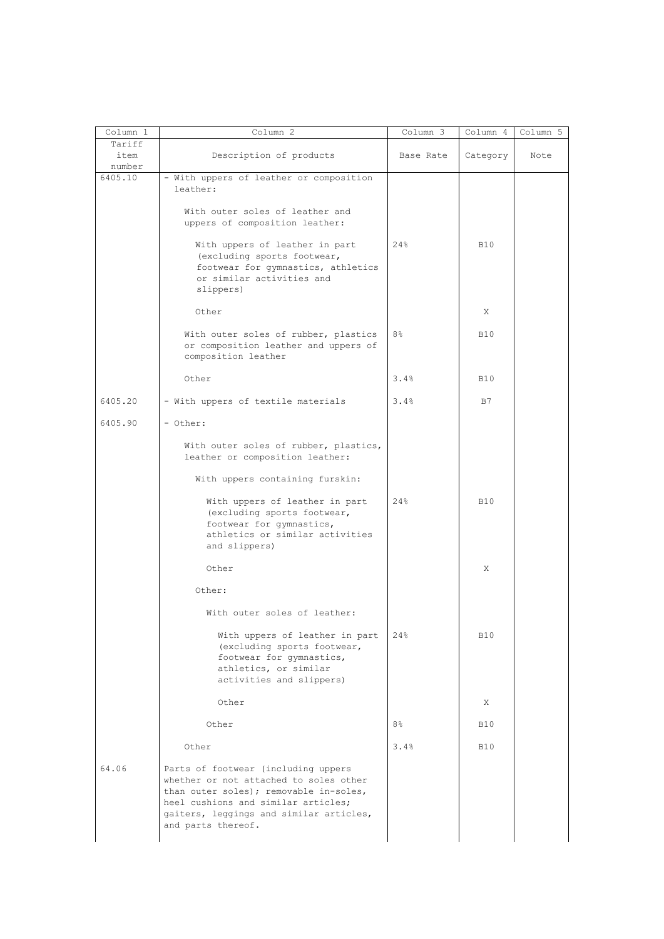| Column 1                 | Column 2                                                                                                                                                                                                                        | Column 3  | Column 4   | Column 5 |
|--------------------------|---------------------------------------------------------------------------------------------------------------------------------------------------------------------------------------------------------------------------------|-----------|------------|----------|
| Tariff<br>item<br>number | Description of products                                                                                                                                                                                                         | Base Rate | Category   | Note     |
| 6405.10                  | - With uppers of leather or composition<br>leather:                                                                                                                                                                             |           |            |          |
|                          | With outer soles of leather and<br>uppers of composition leather:                                                                                                                                                               |           |            |          |
|                          | With uppers of leather in part<br>(excluding sports footwear,<br>footwear for gymnastics, athletics<br>or similar activities and<br>slippers)                                                                                   | 24%       | <b>B10</b> |          |
|                          | Other                                                                                                                                                                                                                           |           | X          |          |
|                          | With outer soles of rubber, plastics<br>or composition leather and uppers of<br>composition leather                                                                                                                             | 8%        | <b>B10</b> |          |
|                          | Other                                                                                                                                                                                                                           | 3.4%      | <b>B10</b> |          |
| 6405.20                  | - With uppers of textile materials                                                                                                                                                                                              | 3.4%      | B7         |          |
| 6405.90                  | - Other:                                                                                                                                                                                                                        |           |            |          |
|                          | With outer soles of rubber, plastics,<br>leather or composition leather:                                                                                                                                                        |           |            |          |
|                          | With uppers containing furskin:                                                                                                                                                                                                 |           |            |          |
|                          | With uppers of leather in part<br>(excluding sports footwear,<br>footwear for gymnastics,<br>athletics or similar activities<br>and slippers)                                                                                   | 24%       | <b>B10</b> |          |
|                          | Other                                                                                                                                                                                                                           |           | X          |          |
|                          | Other:                                                                                                                                                                                                                          |           |            |          |
|                          | With outer soles of leather:                                                                                                                                                                                                    |           |            |          |
|                          | With uppers of leather in part<br>(excluding sports footwear,<br>footwear for gymnastics,<br>athletics, or similar<br>activities and slippers)                                                                                  | 24%       | <b>B10</b> |          |
|                          | Other                                                                                                                                                                                                                           |           | X          |          |
|                          | Other                                                                                                                                                                                                                           | 8%        | <b>B10</b> |          |
|                          | Other                                                                                                                                                                                                                           | 3.4%      | <b>B10</b> |          |
| 64.06                    | Parts of footwear (including uppers<br>whether or not attached to soles other<br>than outer soles); removable in-soles,<br>heel cushions and similar articles;<br>gaiters, leggings and similar articles,<br>and parts thereof. |           |            |          |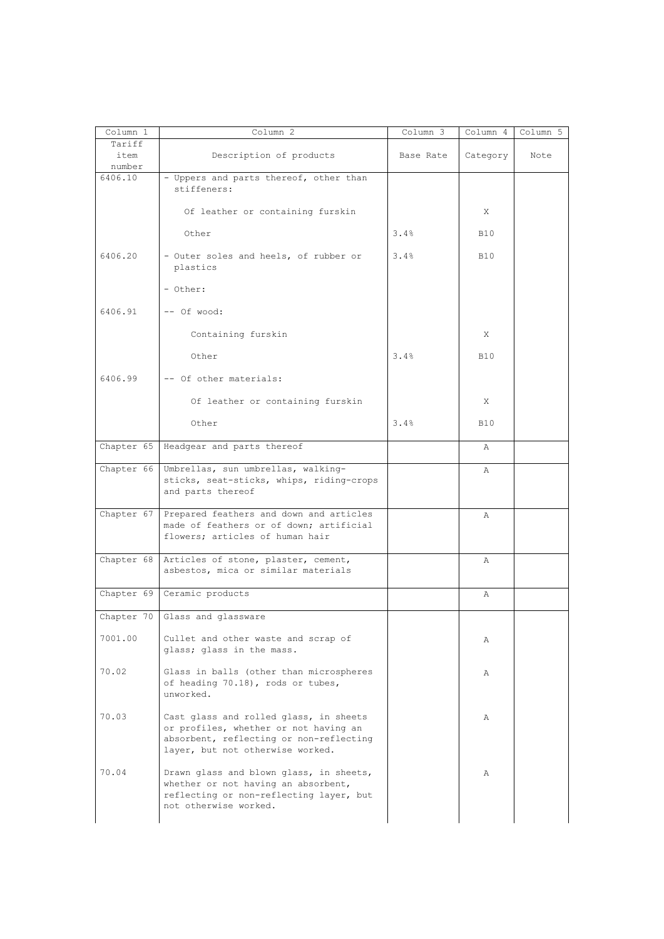| Column 1          | Column 2                                                                                                                                                       | Column 3  | Column 4   | Column 5 |
|-------------------|----------------------------------------------------------------------------------------------------------------------------------------------------------------|-----------|------------|----------|
| Tariff<br>item    | Description of products                                                                                                                                        | Base Rate | Category   | Note     |
| number<br>6406.10 | - Uppers and parts thereof, other than                                                                                                                         |           |            |          |
|                   | stiffeners:                                                                                                                                                    |           |            |          |
|                   | Of leather or containing furskin                                                                                                                               |           | X          |          |
|                   | Other                                                                                                                                                          | 3.4%      | <b>B10</b> |          |
| 6406.20           | - Outer soles and heels, of rubber or<br>plastics                                                                                                              | 3.4%      | <b>B10</b> |          |
|                   | - Other:                                                                                                                                                       |           |            |          |
| 6406.91           | -- Of wood:                                                                                                                                                    |           |            |          |
|                   | Containing furskin                                                                                                                                             |           | X          |          |
|                   | Other                                                                                                                                                          | 3.4%      | <b>B10</b> |          |
| 6406.99           | -- Of other materials:                                                                                                                                         |           |            |          |
|                   | Of leather or containing furskin                                                                                                                               |           | X          |          |
|                   | Other                                                                                                                                                          | 3.4%      | <b>B10</b> |          |
|                   | Chapter 65   Headgear and parts thereof                                                                                                                        |           | Α          |          |
| Chapter 66        | Umbrellas, sun umbrellas, walking-                                                                                                                             |           | Α          |          |
|                   | sticks, seat-sticks, whips, riding-crops<br>and parts thereof                                                                                                  |           |            |          |
| Chapter 67        | Prepared feathers and down and articles                                                                                                                        |           | Α          |          |
|                   | made of feathers or of down; artificial<br>flowers; articles of human hair                                                                                     |           |            |          |
|                   |                                                                                                                                                                |           |            |          |
| Chapter 68        | Articles of stone, plaster, cement,<br>asbestos, mica or similar materials                                                                                     |           | Α          |          |
| Chapter 69        | Ceramic products                                                                                                                                               |           | Α          |          |
| Chapter 70        | Glass and glassware                                                                                                                                            |           |            |          |
| 7001.00           | Cullet and other waste and scrap of<br>glass; glass in the mass.                                                                                               |           | Α          |          |
| 70.02             | Glass in balls (other than microspheres<br>of heading 70.18), rods or tubes,<br>unworked.                                                                      |           | Α          |          |
| 70.03             | Cast glass and rolled glass, in sheets<br>or profiles, whether or not having an<br>absorbent, reflecting or non-reflecting<br>layer, but not otherwise worked. |           | Α          |          |
| 70.04             | Drawn glass and blown glass, in sheets,<br>whether or not having an absorbent,<br>reflecting or non-reflecting layer, but<br>not otherwise worked.             |           | Α          |          |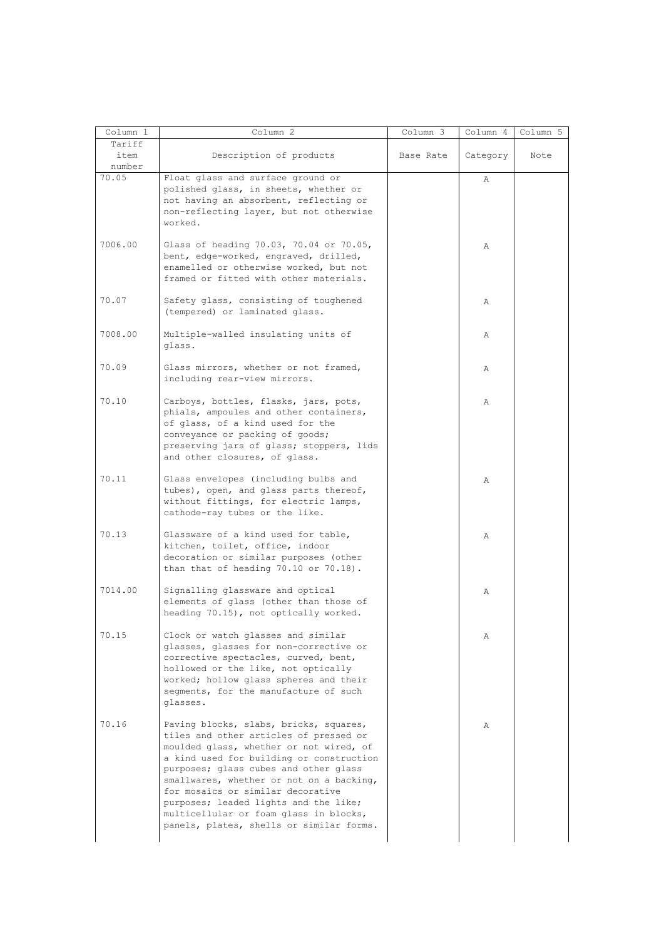| Column 1 | Column 2                                                                                                                                                                                                                                                                                                                                                                                                                         | Column 3  | Column 4 | Column 5 |
|----------|----------------------------------------------------------------------------------------------------------------------------------------------------------------------------------------------------------------------------------------------------------------------------------------------------------------------------------------------------------------------------------------------------------------------------------|-----------|----------|----------|
| Tariff   |                                                                                                                                                                                                                                                                                                                                                                                                                                  |           |          |          |
| item     | Description of products                                                                                                                                                                                                                                                                                                                                                                                                          | Base Rate | Category | Note     |
| number   |                                                                                                                                                                                                                                                                                                                                                                                                                                  |           |          |          |
| 70.05    | Float glass and surface ground or<br>polished glass, in sheets, whether or<br>not having an absorbent, reflecting or<br>non-reflecting layer, but not otherwise<br>worked.                                                                                                                                                                                                                                                       |           | Α        |          |
| 7006.00  | Glass of heading 70.03, 70.04 or 70.05,<br>bent, edge-worked, engraved, drilled,<br>enamelled or otherwise worked, but not<br>framed or fitted with other materials.                                                                                                                                                                                                                                                             |           | Α        |          |
| 70.07    | Safety glass, consisting of toughened<br>(tempered) or laminated glass.                                                                                                                                                                                                                                                                                                                                                          |           | Α        |          |
| 7008.00  | Multiple-walled insulating units of<br>glass.                                                                                                                                                                                                                                                                                                                                                                                    |           | Α        |          |
| 70.09    | Glass mirrors, whether or not framed,<br>including rear-view mirrors.                                                                                                                                                                                                                                                                                                                                                            |           | Α        |          |
| 70.10    | Carboys, bottles, flasks, jars, pots,<br>phials, ampoules and other containers,<br>of glass, of a kind used for the<br>conveyance or packing of goods;<br>preserving jars of glass; stoppers, lids<br>and other closures, of glass.                                                                                                                                                                                              |           | Α        |          |
| 70.11    | Glass envelopes (including bulbs and<br>tubes), open, and glass parts thereof,<br>without fittings, for electric lamps,<br>cathode-ray tubes or the like.                                                                                                                                                                                                                                                                        |           | Α        |          |
| 70.13    | Glassware of a kind used for table,<br>kitchen, toilet, office, indoor<br>decoration or similar purposes (other<br>than that of heading $70.10$ or $70.18$ ).                                                                                                                                                                                                                                                                    |           | Α        |          |
| 7014.00  | Signalling glassware and optical<br>elements of glass (other than those of<br>heading 70.15), not optically worked.                                                                                                                                                                                                                                                                                                              |           | Α        |          |
| 70.15    | Clock or watch glasses and similar<br>glasses, glasses for non-corrective or<br>corrective spectacles, curved, bent,<br>hollowed or the like, not optically<br>worked; hollow glass spheres and their<br>seqments, for the manufacture of such<br>glasses.                                                                                                                                                                       |           | Α        |          |
| 70.16    | Paving blocks, slabs, bricks, squares,<br>tiles and other articles of pressed or<br>moulded glass, whether or not wired, of<br>a kind used for building or construction<br>purposes; glass cubes and other glass<br>smallwares, whether or not on a backing,<br>for mosaics or similar decorative<br>purposes; leaded lights and the like;<br>multicellular or foam glass in blocks,<br>panels, plates, shells or similar forms. |           | Α        |          |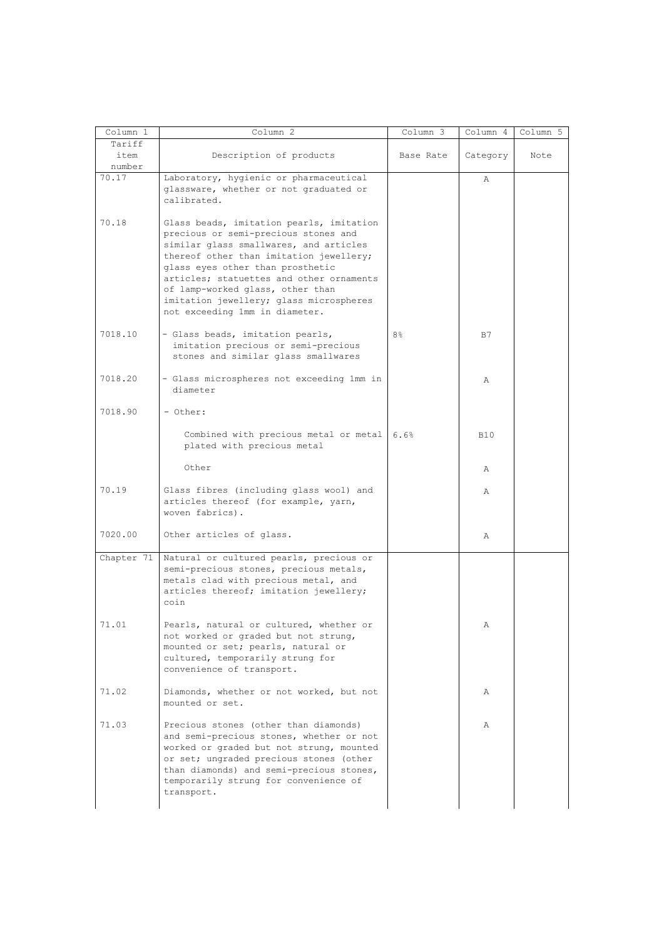| Column 1                 | Column 2                                                                                                                                                                                                                                                                                                                                                               | Column 3       | Column 4   | Column 5 |
|--------------------------|------------------------------------------------------------------------------------------------------------------------------------------------------------------------------------------------------------------------------------------------------------------------------------------------------------------------------------------------------------------------|----------------|------------|----------|
| Tariff<br>item<br>number | Description of products                                                                                                                                                                                                                                                                                                                                                | Base Rate      | Category   | Note     |
| 70.17                    | Laboratory, hygienic or pharmaceutical<br>glassware, whether or not graduated or<br>calibrated.                                                                                                                                                                                                                                                                        |                | Α          |          |
| 70.18                    | Glass beads, imitation pearls, imitation<br>precious or semi-precious stones and<br>similar glass smallwares, and articles<br>thereof other than imitation jewellery;<br>glass eyes other than prosthetic<br>articles; statuettes and other ornaments<br>of lamp-worked glass, other than<br>imitation jewellery; glass microspheres<br>not exceeding 1mm in diameter. |                |            |          |
| 7018.10                  | - Glass beads, imitation pearls,<br>imitation precious or semi-precious<br>stones and similar glass smallwares                                                                                                                                                                                                                                                         | 8 <sup>°</sup> | B7         |          |
| 7018.20                  | - Glass microspheres not exceeding 1mm in<br>diameter                                                                                                                                                                                                                                                                                                                  |                | Α          |          |
| 7018.90                  | - Other:                                                                                                                                                                                                                                                                                                                                                               |                |            |          |
|                          | Combined with precious metal or metal<br>plated with precious metal                                                                                                                                                                                                                                                                                                    | 6.6%           | <b>B10</b> |          |
|                          | Other                                                                                                                                                                                                                                                                                                                                                                  |                | Α          |          |
| 70.19                    | Glass fibres (including glass wool) and<br>articles thereof (for example, yarn,<br>woven fabrics).                                                                                                                                                                                                                                                                     |                | Α          |          |
| 7020.00                  | Other articles of glass.                                                                                                                                                                                                                                                                                                                                               |                | Α          |          |
| Chapter 71               | Natural or cultured pearls, precious or<br>semi-precious stones, precious metals,<br>metals clad with precious metal, and<br>articles thereof; imitation jewellery;<br>coin                                                                                                                                                                                            |                |            |          |
| 71.01                    | Pearls, natural or cultured, whether or<br>not worked or graded but not strung,<br>mounted or set; pearls, natural or<br>cultured, temporarily strung for<br>convenience of transport.                                                                                                                                                                                 |                | Α          |          |
| 71.02                    | Diamonds, whether or not worked, but not<br>mounted or set.                                                                                                                                                                                                                                                                                                            |                | Α          |          |
| 71.03                    | Precious stones (other than diamonds)<br>and semi-precious stones, whether or not<br>worked or graded but not strung, mounted<br>or set; ungraded precious stones (other<br>than diamonds) and semi-precious stones,<br>temporarily strung for convenience of<br>transport.                                                                                            |                | Α          |          |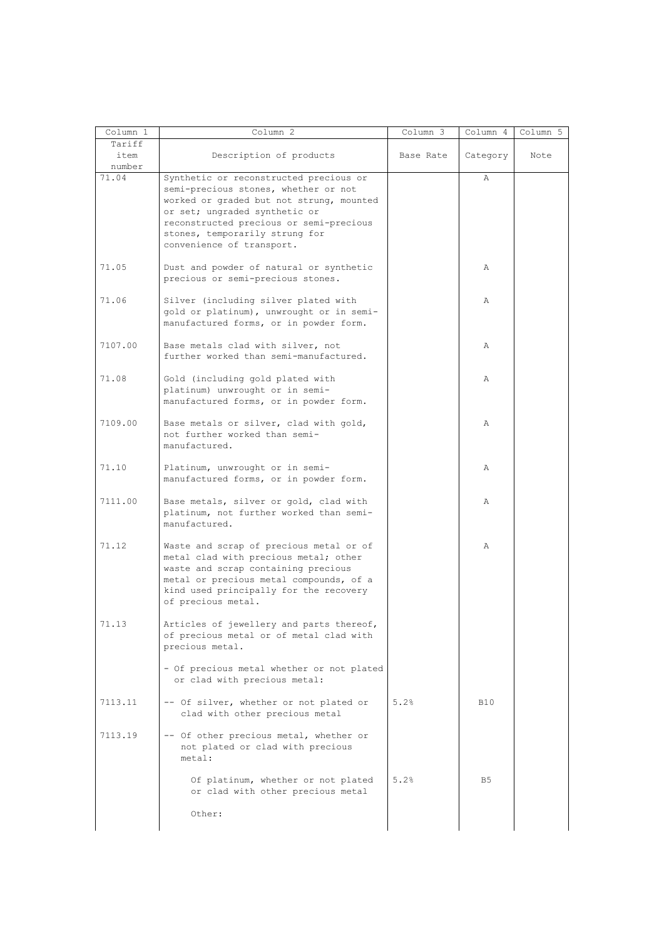| Column 1                 | Column 2                                                                                                                                                                                                                                                              | Column 3  | Column 4       | Column 5 |
|--------------------------|-----------------------------------------------------------------------------------------------------------------------------------------------------------------------------------------------------------------------------------------------------------------------|-----------|----------------|----------|
| Tariff<br>item<br>number | Description of products                                                                                                                                                                                                                                               | Base Rate | Category       | Note     |
| 71.04                    | Synthetic or reconstructed precious or<br>semi-precious stones, whether or not<br>worked or graded but not strung, mounted<br>or set; ungraded synthetic or<br>reconstructed precious or semi-precious<br>stones, temporarily strung for<br>convenience of transport. |           | $\mathbb{A}$   |          |
| 71.05                    | Dust and powder of natural or synthetic<br>precious or semi-precious stones.                                                                                                                                                                                          |           | Α              |          |
| 71.06                    | Silver (including silver plated with<br>gold or platinum), unwrought or in semi-<br>manufactured forms, or in powder form.                                                                                                                                            |           | Α              |          |
| 7107.00                  | Base metals clad with silver, not<br>further worked than semi-manufactured.                                                                                                                                                                                           |           | Α              |          |
| 71.08                    | Gold (including gold plated with<br>platinum) unwrought or in semi-<br>manufactured forms, or in powder form.                                                                                                                                                         |           | Α              |          |
| 7109.00                  | Base metals or silver, clad with gold,<br>not further worked than semi-<br>manufactured.                                                                                                                                                                              |           | Α              |          |
| 71.10                    | Platinum, unwrought or in semi-<br>manufactured forms, or in powder form.                                                                                                                                                                                             |           | Α              |          |
| 7111.00                  | Base metals, silver or gold, clad with<br>platinum, not further worked than semi-<br>manufactured.                                                                                                                                                                    |           | Α              |          |
| 71.12                    | Waste and scrap of precious metal or of<br>metal clad with precious metal; other<br>waste and scrap containing precious<br>metal or precious metal compounds, of a<br>kind used principally for the recovery<br>of precious metal.                                    |           | Α              |          |
| 71.13                    | Articles of jewellery and parts thereof,<br>of precious metal or of metal clad with<br>precious metal.                                                                                                                                                                |           |                |          |
|                          | - Of precious metal whether or not plated<br>or clad with precious metal:                                                                                                                                                                                             |           |                |          |
| 7113.11                  | -- Of silver, whether or not plated or<br>clad with other precious metal                                                                                                                                                                                              | 5.2%      | <b>B10</b>     |          |
| 7113.19                  | -- Of other precious metal, whether or<br>not plated or clad with precious<br>metal:                                                                                                                                                                                  |           |                |          |
|                          | Of platinum, whether or not plated<br>or clad with other precious metal                                                                                                                                                                                               | 5.2%      | B <sub>5</sub> |          |
|                          | Other:                                                                                                                                                                                                                                                                |           |                |          |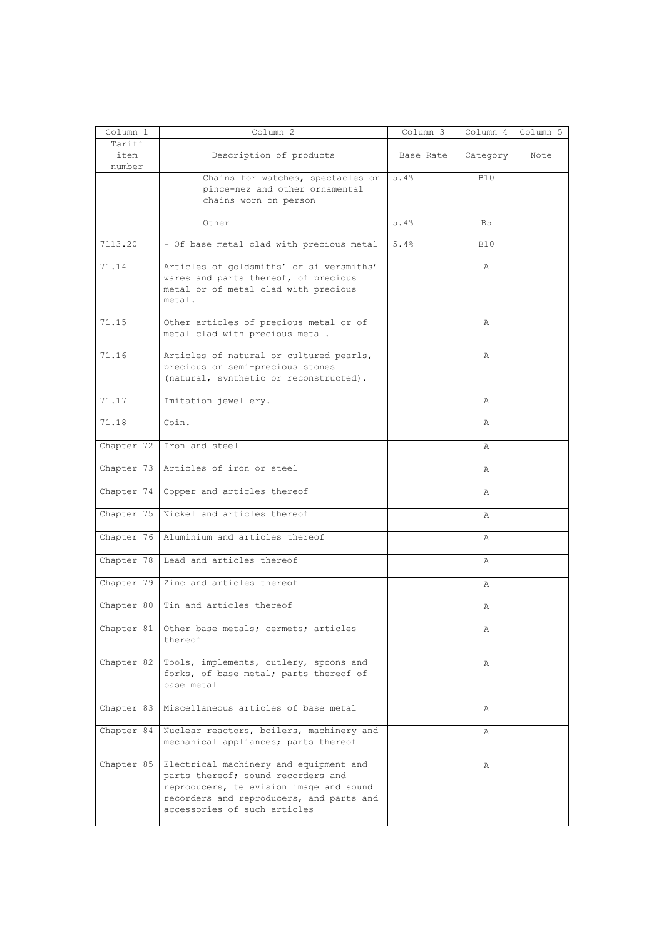| Column 1   | Column 2                                                                                                                                                                                            | Column 3  | Column 4   | Column 5 |
|------------|-----------------------------------------------------------------------------------------------------------------------------------------------------------------------------------------------------|-----------|------------|----------|
| Tariff     |                                                                                                                                                                                                     |           |            |          |
| item       | Description of products                                                                                                                                                                             | Base Rate | Category   | Note     |
| number     | Chains for watches, spectacles or                                                                                                                                                                   | 5.4%      | <b>B10</b> |          |
|            | pince-nez and other ornamental<br>chains worn on person                                                                                                                                             |           |            |          |
|            | Other                                                                                                                                                                                               | 5.4%      | B5         |          |
| 7113.20    | - Of base metal clad with precious metal                                                                                                                                                            | 5.4%      | <b>B10</b> |          |
| 71.14      | Articles of goldsmiths' or silversmiths'<br>wares and parts thereof, of precious<br>metal or of metal clad with precious<br>metal.                                                                  |           | Α          |          |
| 71.15      | Other articles of precious metal or of<br>metal clad with precious metal.                                                                                                                           |           | Α          |          |
| 71.16      | Articles of natural or cultured pearls,<br>precious or semi-precious stones<br>(natural, synthetic or reconstructed).                                                                               |           | A          |          |
| 71.17      | Imitation jewellery.                                                                                                                                                                                |           | Α          |          |
| 71.18      | Coin.                                                                                                                                                                                               |           | Α          |          |
| Chapter 72 | Iron and steel                                                                                                                                                                                      |           | Α          |          |
| Chapter 73 | Articles of iron or steel                                                                                                                                                                           |           | Α          |          |
| Chapter 74 | Copper and articles thereof                                                                                                                                                                         |           | Α          |          |
| Chapter 75 | Nickel and articles thereof                                                                                                                                                                         |           | Α          |          |
| Chapter 76 | Aluminium and articles thereof                                                                                                                                                                      |           | Α          |          |
| Chapter 78 | Lead and articles thereof                                                                                                                                                                           |           | Α          |          |
| Chapter 79 | Zinc and articles thereof                                                                                                                                                                           |           | Α          |          |
| Chapter 80 | Tin and articles thereof                                                                                                                                                                            |           | Α          |          |
| Chapter 81 | Other base metals; cermets; articles<br>thereof                                                                                                                                                     |           | Α          |          |
| Chapter 82 | Tools, implements, cutlery, spoons and<br>forks, of base metal; parts thereof of<br>base metal                                                                                                      |           | Α          |          |
| Chapter 83 | Miscellaneous articles of base metal                                                                                                                                                                |           | Α          |          |
| Chapter 84 | Nuclear reactors, boilers, machinery and<br>mechanical appliances; parts thereof                                                                                                                    |           | Α          |          |
| Chapter 85 | Electrical machinery and equipment and<br>parts thereof; sound recorders and<br>reproducers, television image and sound<br>recorders and reproducers, and parts and<br>accessories of such articles |           | Α          |          |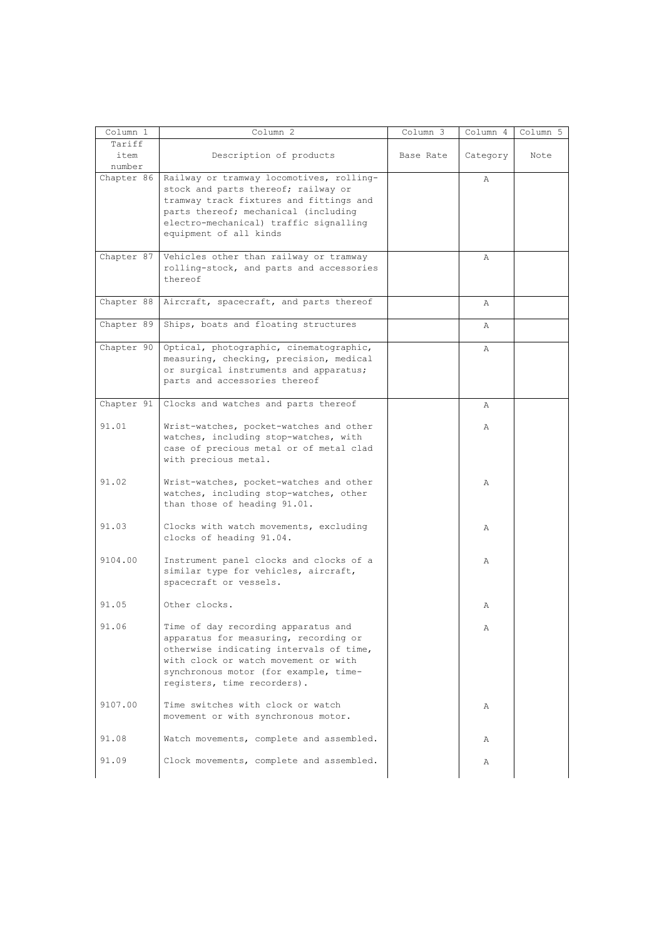| Column 1                 | Column 2                                                                                                                                                                                                                                | Column 3  | Column 4     | Column 5 |
|--------------------------|-----------------------------------------------------------------------------------------------------------------------------------------------------------------------------------------------------------------------------------------|-----------|--------------|----------|
| Tariff<br>item<br>number | Description of products                                                                                                                                                                                                                 | Base Rate | Category     | Note     |
| Chapter 86               | Railway or tramway locomotives, rolling-<br>stock and parts thereof; railway or<br>tramway track fixtures and fittings and<br>parts thereof; mechanical (including<br>electro-mechanical) traffic signalling<br>equipment of all kinds  |           | Α            |          |
| Chapter 87               | Vehicles other than railway or tramway<br>rolling-stock, and parts and accessories<br>thereof                                                                                                                                           |           | Α            |          |
| Chapter 88               | Aircraft, spacecraft, and parts thereof                                                                                                                                                                                                 |           | Α            |          |
|                          | Chapter 89 Ships, boats and floating structures                                                                                                                                                                                         |           | Α            |          |
| Chapter 90               | Optical, photographic, cinematographic,<br>measuring, checking, precision, medical<br>or surgical instruments and apparatus;<br>parts and accessories thereof                                                                           |           | $\mathbb{A}$ |          |
| Chapter 91               | Clocks and watches and parts thereof                                                                                                                                                                                                    |           | Α            |          |
| 91.01                    | Wrist-watches, pocket-watches and other<br>watches, including stop-watches, with<br>case of precious metal or of metal clad<br>with precious metal.                                                                                     |           | Α            |          |
| 91.02                    | Wrist-watches, pocket-watches and other<br>watches, including stop-watches, other<br>than those of heading 91.01.                                                                                                                       |           | Α            |          |
| 91.03                    | Clocks with watch movements, excluding<br>clocks of heading 91.04.                                                                                                                                                                      |           | Α            |          |
| 9104.00                  | Instrument panel clocks and clocks of a<br>similar type for vehicles, aircraft,<br>spacecraft or vessels.                                                                                                                               |           | Α            |          |
| 91.05                    | Other clocks.                                                                                                                                                                                                                           |           | Α            |          |
| 91.06                    | Time of day recording apparatus and<br>apparatus for measuring, recording or<br>otherwise indicating intervals of time,<br>with clock or watch movement or with<br>synchronous motor (for example, time-<br>registers, time recorders). |           | Α            |          |
| 9107.00                  | Time switches with clock or watch<br>movement or with synchronous motor.                                                                                                                                                                |           | Α            |          |
| 91.08                    | Watch movements, complete and assembled.                                                                                                                                                                                                |           | Α            |          |
| 91.09                    | Clock movements, complete and assembled.                                                                                                                                                                                                |           | Α            |          |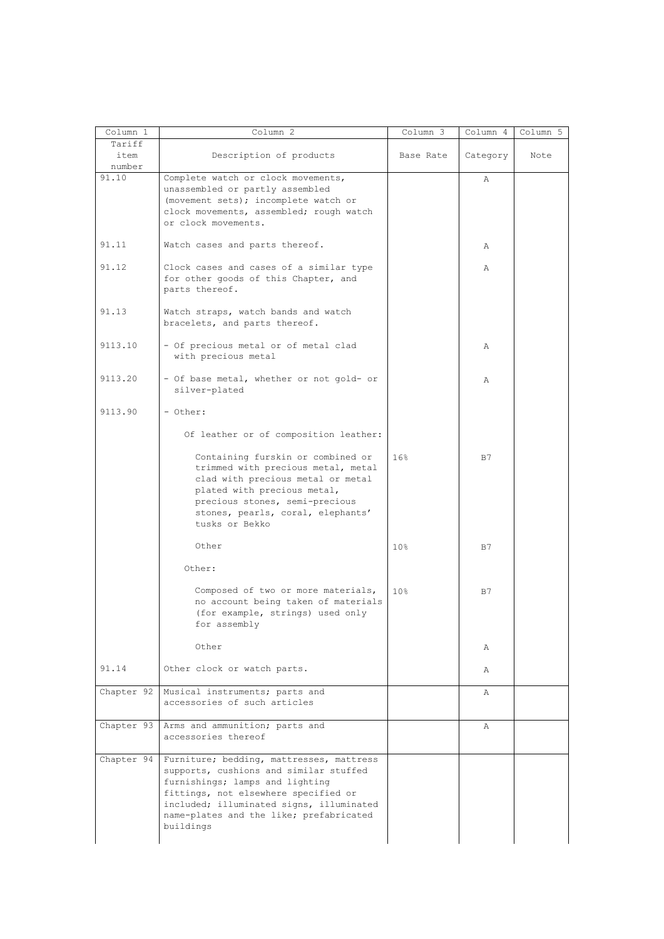| Column 1       | Column 2                                                                                                                                                                                                                                                          | Column 3        | Column 4 | Column 5 |
|----------------|-------------------------------------------------------------------------------------------------------------------------------------------------------------------------------------------------------------------------------------------------------------------|-----------------|----------|----------|
| Tariff<br>item | Description of products                                                                                                                                                                                                                                           | Base Rate       | Category | Note     |
| number         |                                                                                                                                                                                                                                                                   |                 |          |          |
| 91.10          | Complete watch or clock movements,<br>unassembled or partly assembled<br>(movement sets); incomplete watch or<br>clock movements, assembled; rough watch<br>or clock movements.                                                                                   |                 | Α        |          |
| 91.11          | Watch cases and parts thereof.                                                                                                                                                                                                                                    |                 | Α        |          |
| 91.12          | Clock cases and cases of a similar type<br>for other goods of this Chapter, and<br>parts thereof.                                                                                                                                                                 |                 | Α        |          |
| 91.13          | Watch straps, watch bands and watch<br>bracelets, and parts thereof.                                                                                                                                                                                              |                 |          |          |
| 9113.10        | - Of precious metal or of metal clad<br>with precious metal                                                                                                                                                                                                       |                 | Α        |          |
| 9113.20        | - Of base metal, whether or not gold- or<br>silver-plated                                                                                                                                                                                                         |                 | Α        |          |
| 9113.90        | - Other:                                                                                                                                                                                                                                                          |                 |          |          |
|                | Of leather or of composition leather:                                                                                                                                                                                                                             |                 |          |          |
|                | Containing furskin or combined or<br>trimmed with precious metal, metal<br>clad with precious metal or metal<br>plated with precious metal,<br>precious stones, semi-precious<br>stones, pearls, coral, elephants'<br>tusks or Bekko                              | 16%             | B7       |          |
|                | Other                                                                                                                                                                                                                                                             | 10 <sup>8</sup> | B7       |          |
|                | Other:                                                                                                                                                                                                                                                            |                 |          |          |
|                | Composed of two or more materials,<br>no account being taken of materials<br>(for example, strings) used only<br>for assembly                                                                                                                                     | 10 <sub>8</sub> | B7       |          |
|                | Other                                                                                                                                                                                                                                                             |                 | Α        |          |
| 91.14          | Other clock or watch parts.                                                                                                                                                                                                                                       |                 | Α        |          |
| Chapter 92     | Musical instruments; parts and<br>accessories of such articles                                                                                                                                                                                                    |                 | Α        |          |
|                | Chapter 93 Arms and ammunition; parts and<br>accessories thereof                                                                                                                                                                                                  |                 | A        |          |
| Chapter 94     | Furniture; bedding, mattresses, mattress<br>supports, cushions and similar stuffed<br>furnishings; lamps and lighting<br>fittings, not elsewhere specified or<br>included; illuminated signs, illuminated<br>name-plates and the like; prefabricated<br>buildings |                 |          |          |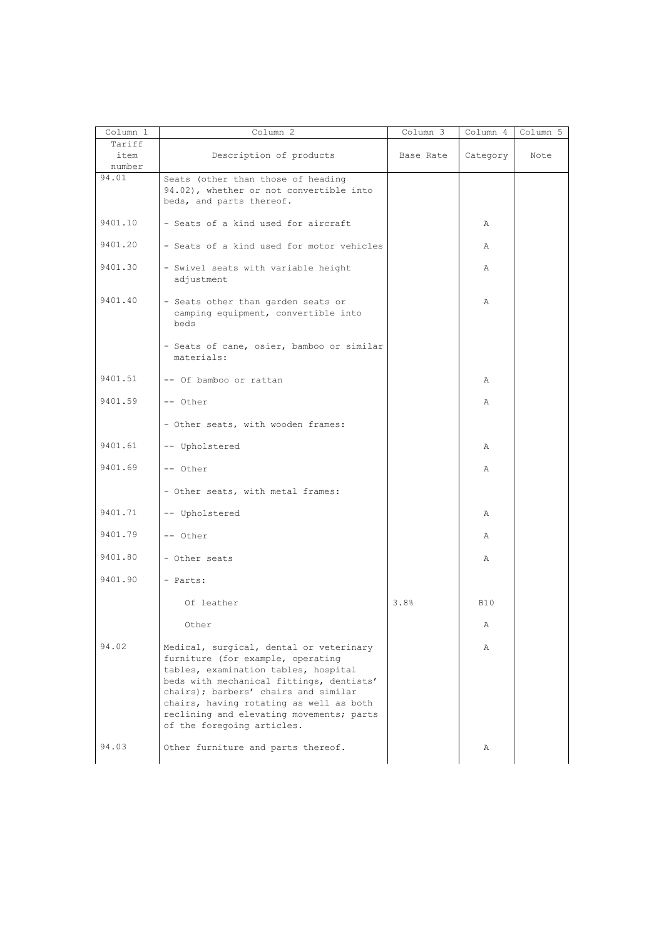| Column 1                 | Column 2                                                                                                                                                                                                                                                                                                                      | Column 3  | Column 4   | Column 5 |
|--------------------------|-------------------------------------------------------------------------------------------------------------------------------------------------------------------------------------------------------------------------------------------------------------------------------------------------------------------------------|-----------|------------|----------|
| Tariff<br>item<br>number | Description of products                                                                                                                                                                                                                                                                                                       | Base Rate | Category   | Note     |
| 94.01                    | Seats (other than those of heading<br>94.02), whether or not convertible into<br>beds, and parts thereof.                                                                                                                                                                                                                     |           |            |          |
| 9401.10                  | - Seats of a kind used for aircraft                                                                                                                                                                                                                                                                                           |           | Α          |          |
| 9401.20                  | - Seats of a kind used for motor vehicles                                                                                                                                                                                                                                                                                     |           | Α          |          |
| 9401.30                  | - Swivel seats with variable height<br>adjustment                                                                                                                                                                                                                                                                             |           | Α          |          |
| 9401.40                  | - Seats other than garden seats or<br>camping equipment, convertible into<br>beds                                                                                                                                                                                                                                             |           | Α          |          |
|                          | - Seats of cane, osier, bamboo or similar<br>materials:                                                                                                                                                                                                                                                                       |           |            |          |
| 9401.51                  | -- Of bamboo or rattan                                                                                                                                                                                                                                                                                                        |           | Α          |          |
| 9401.59                  | -- Other                                                                                                                                                                                                                                                                                                                      |           | Α          |          |
|                          | - Other seats, with wooden frames:                                                                                                                                                                                                                                                                                            |           |            |          |
| 9401.61                  | -- Upholstered                                                                                                                                                                                                                                                                                                                |           | Α          |          |
| 9401.69                  | -- Other                                                                                                                                                                                                                                                                                                                      |           | Α          |          |
|                          | - Other seats, with metal frames:                                                                                                                                                                                                                                                                                             |           |            |          |
| 9401.71                  | -- Upholstered                                                                                                                                                                                                                                                                                                                |           | Α          |          |
| 9401.79                  | -- Other                                                                                                                                                                                                                                                                                                                      |           | Α          |          |
| 9401.80                  | - Other seats                                                                                                                                                                                                                                                                                                                 |           | Α          |          |
| 9401.90                  | - Parts:                                                                                                                                                                                                                                                                                                                      |           |            |          |
|                          | Of leather                                                                                                                                                                                                                                                                                                                    | 3.8%      | <b>B10</b> |          |
|                          | Other                                                                                                                                                                                                                                                                                                                         |           | Α          |          |
| 94.02                    | Medical, surgical, dental or veterinary<br>furniture (for example, operating<br>tables, examination tables, hospital<br>beds with mechanical fittings, dentists'<br>chairs); barbers' chairs and similar<br>chairs, having rotating as well as both<br>reclining and elevating movements; parts<br>of the foregoing articles. |           | Α          |          |
| 94.03                    | Other furniture and parts thereof.                                                                                                                                                                                                                                                                                            |           | Α          |          |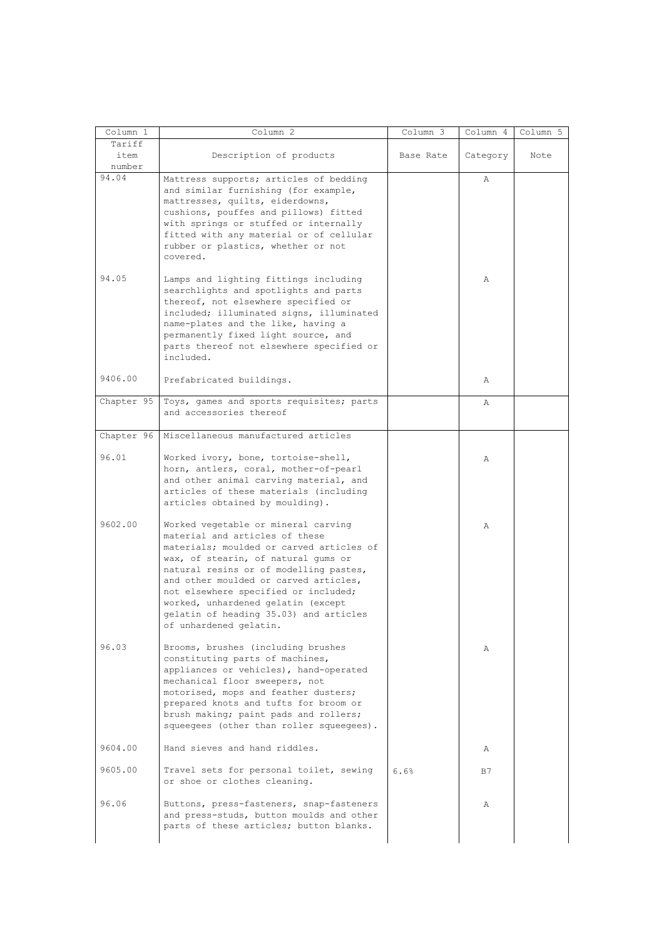| Column 1                 | Column 2                                                                                                                                                                                                                                                                                                                                                                                      | Column 3  | Column 4 | Column 5 |
|--------------------------|-----------------------------------------------------------------------------------------------------------------------------------------------------------------------------------------------------------------------------------------------------------------------------------------------------------------------------------------------------------------------------------------------|-----------|----------|----------|
| Tariff<br>item<br>number | Description of products                                                                                                                                                                                                                                                                                                                                                                       | Base Rate | Category | Note     |
| 94.04                    | Mattress supports; articles of bedding<br>and similar furnishing (for example,<br>mattresses, quilts, eiderdowns,<br>cushions, pouffes and pillows) fitted<br>with springs or stuffed or internally<br>fitted with any material or of cellular<br>rubber or plastics, whether or not<br>covered.                                                                                              |           | Α        |          |
| 94.05                    | Lamps and lighting fittings including<br>searchlights and spotlights and parts<br>thereof, not elsewhere specified or<br>included; illuminated signs, illuminated<br>name-plates and the like, having a<br>permanently fixed light source, and<br>parts thereof not elsewhere specified or<br>included.                                                                                       |           | Α        |          |
| 9406.00                  | Prefabricated buildings.                                                                                                                                                                                                                                                                                                                                                                      |           | Α        |          |
| Chapter 95               | Toys, games and sports requisites; parts<br>and accessories thereof                                                                                                                                                                                                                                                                                                                           |           | Α        |          |
| Chapter 96               | Miscellaneous manufactured articles                                                                                                                                                                                                                                                                                                                                                           |           |          |          |
| 96.01                    | Worked ivory, bone, tortoise-shell,<br>horn, antlers, coral, mother-of-pearl<br>and other animal carving material, and<br>articles of these materials (including<br>articles obtained by moulding).                                                                                                                                                                                           |           | Α        |          |
| 9602.00                  | Worked vegetable or mineral carving<br>material and articles of these<br>materials; moulded or carved articles of<br>wax, of stearin, of natural gums or<br>natural resins or of modelling pastes,<br>and other moulded or carved articles,<br>not elsewhere specified or included;<br>worked, unhardened gelatin (except<br>gelatin of heading 35.03) and articles<br>of unhardened gelatin. |           | Α        |          |
| 96.03                    | Brooms, brushes (including brushes<br>constituting parts of machines,<br>appliances or vehicles), hand-operated<br>mechanical floor sweepers, not<br>motorised, mops and feather dusters;<br>prepared knots and tufts for broom or<br>brush making; paint pads and rollers;<br>squeeqees (other than roller squeeqees).                                                                       |           | Α        |          |
| 9604.00                  | Hand sieves and hand riddles.                                                                                                                                                                                                                                                                                                                                                                 |           | Α        |          |
| 9605.00                  | Travel sets for personal toilet, sewing<br>or shoe or clothes cleaning.                                                                                                                                                                                                                                                                                                                       | 6.6%      | B7       |          |
| 96.06                    | Buttons, press-fasteners, snap-fasteners<br>and press-studs, button moulds and other<br>parts of these articles; button blanks.                                                                                                                                                                                                                                                               |           | Α        |          |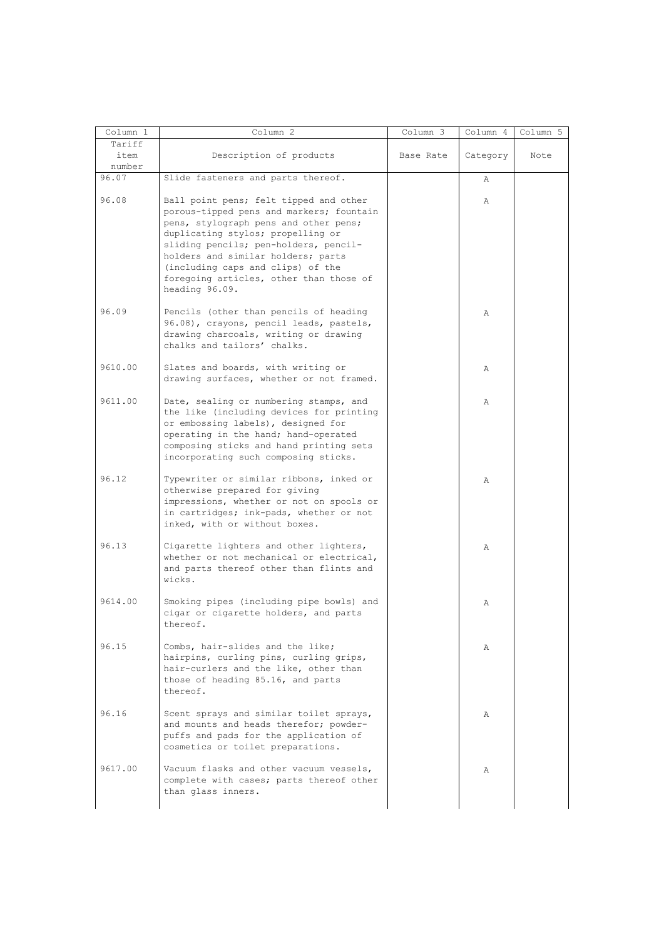| Column 1                 | Column <sub>2</sub>                                                                                                                                                                                                                                                                                                                               | Column 3  | Column 4     | Column 5 |
|--------------------------|---------------------------------------------------------------------------------------------------------------------------------------------------------------------------------------------------------------------------------------------------------------------------------------------------------------------------------------------------|-----------|--------------|----------|
| Tariff<br>item<br>number | Description of products                                                                                                                                                                                                                                                                                                                           | Base Rate | Category     | Note     |
| 96.07                    | Slide fasteners and parts thereof.                                                                                                                                                                                                                                                                                                                |           | Α            |          |
| 96.08                    | Ball point pens; felt tipped and other<br>porous-tipped pens and markers; fountain<br>pens, stylograph pens and other pens;<br>duplicating stylos; propelling or<br>sliding pencils; pen-holders, pencil-<br>holders and similar holders; parts<br>(including caps and clips) of the<br>foregoing articles, other than those of<br>heading 96.09. |           | $\mathbb{A}$ |          |
| 96.09                    | Pencils (other than pencils of heading<br>96.08), crayons, pencil leads, pastels,<br>drawing charcoals, writing or drawing<br>chalks and tailors' chalks.                                                                                                                                                                                         |           | Α            |          |
| 9610.00                  | Slates and boards, with writing or<br>drawing surfaces, whether or not framed.                                                                                                                                                                                                                                                                    |           | Α            |          |
| 9611.00                  | Date, sealing or numbering stamps, and<br>the like (including devices for printing<br>or embossing labels), designed for<br>operating in the hand; hand-operated<br>composing sticks and hand printing sets<br>incorporating such composing sticks.                                                                                               |           | $\mathbb{A}$ |          |
| 96.12                    | Typewriter or similar ribbons, inked or<br>otherwise prepared for giving<br>impressions, whether or not on spools or<br>in cartridges; ink-pads, whether or not<br>inked, with or without boxes.                                                                                                                                                  |           | Α            |          |
| 96.13                    | Cigarette lighters and other lighters,<br>whether or not mechanical or electrical,<br>and parts thereof other than flints and<br>wicks.                                                                                                                                                                                                           |           | Α            |          |
| 9614.00                  | Smoking pipes (including pipe bowls) and<br>cigar or cigarette holders, and parts<br>thereof.                                                                                                                                                                                                                                                     |           | Α            |          |
| 96.15                    | Combs, hair-slides and the like;<br>hairpins, curling pins, curling grips,<br>hair-curlers and the like, other than<br>those of heading 85.16, and parts<br>thereof.                                                                                                                                                                              |           | Α            |          |
| 96.16                    | Scent sprays and similar toilet sprays,<br>and mounts and heads therefor; powder-<br>puffs and pads for the application of<br>cosmetics or toilet preparations.                                                                                                                                                                                   |           | Α            |          |
| 9617.00                  | Vacuum flasks and other vacuum vessels,<br>complete with cases; parts thereof other<br>than glass inners.                                                                                                                                                                                                                                         |           | Α            |          |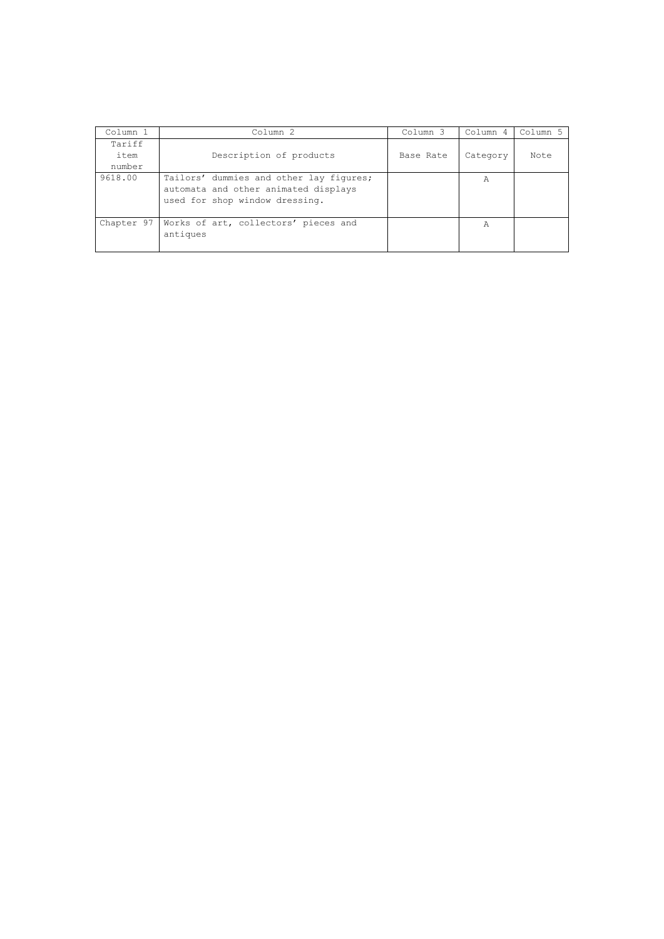| Column 1   | Column <sub>2</sub>                                                                                               | Column 3  | Column 4 | Column 5 |
|------------|-------------------------------------------------------------------------------------------------------------------|-----------|----------|----------|
| Tariff     |                                                                                                                   |           |          |          |
| item       | Description of products                                                                                           | Base Rate | Category | Note     |
| number     |                                                                                                                   |           |          |          |
| 9618.00    | Tailors' dummies and other lay figures;<br>automata and other animated displays<br>used for shop window dressing. |           | Α        |          |
| Chapter 97 | Works of art, collectors' pieces and<br>antiques                                                                  |           | Α        |          |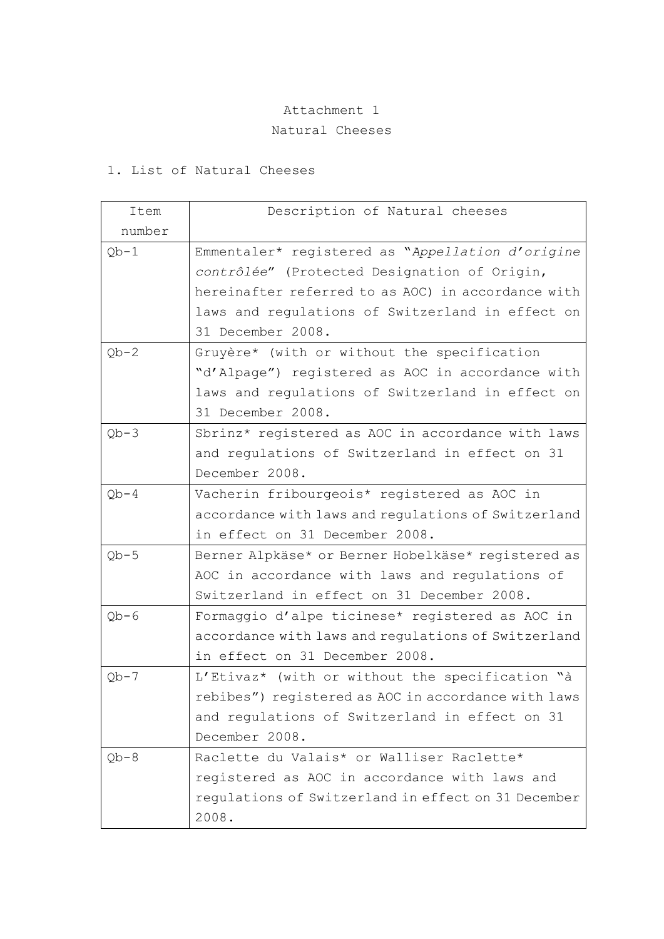## Attachment 1

## Natural Cheeses

## 1. List of Natural Cheeses

| Item   | Description of Natural cheeses                      |
|--------|-----------------------------------------------------|
| number |                                                     |
| $Qb-1$ | Emmentaler* registered as "Appellation d'origine    |
|        | contrôlée" (Protected Designation of Origin,        |
|        | hereinafter referred to as AOC) in accordance with  |
|        | laws and regulations of Switzerland in effect on    |
|        | 31 December 2008.                                   |
| $Qb-2$ | Gruyère* (with or without the specification         |
|        | "d'Alpage") registered as AOC in accordance with    |
|        | laws and regulations of Switzerland in effect on    |
|        | 31 December 2008.                                   |
| $Qb-3$ | Sbrinz* registered as AOC in accordance with laws   |
|        | and regulations of Switzerland in effect on 31      |
|        | December 2008.                                      |
| $Qb-4$ | Vacherin fribourgeois* registered as AOC in         |
|        | accordance with laws and regulations of Switzerland |
|        | in effect on 31 December 2008.                      |
| $Qb-5$ | Berner Alpkäse* or Berner Hobelkäse* registered as  |
|        | AOC in accordance with laws and regulations of      |
|        | Switzerland in effect on 31 December 2008.          |
| $Qb-6$ | Formaggio d'alpe ticinese* registered as AOC in     |
|        | accordance with laws and regulations of Switzerland |
|        | in effect on 31 December 2008.                      |
| $Qb-7$ | L'Etivaz* (with or without the specification "à     |
|        | rebibes") registered as AOC in accordance with laws |
|        | and regulations of Switzerland in effect on 31      |
|        | December 2008.                                      |
| $Ob-8$ | Raclette du Valais* or Walliser Raclette*           |
|        | registered as AOC in accordance with laws and       |
|        | regulations of Switzerland in effect on 31 December |
|        | 2008.                                               |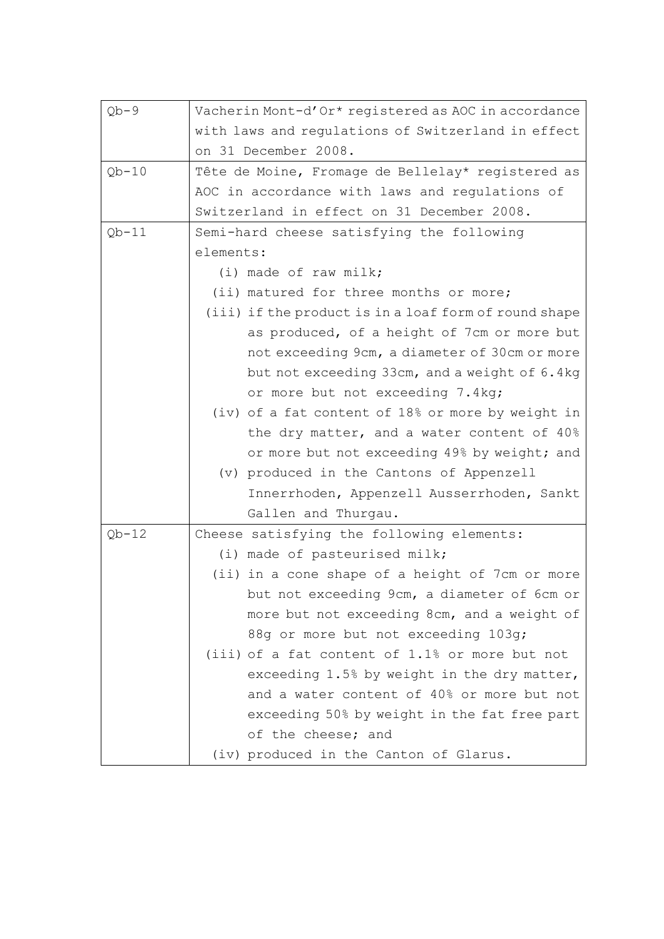| $Qb-9$  | Vacherin Mont-d'Or* registered as AOC in accordance   |  |  |
|---------|-------------------------------------------------------|--|--|
|         | with laws and regulations of Switzerland in effect    |  |  |
|         | on 31 December 2008.                                  |  |  |
| $Qb-10$ | Tête de Moine, Fromage de Bellelay* registered as     |  |  |
|         | AOC in accordance with laws and regulations of        |  |  |
|         | Switzerland in effect on 31 December 2008.            |  |  |
| $Qb-11$ | Semi-hard cheese satisfying the following             |  |  |
|         | elements:                                             |  |  |
|         | $(i)$ made of raw milk;                               |  |  |
|         | (ii) matured for three months or more;                |  |  |
|         | (iii) if the product is in a loaf form of round shape |  |  |
|         | as produced, of a height of 7cm or more but           |  |  |
|         | not exceeding 9cm, a diameter of 30cm or more         |  |  |
|         | but not exceeding 33cm, and a weight of 6.4kg         |  |  |
|         | or more but not exceeding 7.4kg;                      |  |  |
|         | (iv) of a fat content of 18% or more by weight in     |  |  |
|         | the dry matter, and a water content of 40%            |  |  |
|         | or more but not exceeding 49% by weight; and          |  |  |
|         | (v) produced in the Cantons of Appenzell              |  |  |
|         | Innerrhoden, Appenzell Ausserrhoden, Sankt            |  |  |
|         | Gallen and Thurgau.                                   |  |  |
| $Qb-12$ | Cheese satisfying the following elements:             |  |  |
|         | (i) made of pasteurised milk;                         |  |  |
|         | (ii) in a cone shape of a height of 7cm or more       |  |  |
|         | but not exceeding 9cm, a diameter of 6cm or           |  |  |
|         | more but not exceeding 8cm, and a weight of           |  |  |
|         | 88g or more but not exceeding 103g;                   |  |  |
|         | (iii) of a fat content of 1.1% or more but not        |  |  |
|         | exceeding 1.5% by weight in the dry matter,           |  |  |
|         | and a water content of 40% or more but not            |  |  |
|         | exceeding 50% by weight in the fat free part          |  |  |
|         | of the cheese; and                                    |  |  |
|         | (iv) produced in the Canton of Glarus.                |  |  |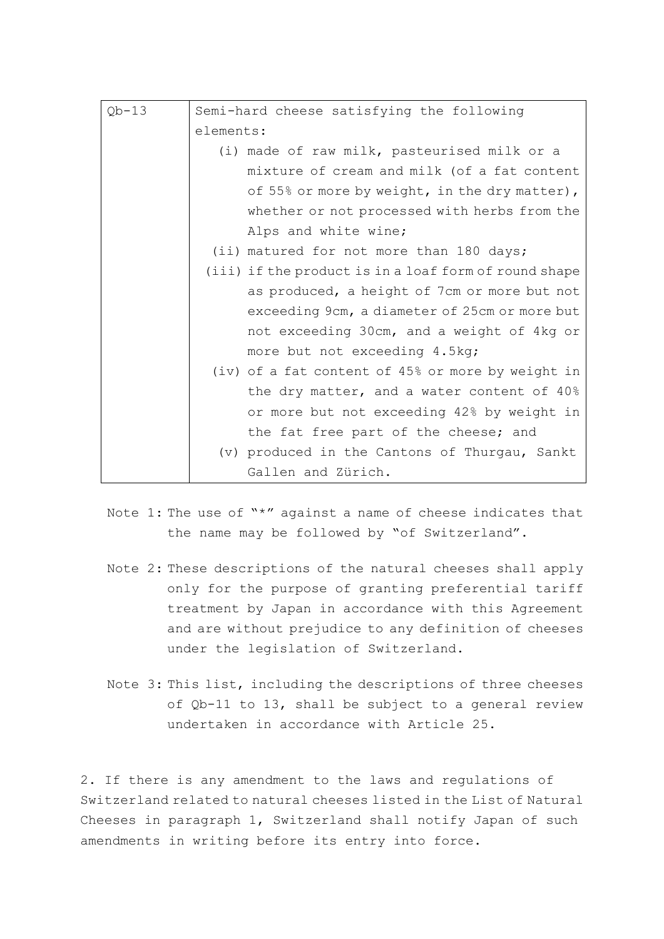| $Qb-13$ | Semi-hard cheese satisfying the following             |
|---------|-------------------------------------------------------|
|         |                                                       |
|         | elements:                                             |
|         | (i) made of raw milk, pasteurised milk or a           |
|         | mixture of cream and milk (of a fat content           |
|         | of 55% or more by weight, in the dry matter),         |
|         | whether or not processed with herbs from the          |
|         | Alps and white wine;                                  |
|         | (ii) matured for not more than 180 days;              |
|         | (iii) if the product is in a loaf form of round shape |
|         | as produced, a height of 7cm or more but not          |
|         | exceeding 9cm, a diameter of 25cm or more but         |
|         | not exceeding 30cm, and a weight of 4kg or            |
|         | more but not exceeding 4.5kg;                         |
|         | (iv) of a fat content of 45% or more by weight in     |
|         | the dry matter, and a water content of 40%            |
|         | or more but not exceeding 42% by weight in            |
|         | the fat free part of the cheese; and                  |
|         | (v) produced in the Cantons of Thurgau, Sankt         |
|         | Gallen and Zürich.                                    |

- Note 1: The use of "\*" against a name of cheese indicates that the name may be followed by "of Switzerland".
- Note 2: These descriptions of the natural cheeses shall apply only for the purpose of granting preferential tariff treatment by Japan in accordance with this Agreement and are without prejudice to any definition of cheeses under the legislation of Switzerland.
- Note 3: This list, including the descriptions of three cheeses of Qb-11 to 13, shall be subject to a general review undertaken in accordance with Article 25.

2. If there is any amendment to the laws and regulations of Switzerland related to natural cheeses listed in the List of Natural Cheeses in paragraph 1, Switzerland shall notify Japan of such amendments in writing before its entry into force.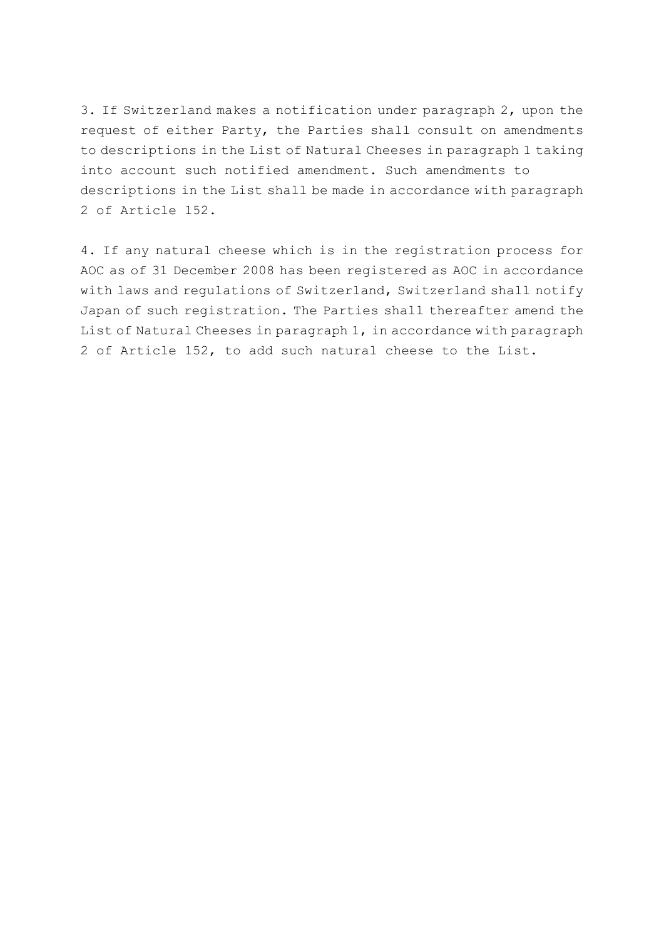3. If Switzerland makes a notification under paragraph 2, upon the request of either Party, the Parties shall consult on amendments to descriptions in the List of Natural Cheeses in paragraph 1 taking into account such notified amendment. Such amendments to descriptions in the List shall be made in accordance with paragraph 2 of Article 152.

4. If any natural cheese which is in the registration process for AOC as of 31 December 2008 has been registered as AOC in accordance with laws and regulations of Switzerland, Switzerland shall notify Japan of such registration. The Parties shall thereafter amend the List of Natural Cheeses in paragraph 1, in accordance with paragraph 2 of Article 152, to add such natural cheese to the List.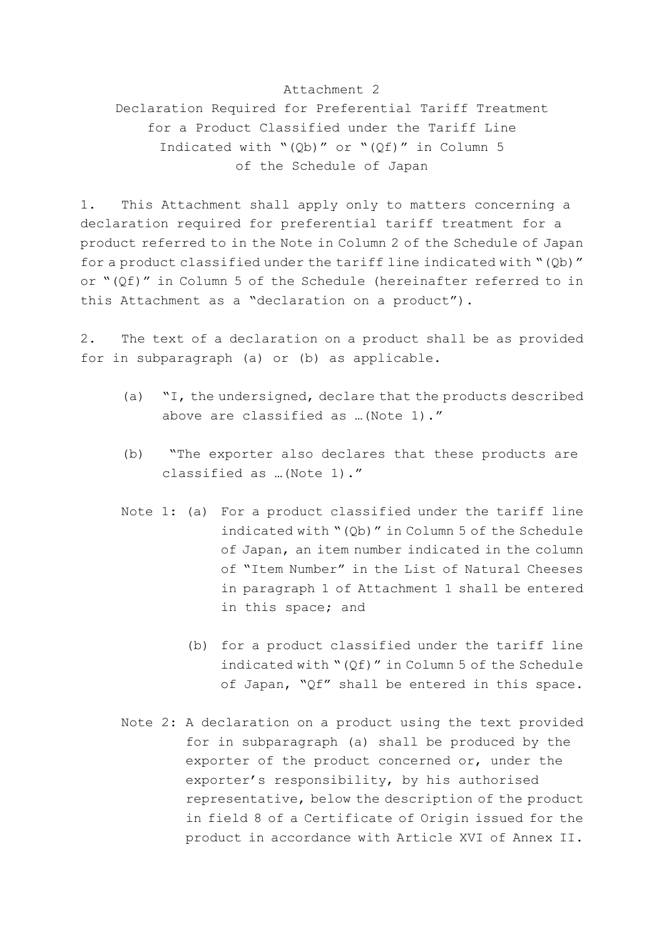## Attachment 2

Declaration Required for Preferential Tariff Treatment for a Product Classified under the Tariff Line Indicated with "(Qb)" or "(Qf)" in Column 5 of the Schedule of Japan

1. This Attachment shall apply only to matters concerning a declaration required for preferential tariff treatment for a product referred to in the Note in Column 2 of the Schedule of Japan for a product classified under the tariff line indicated with "(Qb)" or "(Qf)" in Column 5 of the Schedule (hereinafter referred to in this Attachment as a "declaration on a product").

2. The text of a declaration on a product shall be as provided for in subparagraph (a) or (b) as applicable.

- (a) "I, the undersigned, declare that the products described above are classified as …(Note 1)."
- (b) "The exporter also declares that these products are classified as …(Note 1)."
- Note 1: (a) For a product classified under the tariff line indicated with "(Qb)" in Column 5 of the Schedule of Japan, an item number indicated in the column of "Item Number" in the List of Natural Cheeses in paragraph 1 of Attachment 1 shall be entered in this space; and
	- (b) for a product classified under the tariff line indicated with "(Qf)" in Column 5 of the Schedule of Japan, "Qf" shall be entered in this space.
- Note 2: A declaration on a product using the text provided for in subparagraph (a) shall be produced by the exporter of the product concerned or, under the exporter's responsibility, by his authorised representative, below the description of the product in field 8 of a Certificate of Origin issued for the product in accordance with Article XVI of Annex II.